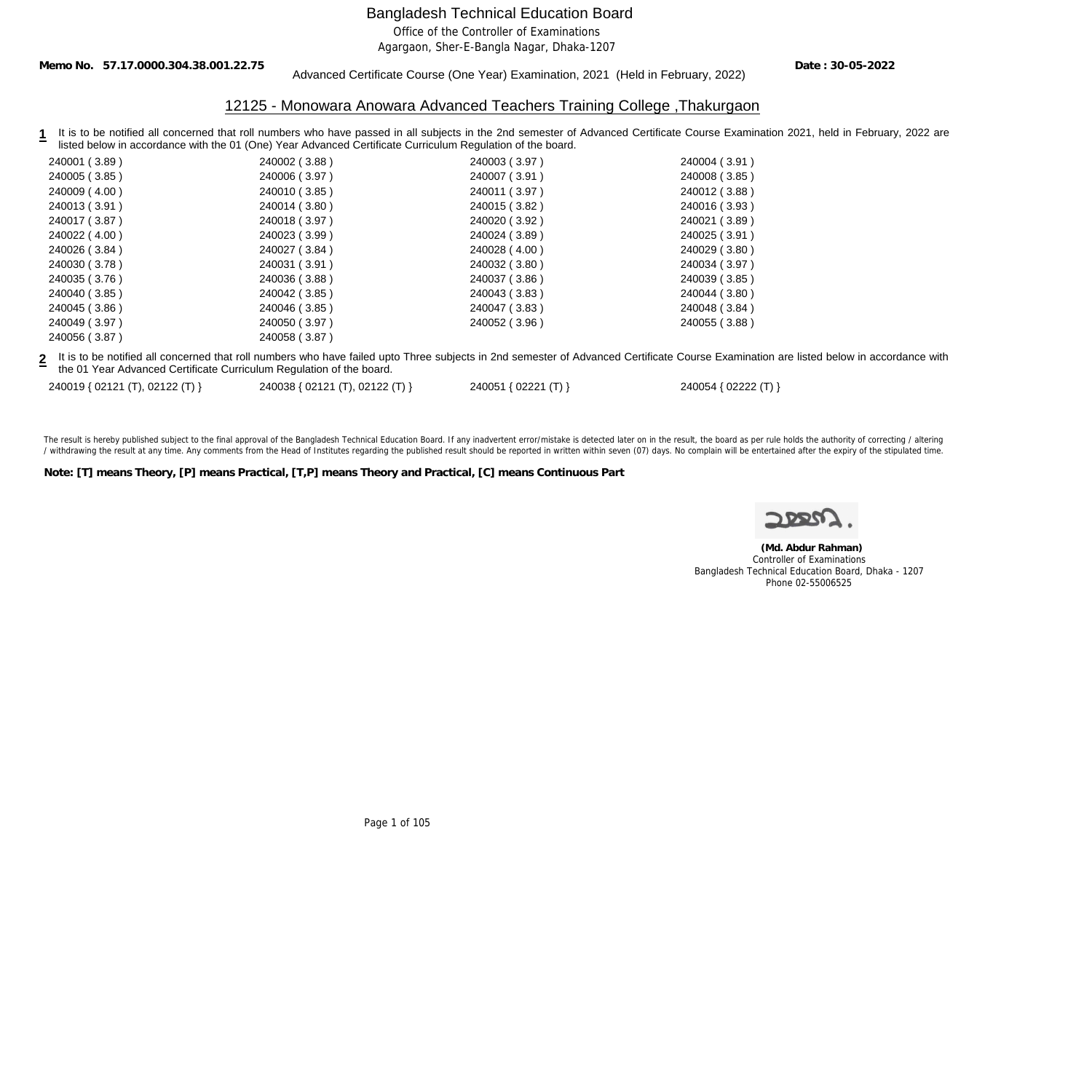Office of the Controller of Examinations

Agargaon, Sher-E-Bangla Nagar, Dhaka-1207

**Memo No. 57.17.0000.304.38.001.22.75**

#### Advanced Certificate Course (One Year) Examination, 2021 (Held in February, 2022)

**Date : 30-05-2022**

## 12125 - Monowara Anowara Advanced Teachers Training College ,Thakurgaon

1 It is to be notified all concerned that roll numbers who have passed in all subjects in the 2nd semester of Advanced Certificate Course Examination 2021, held in February, 2022 are listed below in accordance with the 01 (One) Year Advanced Certificate Curriculum Regulation of the board.

| 240001 (3.89) | 240002 (3.88) | 240003 (3.97) | 240004 (3.91) |
|---------------|---------------|---------------|---------------|
| 240005 (3.85) | 240006 (3.97) | 240007 (3.91) | 240008 (3.85) |
| 240009 (4.00) | 240010 (3.85) | 240011 (3.97) | 240012 (3.88) |
| 240013 (3.91) | 240014 (3.80) | 240015 (3.82) | 240016 (3.93) |
| 240017 (3.87) | 240018 (3.97) | 240020 (3.92) | 240021 (3.89) |
| 240022 (4.00) | 240023 (3.99) | 240024 (3.89) | 240025 (3.91) |
| 240026 (3.84) | 240027 (3.84) | 240028 (4.00) | 240029 (3.80) |
| 240030 (3.78) | 240031 (3.91) | 240032 (3.80) | 240034 (3.97) |
| 240035 (3.76) | 240036 (3.88) | 240037 (3.86) | 240039 (3.85) |
| 240040 (3.85) | 240042 (3.85) | 240043 (3.83) | 240044 (3.80) |
| 240045 (3.86) | 240046 (3.85) | 240047 (3.83) | 240048 (3.84) |
| 240049 (3.97) | 240050 (3.97) | 240052 (3.96) | 240055 (3.88) |
| 240056 (3.87) | 240058 (3.87) |               |               |
|               |               |               |               |

**2** It is to be notified all concerned that roll numbers who have failed upto Three subjects in 2nd semester of Advanced Certificate Course Examination are listed below in accordance with the 01 Year Advanced Certificate Curriculum Regulation of the board.

| 240019 { 02121 (T), 02122 (T) } | 240038 { 02121 (T), 02122 (T) } | 240051 { 02221 (T) } | 240054 { 02222 (T) } |
|---------------------------------|---------------------------------|----------------------|----------------------|
|---------------------------------|---------------------------------|----------------------|----------------------|

The result is hereby published subject to the final approval of the Bangladesh Technical Education Board. If any inadvertent error/mistake is detected later on in the result, the board as per rule holds the authority of co / withdrawing the result at any time. Any comments from the Head of Institutes regarding the published result should be reported in written within seven (07) days. No complain will be entertained after the expiry of the st

**Note: [T] means Theory, [P] means Practical, [T,P] means Theory and Practical, [C] means Continuous Part**

 **(Md. Abdur Rahman)** Controller of Examinations Bangladesh Technical Education Board, Dhaka - 1207 Phone 02-55006525

Page 1 of 105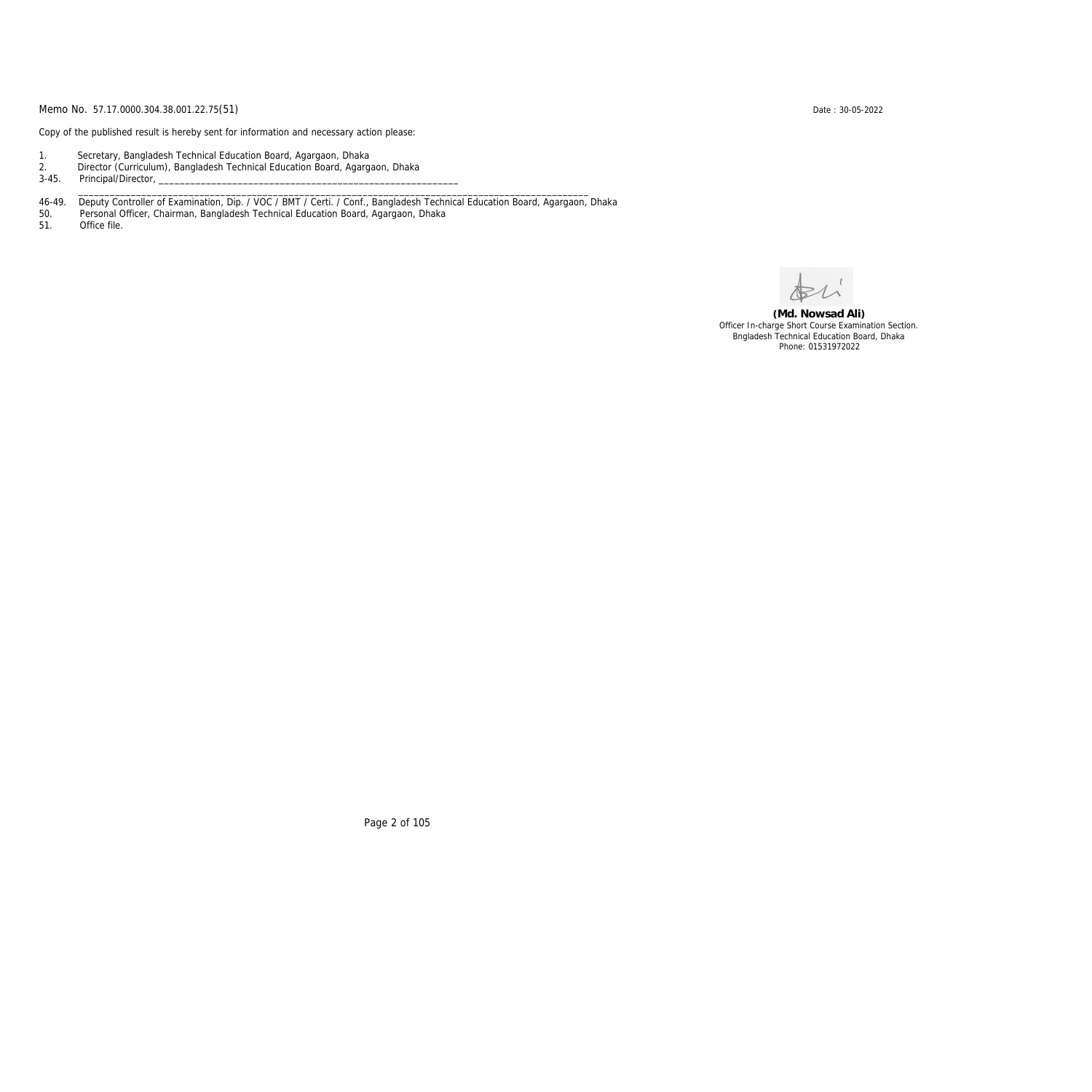Copy of the published result is hereby sent for information and necessary action please:

- 1. Secretary, Bangladesh Technical Education Board, Agargaon, Dhaka
- 2. Director (Curriculum), Bangladesh Technical Education Board, Agargaon, Dhaka

3-45. Principal/Director,

46-49. Deputy Controller of Examination, Dip. / VOC / BMT / Certi. / Conf., Bangladesh Technical Education Board, Agargaon, Dhaka

\_\_\_\_\_\_\_\_\_\_\_\_\_\_\_\_\_\_\_\_\_\_\_\_\_\_\_\_\_\_\_\_\_\_\_\_\_\_\_\_\_\_\_\_\_\_\_\_\_\_\_\_\_\_\_\_\_\_\_\_\_\_\_\_\_\_\_\_\_\_\_\_\_\_\_\_\_\_\_\_\_\_\_\_\_\_\_\_\_\_\_\_\_\_\_\_\_

50. Personal Officer, Chairman, Bangladesh Technical Education Board, Agargaon, Dhaka

Office file.

**(Md. Nowsad Ali)** Officer In-charge Short Course Examination Section. Bngladesh Technical Education Board, Dhaka Phone: 01531972022

Page 2 of 105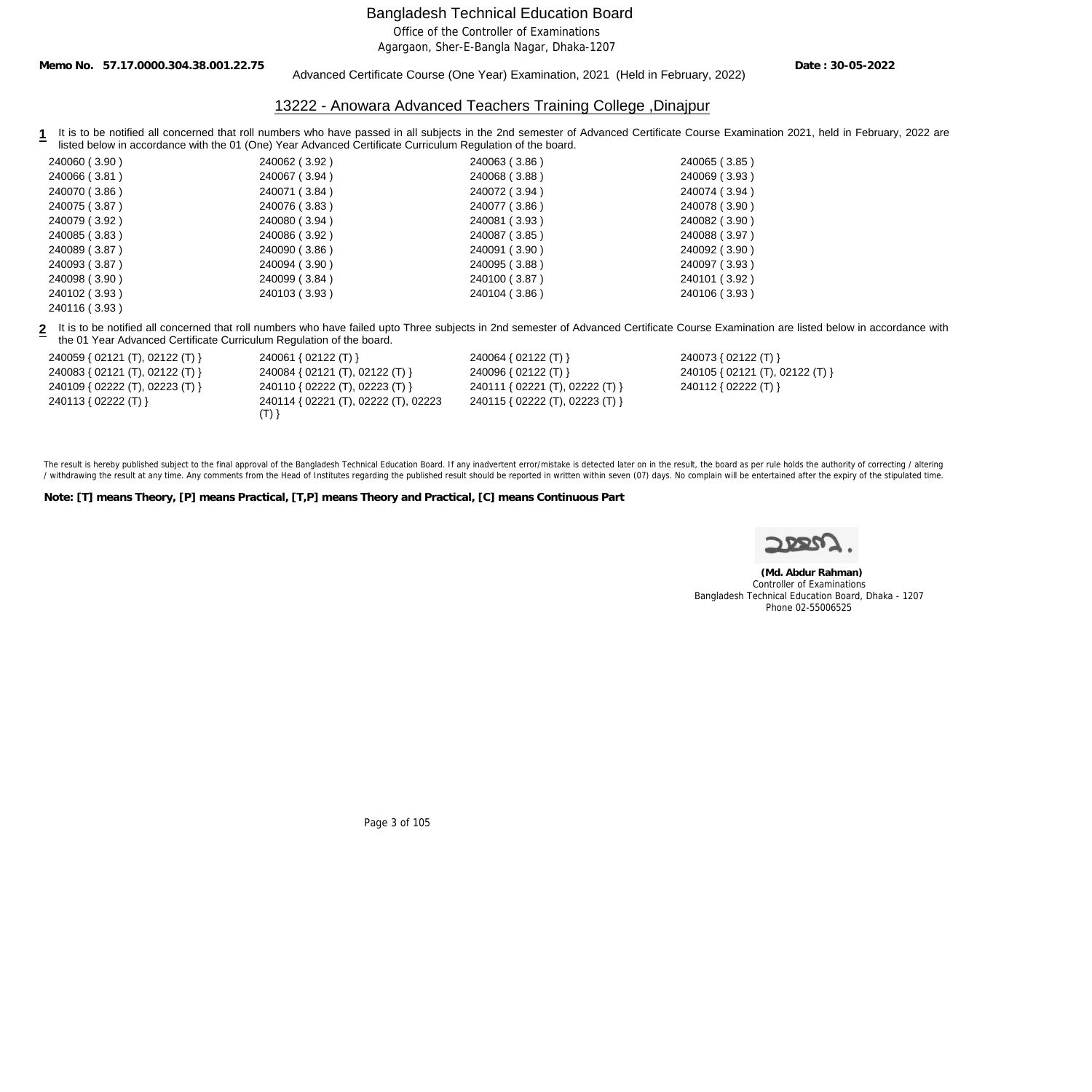Office of the Controller of Examinations

Agargaon, Sher-E-Bangla Nagar, Dhaka-1207

**Memo No. 57.17.0000.304.38.001.22.75**

#### Advanced Certificate Course (One Year) Examination, 2021 (Held in February, 2022)

**Date : 30-05-2022**

#### 13222 - Anowara Advanced Teachers Training College ,Dinajpur

1 It is to be notified all concerned that roll numbers who have passed in all subjects in the 2nd semester of Advanced Certificate Course Examination 2021, held in February, 2022 are listed below in accordance with the 01 (One) Year Advanced Certificate Curriculum Regulation of the board.

| 240060 (3.90) | 240062 (3.92) | 240063 (3.86) | 240065 (3.85) |
|---------------|---------------|---------------|---------------|
| 240066 (3.81) | 240067 (3.94) | 240068 (3.88) | 240069 (3.93) |
| 240070 (3.86) | 240071 (3.84) | 240072 (3.94) | 240074 (3.94) |
| 240075 (3.87) | 240076 (3.83) | 240077 (3.86) | 240078 (3.90) |
| 240079 (3.92) | 240080 (3.94) | 240081 (3.93) | 240082 (3.90) |
| 240085 (3.83) | 240086 (3.92) | 240087 (3.85) | 240088 (3.97) |
| 240089 (3.87) | 240090 (3.86) | 240091 (3.90) | 240092 (3.90) |
| 240093 (3.87) | 240094 (3.90) | 240095 (3.88) | 240097 (3.93) |
| 240098 (3.90) | 240099 (3.84) | 240100 (3.87) | 240101 (3.92) |
| 240102 (3.93) | 240103 (3.93) | 240104 (3.86) | 240106 (3.93) |
| 240116 (3.93) |               |               |               |

**2** It is to be notified all concerned that roll numbers who have failed upto Three subjects in 2nd semester of Advanced Certificate Course Examination are listed below in accordance with the 01 Year Advanced Certificate Curriculum Regulation of the board.

| 240059 { 02121 (T), 02122 (T) } | 240061 { 02122 (T) }                 | 240064 { 02122 (T) }            | 240073 { 02122 (T) }            |
|---------------------------------|--------------------------------------|---------------------------------|---------------------------------|
| 240083 { 02121 (T), 02122 (T) } | 240084 { 02121 (T), 02122 (T) }      | 240096 { 02122 (T) }            | 240105 { 02121 (T), 02122 (T) } |
| 240109 { 02222 (T), 02223 (T) } | 240110 { 02222 (T), 02223 (T) }      | 240111 { 02221 (T), 02222 (T) } | 240112 { 02222 (T) }            |
| 240113 { 02222 (T) }            | 240114 { 02221 (T), 02222 (T), 02223 | 240115 { 02222 (T), 02223 (T) } |                                 |
|                                 | (T)                                  |                                 |                                 |

The result is hereby published subject to the final approval of the Bangladesh Technical Education Board. If any inadvertent error/mistake is detected later on in the result, the board as per rule holds the authority of co / withdrawing the result at any time. Any comments from the Head of Institutes regarding the published result should be reported in written within seven (07) days. No complain will be entertained after the expiry of the st

**Note: [T] means Theory, [P] means Practical, [T,P] means Theory and Practical, [C] means Continuous Part**



 **(Md. Abdur Rahman)** Controller of Examinations Bangladesh Technical Education Board, Dhaka - 1207 Phone 02-55006525

Page 3 of 105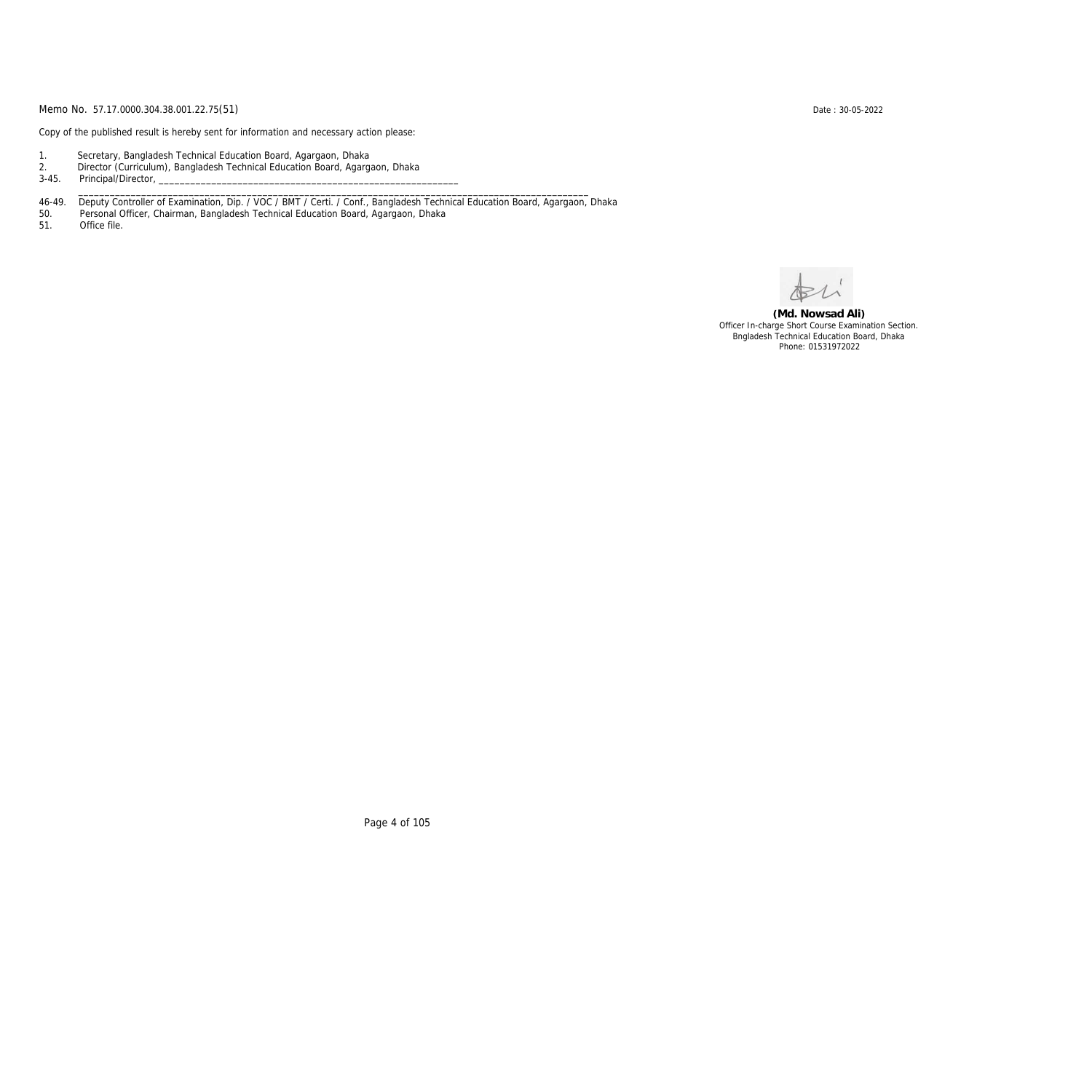Copy of the published result is hereby sent for information and necessary action please:

- 1. Secretary, Bangladesh Technical Education Board, Agargaon, Dhaka
- 2. Director (Curriculum), Bangladesh Technical Education Board, Agargaon, Dhaka
- 3-45. Principal/Director,
- 46-49. Deputy Controller of Examination, Dip. / VOC / BMT / Certi. / Conf., Bangladesh Technical Education Board, Agargaon, Dhaka

\_\_\_\_\_\_\_\_\_\_\_\_\_\_\_\_\_\_\_\_\_\_\_\_\_\_\_\_\_\_\_\_\_\_\_\_\_\_\_\_\_\_\_\_\_\_\_\_\_\_\_\_\_\_\_\_\_\_\_\_\_\_\_\_\_\_\_\_\_\_\_\_\_\_\_\_\_\_\_\_\_\_\_\_\_\_\_\_\_\_\_\_\_\_\_\_\_

50. Personal Officer, Chairman, Bangladesh Technical Education Board, Agargaon, Dhaka

Office file.

**(Md. Nowsad Ali)** Officer In-charge Short Course Examination Section. Bngladesh Technical Education Board, Dhaka Phone: 01531972022

Page 4 of 105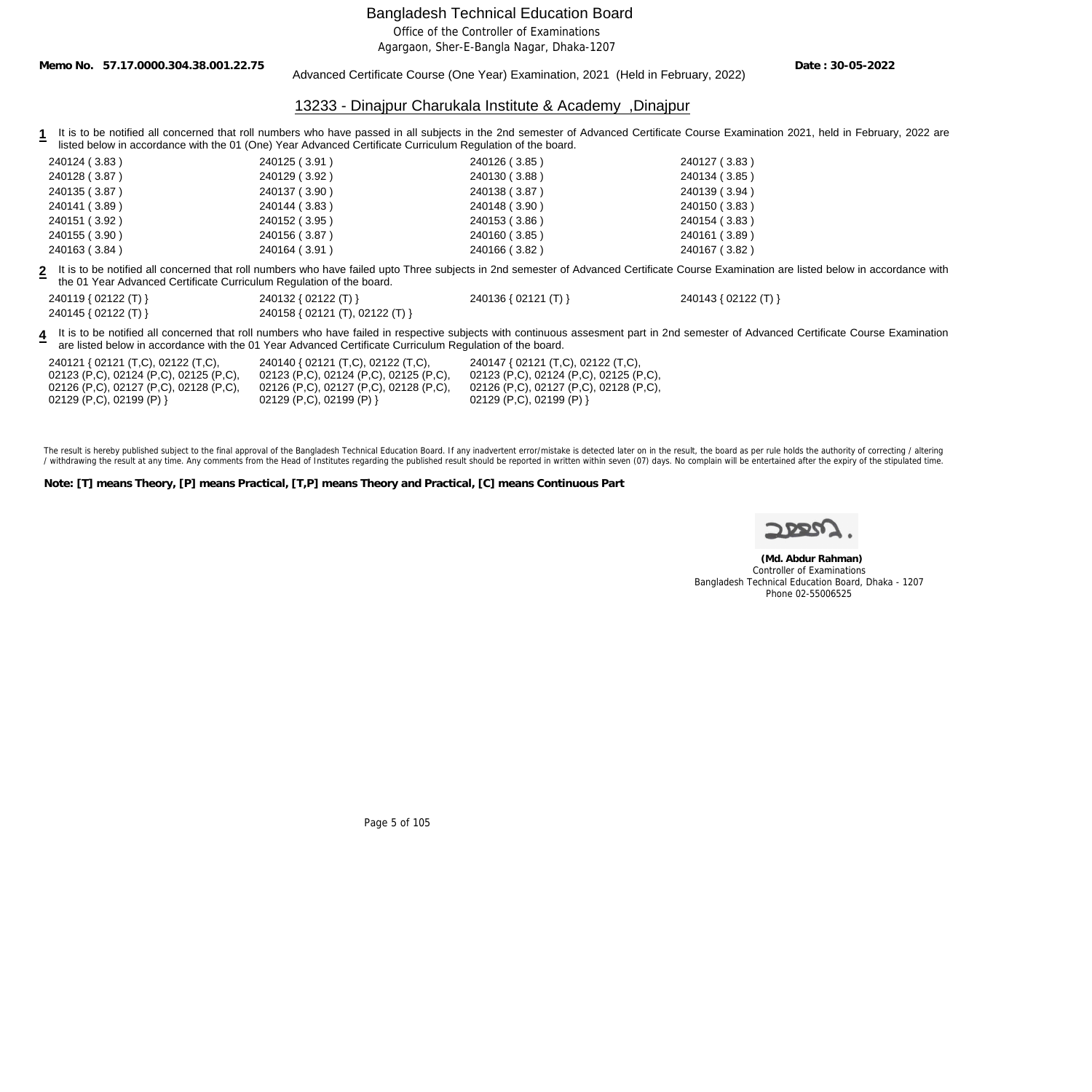Office of the Controller of Examinations

Agargaon, Sher-E-Bangla Nagar, Dhaka-1207

**Memo No. 57.17.0000.304.38.001.22.75**

Advanced Certificate Course (One Year) Examination, 2021 (Held in February, 2022)

**Date : 30-05-2022**

#### 13233 - Dinajpur Charukala Institute & Academy ,Dinajpur

**1** It is to be notified all concerned that roll numbers who have passed in all subjects in the 2nd semester of Advanced Certificate Course Examination 2021, held in February, 2022 are listed below in accordance with the 01 (One) Year Advanced Certificate Curriculum Regulation of the board.

| 240124 (3.83) | 240125 (3.91) | 240126 (3.85) | 240127 (3.83) |
|---------------|---------------|---------------|---------------|
| 240128 (3.87) | 240129 (3.92) | 240130 (3.88) | 240134 (3.85) |
| 240135 (3.87) | 240137 (3.90) | 240138 (3.87) | 240139 (3.94) |
| 240141 (3.89) | 240144 (3.83) | 240148 (3.90) | 240150 (3.83) |
| 240151 (3.92) | 240152 (3.95) | 240153 (3.86) | 240154 (3.83) |
| 240155 (3.90) | 240156 (3.87) | 240160 (3.85) | 240161 (3.89) |
| 240163 (3.84) | 240164 (3.91) | 240166 (3.82) | 240167 (3.82) |

**2** It is to be notified all concerned that roll numbers who have failed upto Three subjects in 2nd semester of Advanced Certificate Course Examination are listed below in accordance with the 01 Year Advanced Certificate Curriculum Regulation of the board.

| 240119 { 02122 (T) } | 240132 { 02122 (T) }            | 240136 { 02121 (T) } | 240143 { 02122 (T) } |
|----------------------|---------------------------------|----------------------|----------------------|
| 240145 { 02122 (T) } | 240158 { 02121 (T), 02122 (T) } |                      |                      |

4 It is to be notified all concerned that roll numbers who have failed in respective subjects with continuous assesment part in 2nd semester of Advanced Certificate Course Examination are listed below in accordance with the 01 Year Advanced Certificate Curriculum Regulation of the board.

240121 { 02121 (T,C), 02122 (T,C), 02123 (P,C), 02124 (P,C), 02125 (P,C), 02126 (P,C), 02127 (P,C), 02128 (P,C), 02129 (P,C), 02199 (P) }

240140 { 02121 (T,C), 02122 (T,C), 02123 (P,C), 02124 (P,C), 02125 (P,C), 02126 (P,C), 02127 (P,C), 02128 (P,C), 02129 (P,C), 02199 (P) }

240147 { 02121 (T,C), 02122 (T,C), 02123 (P,C), 02124 (P,C), 02125 (P,C), 02126 (P,C), 02127 (P,C), 02128 (P,C), 02129 (P,C), 02199 (P) }

The result is hereby published subject to the final approval of the Bangladesh Technical Education Board. If any inadvertent error/mistake is detected later on in the result, the board as per rule holds the authority of co / withdrawing the result at any time. Any comments from the Head of Institutes regarding the published result should be reported in written within seven (07) days. No complain will be entertained after the expiry of the st

**Note: [T] means Theory, [P] means Practical, [T,P] means Theory and Practical, [C] means Continuous Part**

 **(Md. Abdur Rahman)** Controller of Examinations Bangladesh Technical Education Board, Dhaka - 1207 Phone 02-55006525

Page 5 of 105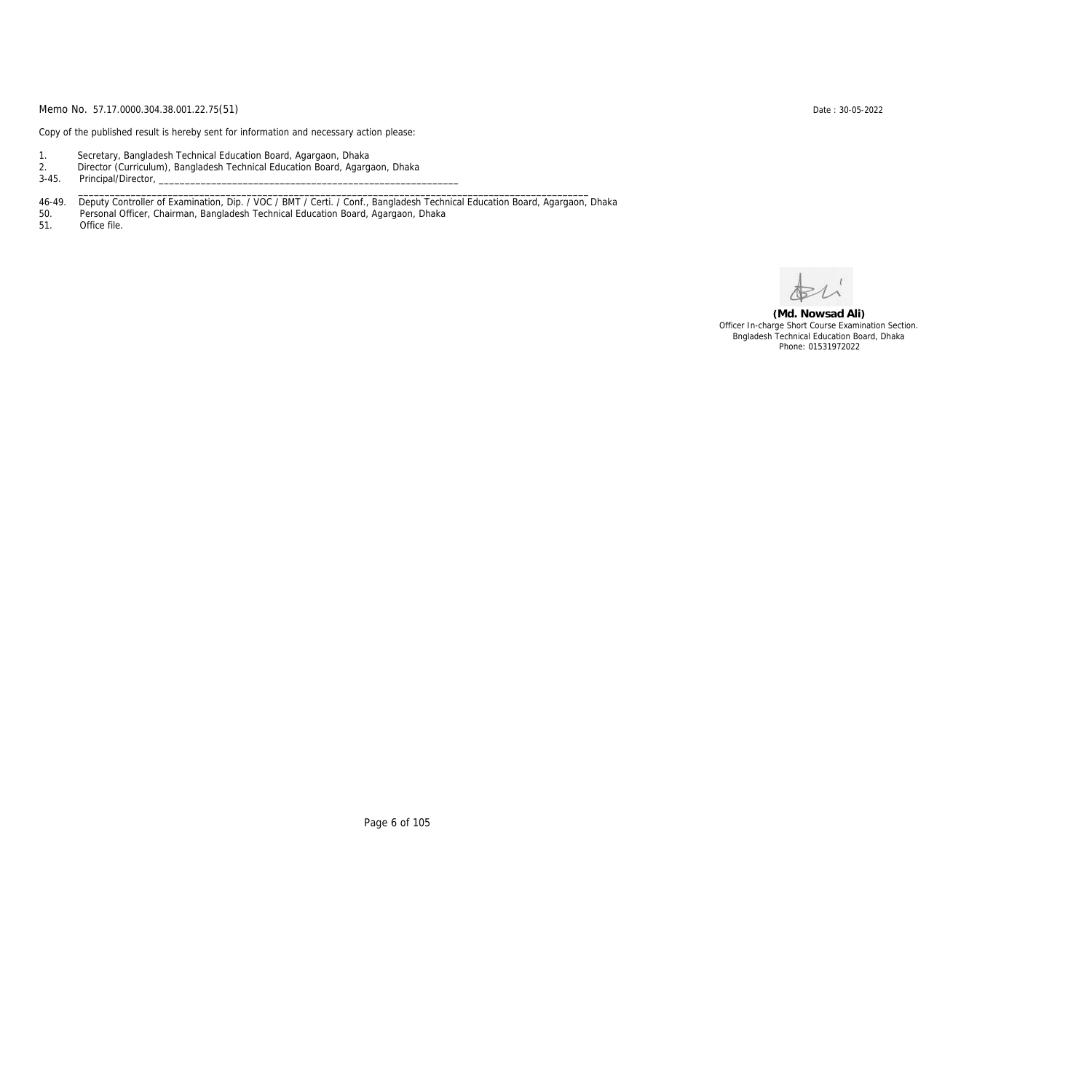Copy of the published result is hereby sent for information and necessary action please:

- 1. Secretary, Bangladesh Technical Education Board, Agargaon, Dhaka
- 2. Director (Curriculum), Bangladesh Technical Education Board, Agargaon, Dhaka

3-45. Principal/Director,

46-49. Deputy Controller of Examination, Dip. / VOC / BMT / Certi. / Conf., Bangladesh Technical Education Board, Agargaon, Dhaka

\_\_\_\_\_\_\_\_\_\_\_\_\_\_\_\_\_\_\_\_\_\_\_\_\_\_\_\_\_\_\_\_\_\_\_\_\_\_\_\_\_\_\_\_\_\_\_\_\_\_\_\_\_\_\_\_\_\_\_\_\_\_\_\_\_\_\_\_\_\_\_\_\_\_\_\_\_\_\_\_\_\_\_\_\_\_\_\_\_\_\_\_\_\_\_\_\_

50. Personal Officer, Chairman, Bangladesh Technical Education Board, Agargaon, Dhaka

Office file.

**(Md. Nowsad Ali)** Officer In-charge Short Course Examination Section. Bngladesh Technical Education Board, Dhaka Phone: 01531972022

Page 6 of 105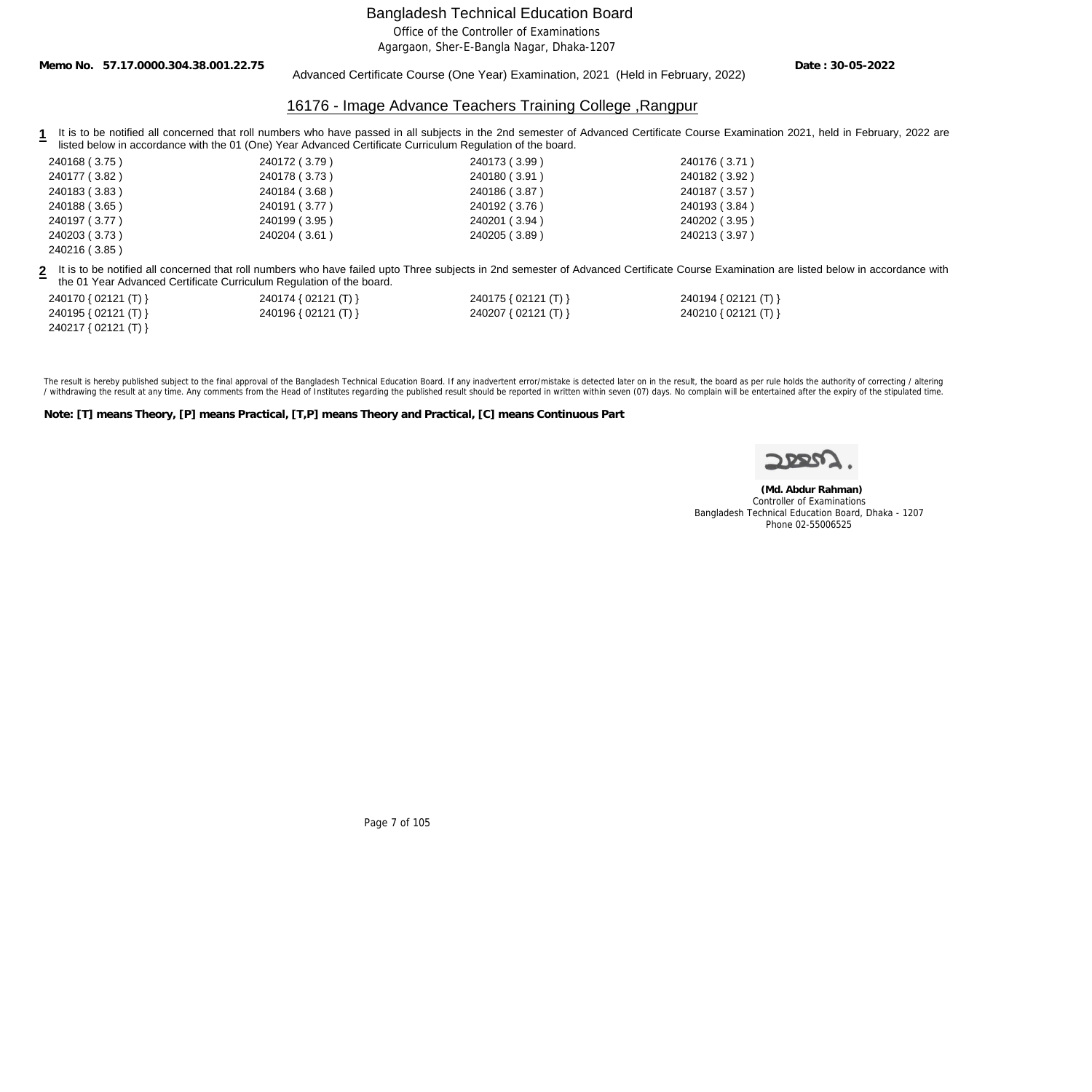Office of the Controller of Examinations

Agargaon, Sher-E-Bangla Nagar, Dhaka-1207

**Memo No. 57.17.0000.304.38.001.22.75**

Advanced Certificate Course (One Year) Examination, 2021 (Held in February, 2022)

**Date : 30-05-2022**

## 16176 - Image Advance Teachers Training College ,Rangpur

1 It is to be notified all concerned that roll numbers who have passed in all subjects in the 2nd semester of Advanced Certificate Course Examination 2021, held in February, 2022 are listed below in accordance with the 01 (One) Year Advanced Certificate Curriculum Regulation of the board.

| 240168 (3.75) | 240172 (3.79) | 240173 (3.99) | 240176 (3.71) |
|---------------|---------------|---------------|---------------|
| 240177 (3.82) | 240178 (3.73) | 240180 (3.91) | 240182 (3.92) |
| 240183 (3.83) | 240184 (3.68) | 240186 (3.87) | 240187 (3.57) |
| 240188 (3.65) | 240191 (3.77) | 240192 (3.76) | 240193 (3.84) |
| 240197 (3.77) | 240199 (3.95) | 240201 (3.94) | 240202 (3.95) |
| 240203 (3.73) | 240204 (3.61) | 240205 (3.89) | 240213 (3.97) |
| 240216 (3.85) |               |               |               |

**2** It is to be notified all concerned that roll numbers who have failed upto Three subjects in 2nd semester of Advanced Certificate Course Examination are listed below in accordance with the 01 Year Advanced Certificate Curriculum Regulation of the board.

| 240170 { 02121 (T) } | 240174 { 02121 (T) } | 240175 { $02121$ (T) } | 240194 { 02121 (T) } |
|----------------------|----------------------|------------------------|----------------------|
| 240195 { 02121 (T) } | 240196 { 02121 (T) } | 240207 { 02121 (T) }   | 240210 { 02121 (T) } |
| 240217 { 02121 (T) } |                      |                        |                      |

The result is hereby published subject to the final approval of the Bangladesh Technical Education Board. If any inadvertent error/mistake is detected later on in the result, the board as per rule holds the authority of co / withdrawing the result at any time. Any comments from the Head of Institutes regarding the published result should be reported in written within seven (07) days. No complain will be entertained after the expiry of the st

**Note: [T] means Theory, [P] means Practical, [T,P] means Theory and Practical, [C] means Continuous Part**

 **(Md. Abdur Rahman)** Controller of Examinations Bangladesh Technical Education Board, Dhaka - 1207 Phone 02-55006525

Page 7 of 105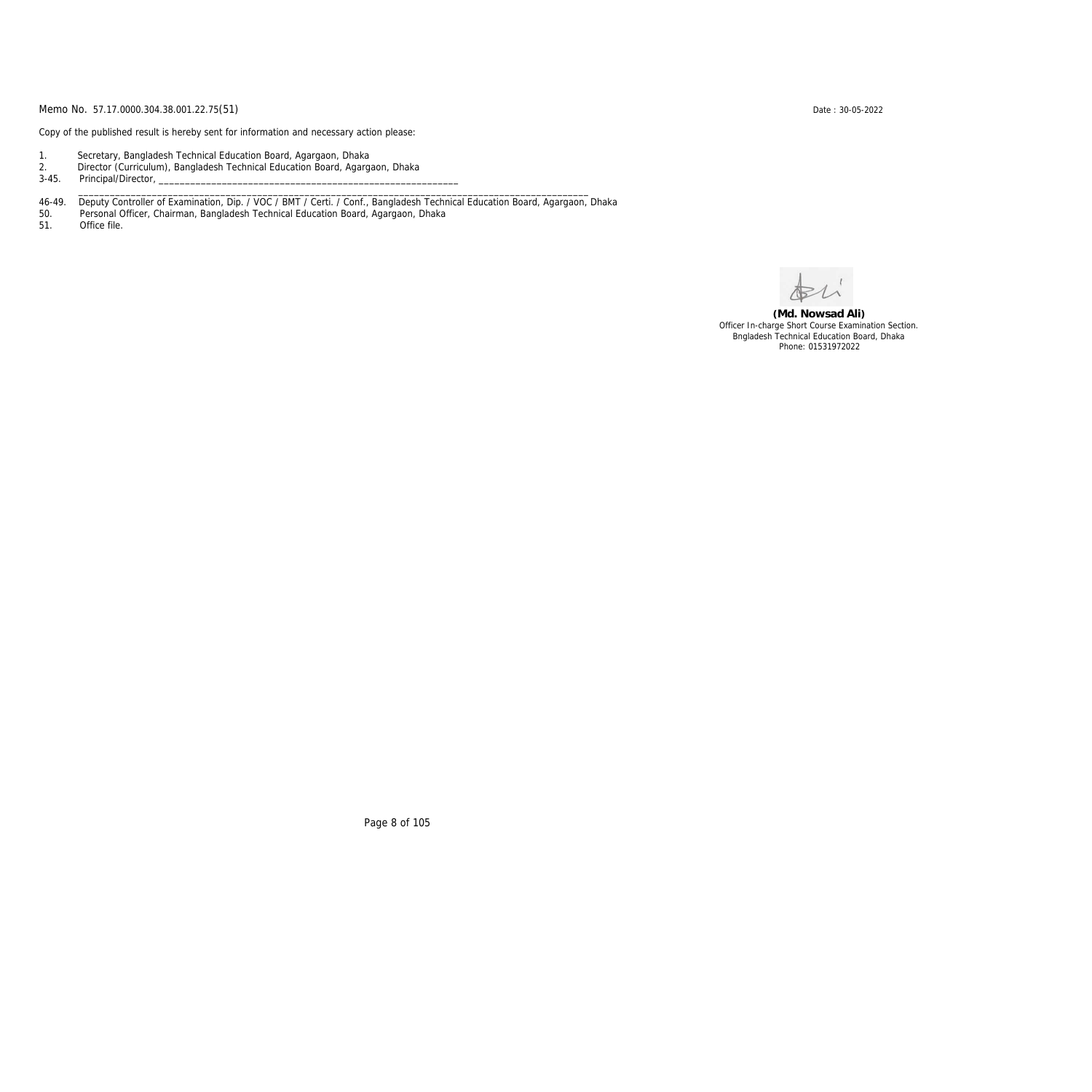Copy of the published result is hereby sent for information and necessary action please:

- 1. Secretary, Bangladesh Technical Education Board, Agargaon, Dhaka
- 2. Director (Curriculum), Bangladesh Technical Education Board, Agargaon, Dhaka

3-45. Principal/Director,

46-49. Deputy Controller of Examination, Dip. / VOC / BMT / Certi. / Conf., Bangladesh Technical Education Board, Agargaon, Dhaka

\_\_\_\_\_\_\_\_\_\_\_\_\_\_\_\_\_\_\_\_\_\_\_\_\_\_\_\_\_\_\_\_\_\_\_\_\_\_\_\_\_\_\_\_\_\_\_\_\_\_\_\_\_\_\_\_\_\_\_\_\_\_\_\_\_\_\_\_\_\_\_\_\_\_\_\_\_\_\_\_\_\_\_\_\_\_\_\_\_\_\_\_\_\_\_\_\_

50. Personal Officer, Chairman, Bangladesh Technical Education Board, Agargaon, Dhaka

Office file.

**(Md. Nowsad Ali)** Officer In-charge Short Course Examination Section. Bngladesh Technical Education Board, Dhaka Phone: 01531972022

Page 8 of 105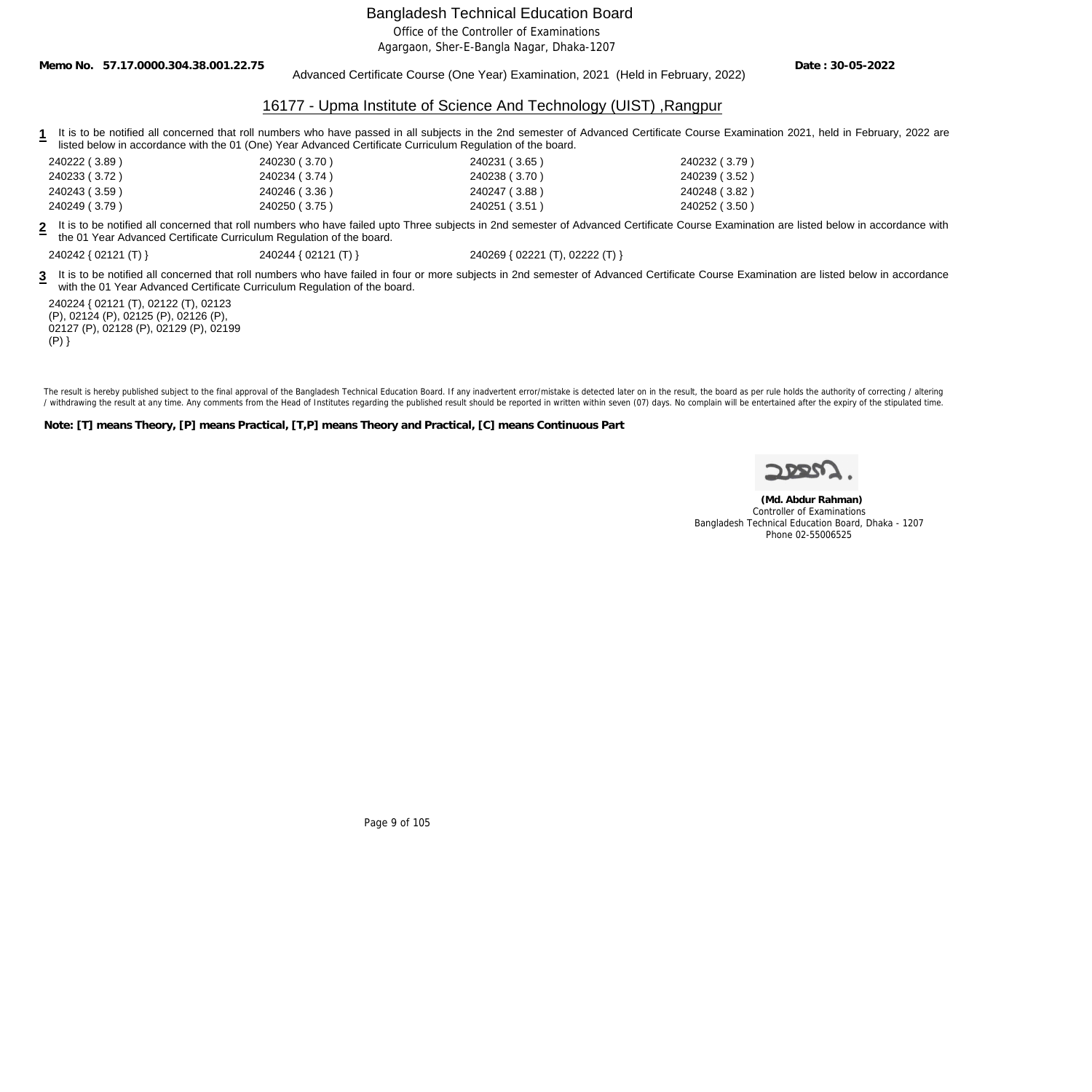Office of the Controller of Examinations

Agargaon, Sher-E-Bangla Nagar, Dhaka-1207

**Memo No. 57.17.0000.304.38.001.22.75**

Advanced Certificate Course (One Year) Examination, 2021 (Held in February, 2022)

**Date : 30-05-2022**

#### 16177 - Upma Institute of Science And Technology (UIST) ,Rangpur

1 It is to be notified all concerned that roll numbers who have passed in all subjects in the 2nd semester of Advanced Certificate Course Examination 2021, held in February, 2022 are listed below in accordance with the 01 (One) Year Advanced Certificate Curriculum Regulation of the board.

| 240222 (3.89) | 240230 (3.70) | 240231 (3.65) | 240232 (3.79) |
|---------------|---------------|---------------|---------------|
| 240233 (3.72) | 240234 (3.74) | 240238 (3.70) | 240239 (3.52) |
| 240243 (3.59) | 240246 (3.36) | 240247 (3.88) | 240248 (3.82) |
| 240249 (3.79) | 240250 (3.75) | 240251 (3.51) | 240252 (3.50) |

**2** It is to be notified all concerned that roll numbers who have failed upto Three subjects in 2nd semester of Advanced Certificate Course Examination are listed below in accordance with the 01 Year Advanced Certificate Curriculum Regulation of the board.

240242 { 02121 (T) } 240244 { 02121 (T) } 240269 { 02221 (T), 02222 (T) }

3 It is to be notified all concerned that roll numbers who have failed in four or more subjects in 2nd semester of Advanced Certificate Course Examination are listed below in accordance with the 01 Year Advanced Certificate Curriculum Regulation of the board.

240224 { 02121 (T), 02122 (T), 02123 (P), 02124 (P), 02125 (P), 02126 (P), 02127 (P), 02128 (P), 02129 (P), 02199  $(P)$ }

The result is hereby published subject to the final approval of the Bangladesh Technical Education Board. If any inadvertent error/mistake is detected later on in the result, the board as per rule holds the authority of co / withdrawing the result at any time. Any comments from the Head of Institutes regarding the published result should be reported in written within seven (07) days. No complain will be entertained after the expiry of the st

**Note: [T] means Theory, [P] means Practical, [T,P] means Theory and Practical, [C] means Continuous Part**

 **(Md. Abdur Rahman)** Controller of Examinations Bangladesh Technical Education Board, Dhaka - 1207 Phone 02-55006525

Page 9 of 105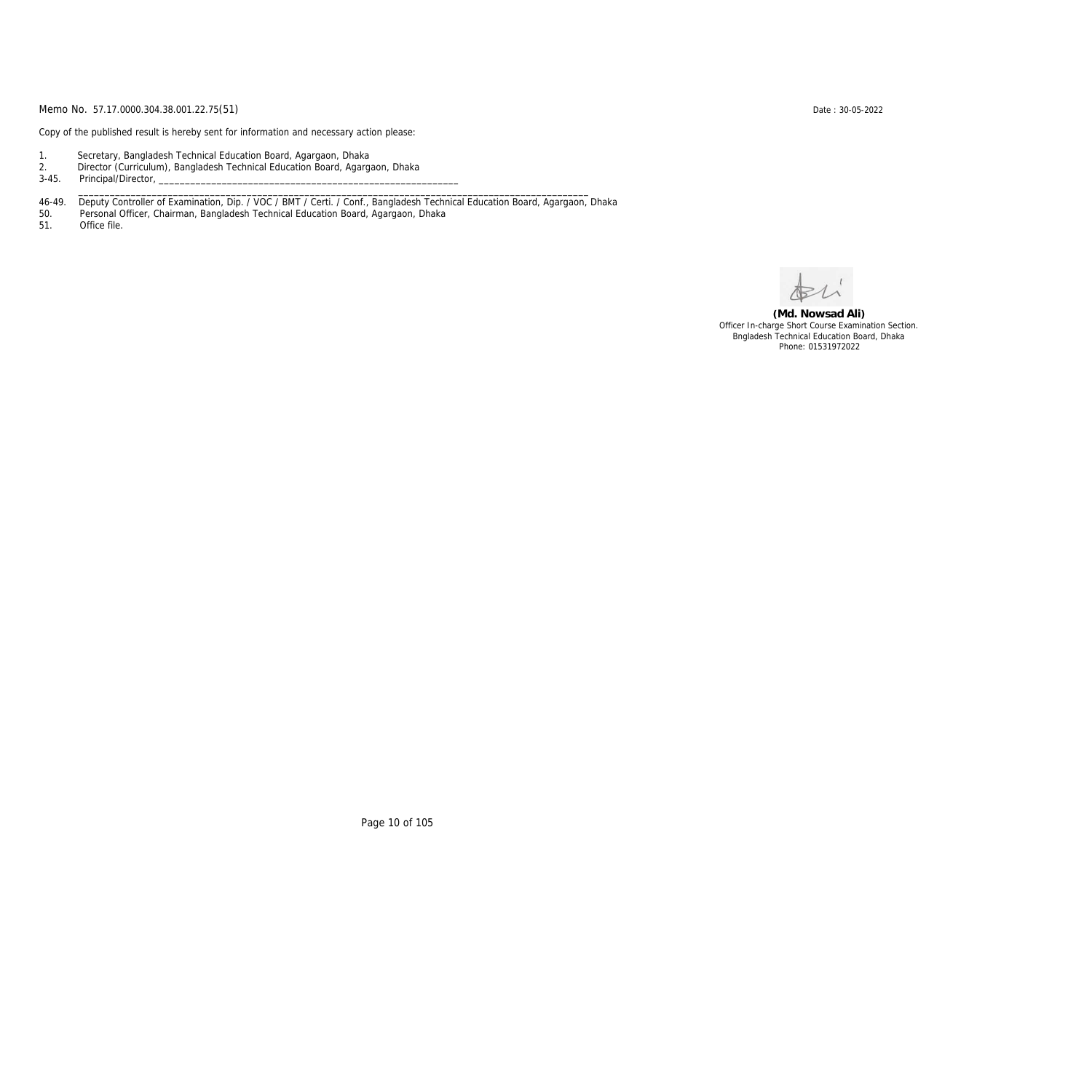Copy of the published result is hereby sent for information and necessary action please:

- 1. Secretary, Bangladesh Technical Education Board, Agargaon, Dhaka
- 2. Director (Curriculum), Bangladesh Technical Education Board, Agargaon, Dhaka

3-45. Principal/Director,

46-49. Deputy Controller of Examination, Dip. / VOC / BMT / Certi. / Conf., Bangladesh Technical Education Board, Agargaon, Dhaka

\_\_\_\_\_\_\_\_\_\_\_\_\_\_\_\_\_\_\_\_\_\_\_\_\_\_\_\_\_\_\_\_\_\_\_\_\_\_\_\_\_\_\_\_\_\_\_\_\_\_\_\_\_\_\_\_\_\_\_\_\_\_\_\_\_\_\_\_\_\_\_\_\_\_\_\_\_\_\_\_\_\_\_\_\_\_\_\_\_\_\_\_\_\_\_\_\_

50. Personal Officer, Chairman, Bangladesh Technical Education Board, Agargaon, Dhaka

Office file.

**(Md. Nowsad Ali)** Officer In-charge Short Course Examination Section. Bngladesh Technical Education Board, Dhaka Phone: 01531972022

Page 10 of 105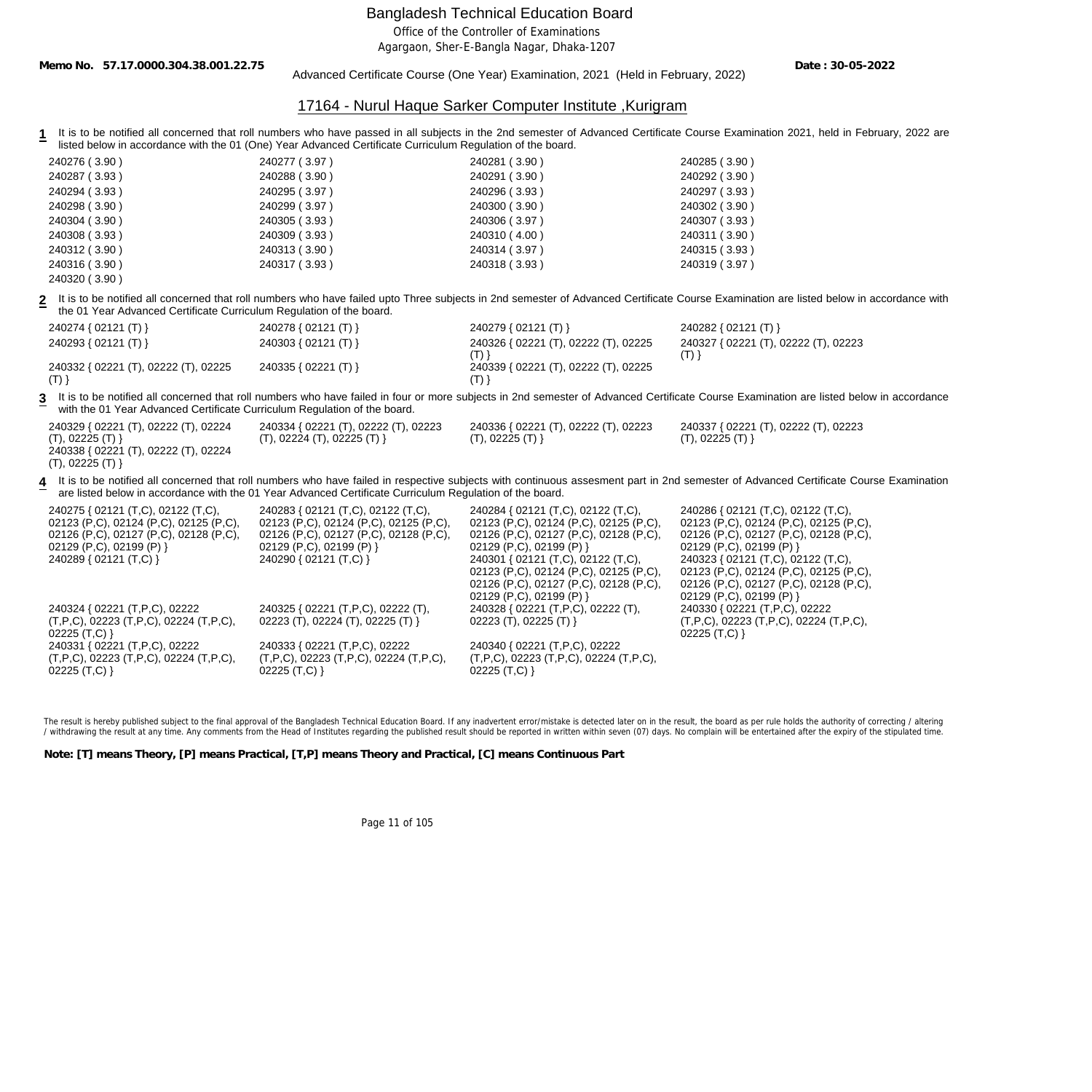Office of the Controller of Examinations

Agargaon, Sher-E-Bangla Nagar, Dhaka-1207

**Memo No. 57.17.0000.304.38.001.22.75**

Advanced Certificate Course (One Year) Examination, 2021 (Held in February, 2022)

**Date : 30-05-2022**

#### 17164 - Nurul Haque Sarker Computer Institute ,Kurigram

1 It is to be notified all concerned that roll numbers who have passed in all subjects in the 2nd semester of Advanced Certificate Course Examination 2021, held in February, 2022 are listed below in accordance with the 01 (One) Year Advanced Certificate Curriculum Regulation of the board.

| 240276 (3.90) | 240277 (3.97) | 240281 (3.90) | 240285 (3.90) |
|---------------|---------------|---------------|---------------|
| 240287 (3.93) | 240288 (3.90) | 240291 (3.90) | 240292 (3.90) |
| 240294 (3.93) | 240295 (3.97) | 240296 (3.93) | 240297 (3.93) |
| 240298 (3.90) | 240299 (3.97) | 240300 (3.90) | 240302 (3.90) |
| 240304 (3.90) | 240305 (3.93) | 240306 (3.97) | 240307 (3.93) |
| 240308 (3.93) | 240309 (3.93) | 240310 (4.00) | 240311 (3.90) |
| 240312 (3.90) | 240313 (3.90) | 240314 (3.97) | 240315 (3.93) |
| 240316 (3.90) | 240317 (3.93) | 240318 (3.93) | 240319 (3.97) |
| 240320 (3.90) |               |               |               |

**2** It is to be notified all concerned that roll numbers who have failed upto Three subjects in 2nd semester of Advanced Certificate Course Examination are listed below in accordance with the 01 Year Advanced Certificate Curriculum Regulation of the board.

| 240274 { 02121 (T) }                 | 240278 { 02121 (T) }   | 240279 { 02121 (T) }                 | 240282 { $02121$ (T) }               |
|--------------------------------------|------------------------|--------------------------------------|--------------------------------------|
| 240293 { 02121 (T) }                 | 240303 { $02121$ (T) } | 240326 { 02221 (T), 02222 (T), 02225 | 240327 { 02221 (T), 02222 (T), 02223 |
|                                      |                        |                                      |                                      |
| 240332 { 02221 (T), 02222 (T), 02225 | 240335 { 02221 (T) }   | 240339 { 02221 (T), 02222 (T), 02225 |                                      |
|                                      |                        |                                      |                                      |

3 It is to be notified all concerned that roll numbers who have failed in four or more subjects in 2nd semester of Advanced Certificate Course Examination are listed below in accordance with the 01 Year Advanced Certificate Curriculum Regulation of the board.

| 240329 { 02221 (T), 02222 (T), 02224  | 240334 { 02221 (T), 02222 (T), 02223 | 240336 { 02221 (T), 02222 (T), 02223 | 240337 { 02221 (T), 02222 (T), 02223 |
|---------------------------------------|--------------------------------------|--------------------------------------|--------------------------------------|
| (T), 02225 (T)                        | (T), 02224 (T), 02225 (T)            | (T), 02225 (T)                       | (T), 02225 (T)                       |
| $0.10338$ J 00001 (T) 00000 (T) 00001 |                                      |                                      |                                      |

240338 { 02221 (T), 02222 (T), 02224 (T), 02225 (T) }

**4** It is to be notified all concerned that roll numbers who have failed in respective subjects with continuous assesment part in 2nd semester of Advanced Certificate Course Examination are listed below in accordance with the 01 Year Advanced Certificate Curriculum Regulation of the board.

| 240275 { 02121 (T,C), 02122 (T,C),                    | 240283 { 02121 (T,C), 02122 (T,C),                    | 240284 { 02121 (T,C), 02122 (T,C),                    | 240286 { 02121 (T,C), 02122 (T,C),                    |
|-------------------------------------------------------|-------------------------------------------------------|-------------------------------------------------------|-------------------------------------------------------|
| 02123 (P,C), 02124 (P,C), 02125 (P,C),                | 02123 (P,C), 02124 (P,C), 02125 (P,C),                | 02123 (P,C), 02124 (P,C), 02125 (P,C),                | 02123 (P,C), 02124 (P,C), 02125 (P,C),                |
| 02126 (P,C), 02127 (P,C), 02128 (P,C),                | 02126 (P,C), 02127 (P,C), 02128 (P,C),                | 02126 (P,C), 02127 (P,C), 02128 (P,C),                | 02126 (P,C), 02127 (P,C), 02128 (P,C),                |
| 02129 (P,C), 02199 (P) }                              | 02129 (P,C), 02199 (P) }                              | 02129 (P,C), 02199 (P) }                              | 02129 (P,C), 02199 (P) }                              |
| 240289 { 02121 (T,C) }                                | 240290 { 02121 (T,C) }                                | 240301 { 02121 (T,C), 02122 (T,C),                    | 240323 { 02121 (T,C), 02122 (T,C),                    |
|                                                       |                                                       | 02123 (P,C), 02124 (P,C), 02125 (P,C),                | 02123 (P,C), 02124 (P,C), 02125 (P,C),                |
|                                                       |                                                       | 02126 (P,C), 02127 (P,C), 02128 (P,C),                | 02126 (P,C), 02127 (P,C), 02128 (P,C),                |
|                                                       |                                                       | 02129 (P,C), 02199 (P) }                              | 02129 (P,C), 02199 (P) }                              |
| 240324 { 02221 (T,P,C), 02222                         | 240325 { 02221 (T, P, C), 02222 (T),                  | 240328 { 02221 (T, P, C), 02222 (T),                  | 240330 { 02221 (T, P, C), 02222                       |
| $(T, P, C)$ , 02223 $(T, P, C)$ , 02224 $(T, P, C)$ , | 02223 (T), 02224 (T), 02225 (T) }                     | 02223 (T), 02225 (T) }                                | $(T, P, C)$ , 02223 $(T, P, C)$ , 02224 $(T, P, C)$ , |
| $02225$ (T,C) }                                       |                                                       |                                                       | 02225 $(T, C)$ }                                      |
| 240331 { 02221 (T, P, C), 02222                       | 240333 { 02221 (T, P, C), 02222                       | 240340 { 02221 (T,P,C), 02222                         |                                                       |
| $(T, P, C)$ , 02223 $(T, P, C)$ , 02224 $(T, P, C)$ , | $(T, P, C)$ , 02223 $(T, P, C)$ , 02224 $(T, P, C)$ , | $(T, P, C)$ , 02223 $(T, P, C)$ , 02224 $(T, P, C)$ , |                                                       |
| $02225$ (T,C) }                                       | 02225(T,C)                                            | $02225$ (T,C) }                                       |                                                       |

The result is hereby published subject to the final approval of the Bangladesh Technical Education Board. If any inadvertent error/mistake is detected later on in the result, the board as per rule holds the authority of co / withdrawing the result at any time. Any comments from the Head of Institutes regarding the published result should be reported in written within seven (07) days. No complain will be entertained after the expiry of the st

**Note: [T] means Theory, [P] means Practical, [T,P] means Theory and Practical, [C] means Continuous Part**

Page 11 of 105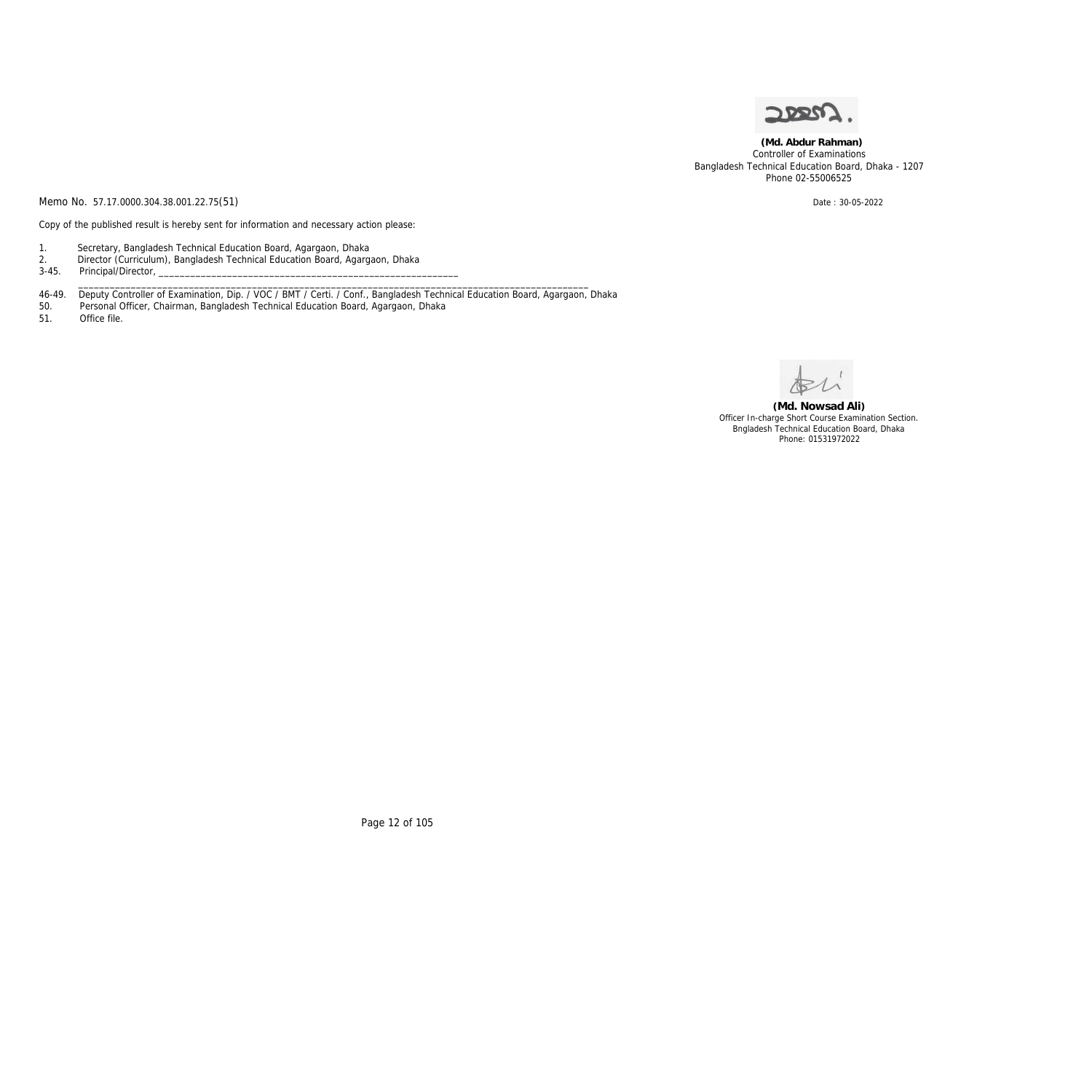

 **(Md. Abdur Rahman)** Controller of Examinations Bangladesh Technical Education Board, Dhaka - 1207 Phone 02-55006525

Memo No. 57.17.0000.304.38.001.22.75(51) Date: 30-05-2022

Copy of the published result is hereby sent for information and necessary action please:

- 1. Secretary, Bangladesh Technical Education Board, Agargaon, Dhaka
- 2. Director (Curriculum), Bangladesh Technical Education Board, Agargaon, Dhaka
- 3-45. Principal/Director,
- 46-49. Deputy Controller of Examination, Dip. / VOC / BMT / Certi. / Conf., Bangladesh Technical Education Board, Agargaon, Dhaka

\_\_\_\_\_\_\_\_\_\_\_\_\_\_\_\_\_\_\_\_\_\_\_\_\_\_\_\_\_\_\_\_\_\_\_\_\_\_\_\_\_\_\_\_\_\_\_\_\_\_\_\_\_\_\_\_\_\_\_\_\_\_\_\_\_\_\_\_\_\_\_\_\_\_\_\_\_\_\_\_\_\_\_\_\_\_\_\_\_\_\_\_\_\_\_\_\_

- 50. Personal Officer, Chairman, Bangladesh Technical Education Board, Agargaon, Dhaka<br>51. Office file.
- Office file.

**(Md. Nowsad Ali)** Officer In-charge Short Course Examination Section. Bngladesh Technical Education Board, Dhaka Phone: 01531972022

Page 12 of 105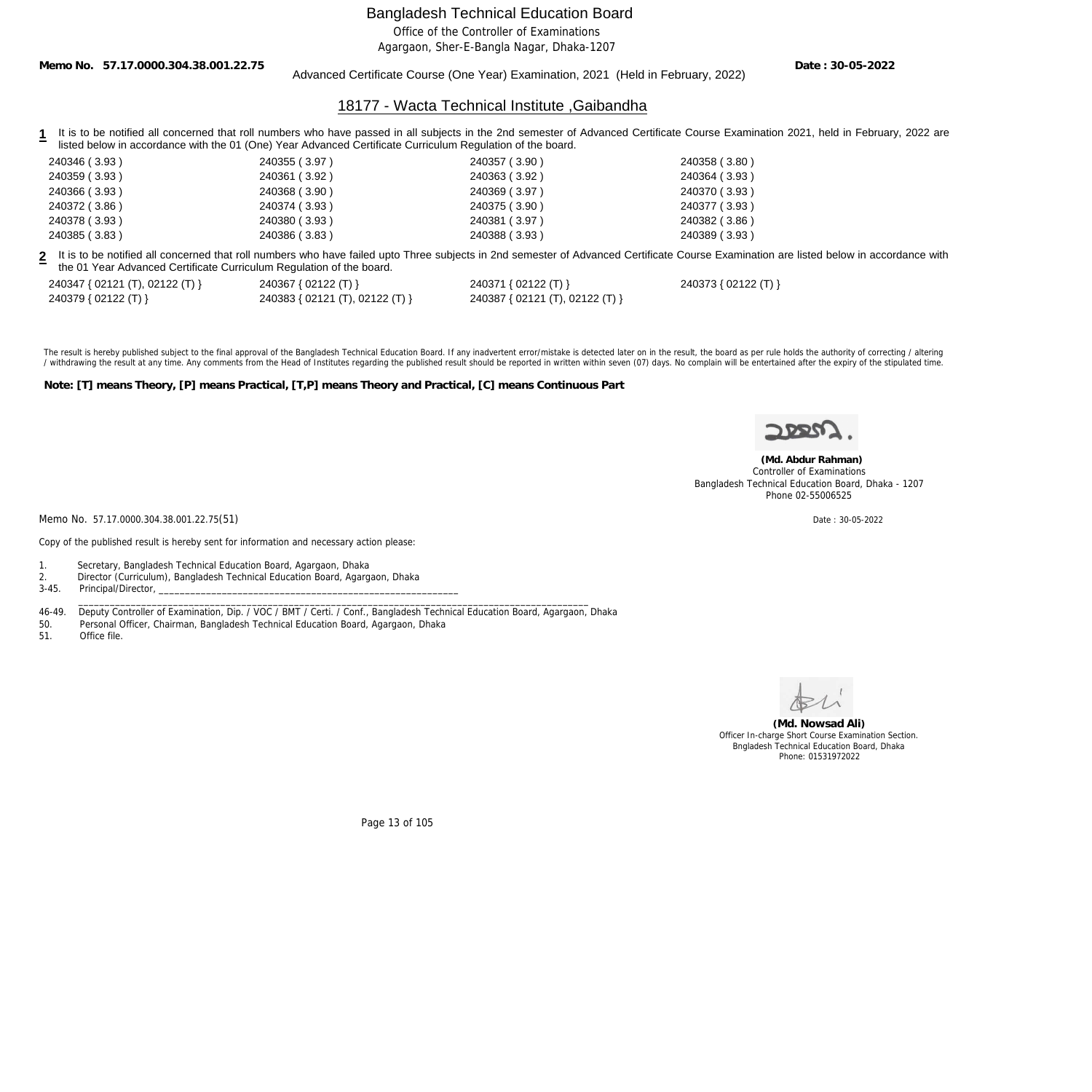Office of the Controller of Examinations

Agargaon, Sher-E-Bangla Nagar, Dhaka-1207

**Memo No. 57.17.0000.304.38.001.22.75**

#### Advanced Certificate Course (One Year) Examination, 2021 (Held in February, 2022)

**Date : 30-05-2022**

#### 18177 - Wacta Technical Institute ,Gaibandha

- 1 It is to be notified all concerned that roll numbers who have passed in all subjects in the 2nd semester of Advanced Certificate Course Examination 2021, held in February, 2022 are listed below in accordance with the 01 (One) Year Advanced Certificate Curriculum Regulation of the board.
- 240346 ( 3.93 ) 240355 ( 3.97 ) 240357 ( 3.90 ) 240358 ( 3.80 ) 240359 ( 3.93 ) 240361 ( 3.92 ) 240363 ( 3.92 ) 240364 ( 3.93 ) 240366 ( 3.93 ) 240368 ( 3.90 ) 240369 ( 3.97 ) 240370 ( 3.93 ) 240372 ( 3.86 ) 240374 ( 3.93 ) 240375 ( 3.90 ) 240377 ( 3.93 ) 240378 ( 3.93 ) 240380 ( 3.93 ) 240381 ( 3.97 ) 240382 ( 3.86 ) 240385 ( 3.83 ) 240386 ( 3.83 ) 240388 ( 3.93 ) 240389 ( 3.93 )

**2** It is to be notified all concerned that roll numbers who have failed upto Three subjects in 2nd semester of Advanced Certificate Course Examination are listed below in accordance with the 01 Year Advanced Certificate Curriculum Regulation of the board.

| 240347 { 02121 (T), 02122 (T) } | 240367 { 02122 (T) }            | 240371 { 02122 (T) }            |
|---------------------------------|---------------------------------|---------------------------------|
| 240379 { 02122 (T) }            | 240383 { 02121 (T), 02122 (T) } | 240387 { 02121 (T), 02122 (T) } |

240347 { 02121 (T), 02122 (T) } 240367 { 02122 (T) } 240371 { 02122 (T) } 240373 { 02122 (T) }

The result is hereby published subject to the final approval of the Bangladesh Technical Education Board. If any inadvertent error/mistake is detected later on in the result, the board as per rule holds the authority of co / withdrawing the result at any time. Any comments from the Head of Institutes regarding the published result should be reported in written within seven (07) days. No complain will be entertained after the expiry of the st

**Note: [T] means Theory, [P] means Practical, [T,P] means Theory and Practical, [C] means Continuous Part**



 **(Md. Abdur Rahman)** Controller of Examinations Bangladesh Technical Education Board, Dhaka - 1207

Memo No. 57.17.0000.304.38.001.22.75(51) Date : 30-05-2022

Copy of the published result is hereby sent for information and necessary action please:

1. Secretary, Bangladesh Technical Education Board, Agargaon, Dhaka

2. Director (Curriculum), Bangladesh Technical Education Board, Agargaon, Dhaka

3-45. Principal/Director,

46-49. Deputy Controller of Examination, Dip. / VOC / BMT / Certi. / Conf., Bangladesh Technical Education Board, Agargaon, Dhaka

\_\_\_\_\_\_\_\_\_\_\_\_\_\_\_\_\_\_\_\_\_\_\_\_\_\_\_\_\_\_\_\_\_\_\_\_\_\_\_\_\_\_\_\_\_\_\_\_\_\_\_\_\_\_\_\_\_\_\_\_\_\_\_\_\_\_\_\_\_\_\_\_\_\_\_\_\_\_\_\_\_\_\_\_\_\_\_\_\_\_\_\_\_\_\_\_\_

- 50. Personal Officer, Chairman, Bangladesh Technical Education Board, Agargaon, Dhaka
- 51. Office file.



**(Md. Nowsad Ali)** Officer In-charge Short Course Examination Section. Bngladesh Technical Education Board, Dhaka Phone: 01531972022

Page 13 of 105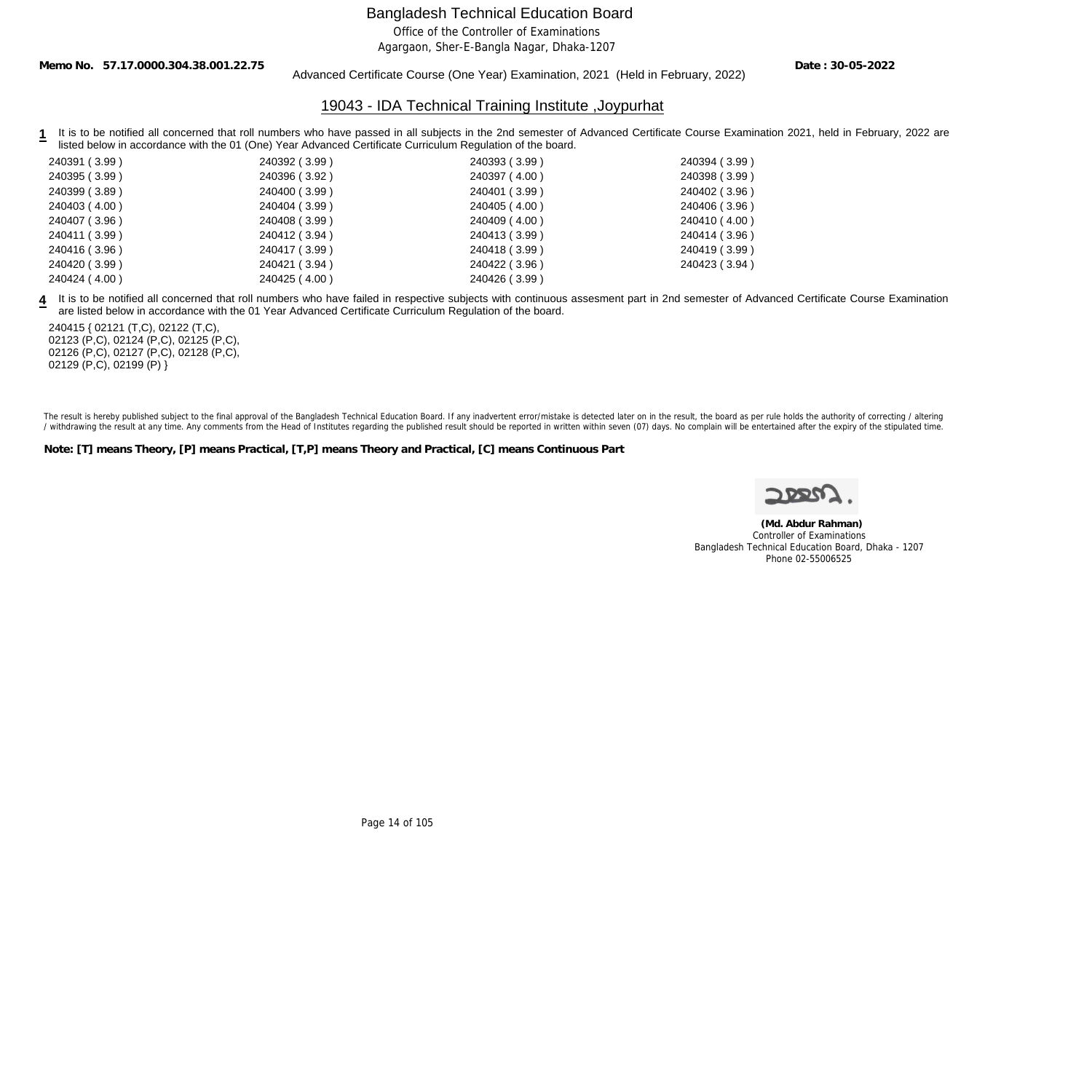Office of the Controller of Examinations

Agargaon, Sher-E-Bangla Nagar, Dhaka-1207

**Memo No. 57.17.0000.304.38.001.22.75**

#### Advanced Certificate Course (One Year) Examination, 2021 (Held in February, 2022)

**Date : 30-05-2022**

#### 19043 - IDA Technical Training Institute ,Joypurhat

1 It is to be notified all concerned that roll numbers who have passed in all subjects in the 2nd semester of Advanced Certificate Course Examination 2021, held in February, 2022 are listed below in accordance with the 01 (One) Year Advanced Certificate Curriculum Regulation of the board.

| 240391 (3.99) | 240392 (3.99) | 240393 (3.99) | 240394 (3.99) |
|---------------|---------------|---------------|---------------|
| 240395 (3.99) | 240396 (3.92) | 240397 (4.00) | 240398 (3.99) |
| 240399 (3.89) | 240400 (3.99) | 240401 (3.99) | 240402 (3.96) |
| 240403 (4.00) | 240404 (3.99) | 240405 (4.00) | 240406 (3.96) |
| 240407 (3.96) | 240408 (3.99) | 240409 (4.00) | 240410 (4.00) |
| 240411 (3.99) | 240412 (3.94) | 240413 (3.99) | 240414 (3.96) |
| 240416 (3.96) | 240417 (3.99) | 240418 (3.99) | 240419 (3.99) |
| 240420 (3.99) | 240421 (3.94) | 240422 (3.96) | 240423 (3.94) |
| 240424 (4.00) | 240425 (4.00) | 240426 (3.99) |               |
|               |               |               |               |

**4** It is to be notified all concerned that roll numbers who have failed in respective subjects with continuous assesment part in 2nd semester of Advanced Certificate Course Examination are listed below in accordance with the 01 Year Advanced Certificate Curriculum Regulation of the board.

240415 { 02121 (T,C), 02122 (T,C), 02123 (P,C), 02124 (P,C), 02125 (P,C), 02126 (P,C), 02127 (P,C), 02128 (P,C), 02129 (P,C), 02199 (P) }

The result is hereby published subject to the final approval of the Bangladesh Technical Education Board. If any inadvertent error/mistake is detected later on in the result, the board as per rule holds the authority of co / withdrawing the result at any time. Any comments from the Head of Institutes regarding the published result should be reported in written within seven (07) days. No complain will be entertained after the expiry of the st

**Note: [T] means Theory, [P] means Practical, [T,P] means Theory and Practical, [C] means Continuous Part**

 **(Md. Abdur Rahman)** Controller of Examinations Bangladesh Technical Education Board, Dhaka - 1207 Phone 02-55006525

Page 14 of 105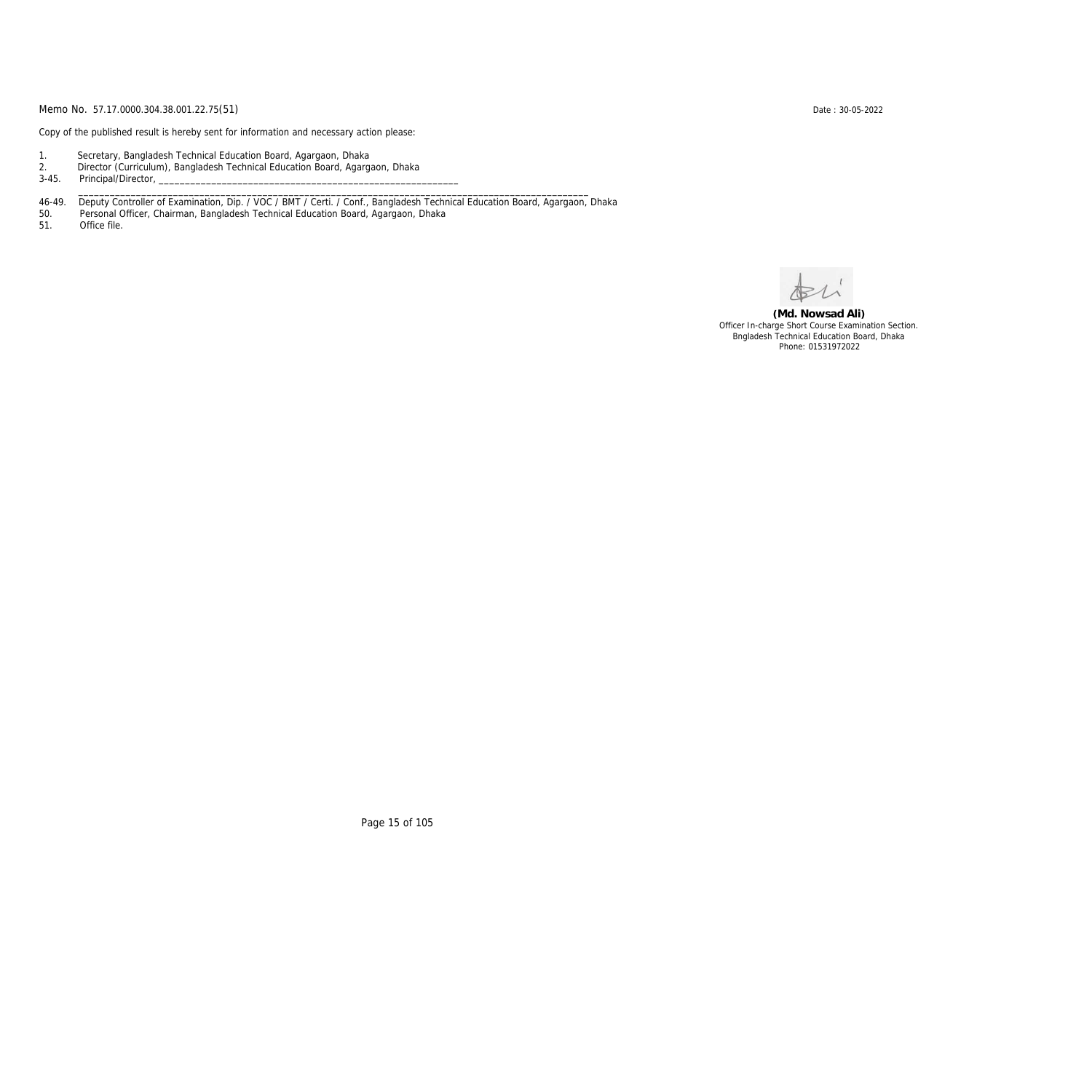Copy of the published result is hereby sent for information and necessary action please:

- 1. Secretary, Bangladesh Technical Education Board, Agargaon, Dhaka
- 2. Director (Curriculum), Bangladesh Technical Education Board, Agargaon, Dhaka

3-45. Principal/Director,

46-49. Deputy Controller of Examination, Dip. / VOC / BMT / Certi. / Conf., Bangladesh Technical Education Board, Agargaon, Dhaka

\_\_\_\_\_\_\_\_\_\_\_\_\_\_\_\_\_\_\_\_\_\_\_\_\_\_\_\_\_\_\_\_\_\_\_\_\_\_\_\_\_\_\_\_\_\_\_\_\_\_\_\_\_\_\_\_\_\_\_\_\_\_\_\_\_\_\_\_\_\_\_\_\_\_\_\_\_\_\_\_\_\_\_\_\_\_\_\_\_\_\_\_\_\_\_\_\_

50. Personal Officer, Chairman, Bangladesh Technical Education Board, Agargaon, Dhaka

Office file.

**(Md. Nowsad Ali)** Officer In-charge Short Course Examination Section. Bngladesh Technical Education Board, Dhaka Phone: 01531972022

Page 15 of 105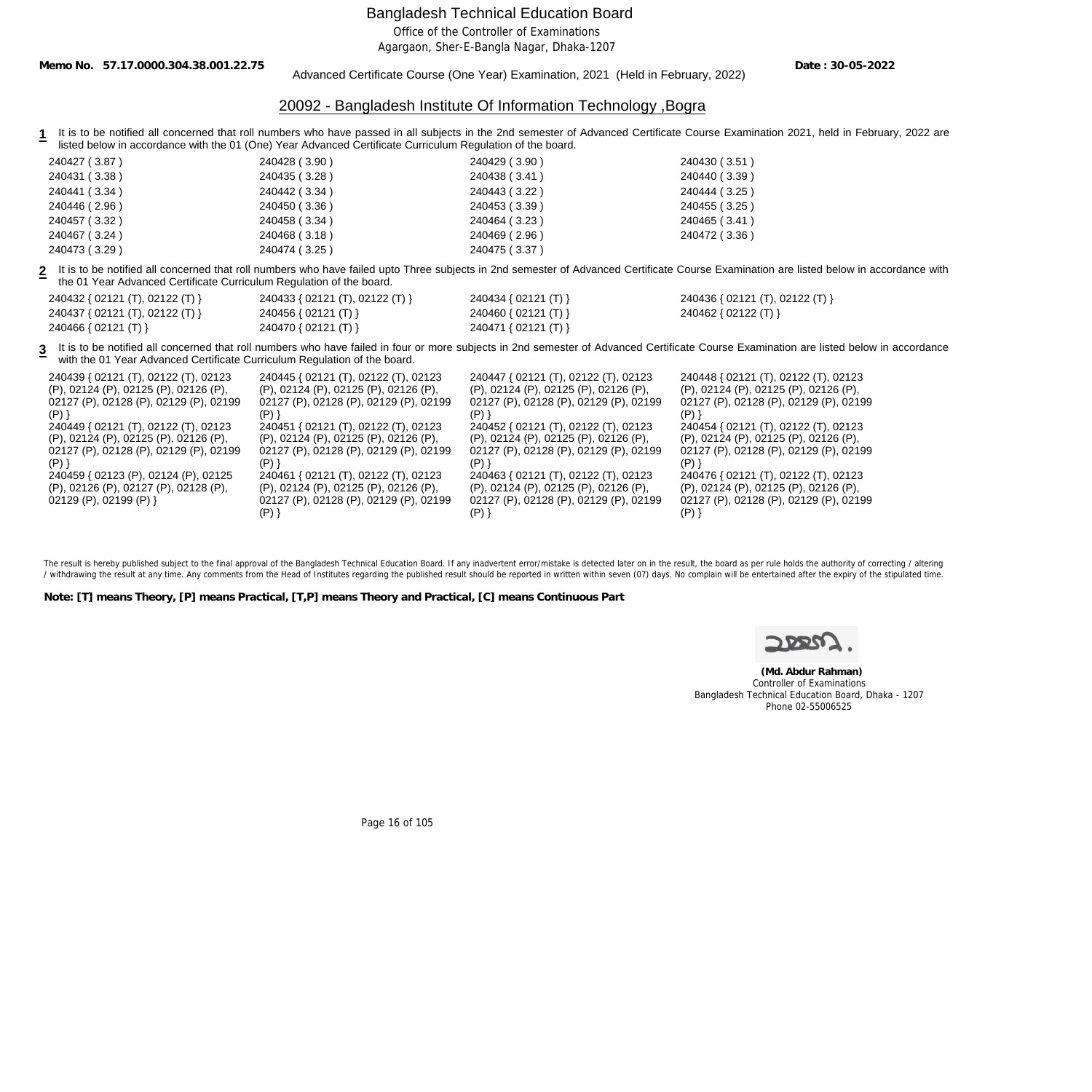Office of the Controller of Examinations

Agargaon, Sher-E-Bangla Nagar, Dhaka-1207

**Memo No. 57.17.0000.304.38.001.22.75**

Advanced Certificate Course (One Year) Examination, 2021 (Held in February, 2022)

**Date : 30-05-2022**

#### 20092 - Bangladesh Institute Of Information Technology ,Bogra

1 It is to be notified all concerned that roll numbers who have passed in all subjects in the 2nd semester of Advanced Certificate Course Examination 2021, held in February, 2022 are listed below in accordance with the 01 (One) Year Advanced Certificate Curriculum Regulation of the board.

| 240427 (3.87) | 240428 (3.90) | 240429 (3.90) | 240430 (3.51) |
|---------------|---------------|---------------|---------------|
| 240431 (3.38) | 240435 (3.28) | 240438 (3.41) | 240440 (3.39) |
| 240441 (3.34) | 240442 (3.34) | 240443 (3.22) | 240444 (3.25) |
| 240446(2.96)  | 240450 (3.36) | 240453 (3.39) | 240455 (3.25) |
| 240457 (3.32) | 240458 (3.34) | 240464 (3.23) | 240465 (3.41) |
| 240467 (3.24) | 240468 (3.18) | 240469 (2.96) | 240472 (3.36) |
| 240473 (3.29) | 240474 (3.25) | 240475 (3.37) |               |

**2** It is to be notified all concerned that roll numbers who have failed upto Three subjects in 2nd semester of Advanced Certificate Course Examination are listed below in accordance with the 01 Year Advanced Certificate Curriculum Regulation of the board.

| 240432 { 02121 (T), 02122 (T) } | 240433 { 02121 (T), 02122 (T) } | 240434 { 02121 (T) } | 240436 { 02121 (T), 02122 (T) } |
|---------------------------------|---------------------------------|----------------------|---------------------------------|
| 240437 { 02121 (T), 02122 (T) } | 240456 { 02121 (T) }            | 240460 { 02121 (T) } | 240462 { 02122 (T) }            |
| 240466 { $02121$ (T) }          | 240470 { 02121 (T) }            | 240471 { 02121 (T) } |                                 |

**3** It is to be notified all concerned that roll numbers who have failed in four or more subjects in 2nd semester of Advanced Certificate Course Examination are listed below in accordance with the 01 Year Advanced Certificate Curriculum Regulation of the board.

| 240439 { 02121 (T), 02122 (T), 02123   | 240445 { 02121 (T), 02122 (T), 02123   | 240447 { 02121 (T), 02122 (T), 02123   | 240448 { 02121 (T), 02122 (T), 02123   |
|----------------------------------------|----------------------------------------|----------------------------------------|----------------------------------------|
| (P), 02124 (P), 02125 (P), 02126 (P),  | (P), 02124 (P), 02125 (P), 02126 (P),  | (P), 02124 (P), 02125 (P), 02126 (P),  | (P), 02124 (P), 02125 (P), 02126 (P),  |
| 02127 (P), 02128 (P), 02129 (P), 02199 | 02127 (P), 02128 (P), 02129 (P), 02199 | 02127 (P), 02128 (P), 02129 (P), 02199 | 02127 (P), 02128 (P), 02129 (P), 02199 |
|                                        |                                        |                                        |                                        |
| 240449 { 02121 (T), 02122 (T), 02123   | 240451 { 02121 (T), 02122 (T), 02123   | 240452 { 02121 (T), 02122 (T), 02123   | 240454 { 02121 (T), 02122 (T), 02123   |
| (P), 02124 (P), 02125 (P), 02126 (P),  | (P), 02124 (P), 02125 (P), 02126 (P),  | (P), 02124 (P), 02125 (P), 02126 (P),  | (P), 02124 (P), 02125 (P), 02126 (P),  |
| 02127 (P), 02128 (P), 02129 (P), 02199 | 02127 (P), 02128 (P), 02129 (P), 02199 | 02127 (P), 02128 (P), 02129 (P), 02199 | 02127 (P), 02128 (P), 02129 (P), 02199 |
|                                        |                                        | Ρ۱                                     |                                        |
| 240459 { 02123 (P), 02124 (P), 02125   | 240461 { 02121 (T), 02122 (T), 02123   | 240463 { 02121 (T), 02122 (T), 02123   | 240476 { 02121 (T), 02122 (T), 02123   |
| (P), 02126 (P), 02127 (P), 02128 (P),  | (P), 02124 (P), 02125 (P), 02126 (P),  | (P), 02124 (P), 02125 (P), 02126 (P),  | (P), 02124 (P), 02125 (P), 02126 (P),  |
| 02129 (P), 02199 (P) }                 | 02127 (P), 02128 (P), 02129 (P), 02199 | 02127 (P), 02128 (P), 02129 (P), 02199 | 02127 (P), 02128 (P), 02129 (P), 02199 |
|                                        |                                        |                                        |                                        |

The result is hereby published subject to the final approval of the Bangladesh Technical Education Board. If any inadvertent error/mistake is detected later on in the result, the board as per rule holds the authority of co / withdrawing the result at any time. Any comments from the Head of Institutes regarding the published result should be reported in written within seven (07) days. No complain will be entertained after the expiry of the st

**Note: [T] means Theory, [P] means Practical, [T,P] means Theory and Practical, [C] means Continuous Part**

 **(Md. Abdur Rahman)** Controller of Examinations Bangladesh Technical Education Board, Dhaka - 1207 Phone 02-55006525

Page 16 of 105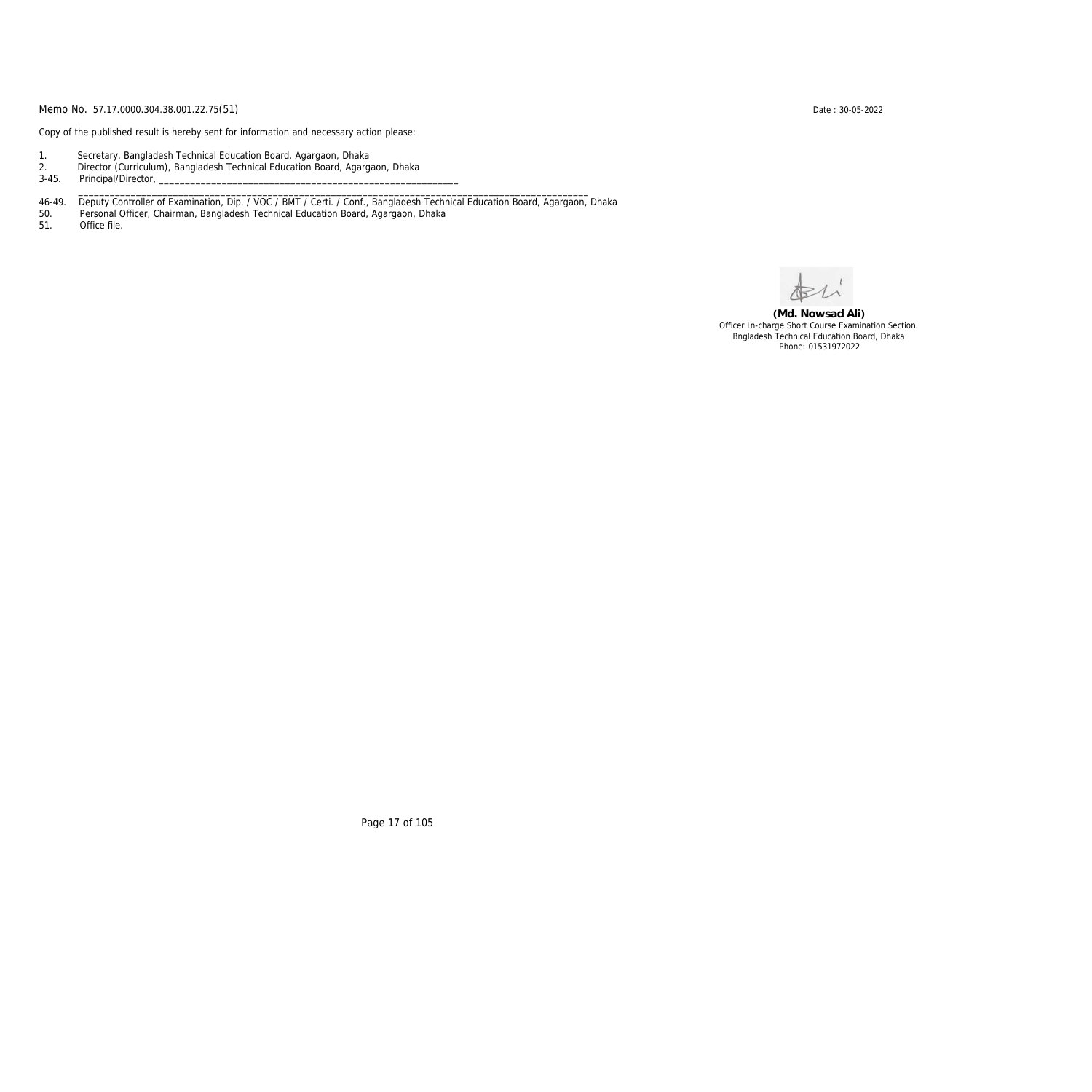Copy of the published result is hereby sent for information and necessary action please:

- 1. Secretary, Bangladesh Technical Education Board, Agargaon, Dhaka
- 2. Director (Curriculum), Bangladesh Technical Education Board, Agargaon, Dhaka

3-45. Principal/Director,

46-49. Deputy Controller of Examination, Dip. / VOC / BMT / Certi. / Conf., Bangladesh Technical Education Board, Agargaon, Dhaka

\_\_\_\_\_\_\_\_\_\_\_\_\_\_\_\_\_\_\_\_\_\_\_\_\_\_\_\_\_\_\_\_\_\_\_\_\_\_\_\_\_\_\_\_\_\_\_\_\_\_\_\_\_\_\_\_\_\_\_\_\_\_\_\_\_\_\_\_\_\_\_\_\_\_\_\_\_\_\_\_\_\_\_\_\_\_\_\_\_\_\_\_\_\_\_\_\_

50. Personal Officer, Chairman, Bangladesh Technical Education Board, Agargaon, Dhaka

Office file.

**(Md. Nowsad Ali)** Officer In-charge Short Course Examination Section. Bngladesh Technical Education Board, Dhaka Phone: 01531972022

Page 17 of 105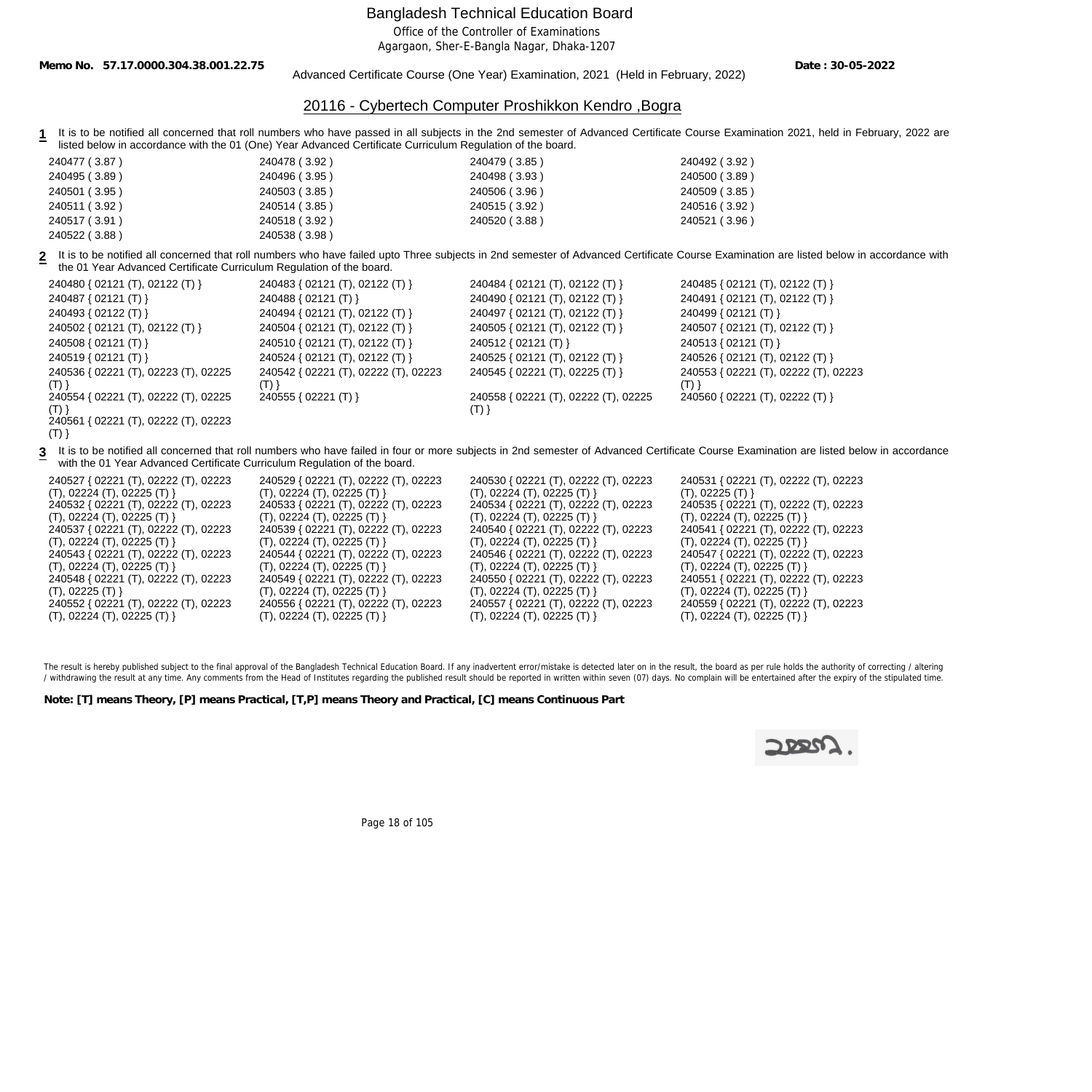Office of the Controller of Examinations

Agargaon, Sher-E-Bangla Nagar, Dhaka-1207

**Memo No. 57.17.0000.304.38.001.22.75**

Advanced Certificate Course (One Year) Examination, 2021 (Held in February, 2022)

**Date : 30-05-2022**

#### 20116 - Cybertech Computer Proshikkon Kendro ,Bogra

**1** It is to be notified all concerned that roll numbers who have passed in all subjects in the 2nd semester of Advanced Certificate Course Examination 2021, held in February, 2022 are listed below in accordance with the 01 (One) Year Advanced Certificate Curriculum Regulation of the board.

| 240477 (3.87) | 240478 (3.92) | 240479 (3.85) | 240492 (3.92) |
|---------------|---------------|---------------|---------------|
| 240495 (3.89) | 240496 (3.95) | 240498 (3.93) | 240500 (3.89) |
| 240501 (3.95) | 240503 (3.85) | 240506 (3.96) | 240509 (3.85) |
| 240511 (3.92) | 240514 (3.85) | 240515 (3.92) | 240516 (3.92) |
| 240517 (3.91) | 240518 (3.92) | 240520 (3.88) | 240521 (3.96) |
| 240522 (3.88) | 240538 (3.98) |               |               |

**2** It is to be notified all concerned that roll numbers who have failed upto Three subjects in 2nd semester of Advanced Certificate Course Examination are listed below in accordance with the 01 Year Advanced Certificate Curriculum Regulation of the board.

| 240480 { 02121 (T), 02122 (T) }             | 240483 { 02121 (T), 02122 (T) }                 | 240484 { 02121 (T), 02122 (T) }      | 240485 { 02121 (T), 02122 (T) }             |
|---------------------------------------------|-------------------------------------------------|--------------------------------------|---------------------------------------------|
| 240487 { 02121 (T) }                        | 240488 { 02121 (T) }                            | 240490 { 02121 (T), 02122 (T) }      | 240491 { 02121 (T), 02122 (T) }             |
| 240493 { 02122 (T) }                        | 240494 { 02121 (T), 02122 (T) }                 | 240497 { 02121 (T), 02122 (T) }      | 240499 { 02121 (T) }                        |
| 240502 { 02121 (T), 02122 (T) }             | 240504 { 02121 (T), 02122 (T) }                 | 240505 { 02121 (T), 02122 (T) }      | 240507 { 02121 (T), 02122 (T) }             |
| 240508 { 02121 (T) }                        | 240510 { 02121 (T), 02122 (T) }                 | 240512 { $02121$ (T) }               | 240513 { 02121 (T) }                        |
| 240519 { 02121 (T) }                        | 240524 { 02121 (T), 02122 (T) }                 | 240525 { 02121 (T), 02122 (T) }      | 240526 { 02121 (T), 02122 (T) }             |
| 240536 { 02221 (T), 02223 (T), 02225<br>(T) | 240542 { 02221 (T), 02222 (T), 02223<br>$(T)$ } | 240545 { 02221 (T), 02225 (T) }      | 240553 { 02221 (T), 02222 (T), 02223<br>(T) |
| 240554 { 02221 (T), 02222 (T), 02225        | 240555 { 02221 (T) }                            | 240558 { 02221 (T), 02222 (T), 02225 | 240560 { 02221 (T), 02222 (T) }             |
| (T)                                         |                                                 | ( I ) }                              |                                             |
| 240561 { 02221 (T), 02222 (T), 02223        |                                                 |                                      |                                             |
| (T)                                         |                                                 |                                      |                                             |

**3** It is to be notified all concerned that roll numbers who have failed in four or more subjects in 2nd semester of Advanced Certificate Course Examination are listed below in accordance with the 01 Year Advanced Certificate Curriculum Regulation of the board.

| 240527 { 02221 (T), 02222 (T), 02223 | 240529 { 02221 (T), 02222 (T), 02223 |
|--------------------------------------|--------------------------------------|
| (T), 02224 (T), 02225 (T)            | (T), 02224 (T), 02225 (T)            |
| 240532 { 02221 (T), 02222 (T), 02223 | 240533 { 02221 (T), 02222 (T), 02223 |
| (T), 02224 (T), 02225 (T)            | (T), 02224 (T), 02225 (T)            |
| 240537 { 02221 (T), 02222 (T), 02223 | 240539 { 02221 (T), 02222 (T), 02223 |
| (T), 02224 (T), 02225 (T)            | (T), 02224 (T), 02225 (T)            |
| 240543 { 02221 (T), 02222 (T), 02223 | 240544 { 02221 (T), 02222 (T), 02223 |
| (T), 02224 (T), 02225 (T)            | (T), 02224 (T), 02225 (T)            |
| 240548 { 02221 (T), 02222 (T), 02223 | 240549 { 02221 (T), 02222 (T), 02223 |
| (T), 02225 (T)                       | (T), 02224 (T), 02225 (T)            |
| 240552 { 02221 (T), 02222 (T), 02223 | 240556 { 02221 (T), 02222 (T), 02223 |
| (T), 02224 (T), 02225 (T)            | (T), 02224 (T), 02225 (T)            |

240530 { 02221 (T), 02222 (T), 02223 (T), 02224 (T), 02225 (T) } 240531 { 02221 (T), 02222 (T), 02223 (T), 02225 (T) } 240534 { 02221 (T), 02222 (T), 02223 (T), 02224 (T), 02225 (T) } 240535 { 02221 (T), 02222 (T), 02223  $(T), 02224 (T), 02225 (T)$ 240540 { 02221 (T), 02222 (T), 02223 (T), 02224 (T), 02225 (T) } 240541 { 02221 (T), 02222 (T), 02223 (T), 02224 (T), 02225 (T) } 240546 { 02221 (T), 02222 (T), 02223 (T), 02224 (T), 02225 (T) } 240547 { 02221 (T), 02222 (T), 02223 (T), 02224 (T), 02225 (T) } 240550 { 02221 (T), 02222 (T), 02223 (T), 02224 (T), 02225 (T) } 240551 { 02221 (T), 02222 (T), 02223 (T), 02224 (T), 02225 (T) } 240557 { 02221 (T), 02222 (T), 02223 (T), 02224 (T), 02225 (T) } 240559 { 02221 (T), 02222 (T), 02223 (T), 02224 (T), 02225 (T) }

The result is hereby published subject to the final approval of the Bangladesh Technical Education Board. If any inadvertent error/mistake is detected later on in the result, the board as per rule holds the authority of co / withdrawing the result at any time. Any comments from the Head of Institutes regarding the published result should be reported in written within seven (07) days. No complain will be entertained after the expiry of the st

**Note: [T] means Theory, [P] means Practical, [T,P] means Theory and Practical, [C] means Continuous Part**



Page 18 of 105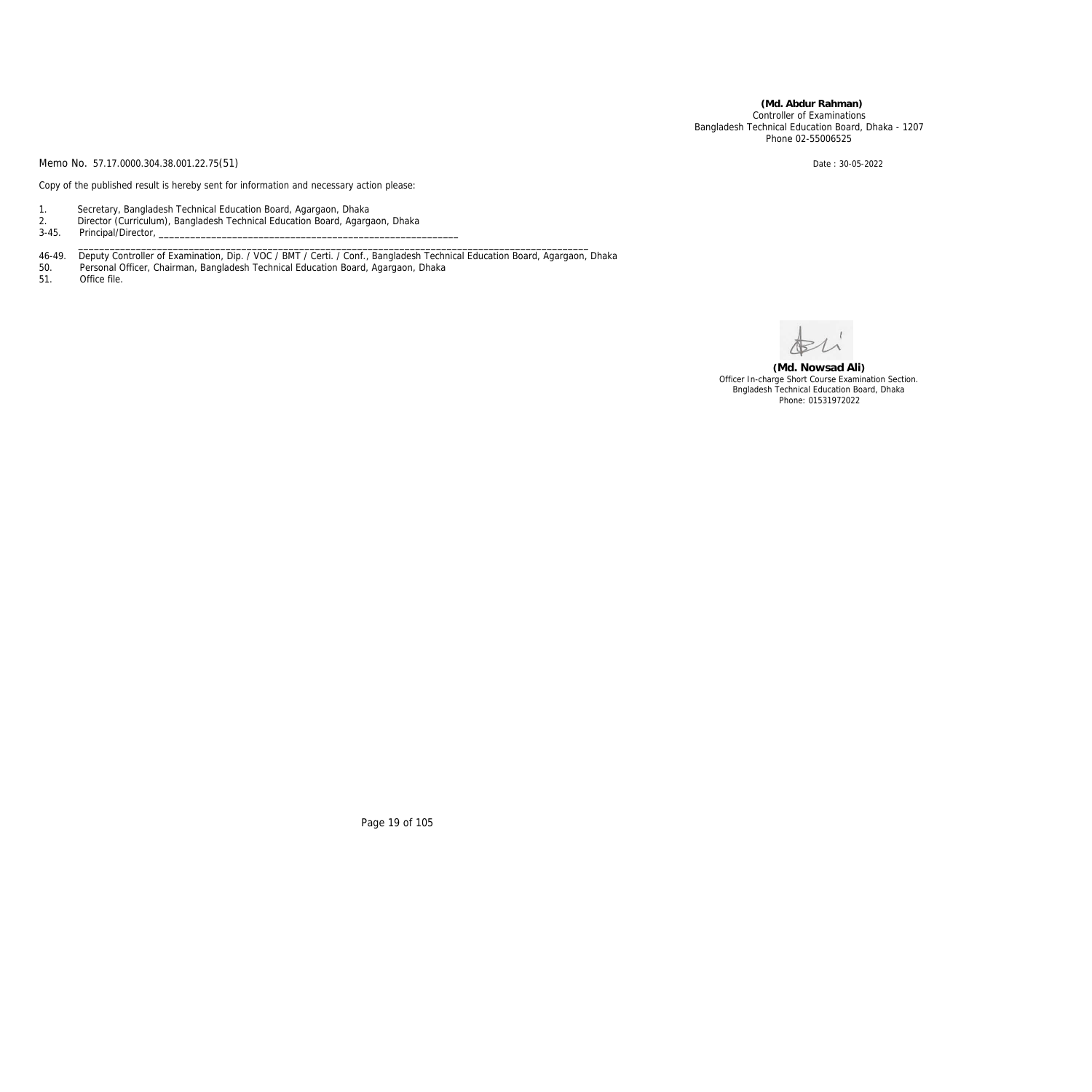**(Md. Abdur Rahman)** Controller of Examinations Bangladesh Technical Education Board, Dhaka - 1207 Phone 02-55006525

Memo No. 57.17.0000.304.38.001.22.75(51) Date: 30-05-2022

Copy of the published result is hereby sent for information and necessary action please:

- 1. Secretary, Bangladesh Technical Education Board, Agargaon, Dhaka
- 2. Director (Curriculum), Bangladesh Technical Education Board, Agargaon, Dhaka
- 3-45. Principal/Director, \_\_\_\_\_\_\_\_\_\_\_\_\_\_\_\_\_\_\_\_\_\_\_\_\_\_\_\_\_\_\_\_\_\_\_\_\_\_\_\_\_\_\_\_\_\_\_\_\_\_\_\_\_\_\_\_\_\_\_\_\_\_\_\_\_\_\_\_\_\_\_\_\_\_\_\_\_\_\_\_\_\_\_\_\_\_\_\_\_\_\_\_\_\_\_\_\_

46-49. Deputy Controller of Examination, Dip. / VOC / BMT / Certi. / Conf., Bangladesh Technical Education Board, Agargaon, Dhaka

- 50. Personal Officer, Chairman, Bangladesh Technical Education Board, Agargaon, Dhaka
- 51. Office file.

**(Md. Nowsad Ali)** Officer In-charge Short Course Examination Section. Bngladesh Technical Education Board, Dhaka Phone: 01531972022

Page 19 of 105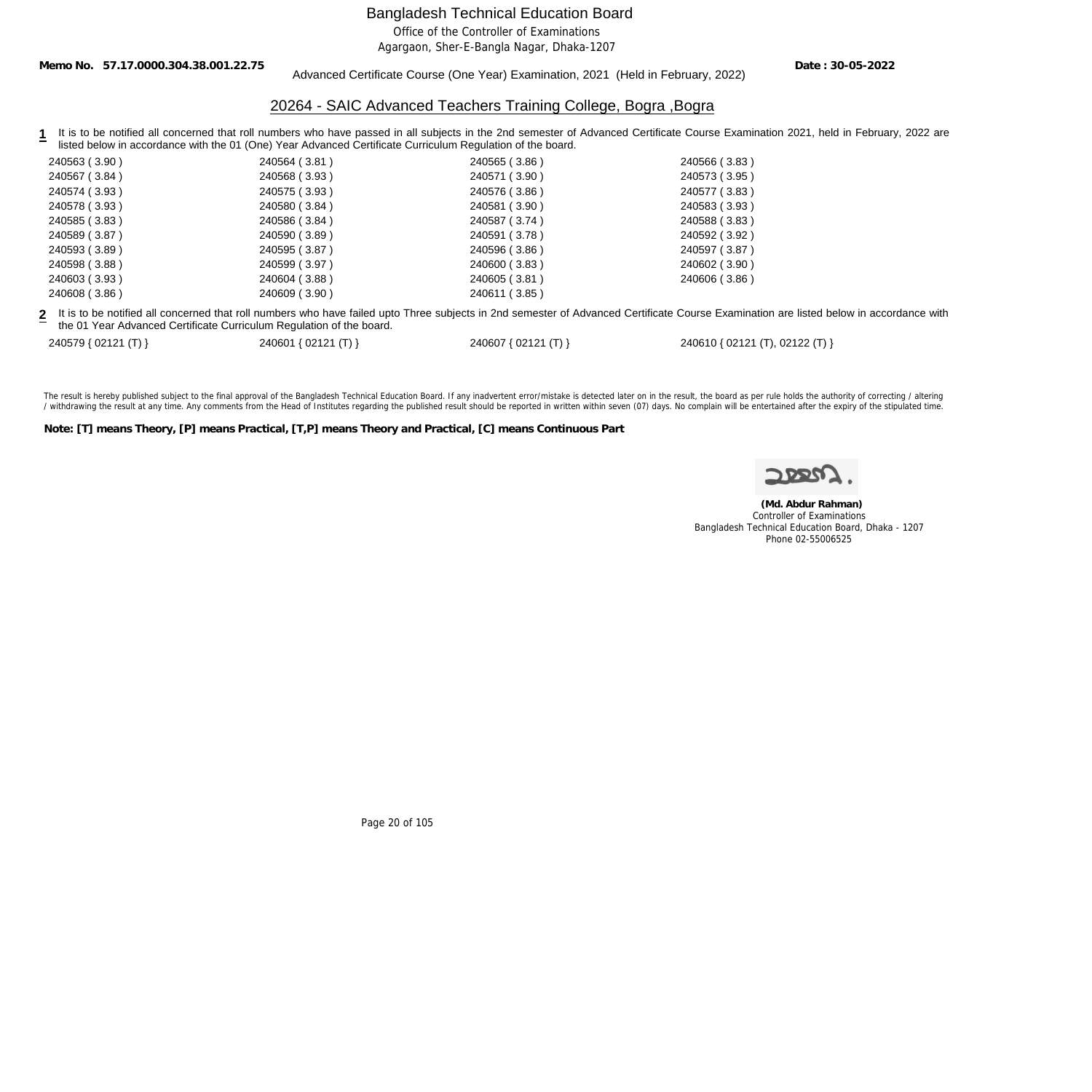Office of the Controller of Examinations

Agargaon, Sher-E-Bangla Nagar, Dhaka-1207

**Memo No. 57.17.0000.304.38.001.22.75**

#### Advanced Certificate Course (One Year) Examination, 2021 (Held in February, 2022)

**Date : 30-05-2022**

#### 20264 - SAIC Advanced Teachers Training College, Bogra ,Bogra

1 It is to be notified all concerned that roll numbers who have passed in all subjects in the 2nd semester of Advanced Certificate Course Examination 2021, held in February, 2022 are listed below in accordance with the 01 (One) Year Advanced Certificate Curriculum Regulation of the board.

| 240563 (3.90) | 240564 (3.81) | 240565 (3.86) | 240566 (3.83) |
|---------------|---------------|---------------|---------------|
| 240567 (3.84) | 240568 (3.93) | 240571 (3.90) | 240573 (3.95) |
| 240574 (3.93) | 240575 (3.93) | 240576 (3.86) | 240577 (3.83) |
| 240578 (3.93) | 240580 (3.84) | 240581 (3.90) | 240583 (3.93) |
| 240585 (3.83) | 240586 (3.84) | 240587 (3.74) | 240588 (3.83) |
| 240589 (3.87) | 240590 (3.89) | 240591 (3.78) | 240592 (3.92) |
| 240593 (3.89) | 240595 (3.87) | 240596 (3.86) | 240597 (3.87) |
| 240598 (3.88) | 240599 (3.97) | 240600 (3.83) | 240602 (3.90) |
| 240603 (3.93) | 240604 (3.88) | 240605 (3.81) | 240606 (3.86) |
| 240608 (3.86) | 240609 (3.90) | 240611 (3.85) |               |

**2** It is to be notified all concerned that roll numbers who have failed upto Three subjects in 2nd semester of Advanced Certificate Course Examination are listed below in accordance with the 01 Year Advanced Certificate Curriculum Regulation of the board.

240579 { 02121 (T) } 240601 { 02121 (T) } 240607 { 02121 (T) } 240610 { 02121 (T), 02122 (T) }

The result is hereby published subject to the final approval of the Bangladesh Technical Education Board. If any inadvertent error/mistake is detected later on in the result, the board as per rule holds the authority of co / withdrawing the result at any time. Any comments from the Head of Institutes regarding the published result should be reported in written within seven (07) days. No complain will be entertained after the expiry of the st

**Note: [T] means Theory, [P] means Practical, [T,P] means Theory and Practical, [C] means Continuous Part**

 **(Md. Abdur Rahman)** Controller of Examinations Bangladesh Technical Education Board, Dhaka - 1207 Phone 02-55006525

Page 20 of 105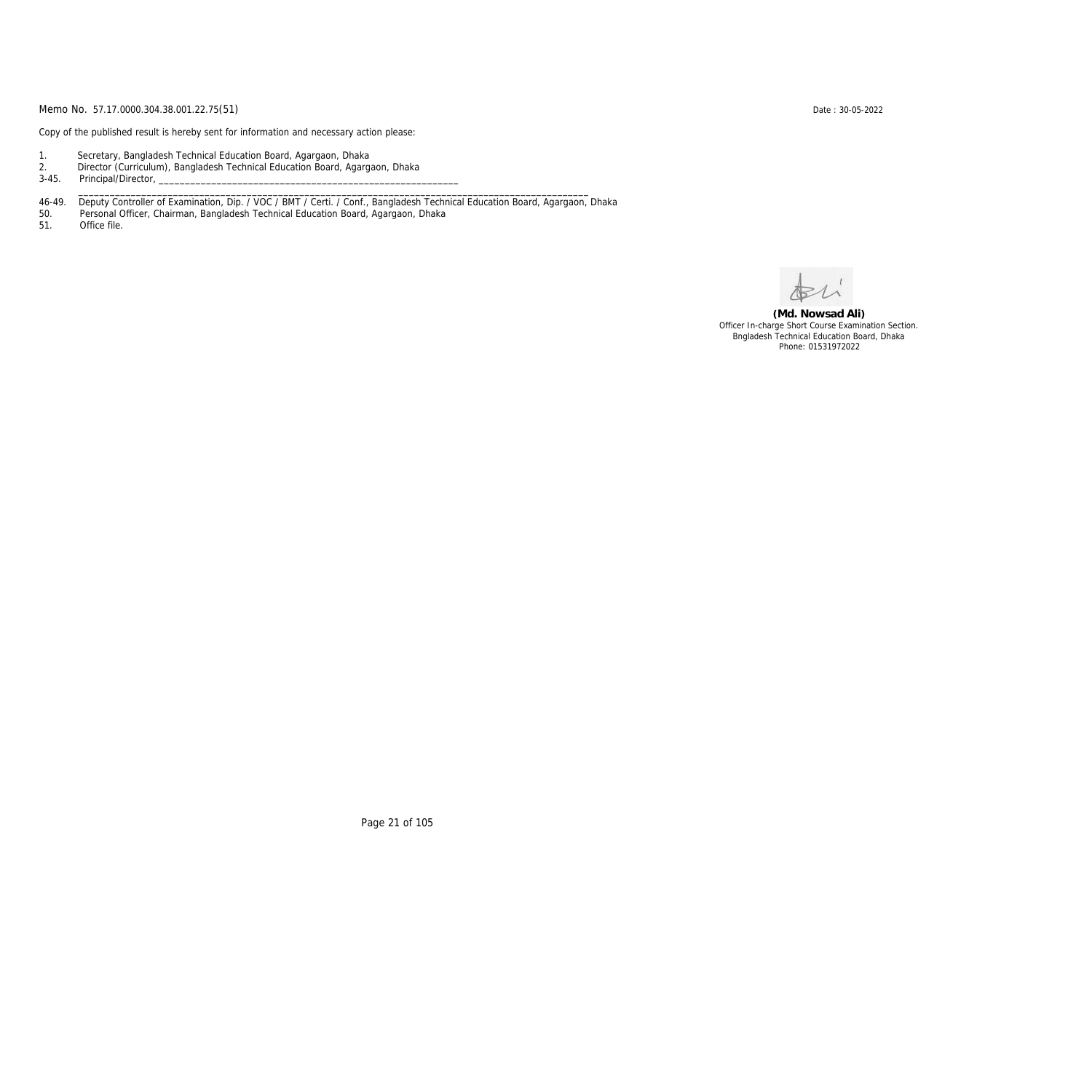Copy of the published result is hereby sent for information and necessary action please:

- 1. Secretary, Bangladesh Technical Education Board, Agargaon, Dhaka
- 2. Director (Curriculum), Bangladesh Technical Education Board, Agargaon, Dhaka

3-45. Principal/Director,

46-49. Deputy Controller of Examination, Dip. / VOC / BMT / Certi. / Conf., Bangladesh Technical Education Board, Agargaon, Dhaka

\_\_\_\_\_\_\_\_\_\_\_\_\_\_\_\_\_\_\_\_\_\_\_\_\_\_\_\_\_\_\_\_\_\_\_\_\_\_\_\_\_\_\_\_\_\_\_\_\_\_\_\_\_\_\_\_\_\_\_\_\_\_\_\_\_\_\_\_\_\_\_\_\_\_\_\_\_\_\_\_\_\_\_\_\_\_\_\_\_\_\_\_\_\_\_\_\_

50. Personal Officer, Chairman, Bangladesh Technical Education Board, Agargaon, Dhaka

Office file.

**(Md. Nowsad Ali)** Officer In-charge Short Course Examination Section. Bngladesh Technical Education Board, Dhaka Phone: 01531972022

Page 21 of 105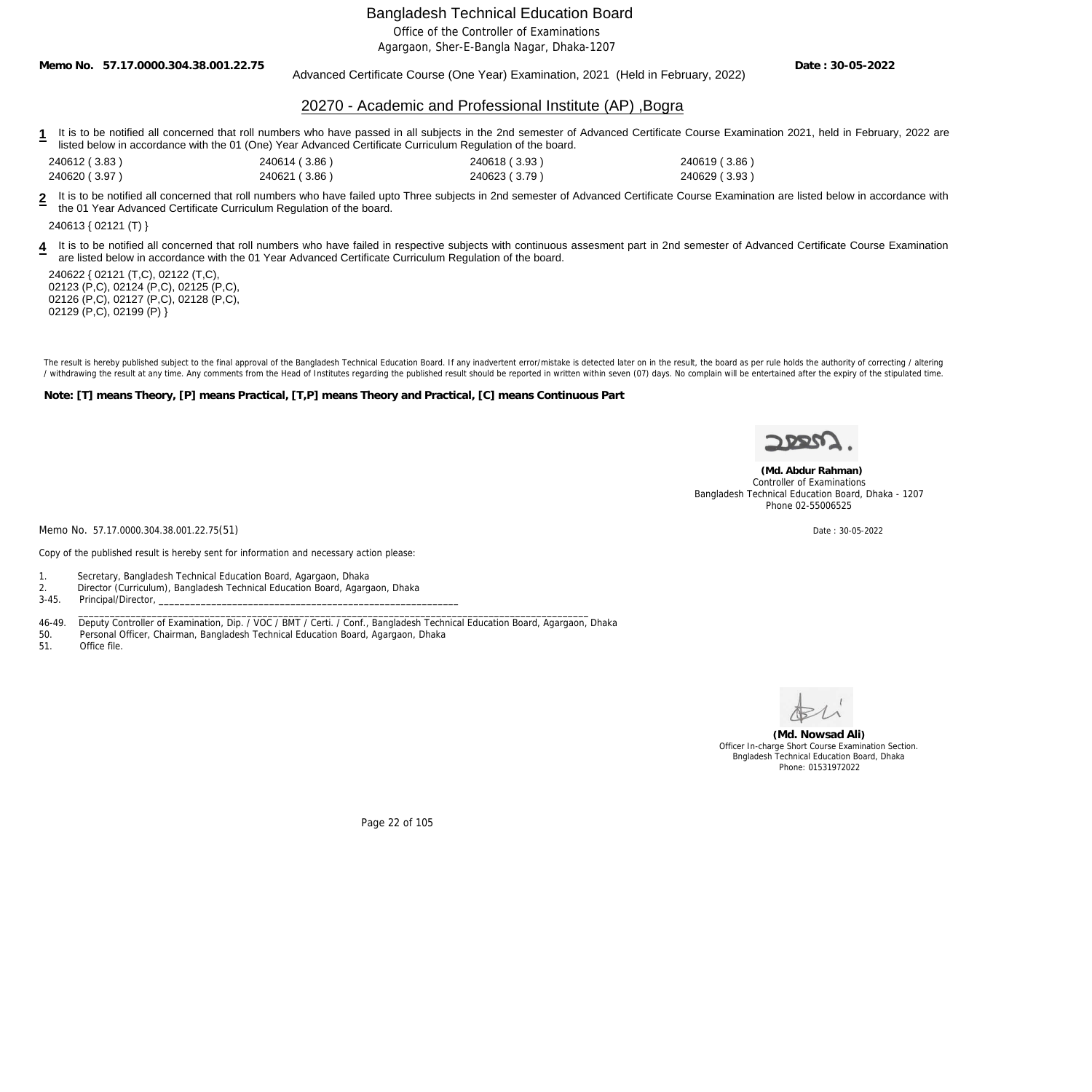Office of the Controller of Examinations

Agargaon, Sher-E-Bangla Nagar, Dhaka-1207

**Memo No. 57.17.0000.304.38.001.22.75**

Advanced Certificate Course (One Year) Examination, 2021 (Held in February, 2022)

**Date : 30-05-2022**

#### 20270 - Academic and Professional Institute (AP) ,Bogra

- 1 It is to be notified all concerned that roll numbers who have passed in all subjects in the 2nd semester of Advanced Certificate Course Examination 2021, held in February, 2022 are listed below in accordance with the 01 (One) Year Advanced Certificate Curriculum Regulation of the board.
- 240612 ( 3.83 ) 240614 ( 3.86 ) 240618 ( 3.93 ) 240619 ( 3.86 )
- 240620 ( 3.97 ) 240621 ( 3.86 ) 240623 ( 3.79 ) 240629 ( 3.93 )

**2** It is to be notified all concerned that roll numbers who have failed upto Three subjects in 2nd semester of Advanced Certificate Course Examination are listed below in accordance with the 01 Year Advanced Certificate Curriculum Regulation of the board.

240613 { 02121 (T) }

4 It is to be notified all concerned that roll numbers who have failed in respective subjects with continuous assesment part in 2nd semester of Advanced Certificate Course Examination are listed below in accordance with the 01 Year Advanced Certificate Curriculum Regulation of the board.

240622 { 02121 (T,C), 02122 (T,C), 02123 (P,C), 02124 (P,C), 02125 (P,C), 02126 (P,C), 02127 (P,C), 02128 (P,C), 02129 (P,C), 02199 (P) }

The result is hereby published subject to the final approval of the Bangladesh Technical Education Board. If any inadvertent error/mistake is detected later on in the result, the board as per rule holds the authority of co / withdrawing the result at any time. Any comments from the Head of Institutes regarding the published result should be reported in written within seven (07) days. No complain will be entertained after the expiry of the st

**Note: [T] means Theory, [P] means Practical, [T,P] means Theory and Practical, [C] means Continuous Part**



 **(Md. Abdur Rahman)** Controller of Examinations Bangladesh Technical Education Board, Dhaka - 1207 Phone 02-55006525

Memo No. 57.17.0000.304.38.001.22.75(51) Date : 30-05-2022

Copy of the published result is hereby sent for information and necessary action please:

- 1. Secretary, Bangladesh Technical Education Board, Agargaon, Dhaka
- 2. Director (Curriculum), Bangladesh Technical Education Board, Agargaon, Dhaka
- 3-45. Principal/Director, \_\_\_\_\_\_\_\_\_\_\_\_\_\_\_\_\_\_\_\_\_\_\_\_\_\_\_\_\_\_\_\_\_\_\_\_\_\_\_\_\_\_\_\_\_\_\_\_\_\_\_\_\_\_\_\_\_\_\_\_\_\_\_\_\_\_\_\_\_\_\_\_\_\_\_\_\_\_\_\_\_\_\_\_\_\_\_\_\_\_\_\_\_\_\_\_\_

46-49. Deputy Controller of Examination, Dip. / VOC / BMT / Certi. / Conf., Bangladesh Technical Education Board, Agargaon, Dhaka

50. Personal Officer, Chairman, Bangladesh Technical Education Board, Agargaon, Dhaka

51. Office file.



**(Md. Nowsad Ali)** Officer In-charge Short Course Examination Section. Bngladesh Technical Education Board, Dhaka Phone: 01531972022

Page 22 of 105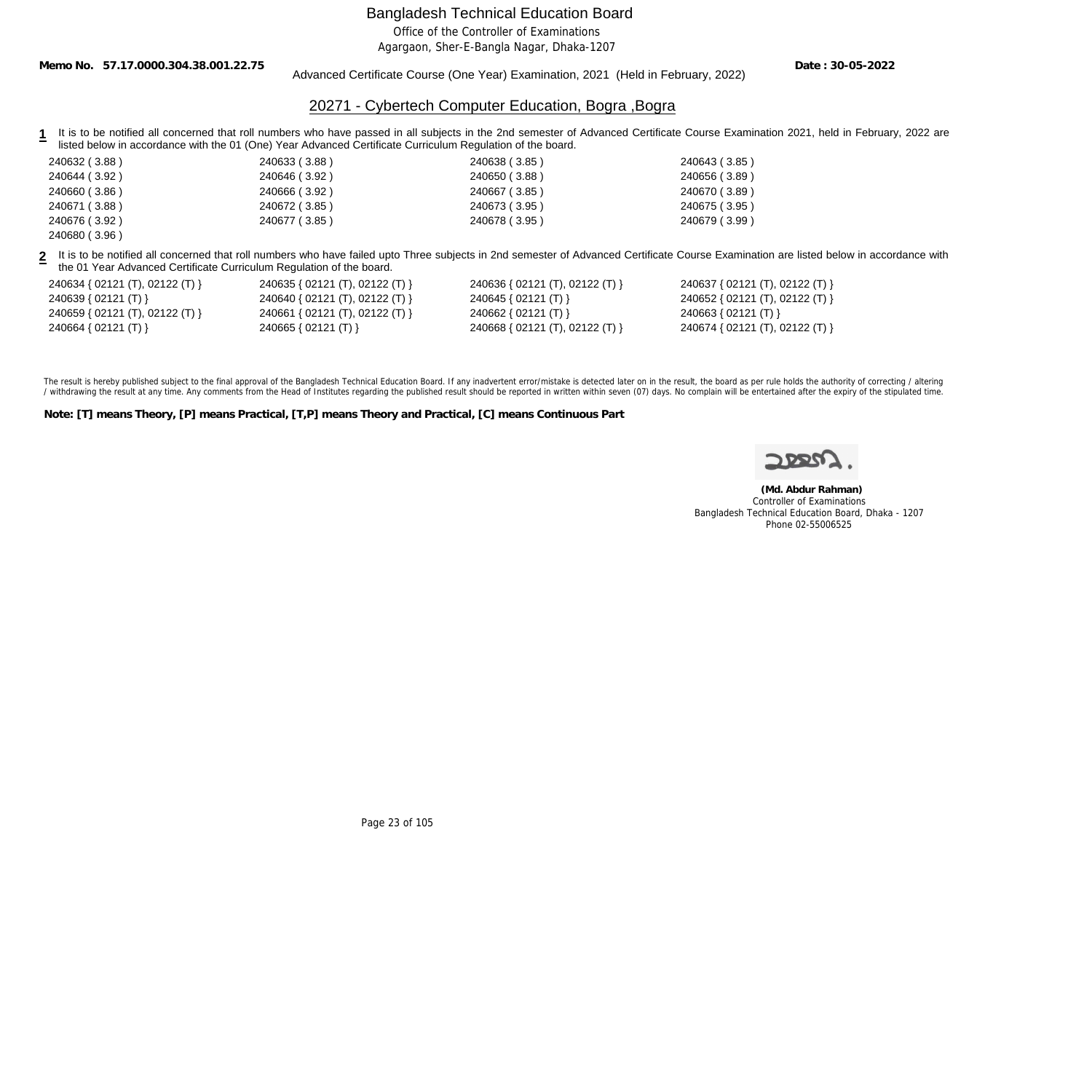Office of the Controller of Examinations

Agargaon, Sher-E-Bangla Nagar, Dhaka-1207

**Memo No. 57.17.0000.304.38.001.22.75**

Advanced Certificate Course (One Year) Examination, 2021 (Held in February, 2022)

**Date : 30-05-2022**

### 20271 - Cybertech Computer Education, Bogra ,Bogra

- 1 It is to be notified all concerned that roll numbers who have passed in all subjects in the 2nd semester of Advanced Certificate Course Examination 2021, held in February, 2022 are listed below in accordance with the 01 (One) Year Advanced Certificate Curriculum Regulation of the board.
- 240632 ( 3.88 ) 240633 ( 3.88 ) 240638 ( 3.85 ) 240643 ( 3.85 ) 240644 ( 3.92 ) 240646 ( 3.92 ) 240650 ( 3.88 ) 240656 ( 3.89 ) 240660 ( 3.86 ) 240666 ( 3.92 ) 240667 ( 3.85 ) 240670 ( 3.89 ) 240671 ( 3.88 ) 240672 ( 3.85 ) 240673 ( 3.95 ) 240675 ( 3.95 ) 240676 ( 3.92 ) 240677 ( 3.85 ) 240678 ( 3.95 ) 240679 ( 3.99 )

**2** It is to be notified all concerned that roll numbers who have failed upto Three subjects in 2nd semester of Advanced Certificate Course Examination are listed below in accordance with the 01 Year Advanced Certificate Curriculum Regulation of the board.

| 240634 { 02121 (T), 02122 (T) }     | 2406 |
|-------------------------------------|------|
| $240639 \{ 02121 (T) \}$            | 2406 |
| 240659 { $02121$ (T), $02122$ (T) } | 2406 |
| 240664 { 02121 (T) }                | 2406 |

240680 ( 3.96 )

240634 { 02121 (T), 02122 (T) } 240635 { 02121 (T), 02122 (T) } 240636 { 02121 (T), 02122 (T) } 240637 { 02121 (T), 02122 (T) }

240639 { 02121 (T) } 240640 { 02121 (T), 02122 (T) } 240645 { 02121 (T) } 240652 { 02121 (T), 02122 (T) } 240659 { 02121 (T), 02122 (T) } 240661 { 02121 (T), 02122 (T) } 240662 { 02121 (T) } 240663 { 02121 (T) } 240664 { 02121 (T) } 240665 { 02121 (T) } 240668 { 02121 (T), 02122 (T) } 240674 { 02121 (T), 02122 (T) }

The result is hereby published subject to the final approval of the Bangladesh Technical Education Board. If any inadvertent error/mistake is detected later on in the result, the board as per rule holds the authority of co / withdrawing the result at any time. Any comments from the Head of Institutes regarding the published result should be reported in written within seven (07) days. No complain will be entertained after the expiry of the st

**Note: [T] means Theory, [P] means Practical, [T,P] means Theory and Practical, [C] means Continuous Part**

 **(Md. Abdur Rahman)** Controller of Examinations Bangladesh Technical Education Board, Dhaka - 1207 Phone 02-55006525

Page 23 of 105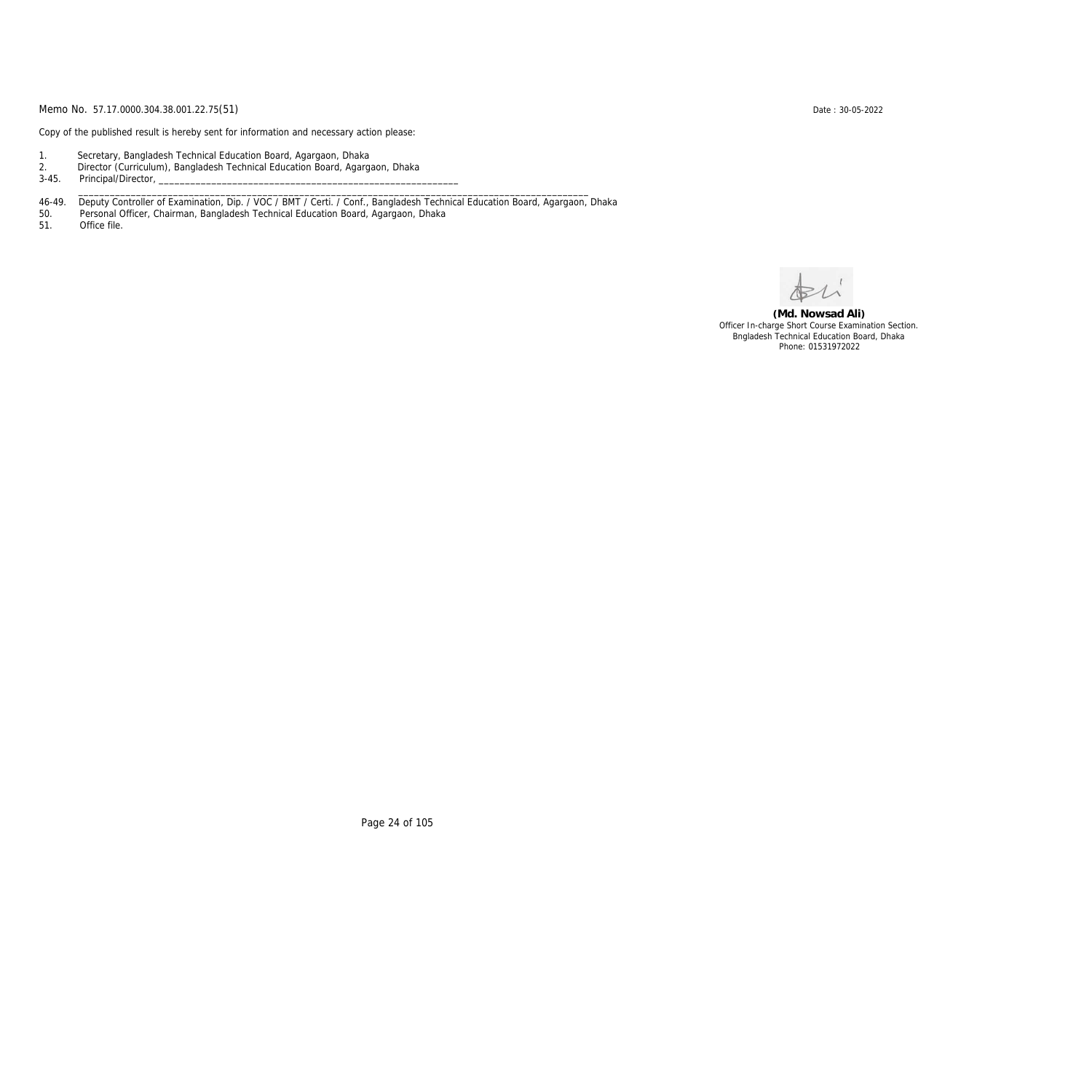Copy of the published result is hereby sent for information and necessary action please:

- 1. Secretary, Bangladesh Technical Education Board, Agargaon, Dhaka
- 2. Director (Curriculum), Bangladesh Technical Education Board, Agargaon, Dhaka

3-45. Principal/Director,

46-49. Deputy Controller of Examination, Dip. / VOC / BMT / Certi. / Conf., Bangladesh Technical Education Board, Agargaon, Dhaka

\_\_\_\_\_\_\_\_\_\_\_\_\_\_\_\_\_\_\_\_\_\_\_\_\_\_\_\_\_\_\_\_\_\_\_\_\_\_\_\_\_\_\_\_\_\_\_\_\_\_\_\_\_\_\_\_\_\_\_\_\_\_\_\_\_\_\_\_\_\_\_\_\_\_\_\_\_\_\_\_\_\_\_\_\_\_\_\_\_\_\_\_\_\_\_\_\_

50. Personal Officer, Chairman, Bangladesh Technical Education Board, Agargaon, Dhaka

Office file.

**(Md. Nowsad Ali)** Officer In-charge Short Course Examination Section. Bngladesh Technical Education Board, Dhaka Phone: 01531972022

Page 24 of 105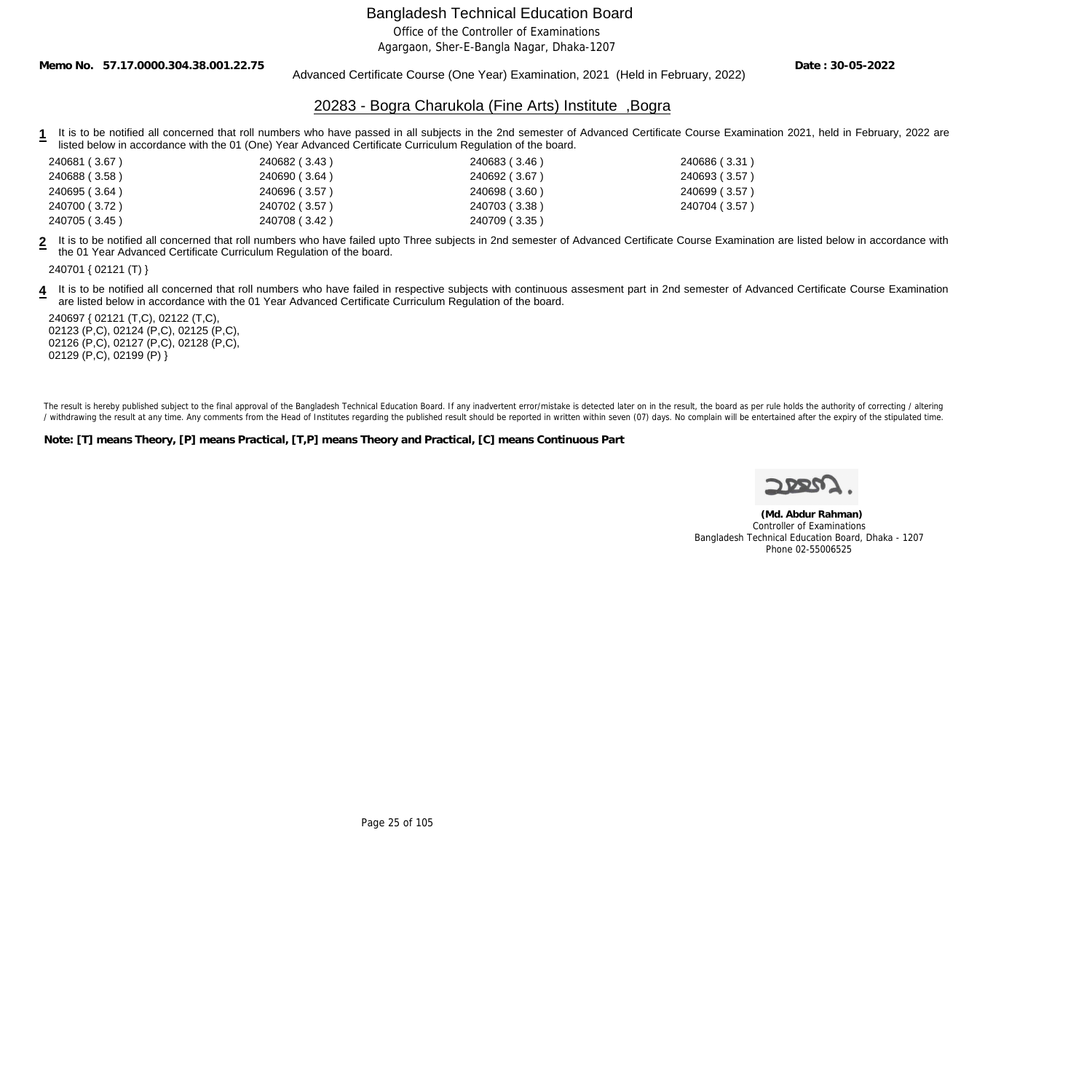Office of the Controller of Examinations

Agargaon, Sher-E-Bangla Nagar, Dhaka-1207

**Memo No. 57.17.0000.304.38.001.22.75**

#### Advanced Certificate Course (One Year) Examination, 2021 (Held in February, 2022)

**Date : 30-05-2022**

### 20283 - Bogra Charukola (Fine Arts) Institute ,Bogra

1 It is to be notified all concerned that roll numbers who have passed in all subjects in the 2nd semester of Advanced Certificate Course Examination 2021, held in February, 2022 are listed below in accordance with the 01 (One) Year Advanced Certificate Curriculum Regulation of the board.

| 240681 (3.67) | 240682 (3.43) | 240683 (3.46) | 240686 (3.31) |
|---------------|---------------|---------------|---------------|
| 240688 (3.58) | 240690 (3.64) | 240692 (3.67) | 240693 (3.57) |
| 240695 (3.64) | 240696 (3.57) | 240698 (3.60) | 240699 (3.57) |
| 240700 (3.72) | 240702 (3.57) | 240703 (3.38) | 240704 (3.57) |
| 240705 (3.45) | 240708 (3.42) | 240709 (3.35) |               |

**2** It is to be notified all concerned that roll numbers who have failed upto Three subjects in 2nd semester of Advanced Certificate Course Examination are listed below in accordance with the 01 Year Advanced Certificate Curriculum Regulation of the board.

240701 { 02121 (T) }

4 It is to be notified all concerned that roll numbers who have failed in respective subjects with continuous assesment part in 2nd semester of Advanced Certificate Course Examination are listed below in accordance with the 01 Year Advanced Certificate Curriculum Regulation of the board.

240697 { 02121 (T,C), 02122 (T,C), 02123 (P,C), 02124 (P,C), 02125 (P,C), 02126 (P,C), 02127 (P,C), 02128 (P,C), 02129 (P,C), 02199 (P) }

The result is hereby published subject to the final approval of the Bangladesh Technical Education Board. If any inadvertent error/mistake is detected later on in the result, the board as per rule holds the authority of co / withdrawing the result at any time. Any comments from the Head of Institutes regarding the published result should be reported in written within seven (07) days. No complain will be entertained after the expiry of the st

**Note: [T] means Theory, [P] means Practical, [T,P] means Theory and Practical, [C] means Continuous Part**

 **(Md. Abdur Rahman)** Controller of Examinations Bangladesh Technical Education Board, Dhaka - 1207 Phone 02-55006525

Page 25 of 105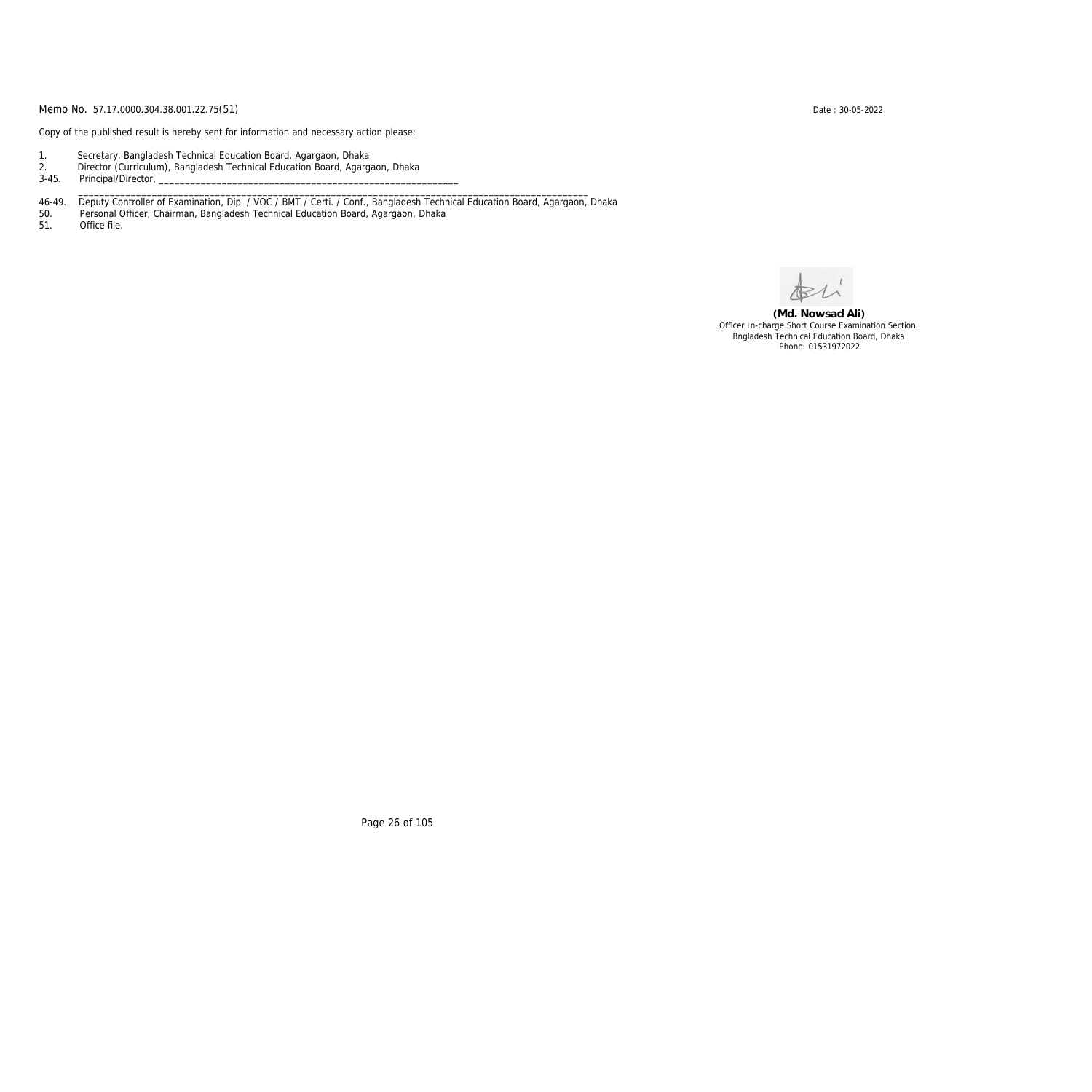Copy of the published result is hereby sent for information and necessary action please:

- 1. Secretary, Bangladesh Technical Education Board, Agargaon, Dhaka
- 2. Director (Curriculum), Bangladesh Technical Education Board, Agargaon, Dhaka

3-45. Principal/Director,

46-49. Deputy Controller of Examination, Dip. / VOC / BMT / Certi. / Conf., Bangladesh Technical Education Board, Agargaon, Dhaka

\_\_\_\_\_\_\_\_\_\_\_\_\_\_\_\_\_\_\_\_\_\_\_\_\_\_\_\_\_\_\_\_\_\_\_\_\_\_\_\_\_\_\_\_\_\_\_\_\_\_\_\_\_\_\_\_\_\_\_\_\_\_\_\_\_\_\_\_\_\_\_\_\_\_\_\_\_\_\_\_\_\_\_\_\_\_\_\_\_\_\_\_\_\_\_\_\_

50. Personal Officer, Chairman, Bangladesh Technical Education Board, Agargaon, Dhaka

Office file.

**(Md. Nowsad Ali)** Officer In-charge Short Course Examination Section. Bngladesh Technical Education Board, Dhaka Phone: 01531972022

Page 26 of 105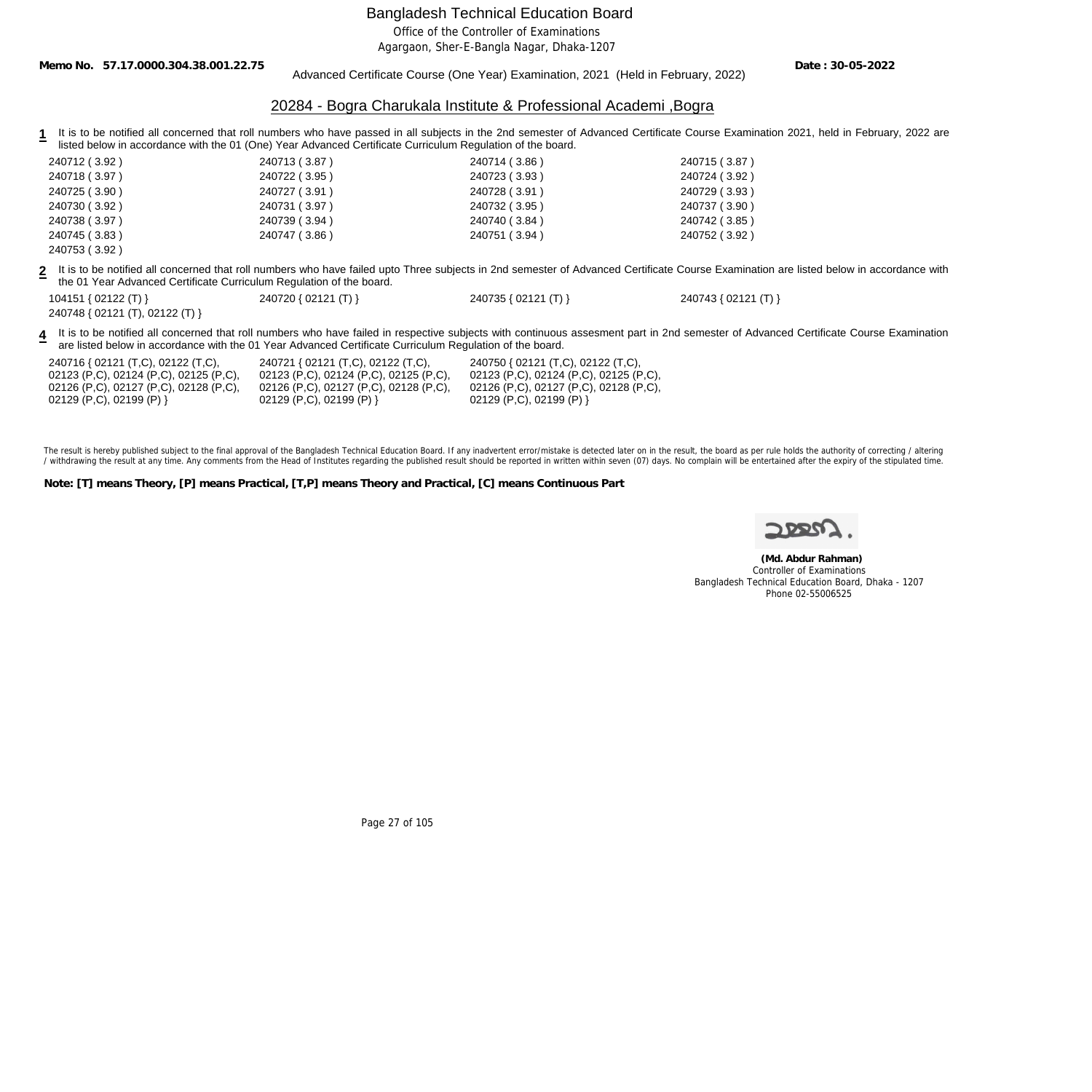Office of the Controller of Examinations

Agargaon, Sher-E-Bangla Nagar, Dhaka-1207

**Memo No. 57.17.0000.304.38.001.22.75**

#### Advanced Certificate Course (One Year) Examination, 2021 (Held in February, 2022)

**Date : 30-05-2022**

#### 20284 - Bogra Charukala Institute & Professional Academi ,Bogra

**1** It is to be notified all concerned that roll numbers who have passed in all subjects in the 2nd semester of Advanced Certificate Course Examination 2021, held in February, 2022 are listed below in accordance with the 01 (One) Year Advanced Certificate Curriculum Regulation of the board.

| 240712 (3.92) | 240713 (3.87) | 240714 (3.86) | 240715 (3.87) |
|---------------|---------------|---------------|---------------|
| 240718 (3.97) | 240722 (3.95) | 240723 (3.93) | 240724 (3.92) |
| 240725 (3.90) | 240727 (3.91) | 240728 (3.91) | 240729 (3.93) |
| 240730 (3.92) | 240731 (3.97) | 240732 (3.95) | 240737 (3.90) |
| 240738 (3.97) | 240739 (3.94) | 240740 (3.84) | 240742 (3.85) |
| 240745 (3.83) | 240747 (3.86) | 240751 (3.94) | 240752 (3.92) |
| 240753 (3.92) |               |               |               |

**2** It is to be notified all concerned that roll numbers who have failed upto Three subjects in 2nd semester of Advanced Certificate Course Examination are listed below in accordance with the 01 Year Advanced Certificate Curriculum Regulation of the board.

104151 { 02122 (T) } 240720 { 02121 (T) } 240735 { 02121 (T) } 240743 { 02121 (T) }

| 104151 { 02122 (T) }            |  |
|---------------------------------|--|
| 240748 { 02121 (T), 02122 (T) } |  |

4 It is to be notified all concerned that roll numbers who have failed in respective subjects with continuous assesment part in 2nd semester of Advanced Certificate Course Examination are listed below in accordance with the 01 Year Advanced Certificate Curriculum Regulation of the board.

240716 { 02121 (T,C), 02122 (T,C), 02123 (P,C), 02124 (P,C), 02125 (P,C), 02126 (P,C), 02127 (P,C), 02128 (P,C), 02129 (P,C), 02199 (P) }

240721 { 02121 (T,C), 02122 (T,C), 02123 (P,C), 02124 (P,C), 02125 (P,C), 02126 (P,C), 02127 (P,C), 02128 (P,C), 02129 (P,C), 02199 (P) }

240750 { 02121 (T,C), 02122 (T,C), 02123 (P,C), 02124 (P,C), 02125 (P,C), 02126 (P,C), 02127 (P,C), 02128 (P,C), 02129 (P,C), 02199 (P) }

The result is hereby published subject to the final approval of the Bangladesh Technical Education Board. If any inadvertent error/mistake is detected later on in the result, the board as per rule holds the authority of co / withdrawing the result at any time. Any comments from the Head of Institutes regarding the published result should be reported in written within seven (07) days. No complain will be entertained after the expiry of the st

**Note: [T] means Theory, [P] means Practical, [T,P] means Theory and Practical, [C] means Continuous Part**

 **(Md. Abdur Rahman)** Controller of Examinations Bangladesh Technical Education Board, Dhaka - 1207 Phone 02-55006525

Page 27 of 105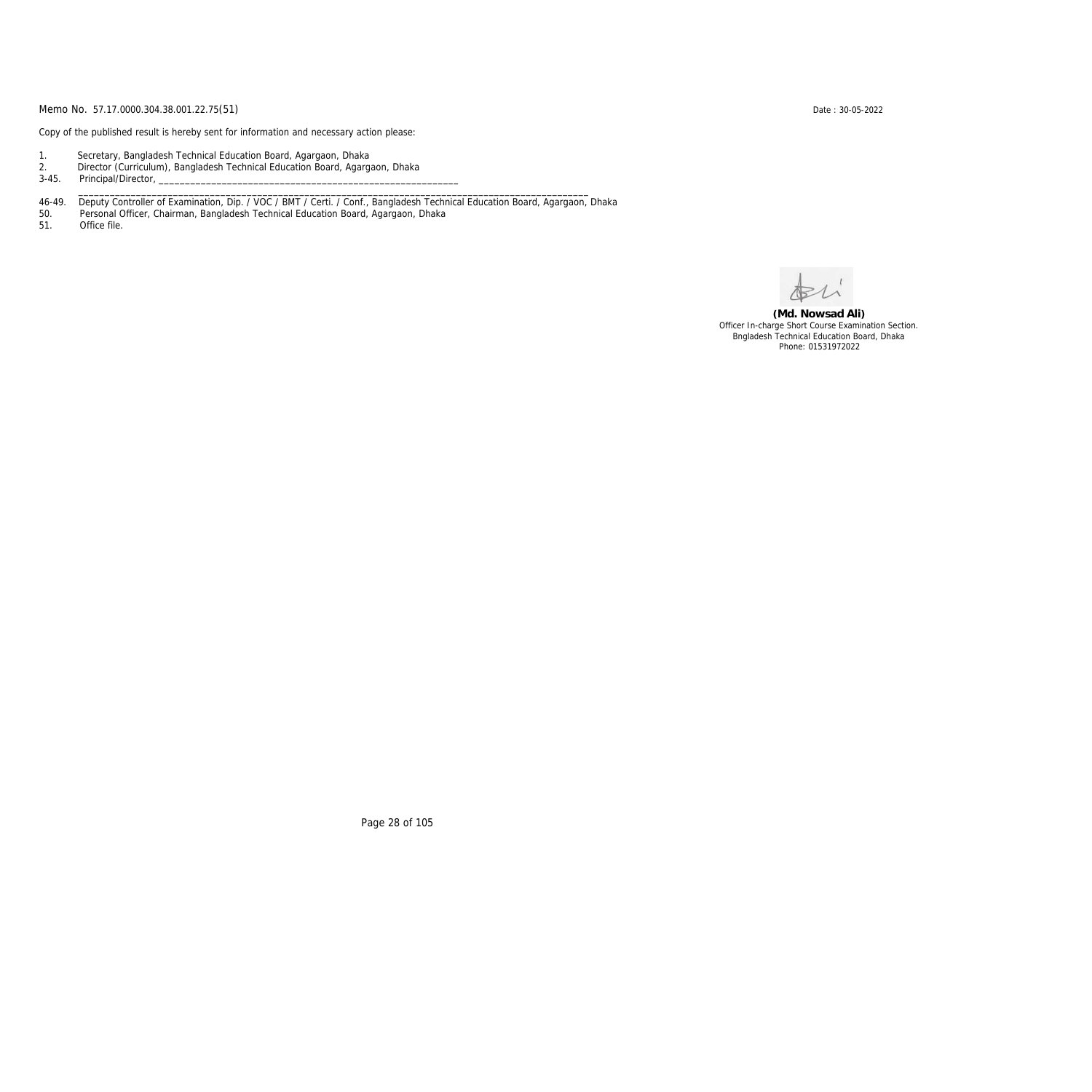Copy of the published result is hereby sent for information and necessary action please:

- 1. Secretary, Bangladesh Technical Education Board, Agargaon, Dhaka
- 2. Director (Curriculum), Bangladesh Technical Education Board, Agargaon, Dhaka

3-45. Principal/Director,

46-49. Deputy Controller of Examination, Dip. / VOC / BMT / Certi. / Conf., Bangladesh Technical Education Board, Agargaon, Dhaka

\_\_\_\_\_\_\_\_\_\_\_\_\_\_\_\_\_\_\_\_\_\_\_\_\_\_\_\_\_\_\_\_\_\_\_\_\_\_\_\_\_\_\_\_\_\_\_\_\_\_\_\_\_\_\_\_\_\_\_\_\_\_\_\_\_\_\_\_\_\_\_\_\_\_\_\_\_\_\_\_\_\_\_\_\_\_\_\_\_\_\_\_\_\_\_\_\_

50. Personal Officer, Chairman, Bangladesh Technical Education Board, Agargaon, Dhaka

Office file.

**(Md. Nowsad Ali)** Officer In-charge Short Course Examination Section. Bngladesh Technical Education Board, Dhaka Phone: 01531972022

Page 28 of 105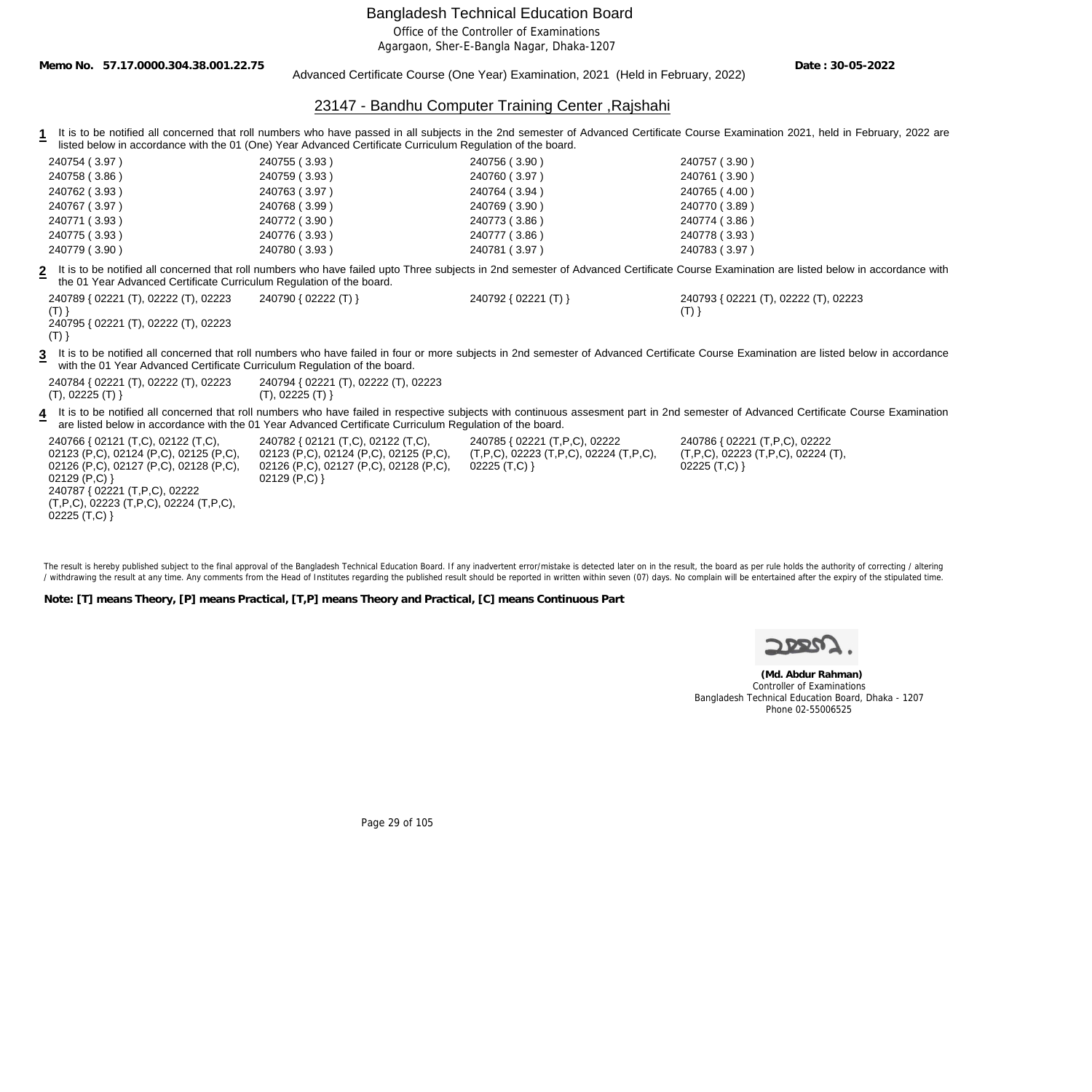Office of the Controller of Examinations

Agargaon, Sher-E-Bangla Nagar, Dhaka-1207

**Memo No. 57.17.0000.304.38.001.22.75**

 $02225$  (T,C) }

Advanced Certificate Course (One Year) Examination, 2021 (Held in February, 2022)

**Date : 30-05-2022**

## 23147 - Bandhu Computer Training Center ,Rajshahi

1 It is to be notified all concerned that roll numbers who have passed in all subjects in the 2nd semester of Advanced Certificate Course Examination 2021, held in February, 2022 are listed below in accordance with the 01 (One) Year Advanced Certificate Curriculum Regulation of the board.

| 240754 (3.97)                                                                                                                                                                                                        | 240755 (3.93)                                                                                                                              | 240756 (3.90)                                                                                             | 240757 (3.90)                                                                                                                                                                           |
|----------------------------------------------------------------------------------------------------------------------------------------------------------------------------------------------------------------------|--------------------------------------------------------------------------------------------------------------------------------------------|-----------------------------------------------------------------------------------------------------------|-----------------------------------------------------------------------------------------------------------------------------------------------------------------------------------------|
| 240758 (3.86)                                                                                                                                                                                                        | 240759 (3.93)                                                                                                                              | 240760 (3.97)                                                                                             | 240761 (3.90)                                                                                                                                                                           |
| 240762 (3.93)                                                                                                                                                                                                        | 240763 (3.97)                                                                                                                              | 240764 (3.94)                                                                                             | 240765 (4.00)                                                                                                                                                                           |
| 240767 (3.97)                                                                                                                                                                                                        | 240768 (3.99)                                                                                                                              | 240769 (3.90)                                                                                             | 240770 (3.89)                                                                                                                                                                           |
| 240771 (3.93)                                                                                                                                                                                                        | 240772 (3.90)                                                                                                                              | 240773 (3.86)                                                                                             | 240774 (3.86)                                                                                                                                                                           |
| 240775 (3.93)                                                                                                                                                                                                        | 240776 (3.93)                                                                                                                              | 240777 (3.86)                                                                                             | 240778 (3.93)                                                                                                                                                                           |
| 240779 (3.90)                                                                                                                                                                                                        | 240780 (3.93)                                                                                                                              | 240781 (3.97)                                                                                             | 240783 (3.97)                                                                                                                                                                           |
| the 01 Year Advanced Certificate Curriculum Regulation of the board.                                                                                                                                                 |                                                                                                                                            |                                                                                                           | It is to be notified all concerned that roll numbers who have failed upto Three subjects in 2nd semester of Advanced Certificate Course Examination are listed below in accordance with |
| 240789 { 02221 (T), 02222 (T), 02223<br>$(T)$ }<br>240795 { 02221 (T), 02222 (T), 02223<br>$(T)$ }                                                                                                                   | 240790 { 02222 (T) }                                                                                                                       | 240792 { 02221 (T) }                                                                                      | 240793 { 02221 (T), 02222 (T), 02223<br>$(T)$ }                                                                                                                                         |
| with the 01 Year Advanced Certificate Curriculum Regulation of the board.                                                                                                                                            |                                                                                                                                            |                                                                                                           | It is to be notified all concerned that roll numbers who have failed in four or more subjects in 2nd semester of Advanced Certificate Course Examination are listed below in accordance |
| 240784 { 02221 (T), 02222 (T), 02223<br>(T), 02225 (T)                                                                                                                                                               | 240794 { 02221 (T), 02222 (T), 02223<br>(T), 02225 (T)                                                                                     |                                                                                                           |                                                                                                                                                                                         |
|                                                                                                                                                                                                                      | are listed below in accordance with the 01 Year Advanced Certificate Curriculum Regulation of the board.                                   |                                                                                                           | It is to be notified all concerned that roll numbers who have failed in respective subjects with continuous assesment part in 2nd semester of Advanced Certificate Course Examination   |
| 240766 { 02121 (T,C), 02122 (T,C),<br>02123 (P,C), 02124 (P,C), 02125 (P,C),<br>02126 (P,C), 02127 (P,C), 02128 (P,C),<br>02129 $(P,C)$ }<br>240787 { 02221 (T,P,C), 02222<br>(T,P,C), 02223 (T,P,C), 02224 (T,P,C), | 240782 { 02121 (T,C), 02122 (T,C),<br>02123 (P,C), 02124 (P,C), 02125 (P,C),<br>02126 (P,C), 02127 (P,C), 02128 (P,C),<br>02129 $(P, C)$ } | 240785 { 02221 (T,P,C), 02222<br>$(T, P, C)$ , 02223 $(T, P, C)$ , 02224 $(T, P, C)$ ,<br>$02225$ (T,C) } | 240786 { 02221 (T, P, C), 02222<br>$(T, P, C)$ , 02223 $(T, P, C)$ , 02224 $(T)$ ,<br>$02225$ (T,C) }                                                                                   |

The result is hereby published subject to the final approval of the Bangladesh Technical Education Board. If any inadvertent error/mistake is detected later on in the result, the board as per rule holds the authority of co / withdrawing the result at any time. Any comments from the Head of Institutes regarding the published result should be reported in written within seven (07) days. No complain will be entertained after the expiry of the st

**Note: [T] means Theory, [P] means Practical, [T,P] means Theory and Practical, [C] means Continuous Part**

 **(Md. Abdur Rahman)** Controller of Examinations Bangladesh Technical Education Board, Dhaka - 1207 Phone 02-55006525

Page 29 of 105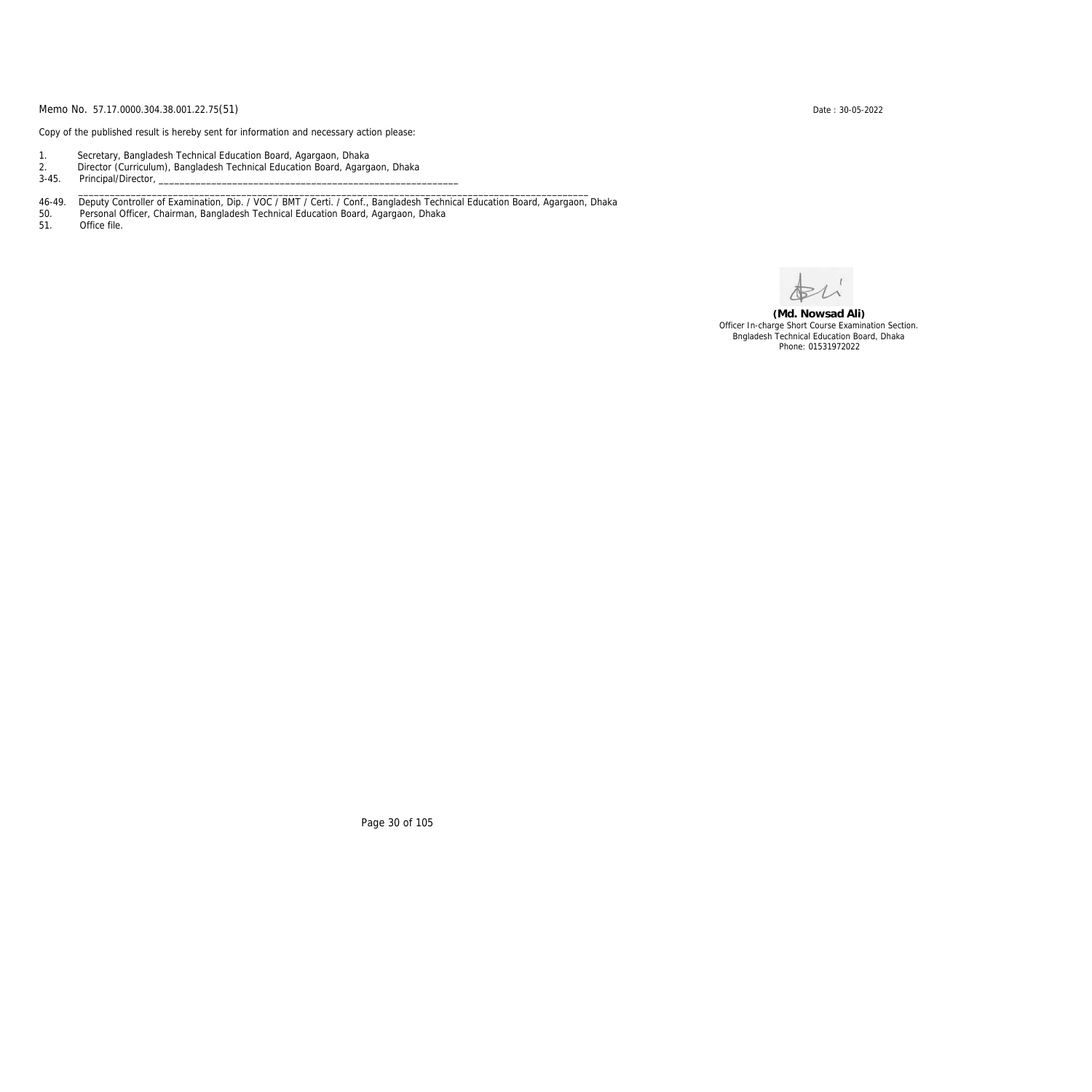Copy of the published result is hereby sent for information and necessary action please:

- 1. Secretary, Bangladesh Technical Education Board, Agargaon, Dhaka
- 2. Director (Curriculum), Bangladesh Technical Education Board, Agargaon, Dhaka

3-45. Principal/Director,

46-49. Deputy Controller of Examination, Dip. / VOC / BMT / Certi. / Conf., Bangladesh Technical Education Board, Agargaon, Dhaka

\_\_\_\_\_\_\_\_\_\_\_\_\_\_\_\_\_\_\_\_\_\_\_\_\_\_\_\_\_\_\_\_\_\_\_\_\_\_\_\_\_\_\_\_\_\_\_\_\_\_\_\_\_\_\_\_\_\_\_\_\_\_\_\_\_\_\_\_\_\_\_\_\_\_\_\_\_\_\_\_\_\_\_\_\_\_\_\_\_\_\_\_\_\_\_\_\_

50. Personal Officer, Chairman, Bangladesh Technical Education Board, Agargaon, Dhaka

Office file.

**(Md. Nowsad Ali)** Officer In-charge Short Course Examination Section. Bngladesh Technical Education Board, Dhaka Phone: 01531972022

Page 30 of 105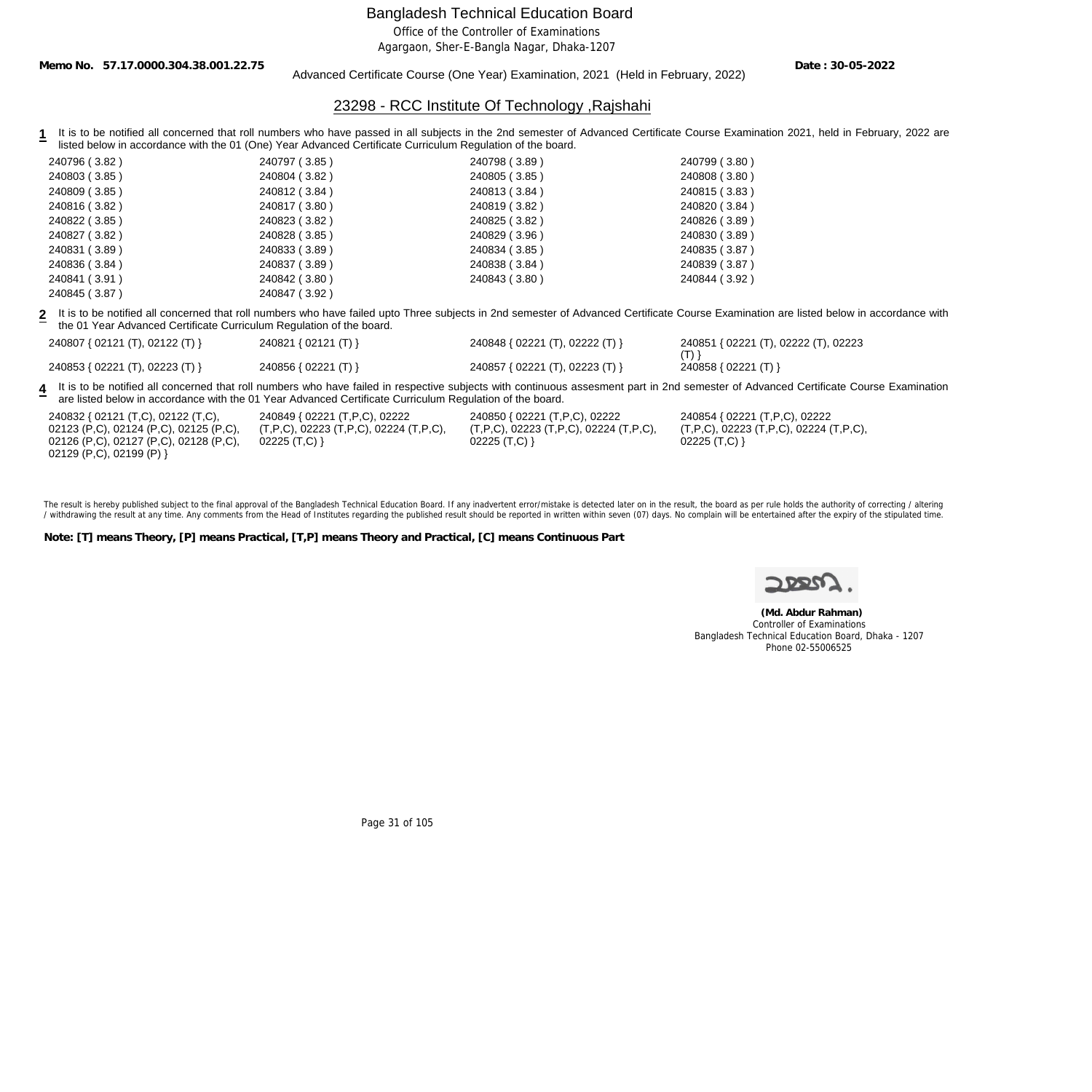Office of the Controller of Examinations

Agargaon, Sher-E-Bangla Nagar, Dhaka-1207

**Memo No. 57.17.0000.304.38.001.22.75**

Advanced Certificate Course (One Year) Examination, 2021 (Held in February, 2022)

**Date : 30-05-2022**

## 23298 - RCC Institute Of Technology ,Rajshahi

1 It is to be notified all concerned that roll numbers who have passed in all subjects in the 2nd semester of Advanced Certificate Course Examination 2021, held in February, 2022 are listed below in accordance with the 01 (One) Year Advanced Certificate Curriculum Regulation of the board.

| 240796 (3.82) | 240797 (3.85) | 240798 (3.89) | 240799 (3.80) |
|---------------|---------------|---------------|---------------|
| 240803 (3.85) | 240804 (3.82) | 240805 (3.85) | 240808 (3.80) |
| 240809 (3.85) | 240812 (3.84) | 240813 (3.84) | 240815 (3.83) |
| 240816 (3.82) | 240817 (3.80) | 240819 (3.82) | 240820 (3.84) |
| 240822 (3.85) | 240823 (3.82) | 240825 (3.82) | 240826 (3.89) |
| 240827 (3.82) | 240828 (3.85) | 240829 (3.96) | 240830 (3.89) |
| 240831 (3.89) | 240833 (3.89) | 240834 (3.85) | 240835 (3.87) |
| 240836 (3.84) | 240837 (3.89) | 240838 (3.84) | 240839 (3.87) |
| 240841 (3.91) | 240842 (3.80) | 240843 (3.80) | 240844 (3.92) |
| 240845 (3.87) | 240847 (3.92) |               |               |

**2** It is to be notified all concerned that roll numbers who have failed upto Three subjects in 2nd semester of Advanced Certificate Course Examination are listed below in accordance with the 01 Year Advanced Certificate Curriculum Regulation of the board.

| 240807 { 02121 (T), 02122 (T) } | 240821 { 02121 (T) } | 240848 { 02221 (T), 02222 (T) } | 240851 { 02221 (T), 02222 (T), 02223 |
|---------------------------------|----------------------|---------------------------------|--------------------------------------|
|                                 |                      |                                 |                                      |
| 240853 { 02221 (T), 02223 (T) } | 240856 { 02221 (T) } | 240857 { 02221 (T), 02223 (T) } | 240858 { 02221 (T) }                 |

**4** It is to be notified all concerned that roll numbers who have failed in respective subjects with continuous assesment part in 2nd semester of Advanced Certificate Course Examination are listed below in accordance with the 01 Year Advanced Certificate Curriculum Regulation of the board.

| 240832 { 02121 (T,C), 02122 (T,C),     | 240849 { 02221 (T,P,C), 02222               | 240850 { 02221 (T, P, C), 02222                       | 240854 { 02221 (T,P,C), 02222               |
|----------------------------------------|---------------------------------------------|-------------------------------------------------------|---------------------------------------------|
| 02123 (P,C), 02124 (P,C), 02125 (P,C), | $(T, P, C)$ , 02223 (T,P,C), 02224 (T,P,C), | $(T, P, C)$ , 02223 $(T, P, C)$ , 02224 $(T, P, C)$ , | $(T, P, C)$ , 02223 (T,P,C), 02224 (T,P,C), |
| 02126 (P,C), 02127 (P,C), 02128 (P,C), | $02225$ (T,C) }                             | 02225 $(T, C)$ }                                      | 02225 $(T, C)$ }                            |
| 02129 (P,C), 02199 (P) }               |                                             |                                                       |                                             |

The result is hereby published subject to the final approval of the Bangladesh Technical Education Board. If any inadvertent error/mistake is detected later on in the result, the board as per rule holds the authority of co / withdrawing the result at any time. Any comments from the Head of Institutes regarding the published result should be reported in written within seven (07) days. No complain will be entertained after the expiry of the st

**Note: [T] means Theory, [P] means Practical, [T,P] means Theory and Practical, [C] means Continuous Part**

 **(Md. Abdur Rahman)** Controller of Examinations Bangladesh Technical Education Board, Dhaka - 1207 Phone 02-55006525

Page 31 of 105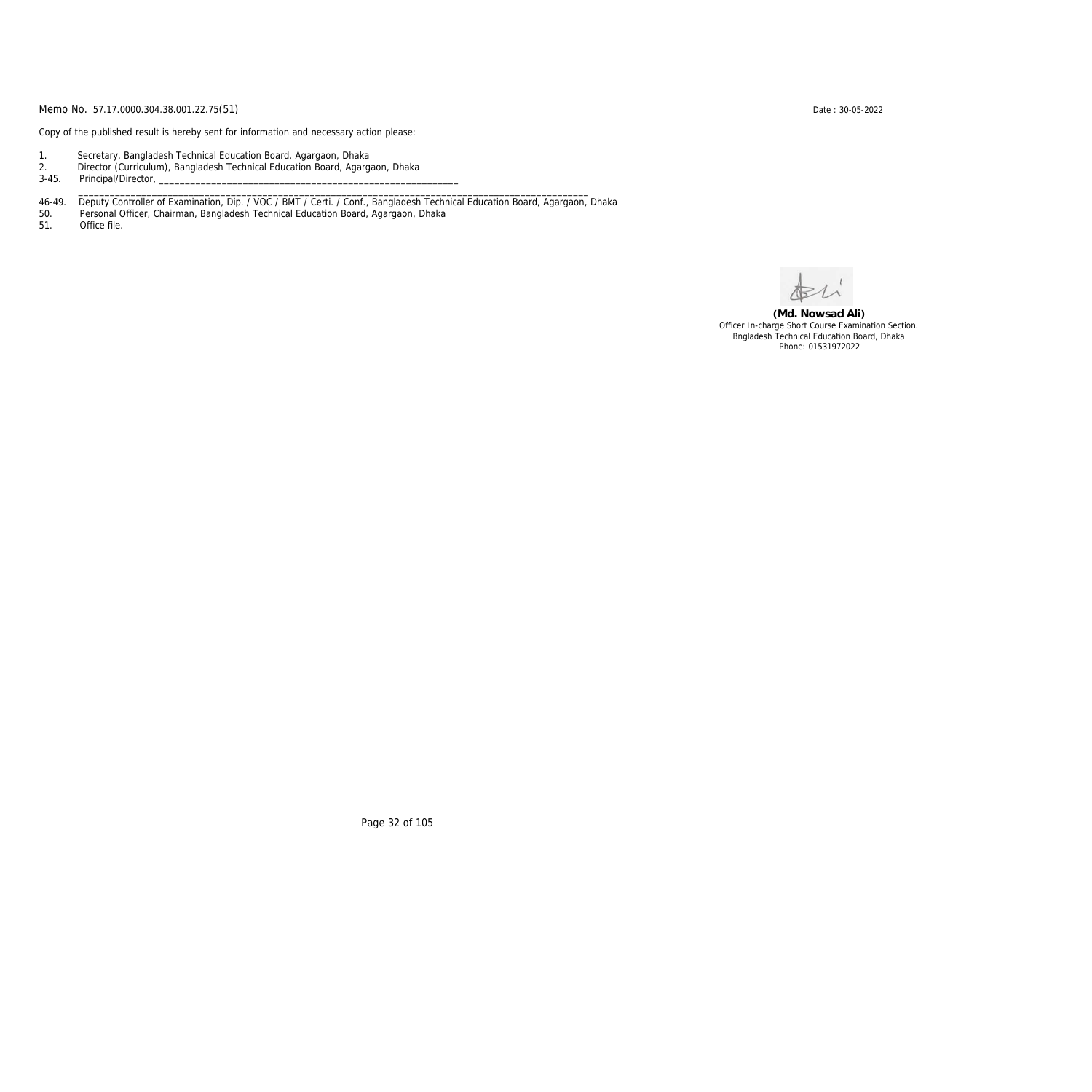Copy of the published result is hereby sent for information and necessary action please:

- 1. Secretary, Bangladesh Technical Education Board, Agargaon, Dhaka
- 2. Director (Curriculum), Bangladesh Technical Education Board, Agargaon, Dhaka

3-45. Principal/Director,

46-49. Deputy Controller of Examination, Dip. / VOC / BMT / Certi. / Conf., Bangladesh Technical Education Board, Agargaon, Dhaka

\_\_\_\_\_\_\_\_\_\_\_\_\_\_\_\_\_\_\_\_\_\_\_\_\_\_\_\_\_\_\_\_\_\_\_\_\_\_\_\_\_\_\_\_\_\_\_\_\_\_\_\_\_\_\_\_\_\_\_\_\_\_\_\_\_\_\_\_\_\_\_\_\_\_\_\_\_\_\_\_\_\_\_\_\_\_\_\_\_\_\_\_\_\_\_\_\_

50. Personal Officer, Chairman, Bangladesh Technical Education Board, Agargaon, Dhaka

Office file.

**(Md. Nowsad Ali)** Officer In-charge Short Course Examination Section. Bngladesh Technical Education Board, Dhaka Phone: 01531972022

Page 32 of 105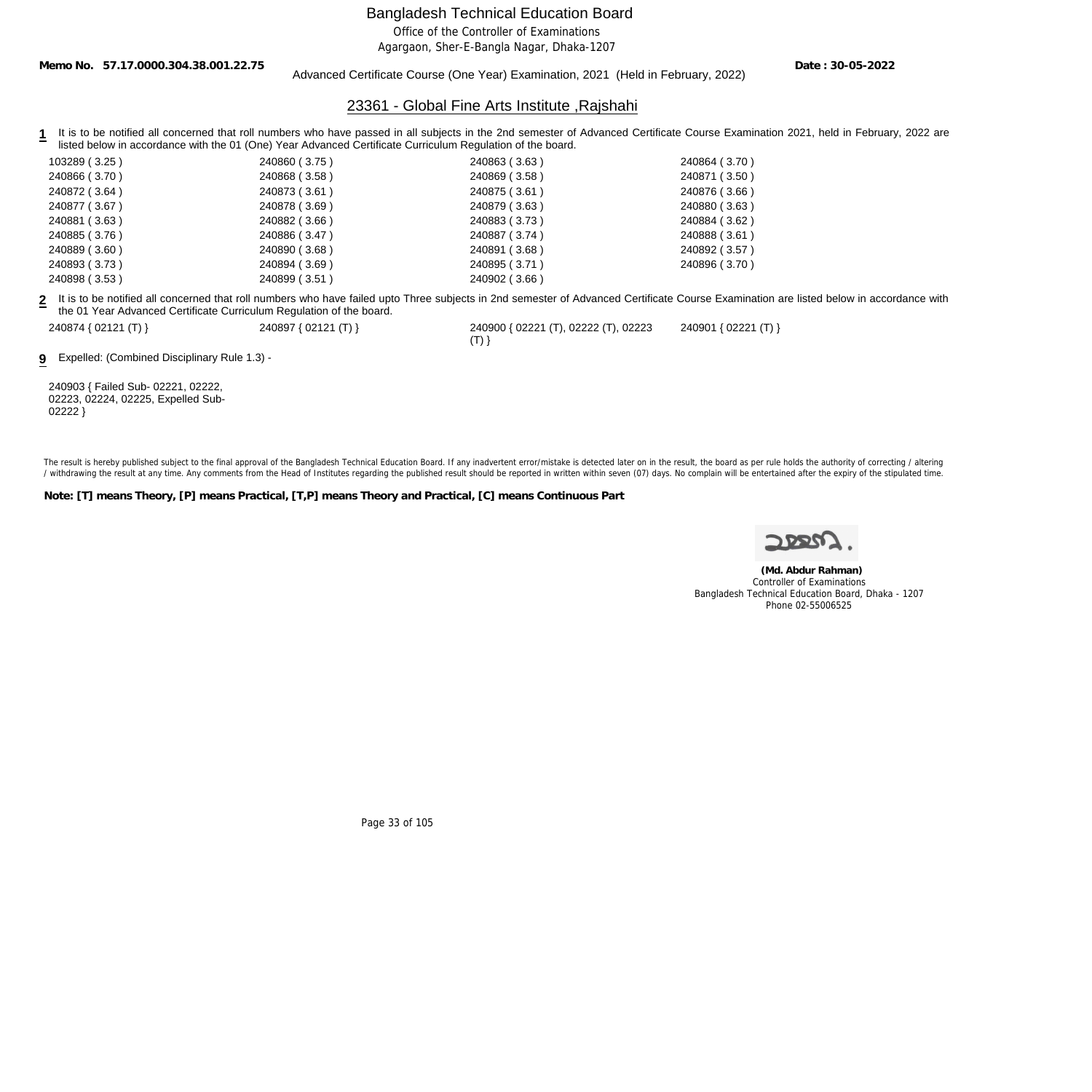Office of the Controller of Examinations

Agargaon, Sher-E-Bangla Nagar, Dhaka-1207

**Memo No. 57.17.0000.304.38.001.22.75**

Advanced Certificate Course (One Year) Examination, 2021 (Held in February, 2022)

**Date : 30-05-2022**

#### 23361 - Global Fine Arts Institute ,Rajshahi

1 It is to be notified all concerned that roll numbers who have passed in all subjects in the 2nd semester of Advanced Certificate Course Examination 2021, held in February, 2022 are listed below in accordance with the 01 (One) Year Advanced Certificate Curriculum Regulation of the board.

| 103289 (3.25) | 240860 (3.75) | 240863 (3.63)                                                                                                                                         | 240864 (3.70) |
|---------------|---------------|-------------------------------------------------------------------------------------------------------------------------------------------------------|---------------|
| 240866 (3.70) | 240868 (3.58) | 240869 (3.58)                                                                                                                                         | 240871 (3.50) |
| 240872 (3.64) | 240873 (3.61) | 240875 (3.61)                                                                                                                                         | 240876 (3.66) |
| 240877 (3.67) | 240878 (3.69) | 240879 (3.63)                                                                                                                                         | 240880 (3.63) |
| 240881 (3.63) | 240882 (3.66) | 240883 (3.73)                                                                                                                                         | 240884 (3.62) |
| 240885 (3.76) | 240886 (3.47) | 240887 (3.74)                                                                                                                                         | 240888 (3.61) |
| 240889 (3.60) | 240890 (3.68) | 240891 (3.68)                                                                                                                                         | 240892 (3.57) |
| 240893 (3.73) | 240894 (3.69) | 240895 (3.71)                                                                                                                                         | 240896 (3.70) |
| 240898 (3.53) | 240899 (3.51) | 240902 (3.66)                                                                                                                                         |               |
|               |               | e it is to be petitied all espectraed that rell numbers who hove foiled unto Three subjects in 2nd comester of Ashigneed Certificate Course Examinati |               |

**2** It is to be notified all concerned that roll numbers who have failed upto Three subjects in 2nd semester of Advanced Certificate Course Examination are listed below in accordance with the 01 Year Advanced Certificate Curriculum Regulation of the board.

 $(T)$ }

240874 { 02121 (T) } 240897 { 02121 (T) } 240900 { 02221 (T), 02222 (T), 02223

**9** Expelled: (Combined Disciplinary Rule 1.3) -

240903 { Failed Sub- 02221, 02222, 02223, 02224, 02225, Expelled Sub-02222 }

The result is hereby published subject to the final approval of the Bangladesh Technical Education Board. If any inadvertent error/mistake is detected later on in the result, the board as per rule holds the authority of co / withdrawing the result at any time. Any comments from the Head of Institutes regarding the published result should be reported in written within seven (07) days. No complain will be entertained after the expiry of the st

**Note: [T] means Theory, [P] means Practical, [T,P] means Theory and Practical, [C] means Continuous Part**

240901 { 02221 (T) }

 **(Md. Abdur Rahman)** Controller of Examinations Bangladesh Technical Education Board, Dhaka - 1207 Phone 02-55006525

Page 33 of 105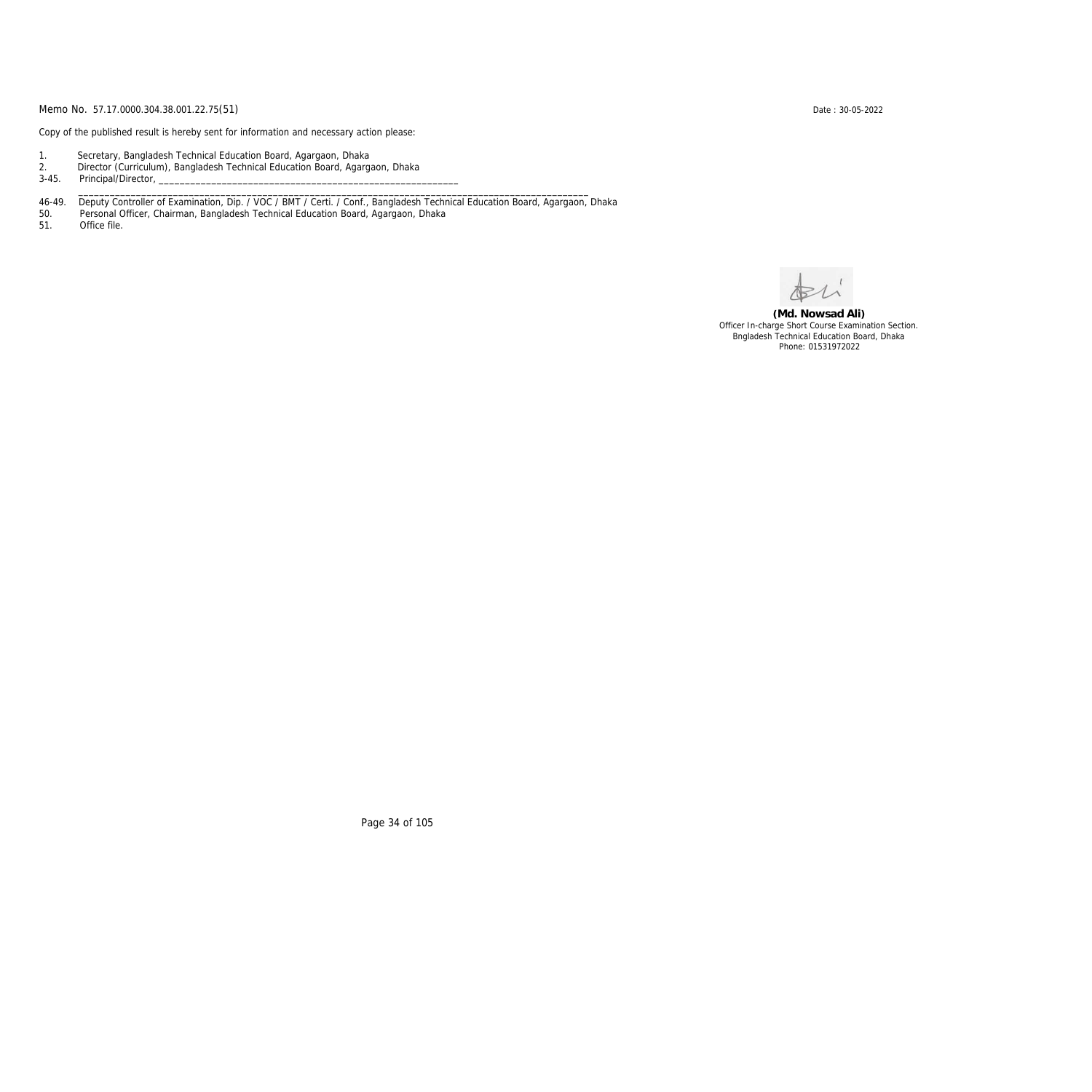Copy of the published result is hereby sent for information and necessary action please:

- 1. Secretary, Bangladesh Technical Education Board, Agargaon, Dhaka
- 2. Director (Curriculum), Bangladesh Technical Education Board, Agargaon, Dhaka

3-45. Principal/Director,

46-49. Deputy Controller of Examination, Dip. / VOC / BMT / Certi. / Conf., Bangladesh Technical Education Board, Agargaon, Dhaka

\_\_\_\_\_\_\_\_\_\_\_\_\_\_\_\_\_\_\_\_\_\_\_\_\_\_\_\_\_\_\_\_\_\_\_\_\_\_\_\_\_\_\_\_\_\_\_\_\_\_\_\_\_\_\_\_\_\_\_\_\_\_\_\_\_\_\_\_\_\_\_\_\_\_\_\_\_\_\_\_\_\_\_\_\_\_\_\_\_\_\_\_\_\_\_\_\_

50. Personal Officer, Chairman, Bangladesh Technical Education Board, Agargaon, Dhaka

Office file.

**(Md. Nowsad Ali)** Officer In-charge Short Course Examination Section. Bngladesh Technical Education Board, Dhaka Phone: 01531972022

Page 34 of 105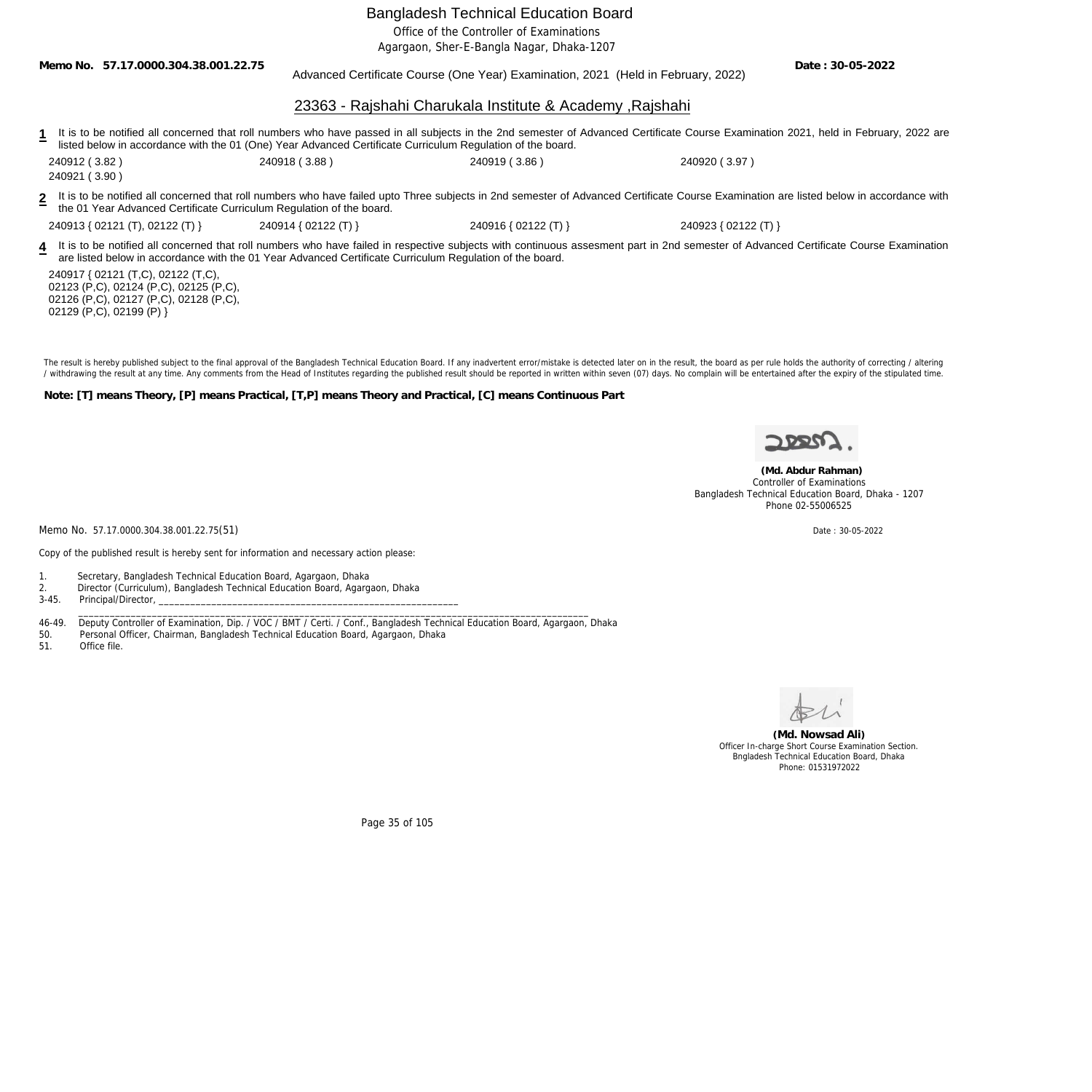Office of the Controller of Examinations

Agargaon, Sher-E-Bangla Nagar, Dhaka-1207

**Memo No. 57.17.0000.304.38.001.22.75**

Advanced Certificate Course (One Year) Examination, 2021 (Held in February, 2022)

23363 - Rajshahi Charukala Institute & Academy ,Rajshahi

1 It is to be notified all concerned that roll numbers who have passed in all subjects in the 2nd semester of Advanced Certificate Course Examination 2021, held in February, 2022 are listed below in accordance with the 01 (One) Year Advanced Certificate Curriculum Regulation of the board.

240912 ( 3.82 ) 240918 ( 3.88 ) 240919 ( 3.86 ) 240920 ( 3.97 )

240921 ( 3.90 )

**2** It is to be notified all concerned that roll numbers who have failed upto Three subjects in 2nd semester of Advanced Certificate Course Examination are listed below in accordance with the 01 Year Advanced Certificate Curriculum Regulation of the board.

240913 { 02121 (T), 02122 (T) } 240914 { 02122 (T) } 240916 { 02122 (T) } 240923 { 02122 (T) }

4 It is to be notified all concerned that roll numbers who have failed in respective subjects with continuous assesment part in 2nd semester of Advanced Certificate Course Examination are listed below in accordance with the 01 Year Advanced Certificate Curriculum Regulation of the board.

240917 { 02121 (T,C), 02122 (T,C), 02123 (P,C), 02124 (P,C), 02125 (P,C), 02126 (P,C), 02127 (P,C), 02128 (P,C), 02129 (P,C), 02199 (P) }

The result is hereby published subject to the final approval of the Bangladesh Technical Education Board. If any inadvertent error/mistake is detected later on in the result, the board as per rule holds the authority of co / withdrawing the result at any time. Any comments from the Head of Institutes regarding the published result should be reported in written within seven (07) days. No complain will be entertained after the expiry of the st

**Note: [T] means Theory, [P] means Practical, [T,P] means Theory and Practical, [C] means Continuous Part**



**Date : 30-05-2022**

 **(Md. Abdur Rahman)** Controller of Examinations Bangladesh Technical Education Board, Dhaka - 1207 Phone 02-55006525

Memo No. 57.17.0000.304.38.001.22.75(51) Date : 30-05-2022

Copy of the published result is hereby sent for information and necessary action please:

- 1. Secretary, Bangladesh Technical Education Board, Agargaon, Dhaka
- 2. Director (Curriculum), Bangladesh Technical Education Board, Agargaon, Dhaka
- 3-45. Principal/Director, \_\_\_\_\_\_\_\_\_\_\_\_\_\_\_\_\_\_\_\_\_\_\_\_\_\_\_\_\_\_\_\_\_\_\_\_\_\_\_\_\_\_\_\_\_\_\_\_\_\_\_\_\_\_\_\_\_\_\_\_\_\_\_\_\_\_\_\_\_\_\_\_\_\_\_\_\_\_\_\_\_\_\_\_\_\_\_\_\_\_\_\_\_\_\_\_\_

46-49. Deputy Controller of Examination, Dip. / VOC / BMT / Certi. / Conf., Bangladesh Technical Education Board, Agargaon, Dhaka

50. Personal Officer, Chairman, Bangladesh Technical Education Board, Agargaon, Dhaka

51. Office file.

**(Md. Nowsad Ali)** Officer In-charge Short Course Examination Section. Bngladesh Technical Education Board, Dhaka Phone: 01531972022

Page 35 of 105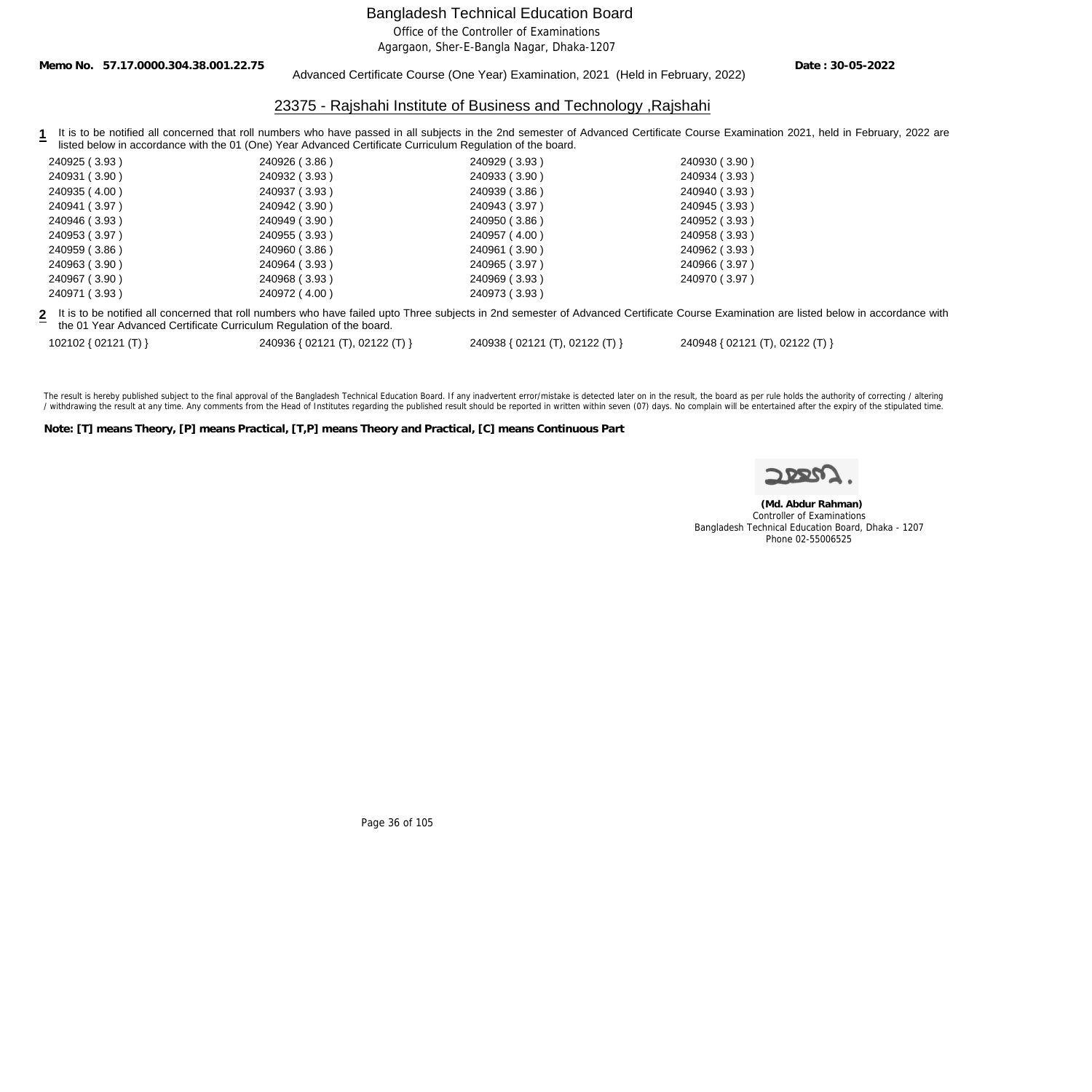Office of the Controller of Examinations

Agargaon, Sher-E-Bangla Nagar, Dhaka-1207

**Memo No. 57.17.0000.304.38.001.22.75**

#### Advanced Certificate Course (One Year) Examination, 2021 (Held in February, 2022)

**Date : 30-05-2022**

#### 23375 - Rajshahi Institute of Business and Technology ,Rajshahi

1 It is to be notified all concerned that roll numbers who have passed in all subjects in the 2nd semester of Advanced Certificate Course Examination 2021, held in February, 2022 are listed below in accordance with the 01 (One) Year Advanced Certificate Curriculum Regulation of the board.

| 240925 (3.93) | 240926 (3.86)                                                                                                                                   | 240929 (3.93) | 240930 (3.90) |
|---------------|-------------------------------------------------------------------------------------------------------------------------------------------------|---------------|---------------|
| 240931 (3.90) | 240932 (3.93)                                                                                                                                   | 240933 (3.90) | 240934 (3.93) |
| 240935 (4.00) | 240937 (3.93)                                                                                                                                   | 240939 (3.86) | 240940 (3.93) |
| 240941 (3.97) | 240942 (3.90)                                                                                                                                   | 240943 (3.97) | 240945 (3.93) |
| 240946 (3.93) | 240949 (3.90)                                                                                                                                   | 240950 (3.86) | 240952 (3.93) |
| 240953 (3.97) | 240955 (3.93)                                                                                                                                   | 240957 (4.00) | 240958 (3.93) |
| 240959 (3.86) | 240960 (3.86)                                                                                                                                   | 240961 (3.90) | 240962 (3.93) |
| 240963 (3.90) | 240964 (3.93)                                                                                                                                   | 240965 (3.97) | 240966 (3.97) |
| 240967 (3.90) | 240968 (3.93)                                                                                                                                   | 240969 (3.93) | 240970 (3.97) |
| 240971 (3.93) | 240972 (4.00)                                                                                                                                   | 240973 (3.93) |               |
|               | a uliki da ka malifiad alianar waddhad wullawanda ka kala kala waa Thusa sukisata in Ondonesata af Advanaad Capifiada Cauna Evanimating ang lis |               |               |

**2** It is to be notified all concerned that roll numbers who have failed upto Three subjects in 2nd semester of Advanced Certificate Course Examination are listed below in accordance with the 01 Year Advanced Certificate Curriculum Regulation of the board.

102102 { 02121 (T) } 240936 { 02121 (T), 02122 (T) } 240938 { 02121 (T), 02122 (T) } 240948 { 02121 (T), 02122 (T) }

The result is hereby published subject to the final approval of the Bangladesh Technical Education Board. If any inadvertent error/mistake is detected later on in the result, the board as per rule holds the authority of co / withdrawing the result at any time. Any comments from the Head of Institutes regarding the published result should be reported in written within seven (07) days. No complain will be entertained after the expiry of the st

**Note: [T] means Theory, [P] means Practical, [T,P] means Theory and Practical, [C] means Continuous Part**

 **(Md. Abdur Rahman)** Controller of Examinations Bangladesh Technical Education Board, Dhaka - 1207 Phone 02-55006525

Page 36 of 105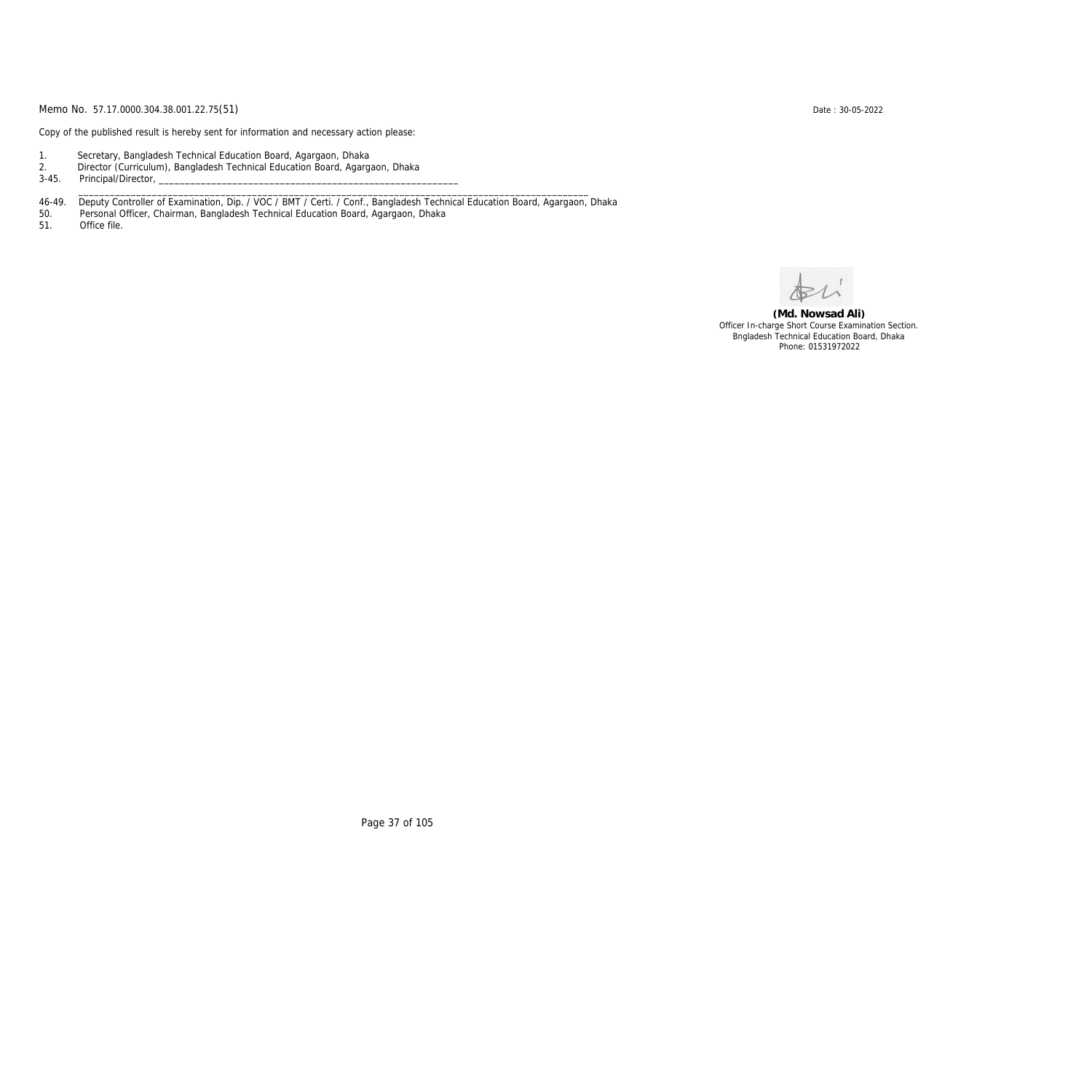Copy of the published result is hereby sent for information and necessary action please:

- 1. Secretary, Bangladesh Technical Education Board, Agargaon, Dhaka
- 2. Director (Curriculum), Bangladesh Technical Education Board, Agargaon, Dhaka

3-45. Principal/Director,

46-49. Deputy Controller of Examination, Dip. / VOC / BMT / Certi. / Conf., Bangladesh Technical Education Board, Agargaon, Dhaka

\_\_\_\_\_\_\_\_\_\_\_\_\_\_\_\_\_\_\_\_\_\_\_\_\_\_\_\_\_\_\_\_\_\_\_\_\_\_\_\_\_\_\_\_\_\_\_\_\_\_\_\_\_\_\_\_\_\_\_\_\_\_\_\_\_\_\_\_\_\_\_\_\_\_\_\_\_\_\_\_\_\_\_\_\_\_\_\_\_\_\_\_\_\_\_\_\_

50. Personal Officer, Chairman, Bangladesh Technical Education Board, Agargaon, Dhaka

Office file.

**(Md. Nowsad Ali)** Officer In-charge Short Course Examination Section. Bngladesh Technical Education Board, Dhaka Phone: 01531972022

Page 37 of 105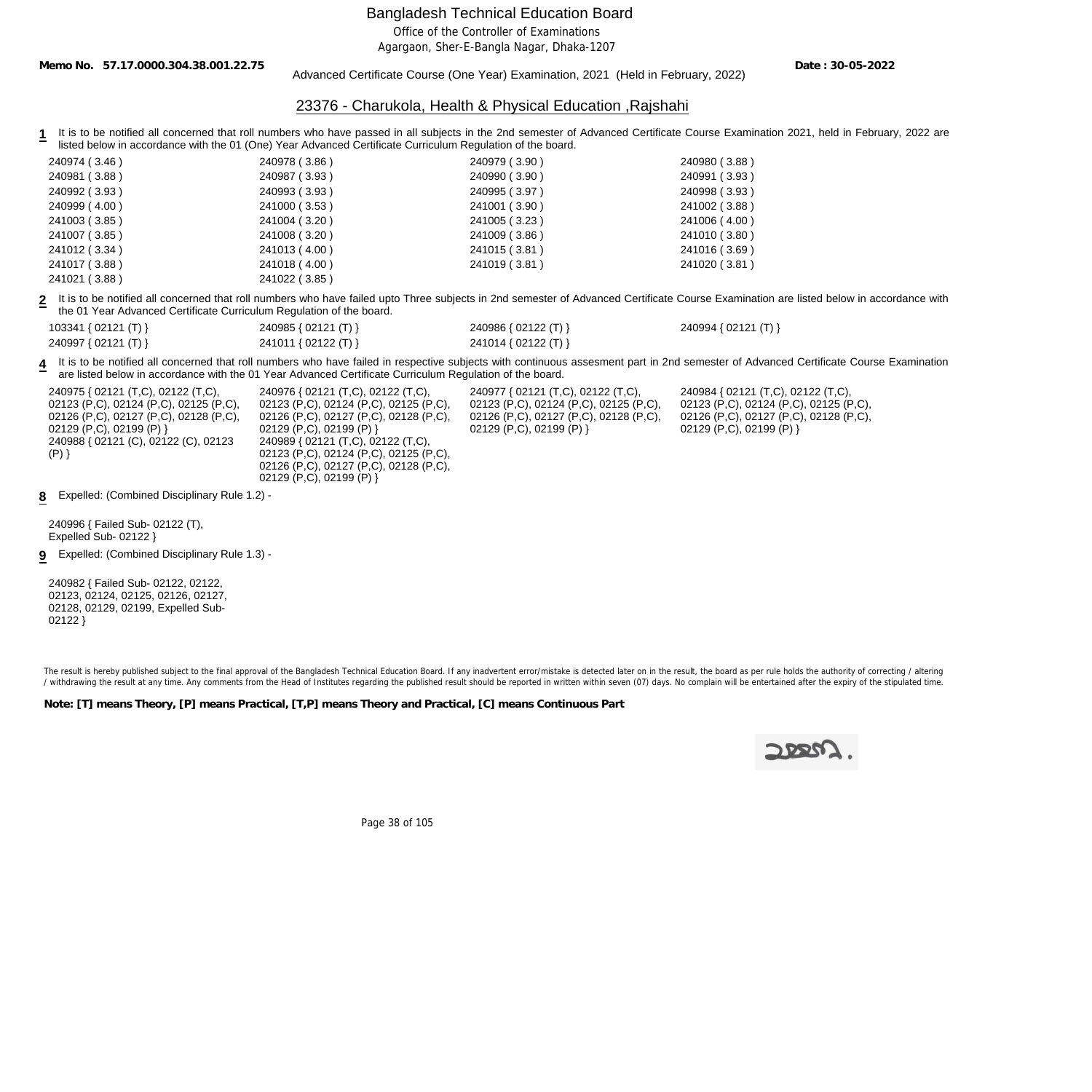Office of the Controller of Examinations

Agargaon, Sher-E-Bangla Nagar, Dhaka-1207

**Memo No. 57.17.0000.304.38.001.22.75**

Advanced Certificate Course (One Year) Examination, 2021 (Held in February, 2022)

**Date : 30-05-2022**

### 23376 - Charukola, Health & Physical Education ,Rajshahi

1 It is to be notified all concerned that roll numbers who have passed in all subjects in the 2nd semester of Advanced Certificate Course Examination 2021, held in February, 2022 are listed below in accordance with the 01 (One) Year Advanced Certificate Curriculum Regulation of the board.

| 240974 (3.46) | 240978 (3.86) | 240979 (3.90) | 240980 (3.88) |
|---------------|---------------|---------------|---------------|
| 240981 (3.88) | 240987 (3.93) | 240990 (3.90) | 240991 (3.93) |
| 240992 (3.93) | 240993 (3.93) | 240995 (3.97) | 240998 (3.93) |
| 240999(4.00)  | 241000 (3.53) | 241001 (3.90) | 241002 (3.88) |
| 241003 (3.85) | 241004 (3.20) | 241005 (3.23) | 241006 (4.00) |
| 241007 (3.85) | 241008 (3.20) | 241009 (3.86) | 241010 (3.80) |
| 241012 (3.34) | 241013 (4.00) | 241015 (3.81) | 241016 (3.69) |
| 241017 (3.88) | 241018 (4.00) | 241019 (3.81) | 241020 (3.81) |
| 241021(3.88)  | 241022 (3.85) |               |               |

**2** It is to be notified all concerned that roll numbers who have failed upto Three subjects in 2nd semester of Advanced Certificate Course Examination are listed below in accordance with the 01 Year Advanced Certificate Curriculum Regulation of the board.

| 103341 { 02121 (T) } | 240985 { 02121 (T) } | 240986 { 02122 (T) } | 240994 { 02121 (T) } |
|----------------------|----------------------|----------------------|----------------------|
| 240997 { 02121 (T) } | 241011 { 02122 (T) } | 241014 { 02122 (T) } |                      |

**4** It is to be notified all concerned that roll numbers who have failed in respective subjects with continuous assesment part in 2nd semester of Advanced Certificate Course Examination are listed below in accordance with the 01 Year Advanced Certificate Curriculum Regulation of the board.

| 240975 { 02121 (T,C), 02122 (T,C),                | 240976 { 02121 (T,C), 02122 (T,C),     | 240977 { 02121 (T,C), 02122 (T,C),     | 240984 { 02121 (T,C), 02122 (T,C),     |  |
|---------------------------------------------------|----------------------------------------|----------------------------------------|----------------------------------------|--|
| 02123 (P,C), 02124 (P,C), 02125 (P,C),            | 02123 (P,C), 02124 (P,C), 02125 (P,C), | 02123 (P,C), 02124 (P,C), 02125 (P,C), | 02123 (P,C), 02124 (P,C), 02125 (P,C), |  |
| 02126 (P,C), 02127 (P,C), 02128 (P,C),            | 02126 (P,C), 02127 (P,C), 02128 (P,C), | 02126 (P,C), 02127 (P,C), 02128 (P,C), | 02126 (P,C), 02127 (P,C), 02128 (P,C), |  |
| $02129$ (P,C), 02199 (P) }                        | 02129 (P,C), 02199 (P) }               | $02129$ (P,C), 02199 (P) }             | 02129 (P,C), 02199 (P) }               |  |
| 240988 { 02121 (C), 02122 (C), 02123              | 240989 { 02121 (T,C), 02122 (T,C),     |                                        |                                        |  |
| $(P)$ }                                           | 02123 (P,C), 02124 (P,C), 02125 (P,C), |                                        |                                        |  |
|                                                   | 02126 (P,C), 02127 (P,C), 02128 (P,C), |                                        |                                        |  |
|                                                   | 02129 (P,C), 02199 (P) }               |                                        |                                        |  |
| 8 Expelled: (Combined Disciplinary Rule 1.2) -    |                                        |                                        |                                        |  |
| 240996 { Failed Sub- 02122 (T),                   |                                        |                                        |                                        |  |
| Expelled Sub- $02122$                             |                                        |                                        |                                        |  |
|                                                   |                                        |                                        |                                        |  |
| Expelled: (Combined Disciplinary Rule 1.3) -<br>9 |                                        |                                        |                                        |  |

240982 { Failed Sub- 02122, 02122, 02123, 02124, 02125, 02126, 02127, 02128, 02129, 02199, Expelled Sub-02122 }

The result is hereby published subject to the final approval of the Bangladesh Technical Education Board. If any inadvertent error/mistake is detected later on in the result, the board as per rule holds the authority of co / withdrawing the result at any time. Any comments from the Head of Institutes regarding the published result should be reported in written within seven (07) days. No complain will be entertained after the expiry of the st

**Note: [T] means Theory, [P] means Practical, [T,P] means Theory and Practical, [C] means Continuous Part**



Page 38 of 105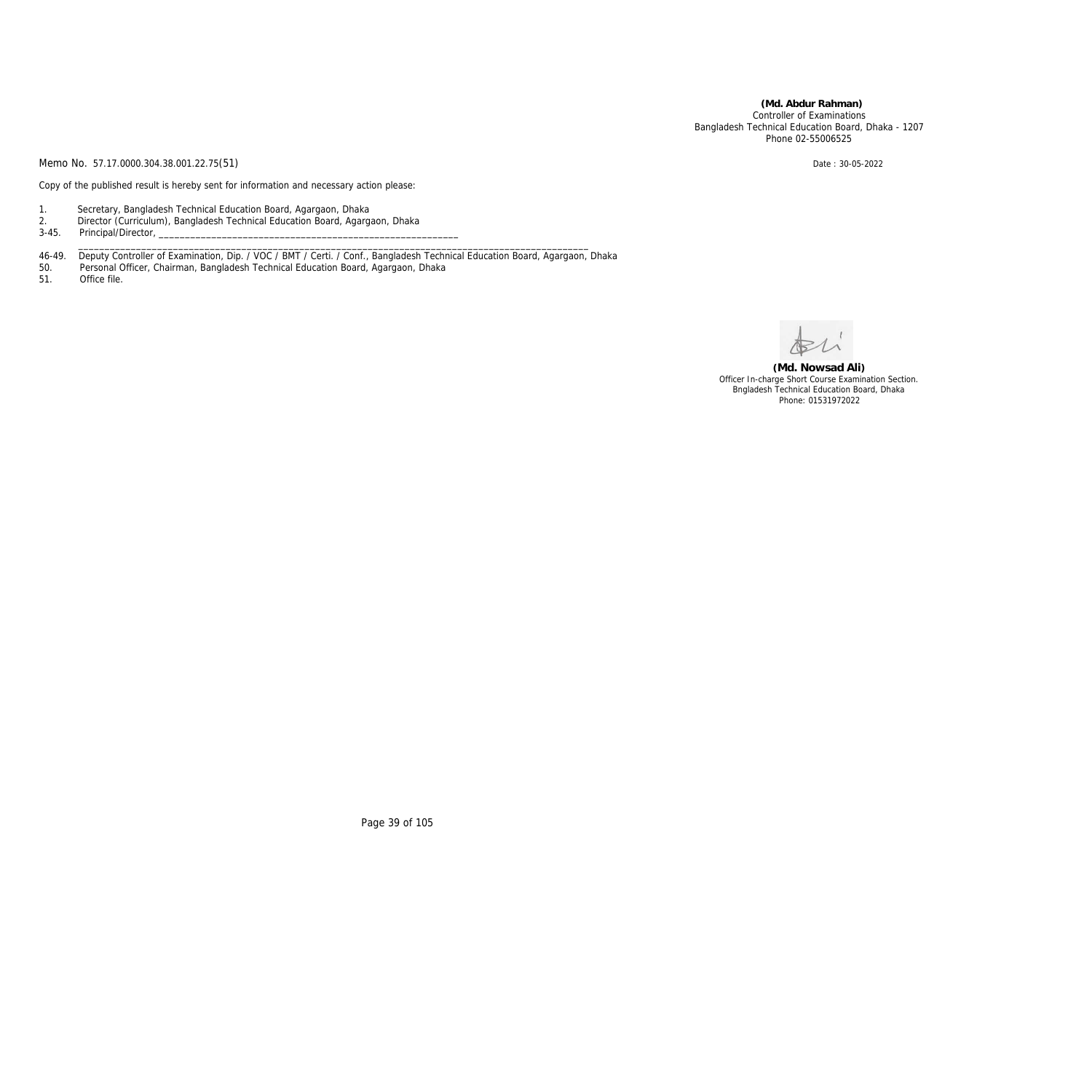**(Md. Abdur Rahman)** Controller of Examinations Bangladesh Technical Education Board, Dhaka - 1207 Phone 02-55006525

Memo No. 57.17.0000.304.38.001.22.75(51) Date: 30-05-2022

Copy of the published result is hereby sent for information and necessary action please:

- 1. Secretary, Bangladesh Technical Education Board, Agargaon, Dhaka
- 2. Director (Curriculum), Bangladesh Technical Education Board, Agargaon, Dhaka
- 3-45. Principal/Director, \_\_\_\_\_\_\_\_\_\_\_\_\_\_\_\_\_\_\_\_\_\_\_\_\_\_\_\_\_\_\_\_\_\_\_\_\_\_\_\_\_\_\_\_\_\_\_\_\_\_\_\_\_\_\_\_\_\_\_\_\_\_\_\_\_\_\_\_\_\_\_\_\_\_\_\_\_\_\_\_\_\_\_\_\_\_\_\_\_\_\_\_\_\_\_\_\_

46-49. Deputy Controller of Examination, Dip. / VOC / BMT / Certi. / Conf., Bangladesh Technical Education Board, Agargaon, Dhaka

- 50. Personal Officer, Chairman, Bangladesh Technical Education Board, Agargaon, Dhaka
- 51. Office file.

**(Md. Nowsad Ali)** Officer In-charge Short Course Examination Section. Bngladesh Technical Education Board, Dhaka Phone: 01531972022

Page 39 of 105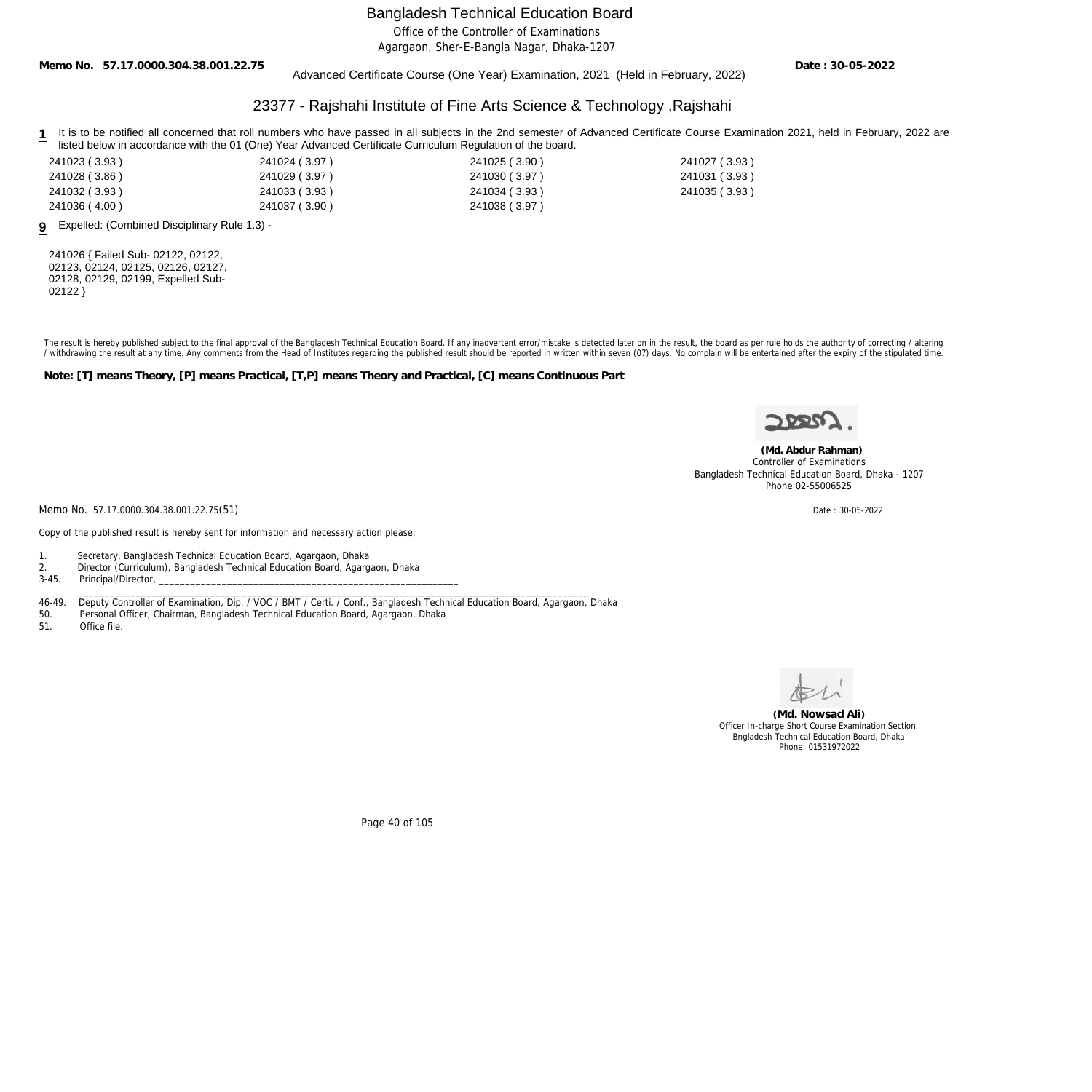Office of the Controller of Examinations

Agargaon, Sher-E-Bangla Nagar, Dhaka-1207

**Memo No. 57.17.0000.304.38.001.22.75**

### Advanced Certificate Course (One Year) Examination, 2021 (Held in February, 2022)

**Date : 30-05-2022**

### 23377 - Rajshahi Institute of Fine Arts Science & Technology ,Rajshahi

- 1 It is to be notified all concerned that roll numbers who have passed in all subjects in the 2nd semester of Advanced Certificate Course Examination 2021, held in February, 2022 are listed below in accordance with the 01 (One) Year Advanced Certificate Curriculum Regulation of the board.
- 241023 ( 3.93 ) 241024 ( 3.97 ) 241025 ( 3.90 ) 241027 ( 3.93 ) 241028 ( 3.86 ) 241029 ( 3.97 ) 241030 ( 3.97 ) 241031 ( 3.93 ) 241032 ( 3.93 ) 241033 ( 3.93 ) 241034 ( 3.93 ) 241035 ( 3.93 ) 241036 ( 4.00 ) 241037 ( 3.90 ) 241038 ( 3.97 )
	-
- 

**9** Expelled: (Combined Disciplinary Rule 1.3) -

241026 { Failed Sub- 02122, 02122, 02123, 02124, 02125, 02126, 02127, 02128, 02129, 02199, Expelled Sub-02122 }

The result is hereby published subject to the final approval of the Bangladesh Technical Education Board. If any inadvertent error/mistake is detected later on in the result, the board as per rule holds the authority of co / withdrawing the result at any time. Any comments from the Head of Institutes regarding the published result should be reported in written within seven (07) days. No complain will be entertained after the expiry of the st

**Note: [T] means Theory, [P] means Practical, [T,P] means Theory and Practical, [C] means Continuous Part**



 **(Md. Abdur Rahman)** Controller of Examinations Bangladesh Technical Education Board, Dhaka - 1207

Memo No. 57.17.0000.304.38.001.22.75(51) Date : 30-05-2022

Copy of the published result is hereby sent for information and necessary action please:

- 1. Secretary, Bangladesh Technical Education Board, Agargaon, Dhaka
- 2. Director (Curriculum), Bangladesh Technical Education Board, Agargaon, Dhaka
- 3-45. Principal/Director,

46-49. Deputy Controller of Examination, Dip. / VOC / BMT / Certi. / Conf., Bangladesh Technical Education Board, Agargaon, Dhaka

\_\_\_\_\_\_\_\_\_\_\_\_\_\_\_\_\_\_\_\_\_\_\_\_\_\_\_\_\_\_\_\_\_\_\_\_\_\_\_\_\_\_\_\_\_\_\_\_\_\_\_\_\_\_\_\_\_\_\_\_\_\_\_\_\_\_\_\_\_\_\_\_\_\_\_\_\_\_\_\_\_\_\_\_\_\_\_\_\_\_\_\_\_\_\_\_\_

- 50. Personal Officer, Chairman, Bangladesh Technical Education Board, Agargaon, Dhaka
- Office file.



**(Md. Nowsad Ali)** Officer In-charge Short Course Examination Section. Bngladesh Technical Education Board, Dhaka Phone: 01531972022

Page 40 of 105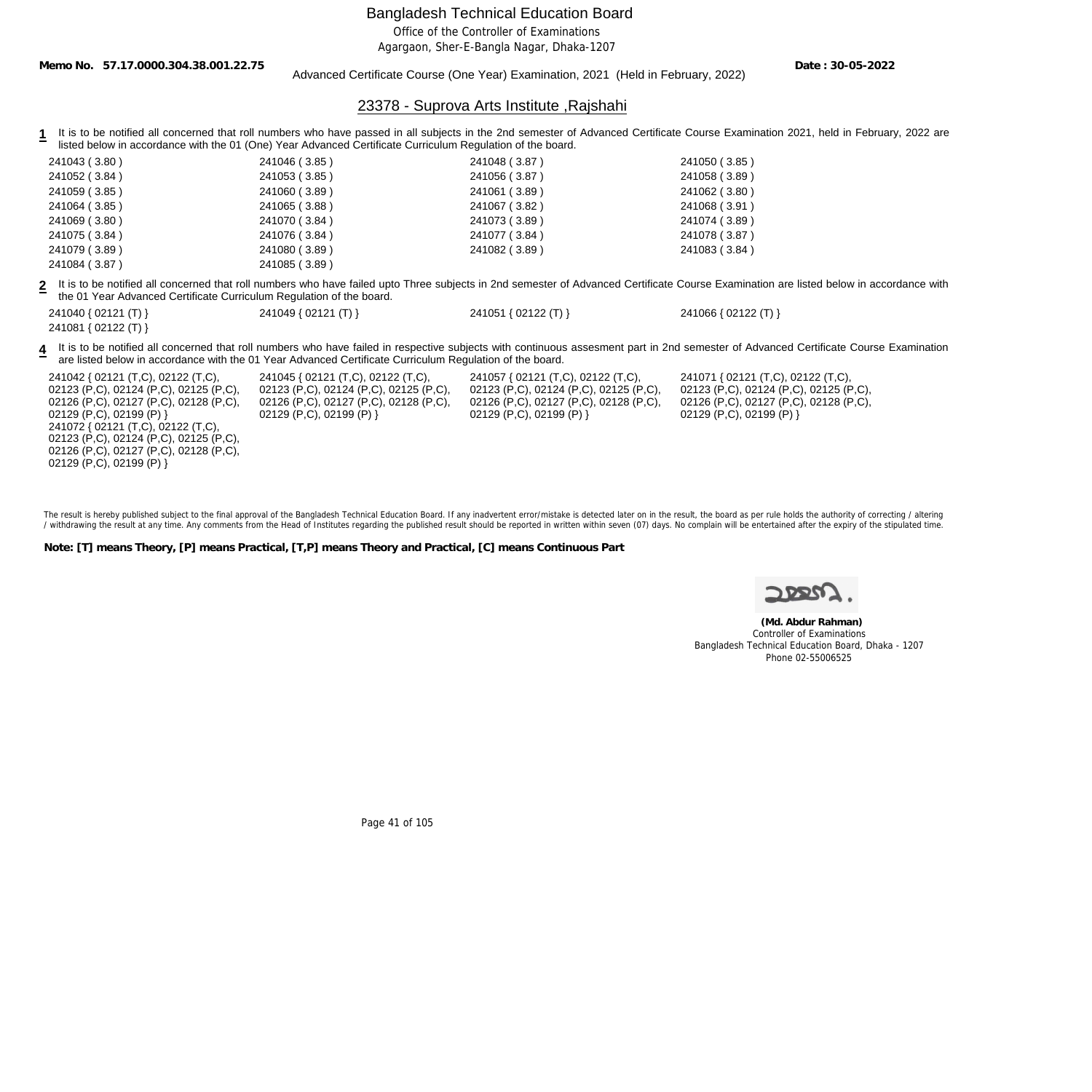Office of the Controller of Examinations

Agargaon, Sher-E-Bangla Nagar, Dhaka-1207

**Memo No. 57.17.0000.304.38.001.22.75**

Advanced Certificate Course (One Year) Examination, 2021 (Held in February, 2022)

**Date : 30-05-2022**

### 23378 - Suprova Arts Institute ,Rajshahi

**1** It is to be notified all concerned that roll numbers who have passed in all subjects in the 2nd semester of Advanced Certificate Course Examination 2021, held in February, 2022 are listed below in accordance with the 01 (One) Year Advanced Certificate Curriculum Regulation of the board.

| 241043 (3.80) | 241046 (3.85) | 241048 (3.87) | 241050 (3.85) |
|---------------|---------------|---------------|---------------|
| 241052 (3.84) | 241053 (3.85) | 241056 (3.87) | 241058 (3.89) |
| 241059 (3.85) | 241060 (3.89) | 241061 (3.89) | 241062 (3.80) |
| 241064 (3.85) | 241065 (3.88) | 241067 (3.82) | 241068 (3.91) |
| 241069 (3.80) | 241070 (3.84) | 241073 (3.89) | 241074 (3.89) |
| 241075 (3.84) | 241076 (3.84) | 241077 (3.84) | 241078 (3.87) |
| 241079 (3.89) | 241080 (3.89) | 241082 (3.89) | 241083 (3.84) |
| 241084 (3.87) | 241085 (3.89) |               |               |

**2** It is to be notified all concerned that roll numbers who have failed upto Three subjects in 2nd semester of Advanced Certificate Course Examination are listed below in accordance with the 01 Year Advanced Certificate Curriculum Regulation of the board.

| 241040 { 02121 (T) } | 241049 { 02121 (T) } | 241051 { 02122 (T) } | 241066 { 02122 (T) } |
|----------------------|----------------------|----------------------|----------------------|
| 241081 { 02122 (T) } |                      |                      |                      |

4 It is to be notified all concerned that roll numbers who have failed in respective subjects with continuous assesment part in 2nd semester of Advanced Certificate Course Examination are listed below in accordance with the 01 Year Advanced Certificate Curriculum Regulation of the board.

241042 { 02121 (T,C), 02122 (T,C), 02123 (P,C), 02124 (P,C), 02125 (P,C), 02126 (P,C), 02127 (P,C), 02128 (P,C), 02129 (P,C), 02199 (P) } 241072 { 02121 (T,C), 02122 (T,C), 02123 (P,C), 02124 (P,C), 02125 (P,C), 02126 (P,C), 02127 (P,C), 02128 (P,C), 02129 (P,C), 02199 (P) }

241045 { 02121 (T,C), 02122 (T,C), 02123 (P,C), 02124 (P,C), 02125 (P,C), 02126 (P,C), 02127 (P,C), 02128 (P,C), 02129 (P,C), 02199 (P) }

241057 { 02121 (T,C), 02122 (T,C), 02123 (P,C), 02124 (P,C), 02125 (P,C), 02126 (P,C), 02127 (P,C), 02128 (P,C), 02129 (P,C), 02199 (P) }

241071 { 02121 (T,C), 02122 (T,C), 02123 (P,C), 02124 (P,C), 02125 (P,C), 02126 (P,C), 02127 (P,C), 02128 (P,C), 02129 (P,C), 02199 (P) }

The result is hereby published subject to the final approval of the Bangladesh Technical Education Board. If any inadvertent error/mistake is detected later on in the result, the board as per rule holds the authority of co / withdrawing the result at any time. Any comments from the Head of Institutes regarding the published result should be reported in written within seven (07) days. No complain will be entertained after the expiry of the st

**Note: [T] means Theory, [P] means Practical, [T,P] means Theory and Practical, [C] means Continuous Part**



 **(Md. Abdur Rahman)** Controller of Examinations Bangladesh Technical Education Board, Dhaka - 1207 Phone 02-55006525

Page 41 of 105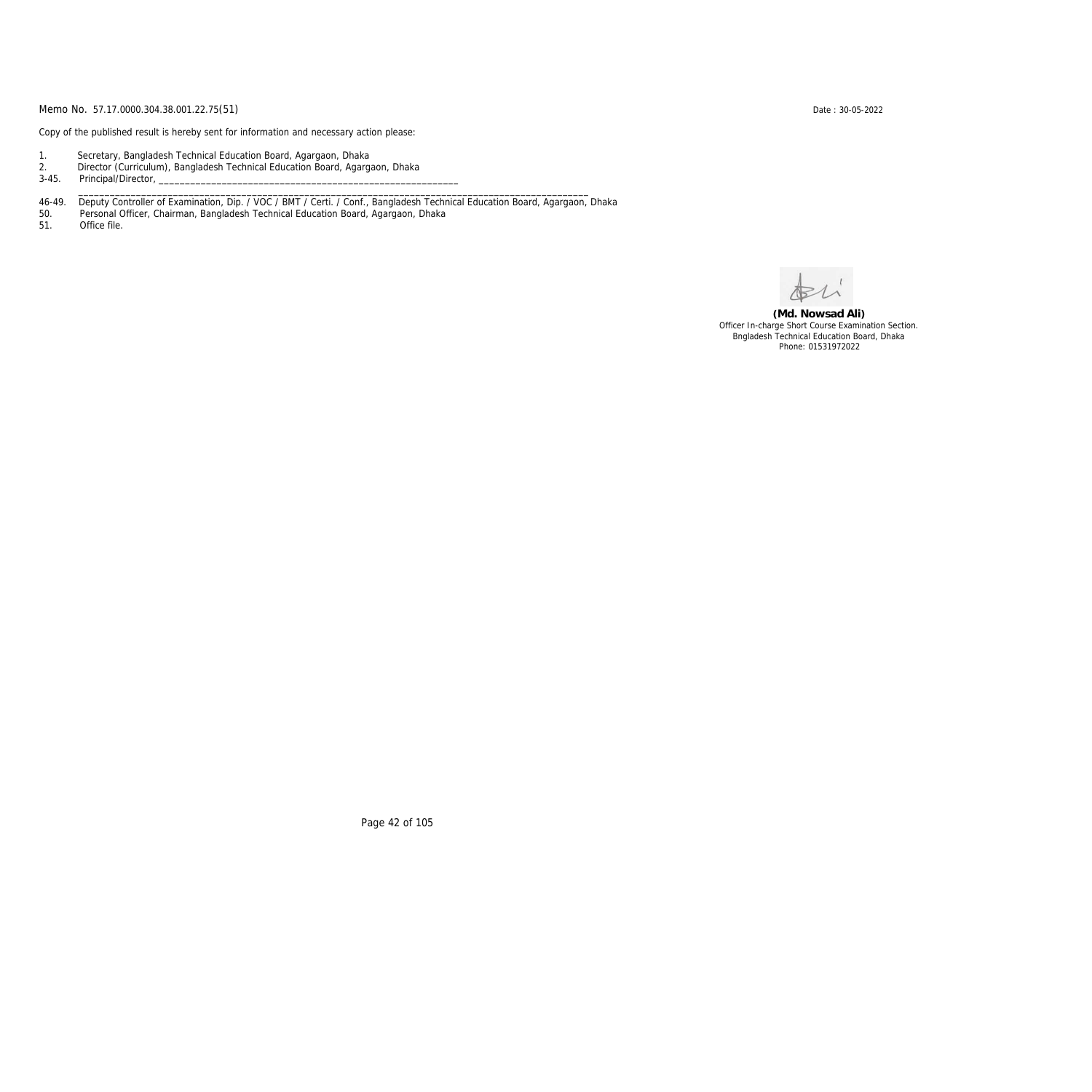Copy of the published result is hereby sent for information and necessary action please:

- 1. Secretary, Bangladesh Technical Education Board, Agargaon, Dhaka
- 2. Director (Curriculum), Bangladesh Technical Education Board, Agargaon, Dhaka

3-45. Principal/Director,

46-49. Deputy Controller of Examination, Dip. / VOC / BMT / Certi. / Conf., Bangladesh Technical Education Board, Agargaon, Dhaka

\_\_\_\_\_\_\_\_\_\_\_\_\_\_\_\_\_\_\_\_\_\_\_\_\_\_\_\_\_\_\_\_\_\_\_\_\_\_\_\_\_\_\_\_\_\_\_\_\_\_\_\_\_\_\_\_\_\_\_\_\_\_\_\_\_\_\_\_\_\_\_\_\_\_\_\_\_\_\_\_\_\_\_\_\_\_\_\_\_\_\_\_\_\_\_\_\_

50. Personal Officer, Chairman, Bangladesh Technical Education Board, Agargaon, Dhaka

Office file.

**(Md. Nowsad Ali)** Officer In-charge Short Course Examination Section. Bngladesh Technical Education Board, Dhaka Phone: 01531972022

Page 42 of 105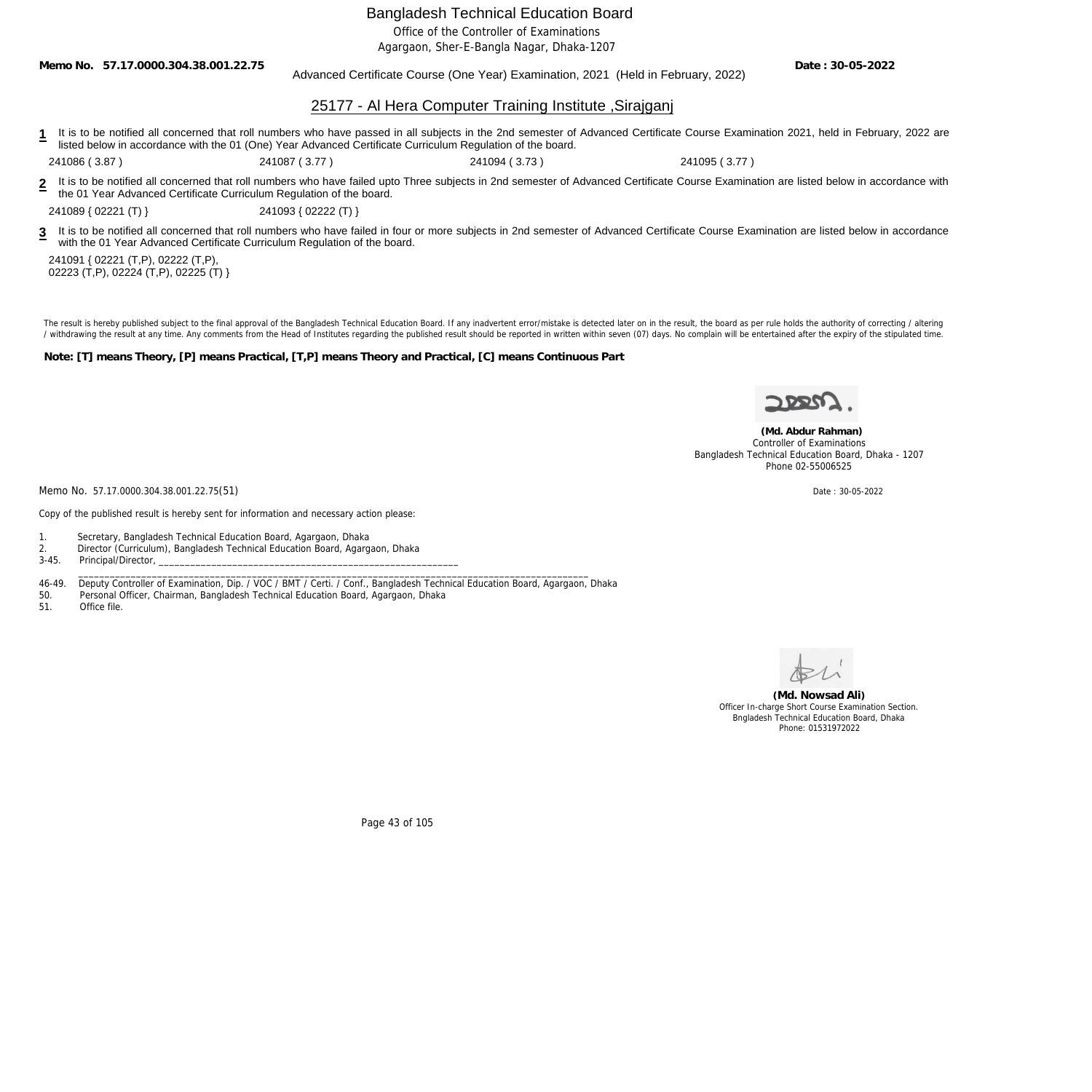Office of the Controller of Examinations

Agargaon, Sher-E-Bangla Nagar, Dhaka-1207

**Memo No. 57.17.0000.304.38.001.22.75**

Advanced Certificate Course (One Year) Examination, 2021 (Held in February, 2022)

**Date : 30-05-2022**

### 25177 - Al Hera Computer Training Institute ,Sirajganj

**1** It is to be notified all concerned that roll numbers who have passed in all subjects in the 2nd semester of Advanced Certificate Course Examination 2021, held in February, 2022 are listed below in accordance with the 01 (One) Year Advanced Certificate Curriculum Regulation of the board.

241086 ( 3.87 ) 241087 ( 3.77 ) 241094 ( 3.73 ) 241095 ( 3.77 )

**2** It is to be notified all concerned that roll numbers who have failed upto Three subjects in 2nd semester of Advanced Certificate Course Examination are listed below in accordance with the 01 Year Advanced Certificate Curriculum Regulation of the board.

241089 { 02221 (T) } 241093 { 02222 (T) }

**3** It is to be notified all concerned that roll numbers who have failed in four or more subjects in 2nd semester of Advanced Certificate Course Examination are listed below in accordance with the 01 Year Advanced Certificate Curriculum Regulation of the board.

241091 { 02221 (T,P), 02222 (T,P), 02223 (T,P), 02224 (T,P), 02225 (T) }

The result is hereby published subject to the final approval of the Bangladesh Technical Education Board. If any inadvertent error/mistake is detected later on in the result, the board as per rule holds the authority of co / withdrawing the result at any time. Any comments from the Head of Institutes regarding the published result should be reported in written within seven (07) days. No complain will be entertained after the expiry of the st

**Note: [T] means Theory, [P] means Practical, [T,P] means Theory and Practical, [C] means Continuous Part**

Memo No. 57.17.0000.304.38.001.22.75(51) Date : 30-05-2022

 **(Md. Abdur Rahman)** Controller of Examinations Bangladesh Technical Education Board, Dhaka - 1207 Phone 02-55006525

Copy of the published result is hereby sent for information and necessary action please:

- 1. Secretary, Bangladesh Technical Education Board, Agargaon, Dhaka 2. Director (Curriculum), Bangladesh Technical Education Board, Agargaon, Dhaka
- Principal/Director,

 $\_$  ,  $\_$  ,  $\_$  ,  $\_$  ,  $\_$  ,  $\_$  ,  $\_$  ,  $\_$  ,  $\_$  ,  $\_$  ,  $\_$  ,  $\_$  ,  $\_$  ,  $\_$  ,  $\_$  ,  $\_$  ,  $\_$  ,  $\_$  ,  $\_$  ,  $\_$  ,  $\_$  ,  $\_$  ,  $\_$  ,  $\_$  ,  $\_$  ,  $\_$  ,  $\_$  ,  $\_$  ,  $\_$  ,  $\_$  ,  $\_$  ,  $\_$  ,  $\_$  ,  $\_$  ,  $\_$  ,  $\_$  ,  $\_$  , 46-49. Deputy Controller of Examination, Dip. / VOC / BMT / Certi. / Conf., Bangladesh Technical Education Board, Agargaon, Dhaka

50. Personal Officer, Chairman, Bangladesh Technical Education Board, Agargaon, Dhaka

51. Office file.

**(Md. Nowsad Ali)** Officer In-charge Short Course Examination Section. Bngladesh Technical Education Board, Dhaka Phone: 01531972022

Page 43 of 105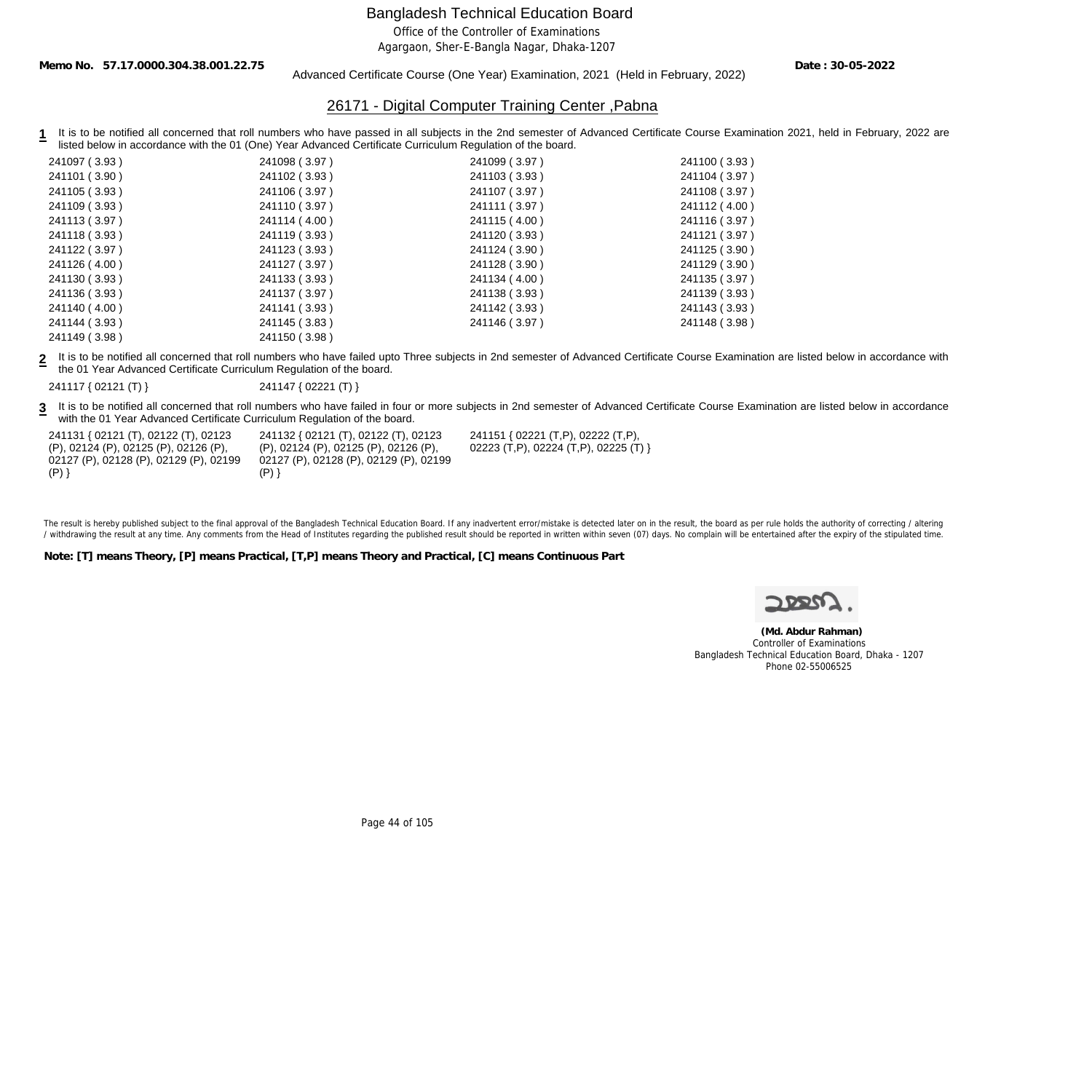Office of the Controller of Examinations

Agargaon, Sher-E-Bangla Nagar, Dhaka-1207

**Memo No. 57.17.0000.304.38.001.22.75**

Advanced Certificate Course (One Year) Examination, 2021 (Held in February, 2022)

**Date : 30-05-2022**

## 26171 - Digital Computer Training Center ,Pabna

**1** It is to be notified all concerned that roll numbers who have passed in all subjects in the 2nd semester of Advanced Certificate Course Examination 2021, held in February, 2022 are listed below in accordance with the 01 (One) Year Advanced Certificate Curriculum Regulation of the board.

| 241097 (3.93) | 241098 (3.97) | 241099 (3.97) | 241100 (3.93) |
|---------------|---------------|---------------|---------------|
| 241101 (3.90) | 241102 (3.93) | 241103 (3.93) | 241104 (3.97) |
| 241105 (3.93) | 241106 (3.97) | 241107 (3.97) | 241108 (3.97) |
| 241109 (3.93) | 241110 (3.97) | 241111 (3.97) | 241112 (4.00) |
| 241113 (3.97) | 241114 (4.00) | 241115 (4.00) | 241116 (3.97) |
| 241118 (3.93) | 241119 (3.93) | 241120 (3.93) | 241121 (3.97) |
| 241122 (3.97) | 241123 (3.93) | 241124 (3.90) | 241125 (3.90) |
| 241126 (4.00) | 241127 (3.97) | 241128 (3.90) | 241129 (3.90) |
| 241130 (3.93) | 241133 (3.93) | 241134 (4.00) | 241135 (3.97) |
| 241136 (3.93) | 241137 (3.97) | 241138 (3.93) | 241139 (3.93) |
| 241140 (4.00) | 241141 (3.93) | 241142 (3.93) | 241143 (3.93) |
| 241144 (3.93) | 241145 (3.83) | 241146 (3.97) | 241148 (3.98) |
| 241149 (3.98) | 241150 (3.98) |               |               |
|               |               |               |               |

**2** It is to be notified all concerned that roll numbers who have failed upto Three subjects in 2nd semester of Advanced Certificate Course Examination are listed below in accordance with the 01 Year Advanced Certificate Curriculum Regulation of the board.

241117 { 02121 (T) } 241147 { 02221 (T) }

**3** It is to be notified all concerned that roll numbers who have failed in four or more subjects in 2nd semester of Advanced Certificate Course Examination are listed below in accordance with the 01 Year Advanced Certificate Curriculum Regulation of the board.

241131 { 02121 (T), 02122 (T), 02123 (P), 02124 (P), 02125 (P), 02126 (P), 02127 (P), 02128 (P), 02129 (P), 02199  $(P)$ }

241132 { 02121 (T), 02122 (T), 02123 (P), 02124 (P), 02125 (P), 02126 (P), 02127 (P), 02128 (P), 02129 (P), 02199  $(P)$ }

241151 { 02221 (T,P), 02222 (T,P), 02223 (T,P), 02224 (T,P), 02225 (T) }

The result is hereby published subject to the final approval of the Bangladesh Technical Education Board. If any inadvertent error/mistake is detected later on in the result, the board as per rule holds the authority of co / withdrawing the result at any time. Any comments from the Head of Institutes regarding the published result should be reported in written within seven (07) days. No complain will be entertained after the expiry of the st

**Note: [T] means Theory, [P] means Practical, [T,P] means Theory and Practical, [C] means Continuous Part**



 **(Md. Abdur Rahman)** Controller of Examinations Bangladesh Technical Education Board, Dhaka - 1207 Phone 02-55006525

Page 44 of 105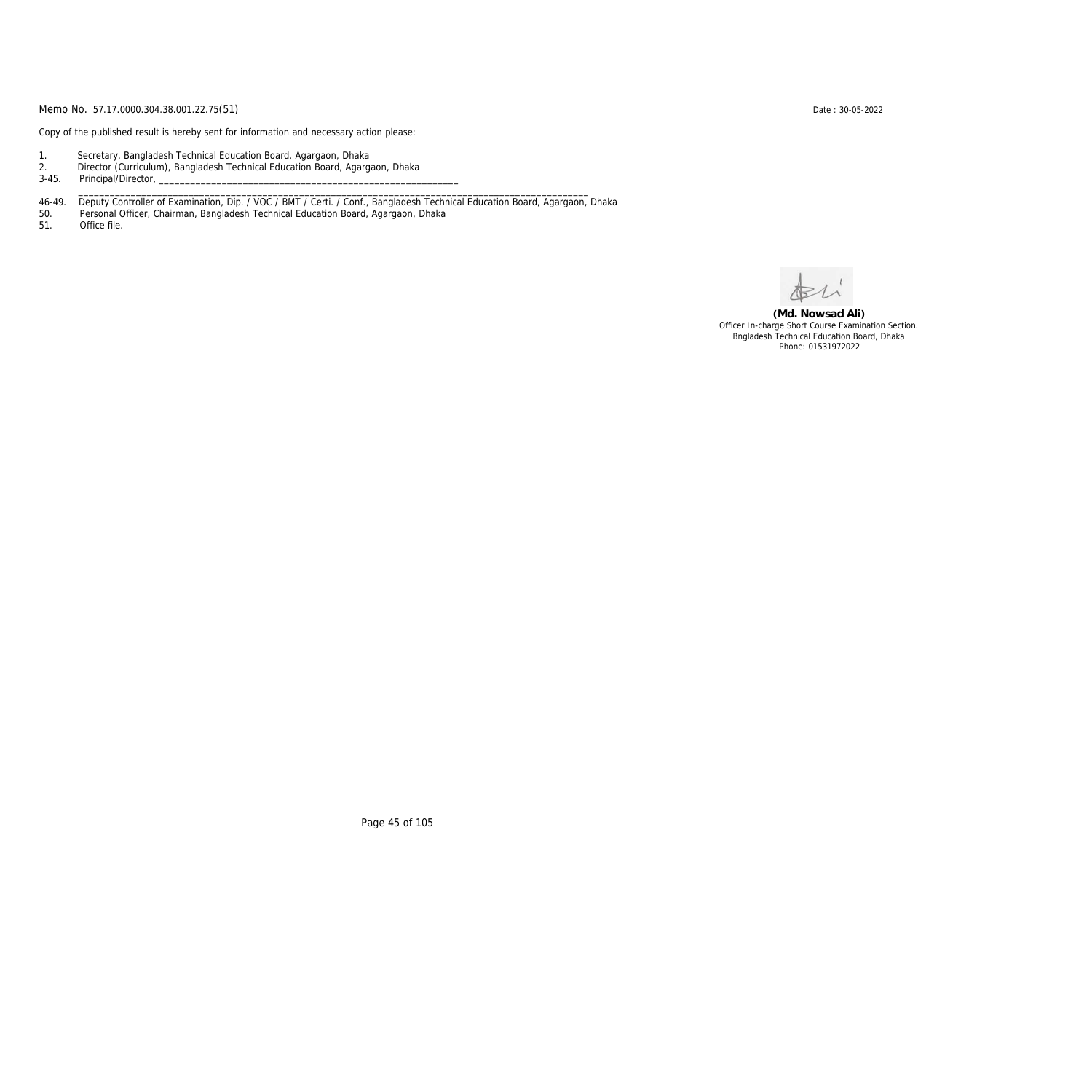Copy of the published result is hereby sent for information and necessary action please:

- 1. Secretary, Bangladesh Technical Education Board, Agargaon, Dhaka
- 2. Director (Curriculum), Bangladesh Technical Education Board, Agargaon, Dhaka

3-45. Principal/Director,

46-49. Deputy Controller of Examination, Dip. / VOC / BMT / Certi. / Conf., Bangladesh Technical Education Board, Agargaon, Dhaka

\_\_\_\_\_\_\_\_\_\_\_\_\_\_\_\_\_\_\_\_\_\_\_\_\_\_\_\_\_\_\_\_\_\_\_\_\_\_\_\_\_\_\_\_\_\_\_\_\_\_\_\_\_\_\_\_\_\_\_\_\_\_\_\_\_\_\_\_\_\_\_\_\_\_\_\_\_\_\_\_\_\_\_\_\_\_\_\_\_\_\_\_\_\_\_\_\_

50. Personal Officer, Chairman, Bangladesh Technical Education Board, Agargaon, Dhaka

Office file.

**(Md. Nowsad Ali)** Officer In-charge Short Course Examination Section. Bngladesh Technical Education Board, Dhaka Phone: 01531972022

Page 45 of 105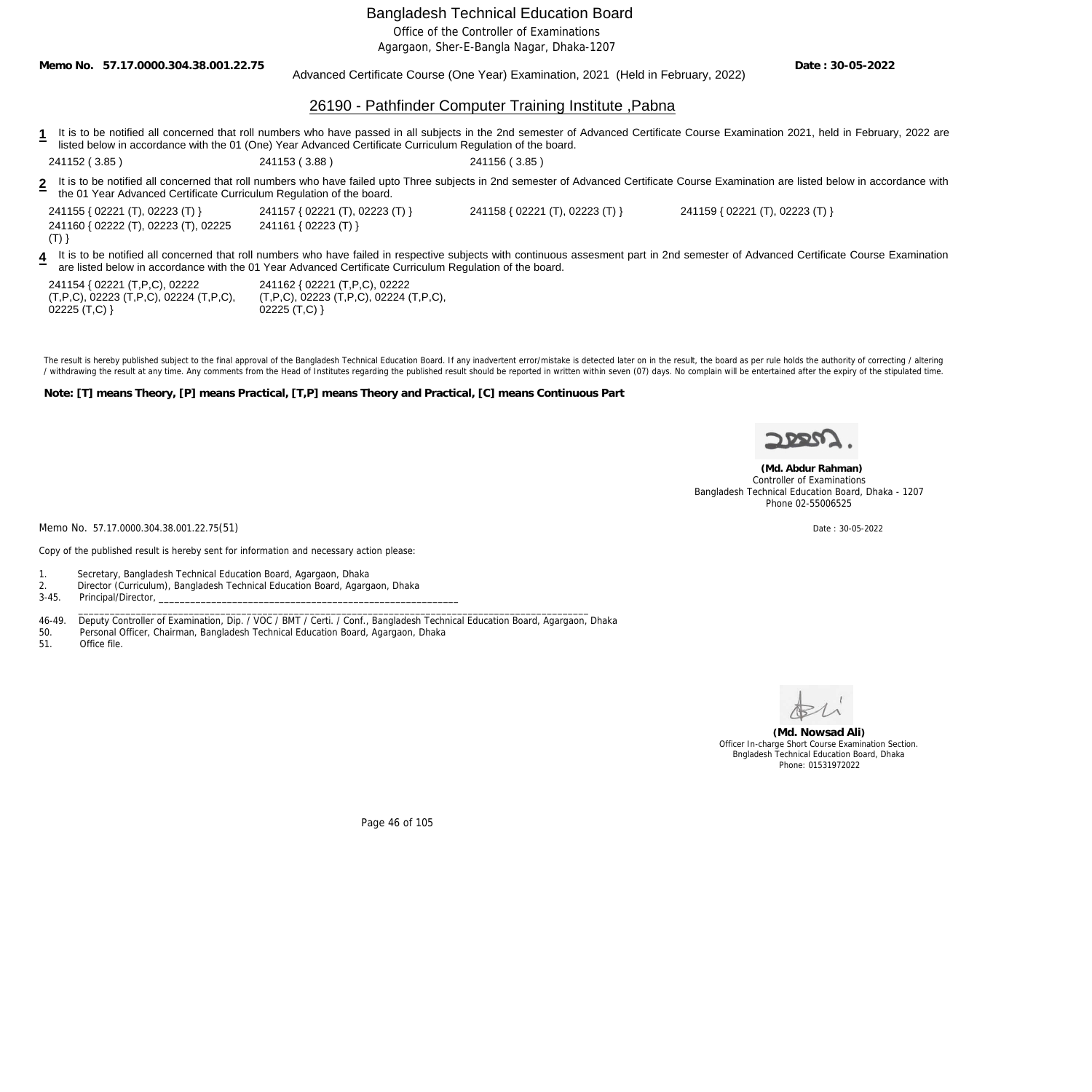Office of the Controller of Examinations

Agargaon, Sher-E-Bangla Nagar, Dhaka-1207

**Memo No. 57.17.0000.304.38.001.22.75**

### Advanced Certificate Course (One Year) Examination, 2021 (Held in February, 2022)

**Date : 30-05-2022**

### 26190 - Pathfinder Computer Training Institute ,Pabna

- 1 It is to be notified all concerned that roll numbers who have passed in all subjects in the 2nd semester of Advanced Certificate Course Examination 2021, held in February, 2022 are listed below in accordance with the 01 (One) Year Advanced Certificate Curriculum Regulation of the board.
- **2** 241152 ( 3.85 ) 241153 ( 3.88 ) 241156 ( 3.85 )
- It is to be notified all concerned that roll numbers who have failed upto Three subjects in 2nd semester of Advanced Certificate Course Examination are listed below in accordance with the 01 Year Advanced Certificate Curriculum Regulation of the board.

| 241155 { 02221 (T), 02223 (T) }      | 241157 { 02221 (T), 02223 (T) }                                                                          | 241158 { 02221 (T), 02223 (T) } | 241159 { 02221 (T), 02223 (T) }                                                                                                                                                       |
|--------------------------------------|----------------------------------------------------------------------------------------------------------|---------------------------------|---------------------------------------------------------------------------------------------------------------------------------------------------------------------------------------|
| 241160 { 02222 (T), 02223 (T), 02225 | 241161 { 02223 (T) }                                                                                     |                                 |                                                                                                                                                                                       |
| (T)                                  |                                                                                                          |                                 |                                                                                                                                                                                       |
|                                      | are listed below in accordance with the 01 Year Advanced Certificate Curriculum Regulation of the board. |                                 | It is to be notified all concerned that roll numbers who have failed in respective subjects with continuous assesment part in 2nd semester of Advanced Certificate Course Examination |
| 241154 { 02221 (T,P,C), 02222        | 241162 { 02221 (T,P,C), 02222                                                                            |                                 |                                                                                                                                                                                       |

(T,P,C), 02223 (T,P,C), 02224 (T,P,C), 02225 (T,C) }

(T,P,C), 02223 (T,P,C), 02224 (T,P,C), 02225 (T,C) }

The result is hereby published subject to the final approval of the Bangladesh Technical Education Board. If any inadvertent error/mistake is detected later on in the result, the board as per rule holds the authority of co / withdrawing the result at any time. Any comments from the Head of Institutes regarding the published result should be reported in written within seven (07) days. No complain will be entertained after the expiry of the st

**Note: [T] means Theory, [P] means Practical, [T,P] means Theory and Practical, [C] means Continuous Part**



 **(Md. Abdur Rahman)** Controller of Examinations Bangladesh Technical Education Board, Dhaka - 1207 Phone 02-55006525

Memo No. 57.17.0000.304.38.001.22.75(51) Date: 30-05-2022

Copy of the published result is hereby sent for information and necessary action please:

- 1. Secretary, Bangladesh Technical Education Board, Agargaon, Dhaka
- 2. Director (Curriculum), Bangladesh Technical Education Board, Agargaon, Dhaka
- Principal/Director,

46-49. Deputy Controller of Examination, Dip. / VOC / BMT / Certi. / Conf., Bangladesh Technical Education Board, Agargaon, Dhaka

\_\_\_\_\_\_\_\_\_\_\_\_\_\_\_\_\_\_\_\_\_\_\_\_\_\_\_\_\_\_\_\_\_\_\_\_\_\_\_\_\_\_\_\_\_\_\_\_\_\_\_\_\_\_\_\_\_\_\_\_\_\_\_\_\_\_\_\_\_\_\_\_\_\_\_\_\_\_\_\_\_\_\_\_\_\_\_\_\_\_\_\_\_\_\_\_\_

- 50. Personal Officer, Chairman, Bangladesh Technical Education Board, Agargaon, Dhaka
- 51. Office file.



**(Md. Nowsad Ali)** Officer In-charge Short Course Examination Section. Bngladesh Technical Education Board, Dhaka Phone: 01531972022

Page 46 of 105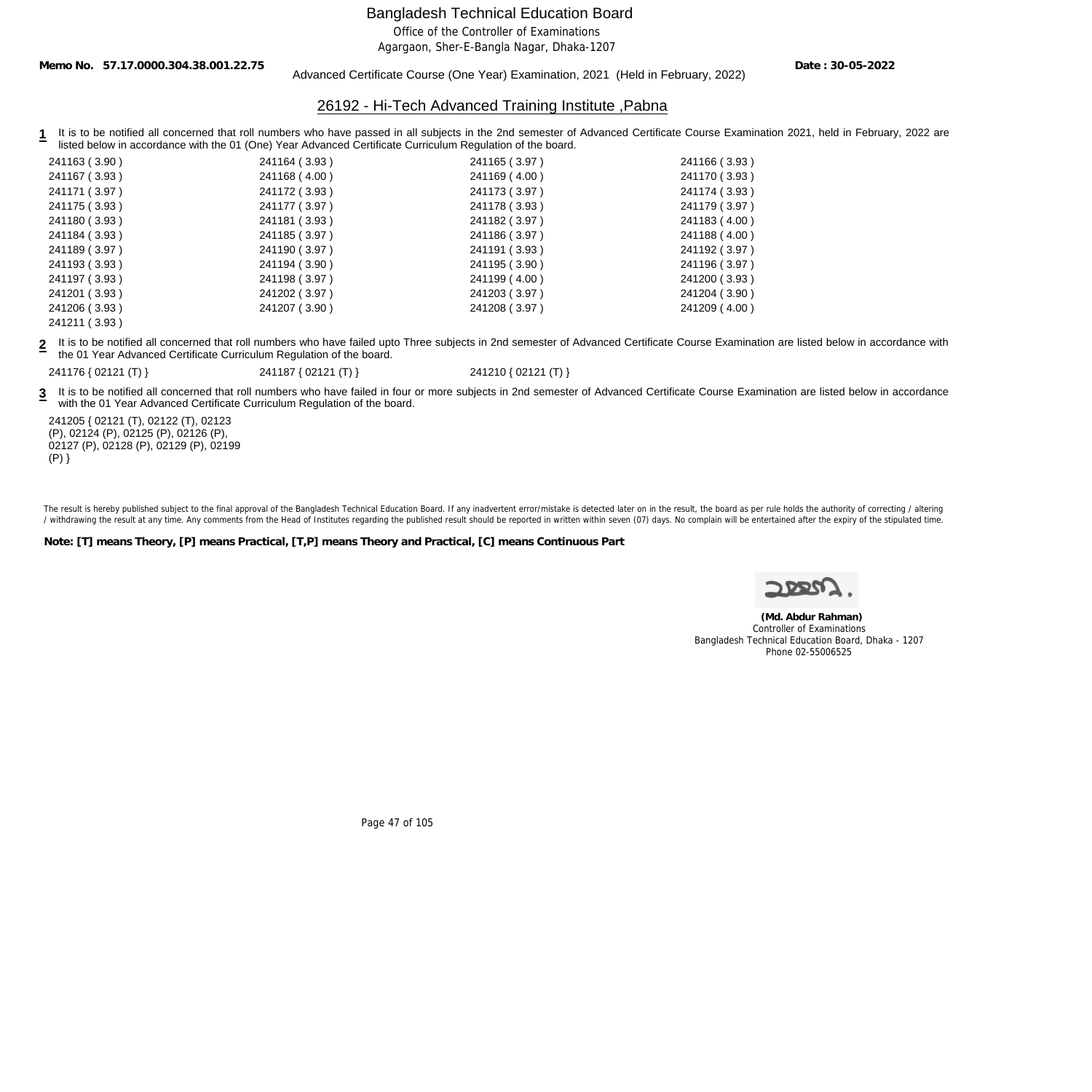Office of the Controller of Examinations

Agargaon, Sher-E-Bangla Nagar, Dhaka-1207

**Memo No. 57.17.0000.304.38.001.22.75**

### Advanced Certificate Course (One Year) Examination, 2021 (Held in February, 2022)

**Date : 30-05-2022**

### 26192 - Hi-Tech Advanced Training Institute ,Pabna

1 It is to be notified all concerned that roll numbers who have passed in all subjects in the 2nd semester of Advanced Certificate Course Examination 2021, held in February, 2022 are listed below in accordance with the 01 (One) Year Advanced Certificate Curriculum Regulation of the board.

| 241163 (3.90) | 241164 (3.93) | 241165 (3.97) | 241166 (3.93) |
|---------------|---------------|---------------|---------------|
| 241167 (3.93) | 241168 (4.00) | 241169 (4.00) | 241170 (3.93) |
| 241171 (3.97) | 241172 (3.93) | 241173 (3.97) | 241174 (3.93) |
| 241175 (3.93) | 241177 (3.97) | 241178 (3.93) | 241179 (3.97) |
| 241180 (3.93) | 241181 (3.93) | 241182 (3.97) | 241183 (4.00) |
| 241184 (3.93) | 241185 (3.97) | 241186 (3.97) | 241188 (4.00) |
| 241189 (3.97) | 241190 (3.97) | 241191 (3.93) | 241192 (3.97) |
| 241193 (3.93) | 241194 (3.90) | 241195 (3.90) | 241196 (3.97) |
| 241197 (3.93) | 241198 (3.97) | 241199 (4.00) | 241200 (3.93) |
| 241201 (3.93) | 241202 (3.97) | 241203 (3.97) | 241204 (3.90) |
| 241206 (3.93) | 241207 (3.90) | 241208 (3.97) | 241209 (4.00) |
| 241211 (3.93) |               |               |               |

**2** It is to be notified all concerned that roll numbers who have failed upto Three subjects in 2nd semester of Advanced Certificate Course Examination are listed below in accordance with the 01 Year Advanced Certificate Curriculum Regulation of the board.

241176 { 02121 (T) } 241187 { 02121 (T) } 241210 { 02121 (T) }

3 It is to be notified all concerned that roll numbers who have failed in four or more subjects in 2nd semester of Advanced Certificate Course Examination are listed below in accordance with the 01 Year Advanced Certificate Curriculum Regulation of the board.

241205 { 02121 (T), 02122 (T), 02123 (P), 02124 (P), 02125 (P), 02126 (P), 02127 (P), 02128 (P), 02129 (P), 02199  $(P)$ }

The result is hereby published subject to the final approval of the Bangladesh Technical Education Board. If any inadvertent error/mistake is detected later on in the result, the board as per rule holds the authority of co / withdrawing the result at any time. Any comments from the Head of Institutes regarding the published result should be reported in written within seven (07) days. No complain will be entertained after the expiry of the st

**Note: [T] means Theory, [P] means Practical, [T,P] means Theory and Practical, [C] means Continuous Part**



 **(Md. Abdur Rahman)** Controller of Examinations Bangladesh Technical Education Board, Dhaka - 1207 Phone 02-55006525

Page 47 of 105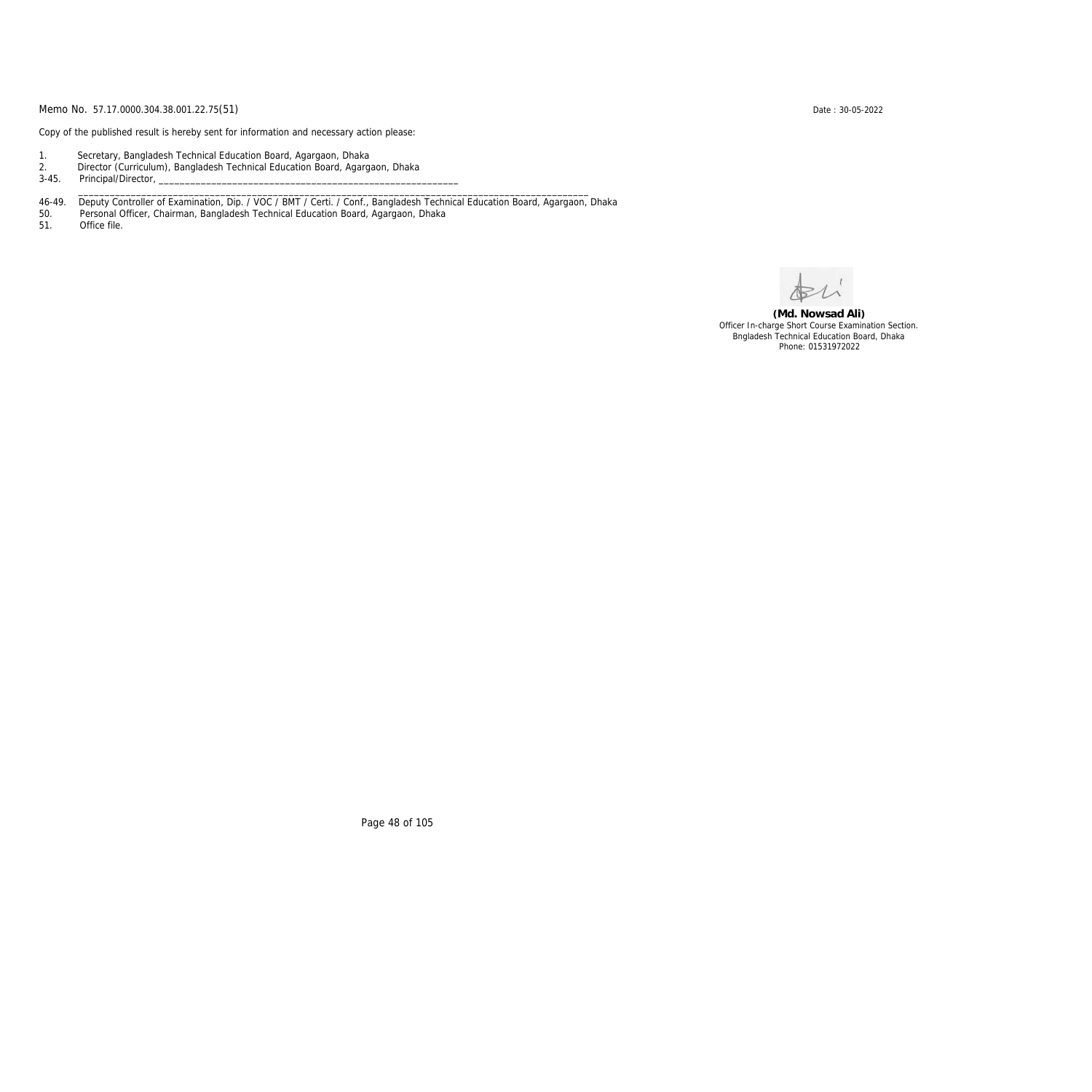Copy of the published result is hereby sent for information and necessary action please:

- 1. Secretary, Bangladesh Technical Education Board, Agargaon, Dhaka
- 2. Director (Curriculum), Bangladesh Technical Education Board, Agargaon, Dhaka

3-45. Principal/Director,

46-49. Deputy Controller of Examination, Dip. / VOC / BMT / Certi. / Conf., Bangladesh Technical Education Board, Agargaon, Dhaka

\_\_\_\_\_\_\_\_\_\_\_\_\_\_\_\_\_\_\_\_\_\_\_\_\_\_\_\_\_\_\_\_\_\_\_\_\_\_\_\_\_\_\_\_\_\_\_\_\_\_\_\_\_\_\_\_\_\_\_\_\_\_\_\_\_\_\_\_\_\_\_\_\_\_\_\_\_\_\_\_\_\_\_\_\_\_\_\_\_\_\_\_\_\_\_\_\_

50. Personal Officer, Chairman, Bangladesh Technical Education Board, Agargaon, Dhaka

Office file.

**(Md. Nowsad Ali)** Officer In-charge Short Course Examination Section. Bngladesh Technical Education Board, Dhaka Phone: 01531972022

Page 48 of 105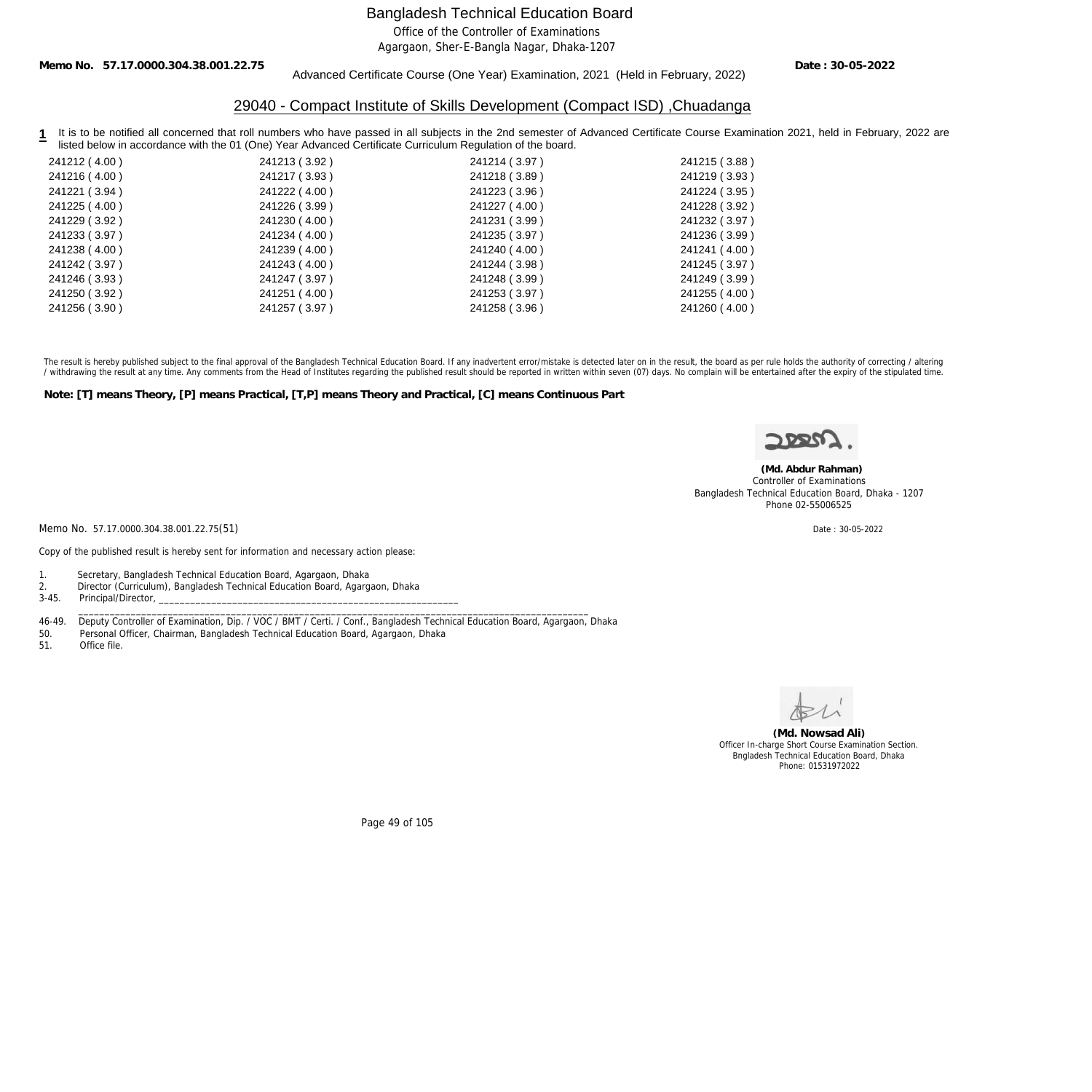Office of the Controller of Examinations

Agargaon, Sher-E-Bangla Nagar, Dhaka-1207

**Memo No. 57.17.0000.304.38.001.22.75**

Advanced Certificate Course (One Year) Examination, 2021 (Held in February, 2022)

**Date : 30-05-2022**

### 29040 - Compact Institute of Skills Development (Compact ISD) ,Chuadanga

1 It is to be notified all concerned that roll numbers who have passed in all subjects in the 2nd semester of Advanced Certificate Course Examination 2021, held in February, 2022 are listed below in accordance with the 01 (One) Year Advanced Certificate Curriculum Regulation of the board.

| 241212 (4.00) | 241213 (3.92) | 241214 (3.97) | 241215 (3.88) |
|---------------|---------------|---------------|---------------|
| 241216 (4.00) | 241217 (3.93) | 241218 (3.89) | 241219 (3.93) |
| 241221 (3.94) | 241222 (4.00) | 241223 (3.96) | 241224 (3.95) |
| 241225 (4.00) | 241226 (3.99) | 241227 (4.00) | 241228 (3.92) |
| 241229 (3.92) | 241230 (4.00) | 241231 (3.99) | 241232 (3.97) |
| 241233 (3.97) | 241234 (4.00) | 241235 (3.97) | 241236 (3.99) |
| 241238 (4.00) | 241239 (4.00) | 241240 (4.00) | 241241 (4.00) |
| 241242 (3.97) | 241243 (4.00) | 241244 (3.98) | 241245 (3.97) |
| 241246 (3.93) | 241247 (3.97) | 241248 (3.99) | 241249 (3.99) |
| 241250 (3.92) | 241251 (4.00) | 241253 (3.97) | 241255 (4.00) |
| 241256 (3.90) | 241257 (3.97) | 241258 (3.96) | 241260 (4.00) |
|               |               |               |               |

The result is hereby published subject to the final approval of the Bangladesh Technical Education Board. If any inadvertent error/mistake is detected later on in the result, the board as per rule holds the authority of co / withdrawing the result at any time. Any comments from the Head of Institutes regarding the published result should be reported in written within seven (07) days. No complain will be entertained after the expiry of the st

**Note: [T] means Theory, [P] means Practical, [T,P] means Theory and Practical, [C] means Continuous Part**



 **(Md. Abdur Rahman)** Controller of Examinations Bangladesh Technical Education Board, Dhaka - 1207 Phone 02-55006525

Memo No. 57.17.0000.304.38.001.22.75(51) Date: 30-05-2022

Copy of the published result is hereby sent for information and necessary action please:

- 1. Secretary, Bangladesh Technical Education Board, Agargaon, Dhaka
- 2. Director (Curriculum), Bangladesh Technical Education Board, Agargaon, Dhaka
- 3-45. Principal/Director, \_\_\_\_\_\_\_\_\_\_\_\_\_\_\_\_\_\_\_\_\_\_\_\_\_\_\_\_\_\_\_\_\_\_\_\_\_\_\_\_\_\_\_\_\_\_\_\_\_\_\_\_\_\_\_\_\_\_\_\_\_\_\_\_\_\_\_\_\_\_\_\_\_\_\_\_\_\_\_\_\_\_\_\_\_\_\_\_\_\_\_\_\_\_\_\_\_

46-49. Deputy Controller of Examination, Dip. / VOC / BMT / Certi. / Conf., Bangladesh Technical Education Board, Agargaon, Dhaka<br>50. Personal Officer, Chairman, Bangladesh Technical Education Board, Agargaon, Dhaka

- 50. Personal Officer, Chairman, Bangladesh Technical Education Board, Agargaon, Dhaka
- Office file.



**(Md. Nowsad Ali)** Officer In-charge Short Course Examination Section. Bngladesh Technical Education Board, Dhaka Phone: 01531972022

Page 49 of 105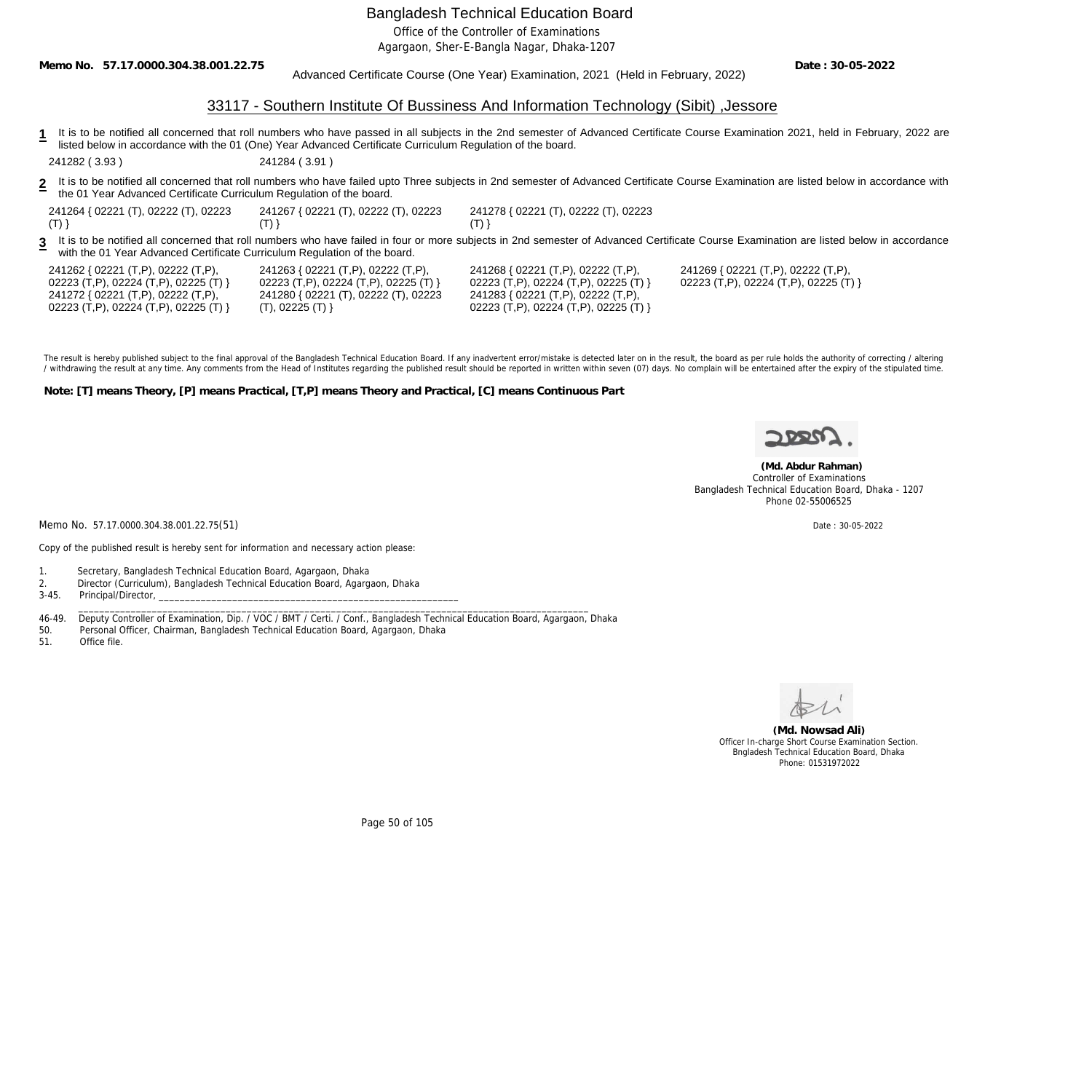Office of the Controller of Examinations

Agargaon, Sher-E-Bangla Nagar, Dhaka-1207

**Memo No. 57.17.0000.304.38.001.22.75**

Advanced Certificate Course (One Year) Examination, 2021 (Held in February, 2022)

**Date : 30-05-2022**

## 33117 - Southern Institute Of Bussiness And Information Technology (Sibit) ,Jessore

**1** It is to be notified all concerned that roll numbers who have passed in all subjects in the 2nd semester of Advanced Certificate Course Examination 2021, held in February, 2022 are listed below in accordance with the 01 (One) Year Advanced Certificate Curriculum Regulation of the board.

241282 ( 3.93 ) 241284 ( 3.91 )

- **2** It is to be notified all concerned that roll numbers who have failed upto Three subjects in 2nd semester of Advanced Certificate Course Examination are listed below in accordance with the 01 Year Advanced Certificate Curriculum Regulation of the board.
- 241264 { 02221 (T), 02222 (T), 02223  $(T)$ } 241267 { 02221 (T), 02222 (T), 02223  $(T)$ }

241278 { 02221 (T), 02222 (T), 02223 (T) }

**3** It is to be notified all concerned that roll numbers who have failed in four or more subjects in 2nd semester of Advanced Certificate Course Examination are listed below in accordance with the 01 Year Advanced Certificate Curriculum Regulation of the board.

| 241262 { 02221 (T,P), 02222 (T,P),    | 241263 { 02221 (  |
|---------------------------------------|-------------------|
| 02223 (T,P), 02224 (T,P), 02225 (T) } | 02223 (T,P), 0222 |
| 241272 { 02221 (T,P), 02222 (T,P),    | 241280 { 02221 (  |
| 02223 (T,P), 02224 (T,P), 02225 (T) } | (T), 02225 (T)    |

 $(T, P)$ , 02222  $(T, P)$ , 24 (T,P), 02225 (T) } 241280 { 02221 (T), 02222 (T), 02223

241268 { 02221 (T,P), 02222 (T,P), 02223 (T,P), 02224 (T,P), 02225 (T) } 241283 { 02221 (T,P), 02222 (T,P), 02223 (T,P), 02224 (T,P), 02225 (T) }

241269 { 02221 (T,P), 02222 (T,P), 02223 (T,P), 02224 (T,P), 02225 (T) }

The result is hereby published subject to the final approval of the Bangladesh Technical Education Board. If any inadvertent error/mistake is detected later on in the result, the board as per rule holds the authority of co / withdrawing the result at any time. Any comments from the Head of Institutes regarding the published result should be reported in written within seven (07) days. No complain will be entertained after the expiry of the st

**Note: [T] means Theory, [P] means Practical, [T,P] means Theory and Practical, [C] means Continuous Part**



 **(Md. Abdur Rahman)** Controller of Examinations Bangladesh Technical Education Board, Dhaka - 1207 Phone 02-55006525

Memo No. 57.17.0000.304.38.001.22.75(51) Date : 30-05-2022

Copy of the published result is hereby sent for information and necessary action please:

- 1. Secretary, Bangladesh Technical Education Board, Agargaon, Dhaka
- 2. Director (Curriculum), Bangladesh Technical Education Board, Agargaon, Dhaka
- 3-45. Principal/Director,

46-49. Deputy Controller of Examination, Dip. / VOC / BMT / Certi. / Conf., Bangladesh Technical Education Board, Agargaon, Dhaka

\_\_\_\_\_\_\_\_\_\_\_\_\_\_\_\_\_\_\_\_\_\_\_\_\_\_\_\_\_\_\_\_\_\_\_\_\_\_\_\_\_\_\_\_\_\_\_\_\_\_\_\_\_\_\_\_\_\_\_\_\_\_\_\_\_\_\_\_\_\_\_\_\_\_\_\_\_\_\_\_\_\_\_\_\_\_\_\_\_\_\_\_\_\_\_\_\_

- 50. Personal Officer, Chairman, Bangladesh Technical Education Board, Agargaon, Dhaka
- 51. Office file.



**(Md. Nowsad Ali)** Officer In-charge Short Course Examination Section. Bngladesh Technical Education Board, Dhaka Phone: 01531972022

Page 50 of 105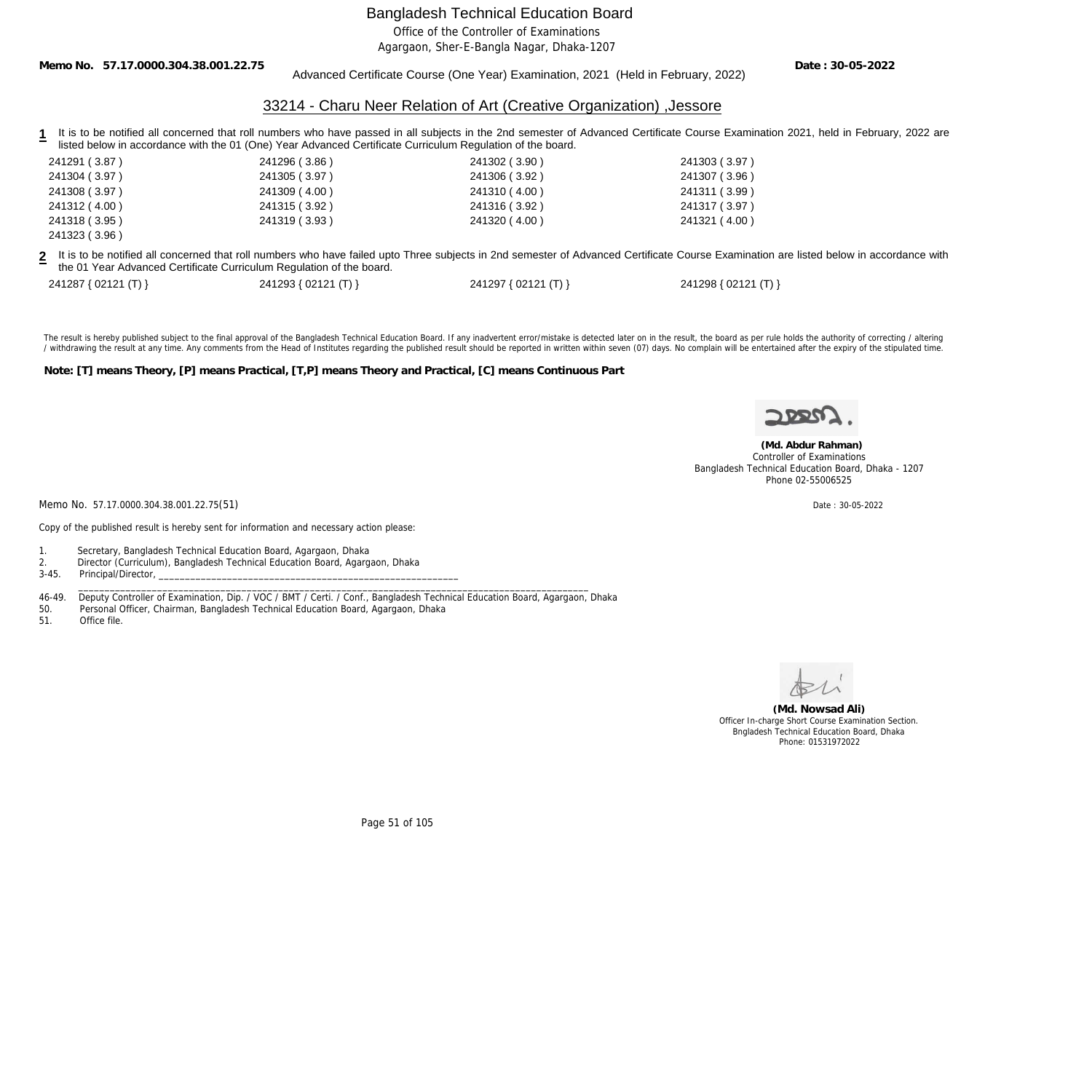Office of the Controller of Examinations

Agargaon, Sher-E-Bangla Nagar, Dhaka-1207

**Memo No. 57.17.0000.304.38.001.22.75**

Advanced Certificate Course (One Year) Examination, 2021 (Held in February, 2022)

**Date : 30-05-2022**

### 33214 - Charu Neer Relation of Art (Creative Organization) ,Jessore

**1** It is to be notified all concerned that roll numbers who have passed in all subjects in the 2nd semester of Advanced Certificate Course Examination 2021, held in February, 2022 are listed below in accordance with the 01 (One) Year Advanced Certificate Curriculum Regulation of the board.

| 241291 (3.87) | 241296 (3.86) | 241302 (3.90) | 241303 (3.97) |
|---------------|---------------|---------------|---------------|
| 241304 (3.97) | 241305 (3.97) | 241306 (3.92) | 241307 (3.96) |
| 241308 (3.97) | 241309 (4.00) | 241310 (4.00) | 241311(3.99)  |
| 241312 (4.00) | 241315 (3.92) | 241316 (3.92) | 241317 (3.97) |
| 241318 (3.95) | 241319 (3.93) | 241320 (4.00) | 241321 (4.00) |
| 241323 (3.96) |               |               |               |

**2** It is to be notified all concerned that roll numbers who have failed upto Three subjects in 2nd semester of Advanced Certificate Course Examination are listed below in accordance with the 01 Year Advanced Certificate Curriculum Regulation of the board.

| 241287 { 02121 (T) } | 241293 { 02121 (T) } | 241297 { 02121 (T) } | 241298 { 02121 (T) } |
|----------------------|----------------------|----------------------|----------------------|
|----------------------|----------------------|----------------------|----------------------|

The result is hereby published subject to the final approval of the Bangladesh Technical Education Board. If any inadvertent error/mistake is detected later on in the result, the board as per rule holds the authority of co / withdrawing the result at any time. Any comments from the Head of Institutes regarding the published result should be reported in written within seven (07) days. No complain will be entertained after the expiry of the st

**Note: [T] means Theory, [P] means Practical, [T,P] means Theory and Practical, [C] means Continuous Part**



 **(Md. Abdur Rahman)** Controller of Examinations Bangladesh Technical Education Board, Dhaka - 1207 Phone 02-55006525

Memo No. 57.17.0000.304.38.001.22.75(51) Date: 30-05-2022

Copy of the published result is hereby sent for information and necessary action please:

1. Secretary, Bangladesh Technical Education Board, Agargaon, Dhaka

2. Director (Curriculum), Bangladesh Technical Education Board, Agargaon, Dhaka

3-45. Principal/Director,

 \_\_\_\_\_\_\_\_\_\_\_\_\_\_\_\_\_\_\_\_\_\_\_\_\_\_\_\_\_\_\_\_\_\_\_\_\_\_\_\_\_\_\_\_\_\_\_\_\_\_\_\_\_\_\_\_\_\_\_\_\_\_\_\_\_\_\_\_\_\_\_\_\_\_\_\_\_\_\_\_\_\_\_\_\_\_\_\_\_\_\_\_\_\_\_\_\_ 46-49. Deputy Controller of Examination, Dip. / VOC / BMT / Certi. / Conf., Bangladesh Technical Education Board, Agargaon, Dhaka

50. Personal Officer, Chairman, Bangladesh Technical Education Board, Agargaon, Dhaka

51. Office file.

**(Md. Nowsad Ali)** Officer In-charge Short Course Examination Section. Bngladesh Technical Education Board, Dhaka Phone: 01531972022

Page 51 of 105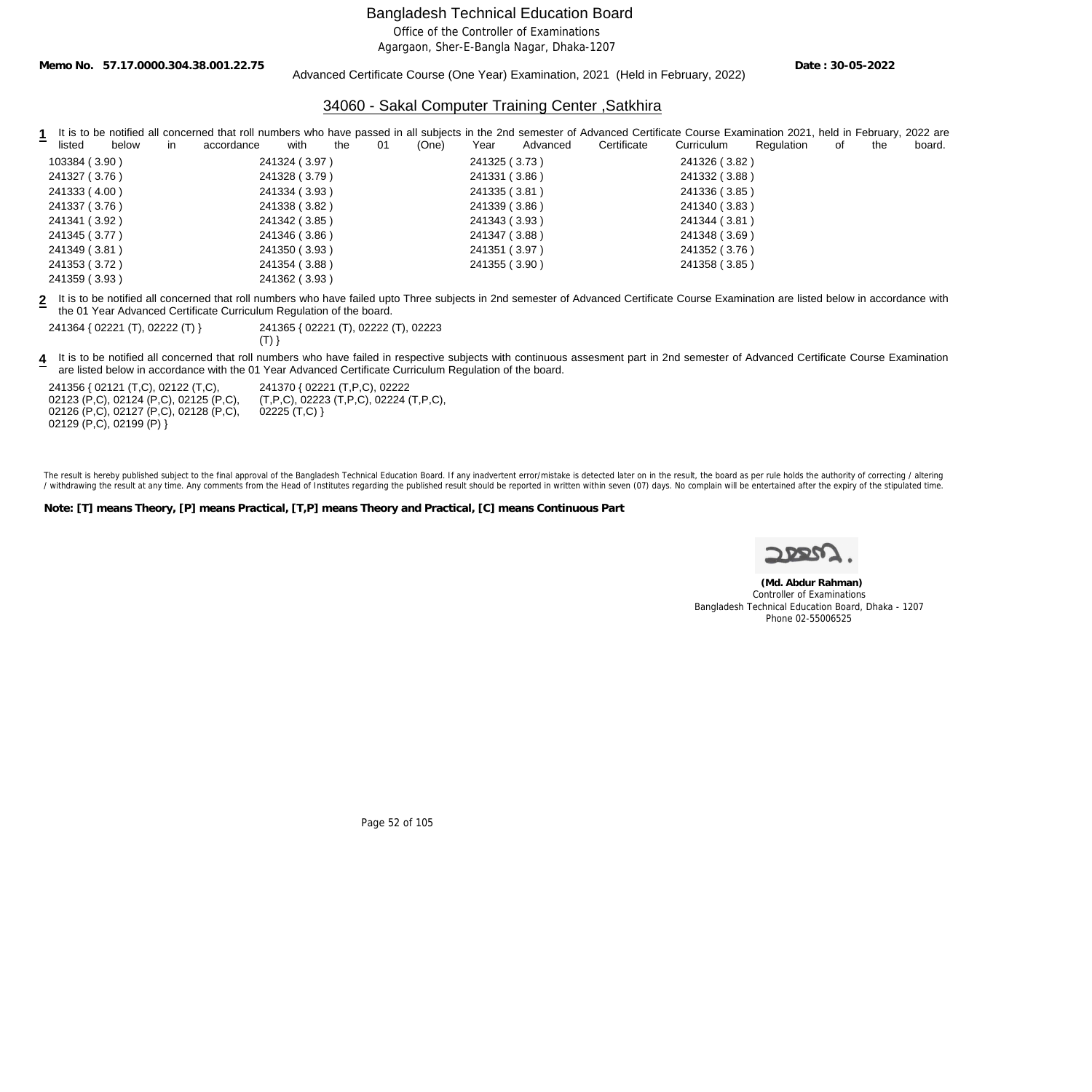Office of the Controller of Examinations

Agargaon, Sher-E-Bangla Nagar, Dhaka-1207

**Memo No. 57.17.0000.304.38.001.22.75**

Advanced Certificate Course (One Year) Examination, 2021 (Held in February, 2022)

**Date : 30-05-2022**

### 34060 - Sakal Computer Training Center ,Satkhira

|                        |                                 | It is to be notified all concerned that roll numbers who have passed in all subjects in the 2nd semester of Advanced Certificate Course Examination 2021, held in February, 2022 are |                          |                     |  |  |  |  |
|------------------------|---------------------------------|--------------------------------------------------------------------------------------------------------------------------------------------------------------------------------------|--------------------------|---------------------|--|--|--|--|
| below<br>listed<br>in. | with<br>01<br>accordance<br>the | Certificate<br>(One)<br>Advanced<br>Year                                                                                                                                             | Curriculum<br>Regulation | 0f<br>the<br>board. |  |  |  |  |
| 103384 (3.90)          | 241324 (3.97)                   | 241325 (3.73)                                                                                                                                                                        | 241326 (3.82)            |                     |  |  |  |  |
| 241327 (3.76)          | 241328 (3.79)                   | 241331 (3.86)                                                                                                                                                                        | 241332 (3.88)            |                     |  |  |  |  |
| 241333 (4.00)          | 241334 (3.93)                   | 241335 (3.81)                                                                                                                                                                        | 241336 (3.85)            |                     |  |  |  |  |
| 241337 (3.76)          | 241338 (3.82)                   | 241339 (3.86)                                                                                                                                                                        | 241340 (3.83)            |                     |  |  |  |  |
| 241341 (3.92)          | 241342 (3.85)                   | 241343 (3.93)                                                                                                                                                                        | 241344 (3.81)            |                     |  |  |  |  |
| 241345 (3.77)          | 241346 (3.86)                   | 241347 (3.88)                                                                                                                                                                        | 241348 (3.69)            |                     |  |  |  |  |
| 241349 (3.81)          | 241350 (3.93)                   | 241351 (3.97)                                                                                                                                                                        | 241352 (3.76)            |                     |  |  |  |  |
| 241353 (3.72)          | 241354 (3.88)                   | 241355 (3.90)                                                                                                                                                                        | 241358 (3.85)            |                     |  |  |  |  |
| 241359 (3.93)          | 241362 (3.93)                   |                                                                                                                                                                                      |                          |                     |  |  |  |  |

**2** It is to be notified all concerned that roll numbers who have failed upto Three subjects in 2nd semester of Advanced Certificate Course Examination are listed below in accordance with the 01 Year Advanced Certificate Curriculum Regulation of the board.

241364 { 02221 (T), 02222 (T) } 241365 { 02221 (T), 02222 (T), 02223

 $(T)$ }

**4** It is to be notified all concerned that roll numbers who have failed in respective subjects with continuous assesment part in 2nd semester of Advanced Certificate Course Examination are listed below in accordance with the 01 Year Advanced Certificate Curriculum Regulation of the board.

241356 { 02121 (T,C), 02122 (T,C), 02123 (P,C), 02124 (P,C), 02125 (P,C), 02126 (P,C), 02127 (P,C), 02128 (P,C), 02129 (P,C), 02199 (P) }

241370 { 02221 (T,P,C), 02222 (T,P,C), 02223 (T,P,C), 02224 (T,P,C),  $02225(T, C)$ }

The result is hereby published subject to the final approval of the Bangladesh Technical Education Board. If any inadvertent error/mistake is detected later on in the result, the board as per rule holds the authority of co / withdrawing the result at any time. Any comments from the Head of Institutes regarding the published result should be reported in written within seven (07) days. No complain will be entertained after the expiry of the st

**Note: [T] means Theory, [P] means Practical, [T,P] means Theory and Practical, [C] means Continuous Part**

 **(Md. Abdur Rahman)** Controller of Examinations Bangladesh Technical Education Board, Dhaka - 1207 Phone 02-55006525

Page 52 of 105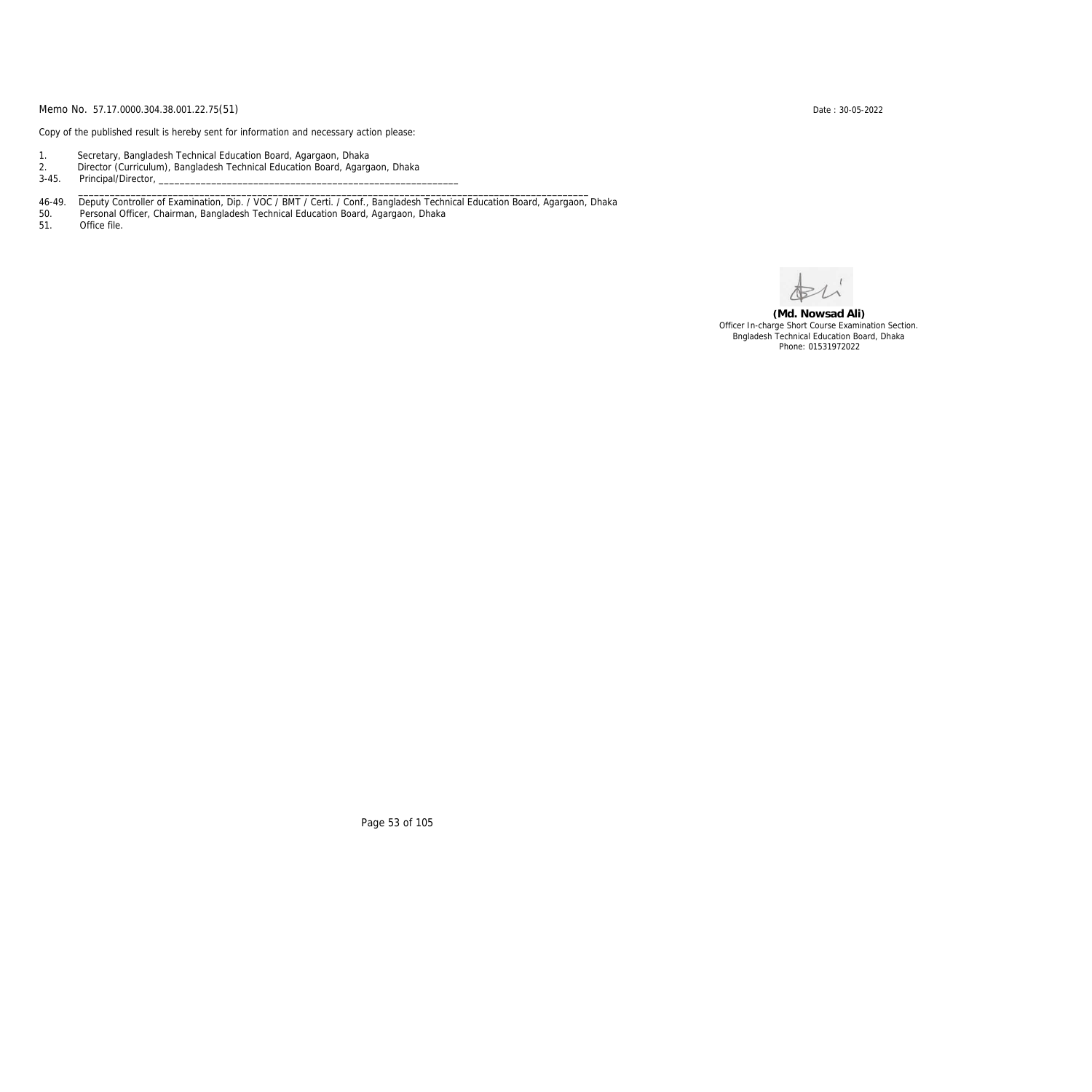Copy of the published result is hereby sent for information and necessary action please:

- 1. Secretary, Bangladesh Technical Education Board, Agargaon, Dhaka
- 2. Director (Curriculum), Bangladesh Technical Education Board, Agargaon, Dhaka

3-45. Principal/Director,

46-49. Deputy Controller of Examination, Dip. / VOC / BMT / Certi. / Conf., Bangladesh Technical Education Board, Agargaon, Dhaka

\_\_\_\_\_\_\_\_\_\_\_\_\_\_\_\_\_\_\_\_\_\_\_\_\_\_\_\_\_\_\_\_\_\_\_\_\_\_\_\_\_\_\_\_\_\_\_\_\_\_\_\_\_\_\_\_\_\_\_\_\_\_\_\_\_\_\_\_\_\_\_\_\_\_\_\_\_\_\_\_\_\_\_\_\_\_\_\_\_\_\_\_\_\_\_\_\_

50. Personal Officer, Chairman, Bangladesh Technical Education Board, Agargaon, Dhaka

Office file.

**(Md. Nowsad Ali)** Officer In-charge Short Course Examination Section. Bngladesh Technical Education Board, Dhaka Phone: 01531972022

Page 53 of 105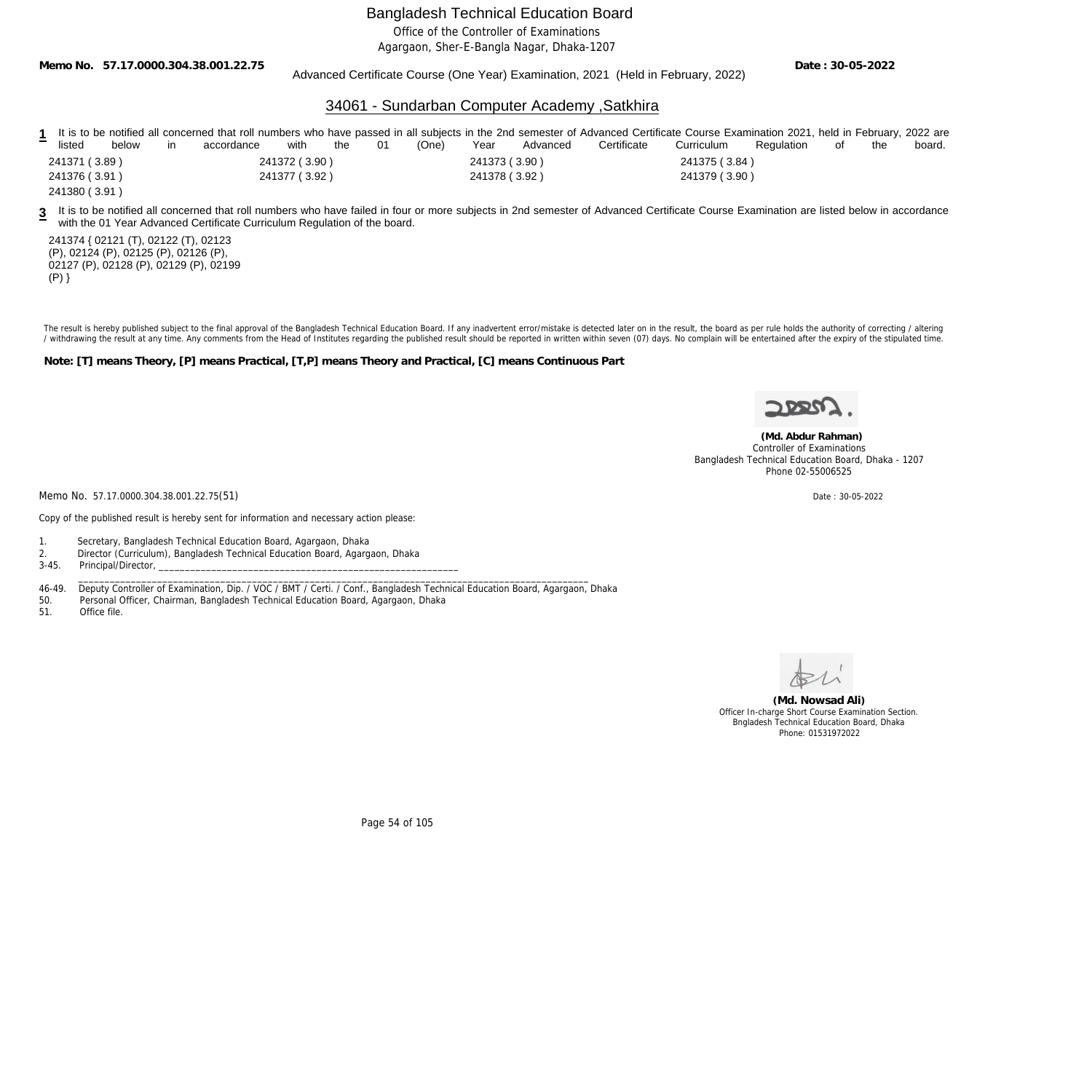Office of the Controller of Examinations

Agargaon, Sher-E-Bangla Nagar, Dhaka-1207

**Memo No. 57.17.0000.304.38.001.22.75**

Advanced Certificate Course (One Year) Examination, 2021 (Held in February, 2022)

**Date : 30-05-2022**

### 34061 - Sundarban Computer Academy ,Satkhira

|               |       |            |               |     |    |       |               |          | 1 It is to be notified all concerned that roll numbers who have passed in all subjects in the 2nd semester of Advanced Certificate Course Examination 2021, held in February, 2022 are |               |            |      |     |        |
|---------------|-------|------------|---------------|-----|----|-------|---------------|----------|----------------------------------------------------------------------------------------------------------------------------------------------------------------------------------------|---------------|------------|------|-----|--------|
| listed        | below | accordance | with          | the | 01 | (One) | Year          | Advanced | Certificate                                                                                                                                                                            | Curriculum    | Regulation | . of | the | board. |
| 241371 (3.89) |       |            | 241372 (3.90) |     |    |       | 241373 (3.90) |          |                                                                                                                                                                                        | 241375 (3.84) |            |      |     |        |
| 241376 (3.91) |       |            | 241377 (3.92) |     |    |       | 241378 (3.92) |          |                                                                                                                                                                                        | 241379 (3.90) |            |      |     |        |
| 241380 (3.91) |       |            |               |     |    |       |               |          |                                                                                                                                                                                        |               |            |      |     |        |

**3** It is to be notified all concerned that roll numbers who have failed in four or more subjects in 2nd semester of Advanced Certificate Course Examination are listed below in accordance with the 01 Year Advanced Certificate Curriculum Regulation of the board.

241374 { 02121 (T), 02122 (T), 02123 (P), 02124 (P), 02125 (P), 02126 (P), 02127 (P), 02128 (P), 02129 (P), 02199  $(P)$ }

The result is hereby published subject to the final approval of the Bangladesh Technical Education Board. If any inadvertent error/mistake is detected later on in the result, the board as per rule holds the authority of co / withdrawing the result at any time. Any comments from the Head of Institutes regarding the published result should be reported in written within seven (07) days. No complain will be entertained after the expiry of the st

**Note: [T] means Theory, [P] means Practical, [T,P] means Theory and Practical, [C] means Continuous Part**

Phone 02-55006525

 **(Md. Abdur Rahman)** Controller of Examinations Bangladesh Technical Education Board, Dhaka - 1207

Memo No. 57.17.0000.304.38.001.22.75(51) Date: 30-05-2022

Copy of the published result is hereby sent for information and necessary action please:

1. Secretary, Bangladesh Technical Education Board, Agargaon, Dhaka

2. Director (Curriculum), Bangladesh Technical Education Board, Agargaon, Dhaka

Principal/Director,

46-49. Deputy Controller of Examination, Dip. / VOC / BMT / Certi. / Conf., Bangladesh Technical Education Board, Agargaon, Dhaka<br>50. Personal Officer, Chairman, Bangladesh Technical Education Board, Agargaon, Dhaka

\_\_\_\_\_\_\_\_\_\_\_\_\_\_\_\_\_\_\_\_\_\_\_\_\_\_\_\_\_\_\_\_\_\_\_\_\_\_\_\_\_\_\_\_\_\_\_\_\_\_\_\_\_\_\_\_\_\_\_\_\_\_\_\_\_\_\_\_\_\_\_\_\_\_\_\_\_\_\_\_\_\_\_\_\_\_\_\_\_\_\_\_\_\_\_\_\_

50. Personal Officer, Chairman, Bangladesh Technical Education Board, Agargaon, Dhaka

Office file.



**(Md. Nowsad Ali)** Officer In-charge Short Course Examination Section. Bngladesh Technical Education Board, Dhaka Phone: 01531972022

Page 54 of 105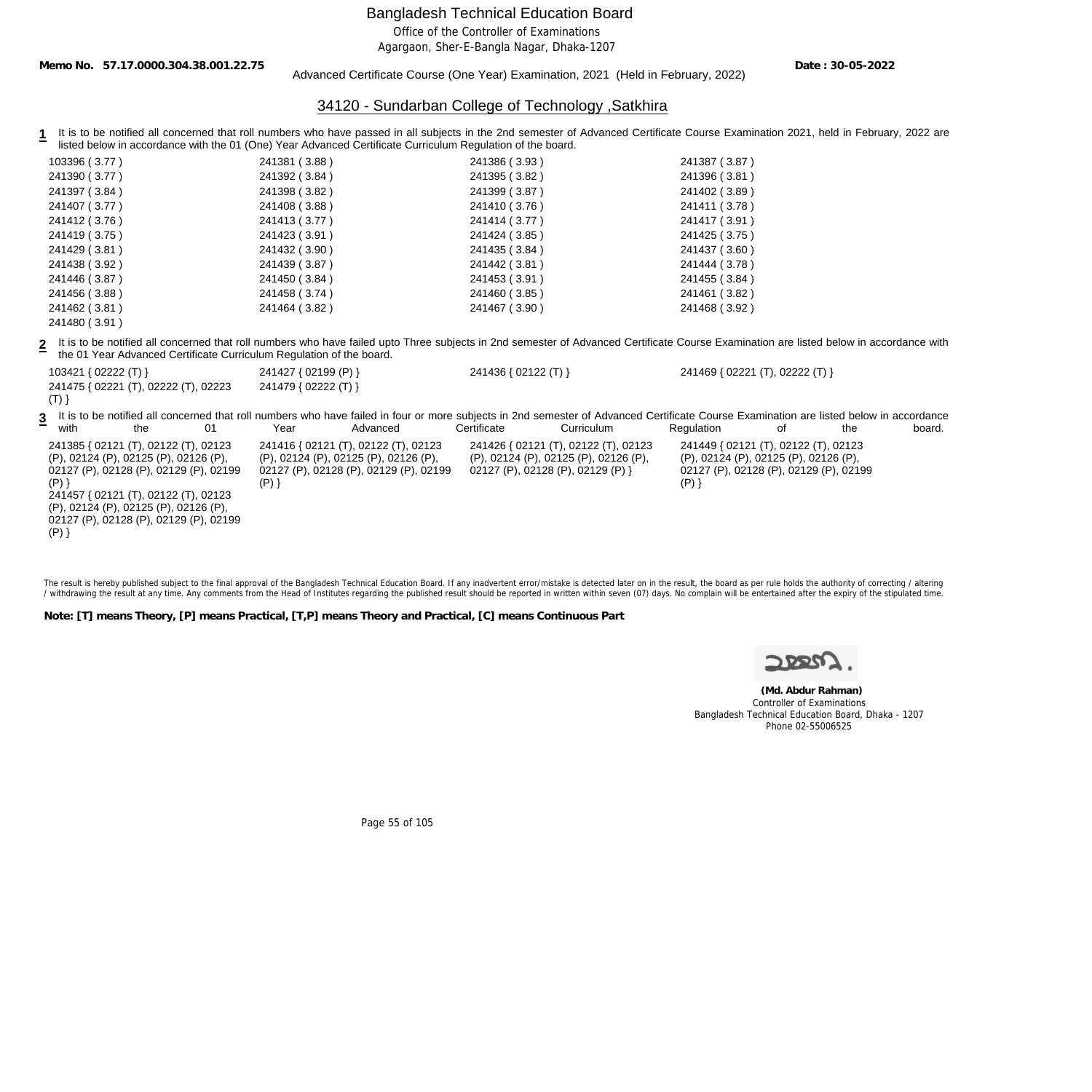Office of the Controller of Examinations

Agargaon, Sher-E-Bangla Nagar, Dhaka-1207

**Memo No. 57.17.0000.304.38.001.22.75**

Advanced Certificate Course (One Year) Examination, 2021 (Held in February, 2022)

**Date : 30-05-2022**

## 34120 - Sundarban College of Technology ,Satkhira

1 It is to be notified all concerned that roll numbers who have passed in all subjects in the 2nd semester of Advanced Certificate Course Examination 2021, held in February, 2022 are listed below in accordance with the 01 (One) Year Advanced Certificate Curriculum Regulation of the board.

| 103396 (3.77)                                                                                                                                                                                                                                                            |                                                                      | 241381 (3.88)                                                                            |                                        | 241386 (3.93)        |                                                                                                                                                                                                       | 241387 (3.87)                                                                                                                      |    |     |        |
|--------------------------------------------------------------------------------------------------------------------------------------------------------------------------------------------------------------------------------------------------------------------------|----------------------------------------------------------------------|------------------------------------------------------------------------------------------|----------------------------------------|----------------------|-------------------------------------------------------------------------------------------------------------------------------------------------------------------------------------------------------|------------------------------------------------------------------------------------------------------------------------------------|----|-----|--------|
| 241390 (3.77)                                                                                                                                                                                                                                                            |                                                                      | 241392 (3.84)                                                                            |                                        | 241395 (3.82)        |                                                                                                                                                                                                       | 241396 (3.81)                                                                                                                      |    |     |        |
| 241397 (3.84)                                                                                                                                                                                                                                                            |                                                                      | 241398 (3.82)                                                                            |                                        | 241399 (3.87)        |                                                                                                                                                                                                       | 241402 (3.89)                                                                                                                      |    |     |        |
| 241407 (3.77)                                                                                                                                                                                                                                                            |                                                                      | 241408 (3.88)                                                                            |                                        | 241410 (3.76)        |                                                                                                                                                                                                       | 241411 (3.78)                                                                                                                      |    |     |        |
| 241412 (3.76)                                                                                                                                                                                                                                                            |                                                                      | 241413 (3.77)                                                                            |                                        | 241414 (3.77)        |                                                                                                                                                                                                       | 241417 (3.91)                                                                                                                      |    |     |        |
| 241419 (3.75)                                                                                                                                                                                                                                                            |                                                                      | 241423 (3.91)                                                                            |                                        | 241424 (3.85)        |                                                                                                                                                                                                       | 241425 (3.75)                                                                                                                      |    |     |        |
| 241429 (3.81)                                                                                                                                                                                                                                                            |                                                                      | 241432 (3.90)                                                                            |                                        | 241435 (3.84)        |                                                                                                                                                                                                       | 241437 (3.60)                                                                                                                      |    |     |        |
| 241438 (3.92)                                                                                                                                                                                                                                                            |                                                                      | 241439 (3.87)                                                                            |                                        | 241442 (3.81)        |                                                                                                                                                                                                       | 241444 (3.78)                                                                                                                      |    |     |        |
| 241446 (3.87)                                                                                                                                                                                                                                                            |                                                                      | 241450 (3.84)                                                                            |                                        | 241453 (3.91)        |                                                                                                                                                                                                       | 241455 (3.84)                                                                                                                      |    |     |        |
| 241456 (3.88)                                                                                                                                                                                                                                                            |                                                                      | 241458 (3.74)                                                                            |                                        | 241460 (3.85)        |                                                                                                                                                                                                       | 241461 (3.82)                                                                                                                      |    |     |        |
| 241462 (3.81)                                                                                                                                                                                                                                                            |                                                                      | 241464 (3.82)                                                                            |                                        | 241467 (3.90)        |                                                                                                                                                                                                       | 241468 (3.92)                                                                                                                      |    |     |        |
| 241480 (3.91)                                                                                                                                                                                                                                                            |                                                                      |                                                                                          |                                        |                      |                                                                                                                                                                                                       |                                                                                                                                    |    |     |        |
|                                                                                                                                                                                                                                                                          | the 01 Year Advanced Certificate Curriculum Regulation of the board. |                                                                                          |                                        |                      | It is to be notified all concerned that roll numbers who have failed upto Three subjects in 2nd semester of Advanced Certificate Course Examination are listed below in accordance with               |                                                                                                                                    |    |     |        |
| 103421 { $02222$ (T) }                                                                                                                                                                                                                                                   |                                                                      | 241427 { 02199 (P) }                                                                     |                                        | 241436 { 02122 (T) } |                                                                                                                                                                                                       | 241469 { 02221 (T), 02222 (T) }                                                                                                    |    |     |        |
| 241475 { 02221 (T), 02222 (T), 02223<br>$(T)$ }                                                                                                                                                                                                                          |                                                                      | 241479 { 02222 (T) }                                                                     |                                        |                      |                                                                                                                                                                                                       |                                                                                                                                    |    |     |        |
| 3<br>the<br>with                                                                                                                                                                                                                                                         | 01                                                                   | Year                                                                                     | Advanced                               | Certificate          | It is to be notified all concerned that roll numbers who have failed in four or more subjects in 2nd semester of Advanced Certificate Course Examination are listed below in accordance<br>Curriculum | Regulation                                                                                                                         | οf | the | board. |
| 241385 { 02121 (T), 02122 (T), 02123<br>(P), 02124 (P), 02125 (P), 02126 (P),<br>02127 (P), 02128 (P), 02129 (P), 02199<br>$(P)$ }<br>241457 { 02121 (T), 02122 (T), 02123<br>(P), 02124 (P), 02125 (P), 02126 (P),<br>02127 (P), 02128 (P), 02129 (P), 02199<br>$(P)$ } |                                                                      | 241416 { 02121 (T), 02122 (T), 02123<br>(P), 02124 (P), 02125 (P), 02126 (P),<br>$(P)$ } | 02127 (P), 02128 (P), 02129 (P), 02199 |                      | 241426 { 02121 (T), 02122 (T), 02123<br>(P), 02124 (P), 02125 (P), 02126 (P),<br>02127 (P), 02128 (P), 02129 (P) }                                                                                    | 241449 { 02121 (T), 02122 (T), 02123<br>(P), 02124 (P), 02125 (P), 02126 (P),<br>02127 (P), 02128 (P), 02129 (P), 02199<br>$(P)$ } |    |     |        |

The result is hereby published subject to the final approval of the Bangladesh Technical Education Board. If any inadvertent error/mistake is detected later on in the result, the board as per rule holds the authority of co / withdrawing the result at any time. Any comments from the Head of Institutes regarding the published result should be reported in written within seven (07) days. No complain will be entertained after the expiry of the st

**Note: [T] means Theory, [P] means Practical, [T,P] means Theory and Practical, [C] means Continuous Part**

 **(Md. Abdur Rahman)** Controller of Examinations Bangladesh Technical Education Board, Dhaka - 1207 Phone 02-55006525

Page 55 of 105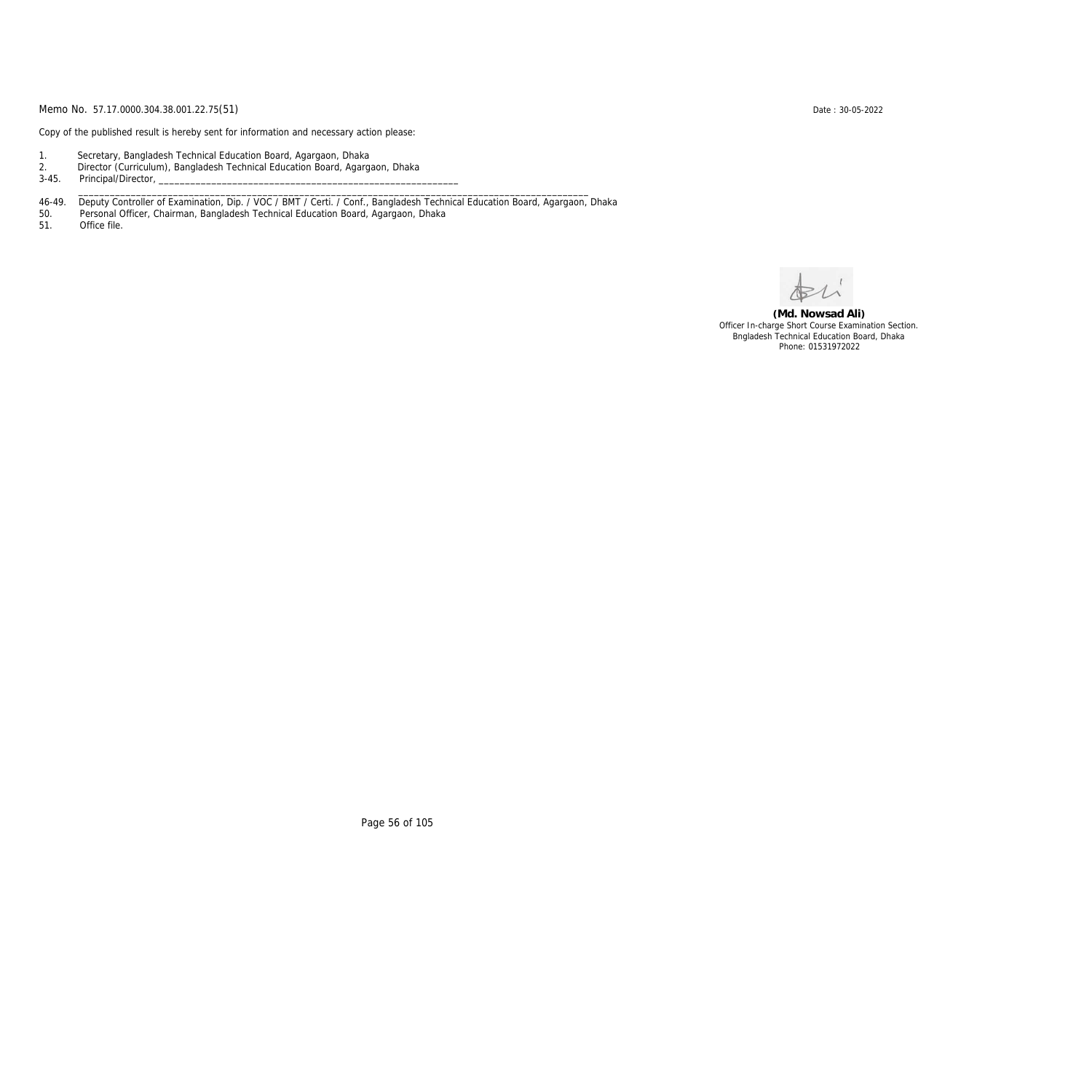Copy of the published result is hereby sent for information and necessary action please:

- 1. Secretary, Bangladesh Technical Education Board, Agargaon, Dhaka
- 2. Director (Curriculum), Bangladesh Technical Education Board, Agargaon, Dhaka

3-45. Principal/Director,

46-49. Deputy Controller of Examination, Dip. / VOC / BMT / Certi. / Conf., Bangladesh Technical Education Board, Agargaon, Dhaka

\_\_\_\_\_\_\_\_\_\_\_\_\_\_\_\_\_\_\_\_\_\_\_\_\_\_\_\_\_\_\_\_\_\_\_\_\_\_\_\_\_\_\_\_\_\_\_\_\_\_\_\_\_\_\_\_\_\_\_\_\_\_\_\_\_\_\_\_\_\_\_\_\_\_\_\_\_\_\_\_\_\_\_\_\_\_\_\_\_\_\_\_\_\_\_\_\_

50. Personal Officer, Chairman, Bangladesh Technical Education Board, Agargaon, Dhaka

Office file.

**(Md. Nowsad Ali)** Officer In-charge Short Course Examination Section. Bngladesh Technical Education Board, Dhaka Phone: 01531972022

Page 56 of 105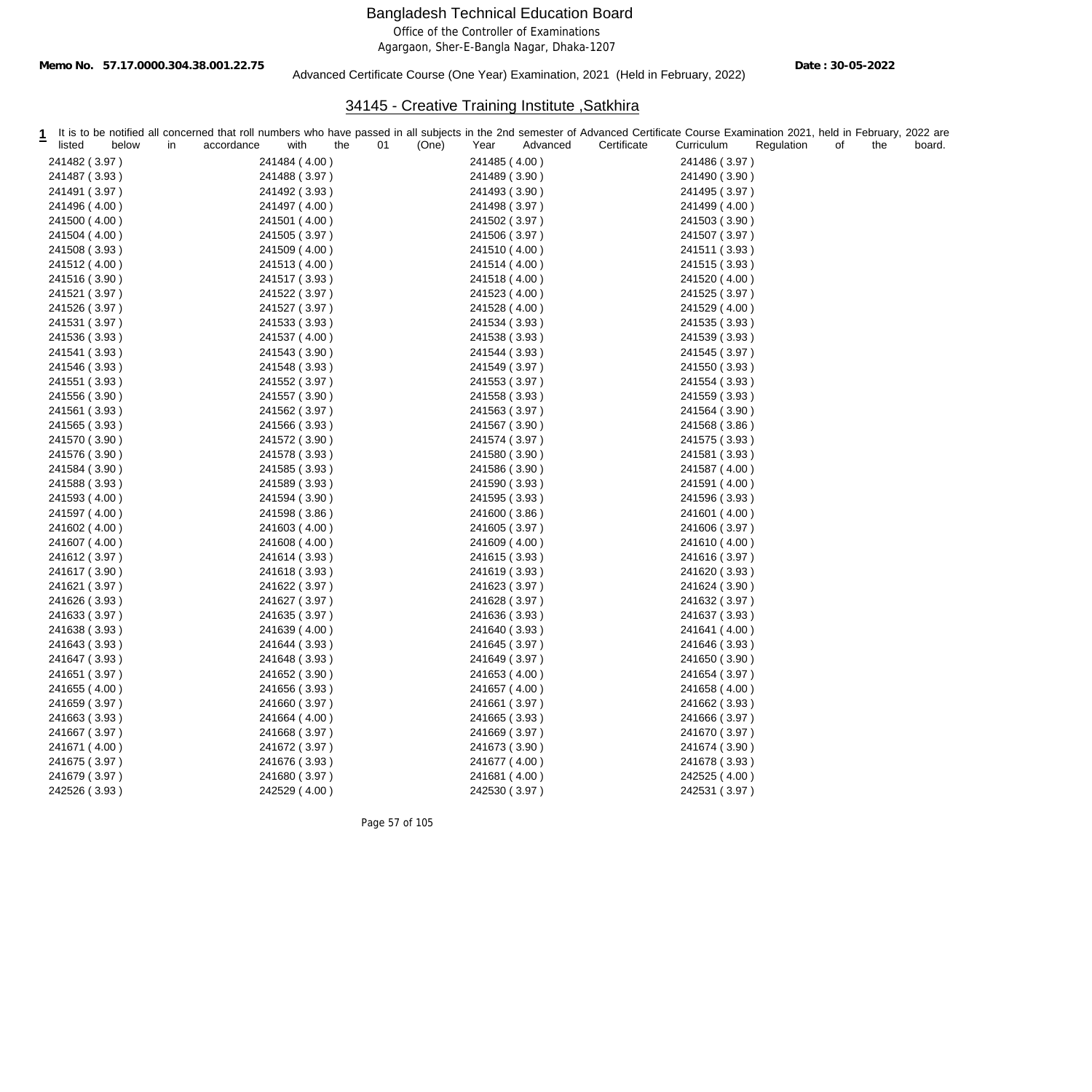Office of the Controller of Examinations

Agargaon, Sher-E-Bangla Nagar, Dhaka-1207

Date : 30-05-2022 Date : 30-05-2022<br>Advanced Certificate Course (One Year) Examination, 2021 (Held in February, 2022)

# 34145 - Creative Training Institute ,Satkhira

| listed        | below | in | accordance | with          | the | 01 | (One) | Year          | Advanced | It is to be notified all concerned that roll numbers who have passed in all subjects in the 2nd semester of Advanced Certificate Course Examination 2021, held in February, 2022 are<br>Certificate | Curriculum    | Regulation | of | the | board. |
|---------------|-------|----|------------|---------------|-----|----|-------|---------------|----------|-----------------------------------------------------------------------------------------------------------------------------------------------------------------------------------------------------|---------------|------------|----|-----|--------|
| 241482 (3.97) |       |    |            | 241484 (4.00) |     |    |       | 241485 (4.00) |          |                                                                                                                                                                                                     | 241486 (3.97) |            |    |     |        |
| 241487 (3.93) |       |    |            | 241488 (3.97) |     |    |       | 241489 (3.90) |          |                                                                                                                                                                                                     | 241490 (3.90) |            |    |     |        |
| 241491 (3.97) |       |    |            | 241492 (3.93) |     |    |       | 241493 (3.90) |          |                                                                                                                                                                                                     | 241495 (3.97) |            |    |     |        |
| 241496 (4.00) |       |    |            | 241497 (4.00) |     |    |       | 241498 (3.97) |          |                                                                                                                                                                                                     | 241499 (4.00) |            |    |     |        |
| 241500 (4.00) |       |    |            | 241501 (4.00) |     |    |       | 241502 (3.97) |          |                                                                                                                                                                                                     | 241503 (3.90) |            |    |     |        |
| 241504 (4.00) |       |    |            | 241505 (3.97) |     |    |       | 241506 (3.97) |          |                                                                                                                                                                                                     | 241507 (3.97) |            |    |     |        |
| 241508 (3.93) |       |    |            | 241509 (4.00) |     |    |       | 241510 (4.00) |          |                                                                                                                                                                                                     | 241511 (3.93) |            |    |     |        |
| 241512 (4.00) |       |    |            | 241513 (4.00) |     |    |       | 241514 (4.00) |          |                                                                                                                                                                                                     | 241515 (3.93) |            |    |     |        |
| 241516 (3.90) |       |    |            | 241517 (3.93) |     |    |       | 241518 (4.00) |          |                                                                                                                                                                                                     | 241520 (4.00) |            |    |     |        |
| 241521 (3.97) |       |    |            | 241522 (3.97) |     |    |       | 241523 (4.00) |          |                                                                                                                                                                                                     | 241525 (3.97) |            |    |     |        |
| 241526 (3.97) |       |    |            | 241527 (3.97) |     |    |       | 241528 (4.00) |          |                                                                                                                                                                                                     | 241529 (4.00) |            |    |     |        |
| 241531 (3.97) |       |    |            | 241533 (3.93) |     |    |       | 241534 (3.93) |          |                                                                                                                                                                                                     | 241535 (3.93) |            |    |     |        |
| 241536 (3.93) |       |    |            | 241537 (4.00) |     |    |       | 241538 (3.93) |          |                                                                                                                                                                                                     | 241539 (3.93) |            |    |     |        |
| 241541 (3.93) |       |    |            | 241543 (3.90) |     |    |       | 241544 (3.93) |          |                                                                                                                                                                                                     | 241545 (3.97) |            |    |     |        |
| 241546 (3.93) |       |    |            | 241548 (3.93) |     |    |       | 241549 (3.97) |          |                                                                                                                                                                                                     | 241550 (3.93) |            |    |     |        |
| 241551 (3.93) |       |    |            | 241552 (3.97) |     |    |       | 241553 (3.97) |          |                                                                                                                                                                                                     | 241554 (3.93) |            |    |     |        |
| 241556 (3.90) |       |    |            | 241557 (3.90) |     |    |       | 241558 (3.93) |          |                                                                                                                                                                                                     | 241559 (3.93) |            |    |     |        |
| 241561 (3.93) |       |    |            | 241562 (3.97) |     |    |       | 241563 (3.97) |          |                                                                                                                                                                                                     | 241564 (3.90) |            |    |     |        |
| 241565 (3.93) |       |    |            | 241566 (3.93) |     |    |       | 241567 (3.90) |          |                                                                                                                                                                                                     | 241568 (3.86) |            |    |     |        |
| 241570 (3.90) |       |    |            | 241572 (3.90) |     |    |       | 241574 (3.97) |          |                                                                                                                                                                                                     | 241575 (3.93) |            |    |     |        |
| 241576 (3.90) |       |    |            | 241578 (3.93) |     |    |       | 241580 (3.90) |          |                                                                                                                                                                                                     | 241581 (3.93) |            |    |     |        |
| 241584 (3.90) |       |    |            | 241585 (3.93) |     |    |       | 241586 (3.90) |          |                                                                                                                                                                                                     | 241587 (4.00) |            |    |     |        |
| 241588 (3.93) |       |    |            | 241589 (3.93) |     |    |       | 241590 (3.93) |          |                                                                                                                                                                                                     | 241591 (4.00) |            |    |     |        |
| 241593 (4.00) |       |    |            | 241594 (3.90) |     |    |       | 241595 (3.93) |          |                                                                                                                                                                                                     | 241596 (3.93) |            |    |     |        |
| 241597 (4.00) |       |    |            | 241598 (3.86) |     |    |       | 241600 (3.86) |          |                                                                                                                                                                                                     | 241601 (4.00) |            |    |     |        |
| 241602 (4.00) |       |    |            | 241603 (4.00) |     |    |       | 241605 (3.97) |          |                                                                                                                                                                                                     | 241606 (3.97) |            |    |     |        |
| 241607 (4.00) |       |    |            | 241608 (4.00) |     |    |       | 241609 (4.00) |          |                                                                                                                                                                                                     | 241610 (4.00) |            |    |     |        |
| 241612 (3.97) |       |    |            | 241614 (3.93) |     |    |       | 241615 (3.93) |          |                                                                                                                                                                                                     | 241616 (3.97) |            |    |     |        |
| 241617 (3.90) |       |    |            | 241618 (3.93) |     |    |       | 241619 (3.93) |          |                                                                                                                                                                                                     | 241620 (3.93) |            |    |     |        |
| 241621 (3.97) |       |    |            | 241622 (3.97) |     |    |       | 241623 (3.97) |          |                                                                                                                                                                                                     | 241624 (3.90) |            |    |     |        |
| 241626 (3.93) |       |    |            | 241627 (3.97) |     |    |       | 241628 (3.97) |          |                                                                                                                                                                                                     | 241632 (3.97) |            |    |     |        |
| 241633 (3.97) |       |    |            | 241635 (3.97) |     |    |       | 241636 (3.93) |          |                                                                                                                                                                                                     | 241637 (3.93) |            |    |     |        |
| 241638 (3.93) |       |    |            | 241639 (4.00) |     |    |       | 241640 (3.93) |          |                                                                                                                                                                                                     | 241641 (4.00) |            |    |     |        |
| 241643 (3.93) |       |    |            | 241644 (3.93) |     |    |       | 241645 (3.97) |          |                                                                                                                                                                                                     | 241646 (3.93) |            |    |     |        |
| 241647 (3.93) |       |    |            | 241648 (3.93) |     |    |       | 241649 (3.97) |          |                                                                                                                                                                                                     | 241650 (3.90) |            |    |     |        |
| 241651 (3.97) |       |    |            | 241652 (3.90) |     |    |       | 241653 (4.00) |          |                                                                                                                                                                                                     | 241654 (3.97) |            |    |     |        |
| 241655 (4.00) |       |    |            | 241656 (3.93) |     |    |       | 241657 (4.00) |          |                                                                                                                                                                                                     | 241658 (4.00) |            |    |     |        |
| 241659 (3.97) |       |    |            | 241660 (3.97) |     |    |       | 241661 (3.97) |          |                                                                                                                                                                                                     | 241662 (3.93) |            |    |     |        |
| 241663 (3.93) |       |    |            | 241664 (4.00) |     |    |       | 241665 (3.93) |          |                                                                                                                                                                                                     | 241666 (3.97) |            |    |     |        |
| 241667 (3.97) |       |    |            | 241668 (3.97) |     |    |       | 241669 (3.97) |          |                                                                                                                                                                                                     | 241670 (3.97) |            |    |     |        |
| 241671 (4.00) |       |    |            | 241672 (3.97) |     |    |       | 241673 (3.90) |          |                                                                                                                                                                                                     | 241674 (3.90) |            |    |     |        |
| 241675 (3.97) |       |    |            | 241676 (3.93) |     |    |       | 241677 (4.00) |          |                                                                                                                                                                                                     | 241678 (3.93) |            |    |     |        |
| 241679 (3.97) |       |    |            | 241680 (3.97) |     |    |       | 241681 (4.00) |          |                                                                                                                                                                                                     | 242525 (4.00) |            |    |     |        |
| 242526 (3.93) |       |    |            | 242529 (4.00) |     |    |       | 242530 (3.97) |          |                                                                                                                                                                                                     | 242531 (3.97) |            |    |     |        |

Page 57 of 105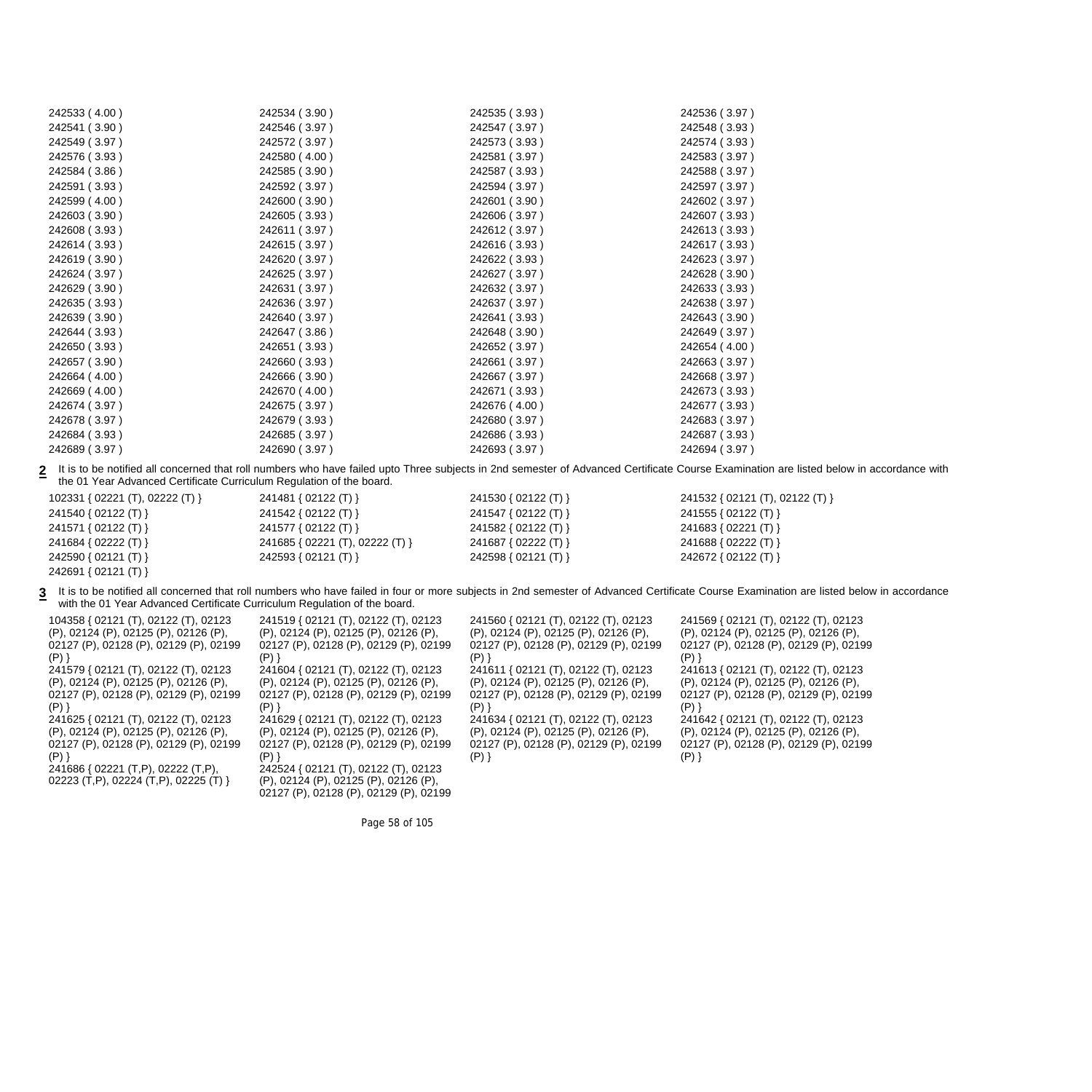| 242533 (4.00) | 242534 (3.90) | 242535 (3.93) | 242536 (3.97) |
|---------------|---------------|---------------|---------------|
| 242541 (3.90) | 242546 (3.97) | 242547 (3.97) | 242548 (3.93) |
| 242549 (3.97) | 242572 (3.97) | 242573 (3.93) | 242574 (3.93) |
| 242576 (3.93) | 242580 (4.00) | 242581 (3.97) | 242583 (3.97) |
| 242584 (3.86) | 242585 (3.90) | 242587 (3.93) | 242588 (3.97) |
| 242591 (3.93) | 242592 (3.97) | 242594 (3.97) | 242597 (3.97) |
| 242599 (4.00) | 242600 (3.90) | 242601 (3.90) | 242602 (3.97) |
| 242603 (3.90) | 242605 (3.93) | 242606 (3.97) | 242607 (3.93) |
| 242608 (3.93) | 242611 (3.97) | 242612 (3.97) | 242613 (3.93) |
| 242614 (3.93) | 242615 (3.97) | 242616 (3.93) | 242617 (3.93) |
| 242619 (3.90) | 242620 (3.97) | 242622 (3.93) | 242623 (3.97) |
| 242624 (3.97) | 242625 (3.97) | 242627 (3.97) | 242628 (3.90) |
| 242629 (3.90) | 242631 (3.97) | 242632 (3.97) | 242633 (3.93) |
| 242635 (3.93) | 242636 (3.97) | 242637 (3.97) | 242638 (3.97) |
| 242639 (3.90) | 242640 (3.97) | 242641 (3.93) | 242643 (3.90) |
| 242644 (3.93) | 242647 (3.86) | 242648 (3.90) | 242649 (3.97) |
| 242650 (3.93) | 242651 (3.93) | 242652 (3.97) | 242654 (4.00) |
| 242657 (3.90) | 242660 (3.93) | 242661 (3.97) | 242663 (3.97) |
| 242664 (4.00) | 242666 (3.90) | 242667 (3.97) | 242668 (3.97) |
| 242669 (4.00) | 242670 (4.00) | 242671 (3.93) | 242673 (3.93) |
| 242674 (3.97) | 242675 (3.97) | 242676 (4.00) | 242677 (3.93) |
| 242678 (3.97) | 242679 (3.93) | 242680 (3.97) | 242683 (3.97) |
| 242684 (3.93) | 242685 (3.97) | 242686 (3.93) | 242687 (3.93) |
| 242689 (3.97) | 242690 (3.97) | 242693 (3.97) | 242694 (3.97) |
|               |               |               |               |

2 It is to be notified all concerned that roll numbers who have failed upto Three subjects in 2nd semester of Advanced Certificate Course Examination are listed below in accordance with the 01 Year Advanced Certificate Curriculum Regulation of the board.

102331 { 02221 (T), 02222 (T) } 241481 { 02122 (T) } 241530 { 02122 (T) } 241532 { 02121 (T), 02122 (T) } 241540 { 02122 (T) } 241542 { 02122 (T) } 241547 { 02122 (T) } 241555 { 02122 (T) } 241571 { 02122 (T) } 241577 { 02122 (T) } 241582 { 02122 (T) } 241683 { 02221 (T) } 241684 { 02222 (T) } 241685 { 02221 (T), 02222 (T) } 241687 { 02222 (T) } 241688 { 02222 (T) } 242590 { 02121 (T) } 242593 { 02121 (T) } 242598 { 02121 (T) } 242672 { 02122 (T) }

242691 { 02121 (T) }

3 It is to be notified all concerned that roll numbers who have failed in four or more subjects in 2nd semester of Advanced Certificate Course Examination are listed below in accordance with the 01 Year Advanced Certificate Curriculum Regulation of the board.

| 104358 { 02121 (T), 02122 (T), 02123                                                                                                                                                                                                                                                                                                                    | 241519 { 02121 (T), 02122 (T), 02123                                                                                                                                                                                                                                                                                                                                                            | 241560 { 02121 (T), 02122 (T), 02123                                                                                                                                                                                                                                   | 241569 { 02121 (T), 02122 (T), 02123                                                                                                                                                                                                                      |
|---------------------------------------------------------------------------------------------------------------------------------------------------------------------------------------------------------------------------------------------------------------------------------------------------------------------------------------------------------|-------------------------------------------------------------------------------------------------------------------------------------------------------------------------------------------------------------------------------------------------------------------------------------------------------------------------------------------------------------------------------------------------|------------------------------------------------------------------------------------------------------------------------------------------------------------------------------------------------------------------------------------------------------------------------|-----------------------------------------------------------------------------------------------------------------------------------------------------------------------------------------------------------------------------------------------------------|
| (P), 02124 (P), 02125 (P), 02126 (P),                                                                                                                                                                                                                                                                                                                   | (P), 02124 (P), 02125 (P), 02126 (P),                                                                                                                                                                                                                                                                                                                                                           | (P), 02124 (P), 02125 (P), 02126 (P),                                                                                                                                                                                                                                  | (P), 02124 (P), 02125 (P), 02126 (P),                                                                                                                                                                                                                     |
| 02127 (P), 02128 (P), 02129 (P), 02199                                                                                                                                                                                                                                                                                                                  | 02127 (P), 02128 (P), 02129 (P), 02199                                                                                                                                                                                                                                                                                                                                                          | 02127 (P), 02128 (P), 02129 (P), 02199                                                                                                                                                                                                                                 | 02127 (P), 02128 (P), 02129 (P), 02199                                                                                                                                                                                                                    |
| (P)                                                                                                                                                                                                                                                                                                                                                     | (P)                                                                                                                                                                                                                                                                                                                                                                                             | $(P)$ }                                                                                                                                                                                                                                                                | $(P)$ }                                                                                                                                                                                                                                                   |
| 241579 { 02121 (T), 02122 (T), 02123<br>(P), 02124 (P), 02125 (P), 02126 (P),<br>02127 (P), 02128 (P), 02129 (P), 02199<br>$(P)$ }<br>241625 { 02121 (T), 02122 (T), 02123<br>(P), 02124 (P), 02125 (P), 02126 (P),<br>02127 (P), 02128 (P), 02129 (P), 02199<br>$(P)$ }<br>241686 { 02221 (T,P), 02222 (T,P),<br>02223 (T,P), 02224 (T,P), 02225 (T) } | 241604 { 02121 (T), 02122 (T), 02123<br>(P), 02124 (P), 02125 (P), 02126 (P),<br>02127 (P), 02128 (P), 02129 (P), 02199<br>(P)<br>241629 { 02121 (T), 02122 (T), 02123<br>(P), 02124 (P), 02125 (P), 02126 (P),<br>02127 (P), 02128 (P), 02129 (P), 02199<br>$(P)$ }<br>242524 { 02121 (T), 02122 (T), 02123<br>(P), 02124 (P), 02125 (P), 02126 (P),<br>02127 (P), 02128 (P), 02129 (P), 02199 | 241611 { 02121 (T), 02122 (T), 02123<br>(P), 02124 (P), 02125 (P), 02126 (P),<br>02127 (P), 02128 (P), 02129 (P), 02199<br>$(P)$ }<br>241634 { 02121 (T), 02122 (T), 02123<br>(P), 02124 (P), 02125 (P), 02126 (P),<br>02127 (P), 02128 (P), 02129 (P), 02199<br>(P) ] | 241613 { 02121 (T), 02122 (T), 02123<br>(P), 02124 (P), 02125 (P), 02126 (P),<br>02127 (P), 02128 (P), 02129 (P), 02199<br>(P)<br>241642 { 02121 (T), 02122 (T), 02123<br>(P), 02124 (P), 02125 (P), 02126 (P),<br>02127 (P), 02128 (P), 02129 (P), 02199 |

Page 58 of 105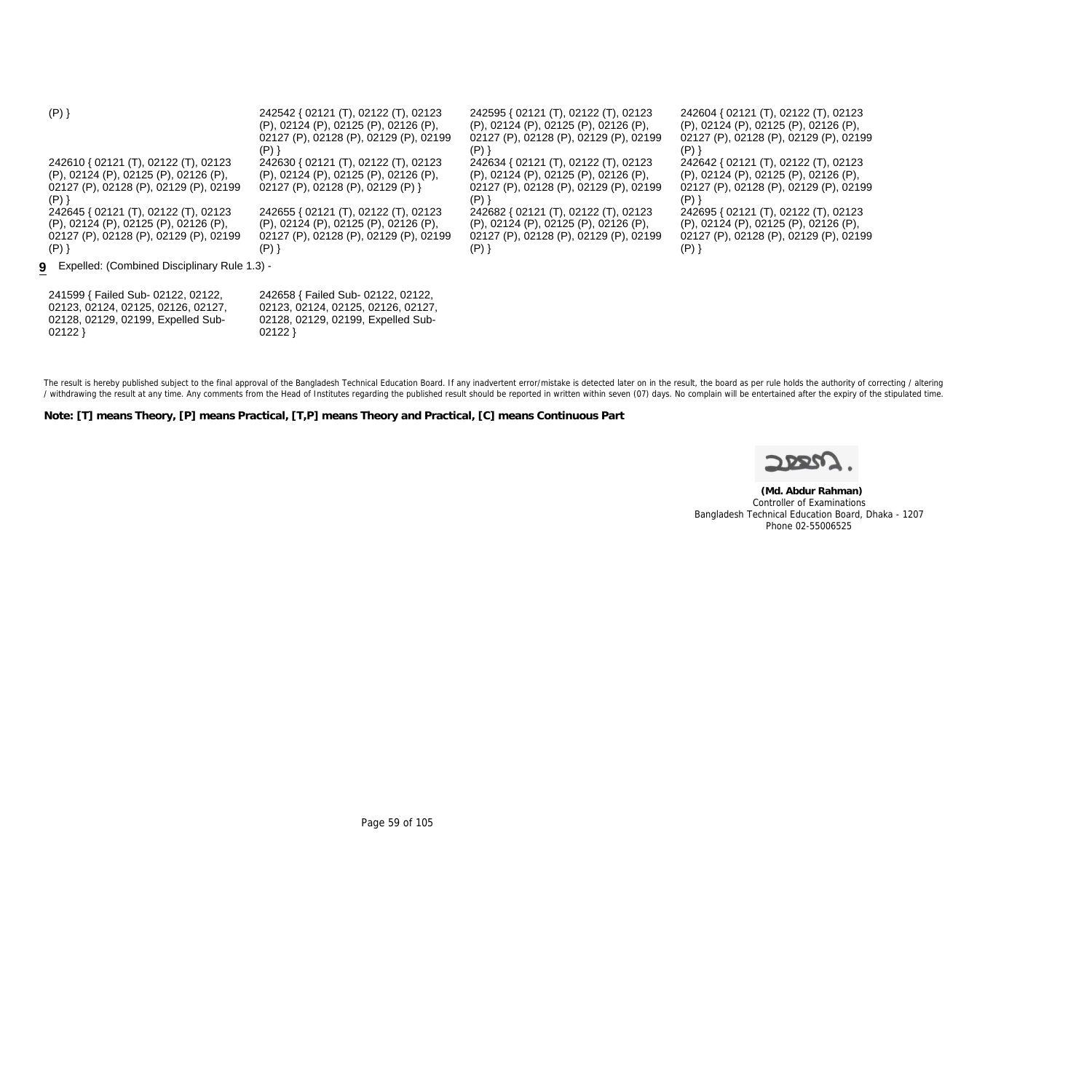| $(P)$ }                                        | 242542 { 02121 (T), 02122 (T), 02123<br>(P), 02124 (P), 02125 (P), 02126 (P),<br>02127 (P), 02128 (P), 02129 (P), 02199 | 242595 { 02121 (T), 02122 (T), 02123<br>(P), 02124 (P), 02125 (P), 02126 (P),<br>02127 (P), 02128 (P), 02129 (P), 02199 | 242604 { 02121 (T), 02122 (T), 02123<br>(P), 02124 (P), 02125 (P), 02126 (P),<br>02127 (P), 02128 (P), 02129 (P), 02199 |
|------------------------------------------------|-------------------------------------------------------------------------------------------------------------------------|-------------------------------------------------------------------------------------------------------------------------|-------------------------------------------------------------------------------------------------------------------------|
| 242610 { 02121 (T), 02122 (T), 02123           | $(P)$ }<br>242630 { 02121 (T), 02122 (T), 02123                                                                         | $(P)$ }<br>242634 { 02121 (T), 02122 (T), 02123                                                                         | $(P)$ }<br>242642 { 02121 (T), 02122 (T), 02123                                                                         |
| (P), 02124 (P), 02125 (P), 02126 (P),          | (P), 02124 (P), 02125 (P), 02126 (P),                                                                                   | (P), 02124 (P), 02125 (P), 02126 (P),                                                                                   | (P), 02124 (P), 02125 (P), 02126 (P),                                                                                   |
| 02127 (P), 02128 (P), 02129 (P), 02199         | 02127 (P), 02128 (P), 02129 (P) }                                                                                       | 02127 (P), 02128 (P), 02129 (P), 02199                                                                                  | 02127 (P), 02128 (P), 02129 (P), 02199                                                                                  |
| (P)                                            |                                                                                                                         | $(P)$ }                                                                                                                 | $(P)$ }                                                                                                                 |
| 242645 { 02121 (T), 02122 (T), 02123           | 242655 { 02121 (T), 02122 (T), 02123                                                                                    | 242682 { 02121 (T), 02122 (T), 02123                                                                                    | 242695 { 02121 (T), 02122 (T), 02123                                                                                    |
| (P), 02124 (P), 02125 (P), 02126 (P),          | (P), 02124 (P), 02125 (P), 02126 (P),                                                                                   | (P), 02124 (P), 02125 (P), 02126 (P),                                                                                   | (P), 02124 (P), 02125 (P), 02126 (P),                                                                                   |
| 02127 (P), 02128 (P), 02129 (P), 02199         | 02127 (P), 02128 (P), 02129 (P), 02199                                                                                  | 02127 (P), 02128 (P), 02129 (P), 02199                                                                                  | 02127 (P), 02128 (P), 02129 (P), 02199                                                                                  |
| $(P)$ }                                        | (P)        }                                                                                                            | (P)        }                                                                                                            | $(P)$ }                                                                                                                 |
| 9 Expelled: (Combined Disciplinary Rule 1.3) - |                                                                                                                         |                                                                                                                         |                                                                                                                         |
| 241599 { Failed Sub- 02122, 02122,             | 242658 { Failed Sub- 02122, 02122,                                                                                      |                                                                                                                         |                                                                                                                         |
| 02123, 02124, 02125, 02126, 02127,             | 02123, 02124, 02125, 02126, 02127,                                                                                      |                                                                                                                         |                                                                                                                         |
| 02128, 02129, 02199, Expelled Sub-             | 02128, 02129, 02199, Expelled Sub-                                                                                      |                                                                                                                         |                                                                                                                         |
| 02122                                          | 02122                                                                                                                   |                                                                                                                         |                                                                                                                         |

The result is hereby published subject to the final approval of the Bangladesh Technical Education Board. If any inadvertent error/mistake is detected later on in the result, the board as per rule holds the authority of co / withdrawing the result at any time. Any comments from the Head of Institutes regarding the published result should be reported in written within seven (07) days. No complain will be entertained after the expiry of the st

**Note: [T] means Theory, [P] means Practical, [T,P] means Theory and Practical, [C] means Continuous Part**



 **(Md. Abdur Rahman)** Controller of Examinations Bangladesh Technical Education Board, Dhaka - 1207 Phone 02-55006525

Page 59 of 105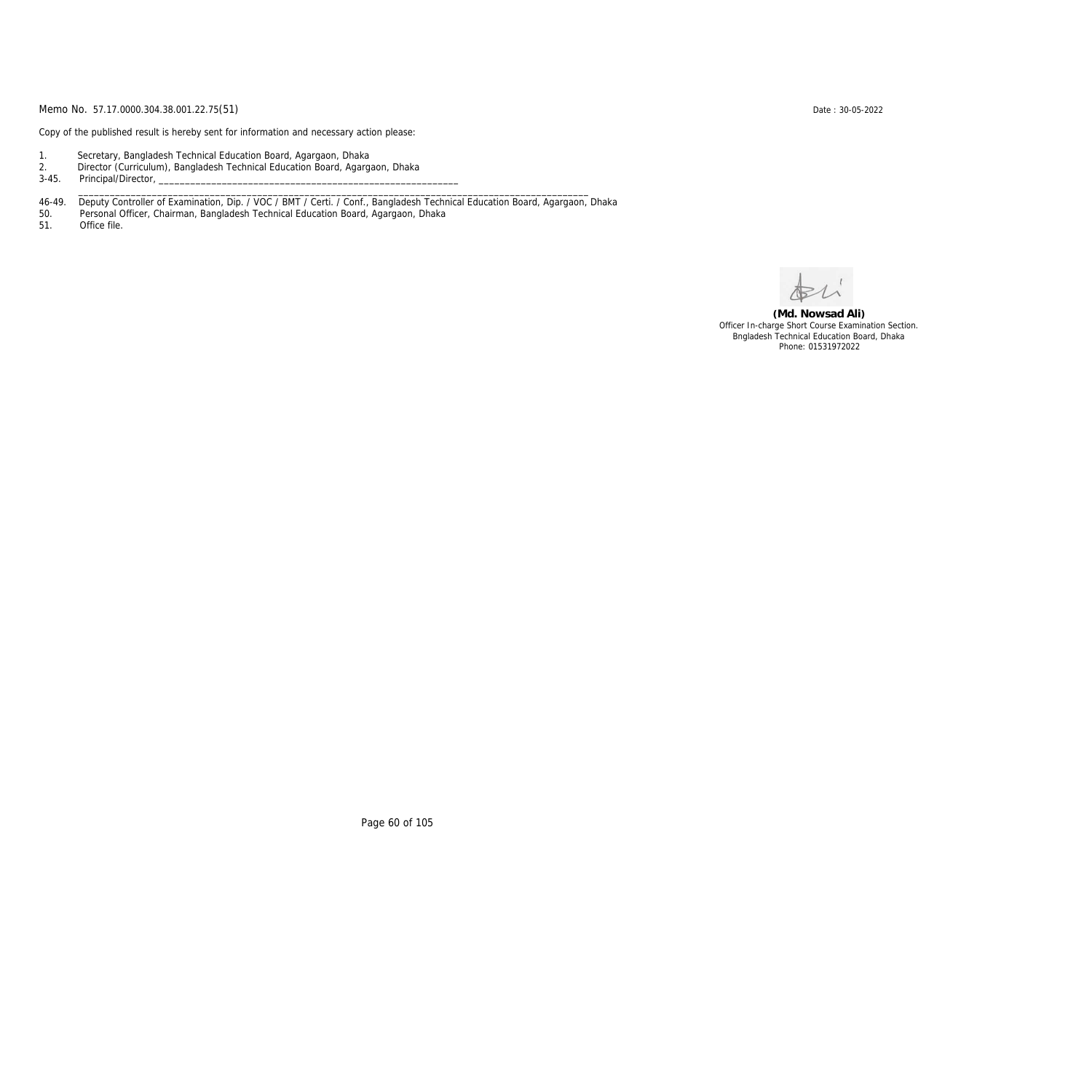Copy of the published result is hereby sent for information and necessary action please:

- 1. Secretary, Bangladesh Technical Education Board, Agargaon, Dhaka
- 2. Director (Curriculum), Bangladesh Technical Education Board, Agargaon, Dhaka

3-45. Principal/Director,

46-49. Deputy Controller of Examination, Dip. / VOC / BMT / Certi. / Conf., Bangladesh Technical Education Board, Agargaon, Dhaka

\_\_\_\_\_\_\_\_\_\_\_\_\_\_\_\_\_\_\_\_\_\_\_\_\_\_\_\_\_\_\_\_\_\_\_\_\_\_\_\_\_\_\_\_\_\_\_\_\_\_\_\_\_\_\_\_\_\_\_\_\_\_\_\_\_\_\_\_\_\_\_\_\_\_\_\_\_\_\_\_\_\_\_\_\_\_\_\_\_\_\_\_\_\_\_\_\_

50. Personal Officer, Chairman, Bangladesh Technical Education Board, Agargaon, Dhaka

Office file.

**(Md. Nowsad Ali)** Officer In-charge Short Course Examination Section. Bngladesh Technical Education Board, Dhaka Phone: 01531972022

Page 60 of 105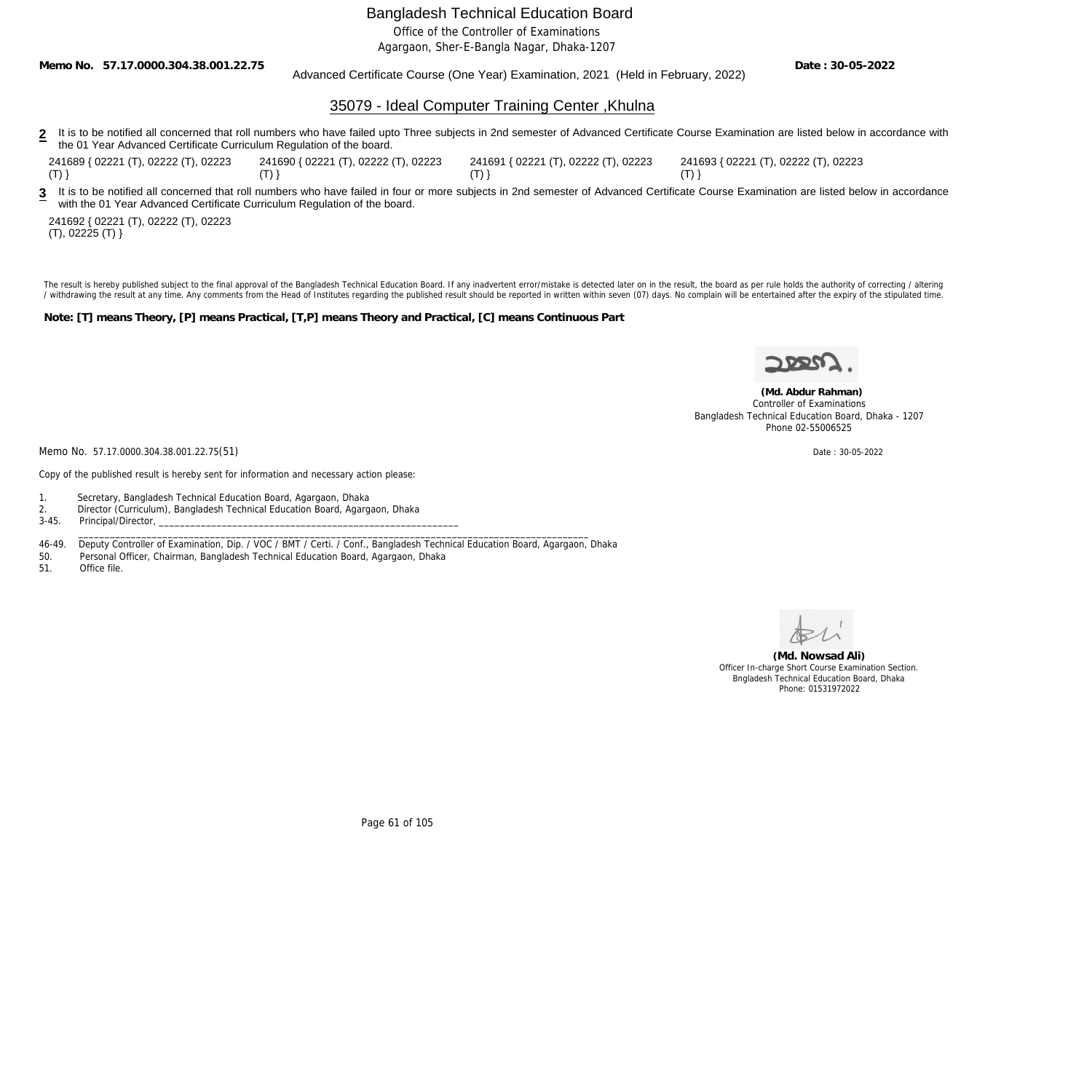Office of the Controller of Examinations

Agargaon, Sher-E-Bangla Nagar, Dhaka-1207

**Memo No. 57.17.0000.304.38.001.22.75**

Advanced Certificate Course (One Year) Examination, 2021 (Held in February, 2022)

**Date : 30-05-2022**

### 35079 - Ideal Computer Training Center ,Khulna

2 It is to be notified all concerned that roll numbers who have failed upto Three subjects in 2nd semester of Advanced Certificate Course Examination are listed below in accordance with the 01 Year Advanced Certificate Curriculum Regulation of the board.

241689 { 02221 (T), 02222 (T), 02223  $(T)$ } 241690 { 02221 (T), 02222 (T), 02223  $(T)$ }

241691 { 02221 (T), 02222 (T), 02223  $(T)$ }

241693 { 02221 (T), 02222 (T), 02223  $(T)$ }

3 It is to be notified all concerned that roll numbers who have failed in four or more subjects in 2nd semester of Advanced Certificate Course Examination are listed below in accordance with the 01 Year Advanced Certificate Curriculum Regulation of the board.

241692 { 02221 (T), 02222 (T), 02223 (T), 02225 (T) }

The result is hereby published subject to the final approval of the Bangladesh Technical Education Board. If any inadvertent error/mistake is detected later on in the result, the board as per rule holds the authority of co / withdrawing the result at any time. Any comments from the Head of Institutes regarding the published result should be reported in written within seven (07) days. No complain will be entertained after the expiry of the st

**Note: [T] means Theory, [P] means Practical, [T,P] means Theory and Practical, [C] means Continuous Part**



 **(Md. Abdur Rahman)** Controller of Examinations Bangladesh Technical Education Board, Dhaka - 1207 Phone 02-55006525

Memo No. 57.17.0000.304.38.001.22.75(51) Date: 30-05-2022

Copy of the published result is hereby sent for information and necessary action please:

- 1. Secretary, Bangladesh Technical Education Board, Agargaon, Dhaka
- 2. Director (Curriculum), Bangladesh Technical Education Board, Agargaon, Dhaka<br>3-45. Principal/Director,
- Principal/Director,
- 46-49. Deputy Controller of Examination, Dip. / VOC / BMT / Certi. / Conf., Bangladesh Technical Education Board, Agargaon, Dhaka<br>50. Personal Officer, Chairman, Bangladesh Technical Education Board, Agargaon, Dhaka

 $\_$  ,  $\_$  ,  $\_$  ,  $\_$  ,  $\_$  ,  $\_$  ,  $\_$  ,  $\_$  ,  $\_$  ,  $\_$  ,  $\_$  ,  $\_$  ,  $\_$  ,  $\_$  ,  $\_$  ,  $\_$  ,  $\_$  ,  $\_$  ,  $\_$  ,  $\_$  ,  $\_$  ,  $\_$  ,  $\_$  ,  $\_$  ,  $\_$  ,  $\_$  ,  $\_$  ,  $\_$  ,  $\_$  ,  $\_$  ,  $\_$  ,  $\_$  ,  $\_$  ,  $\_$  ,  $\_$  ,  $\_$  ,  $\_$  ,

- Personal Officer, Chairman, Bangladesh Technical Education Board, Agargaon, Dhaka
- 51. Office file.



**(Md. Nowsad Ali)** Officer In-charge Short Course Examination Section. Bngladesh Technical Education Board, Dhaka Phone: 01531972022

Page 61 of 105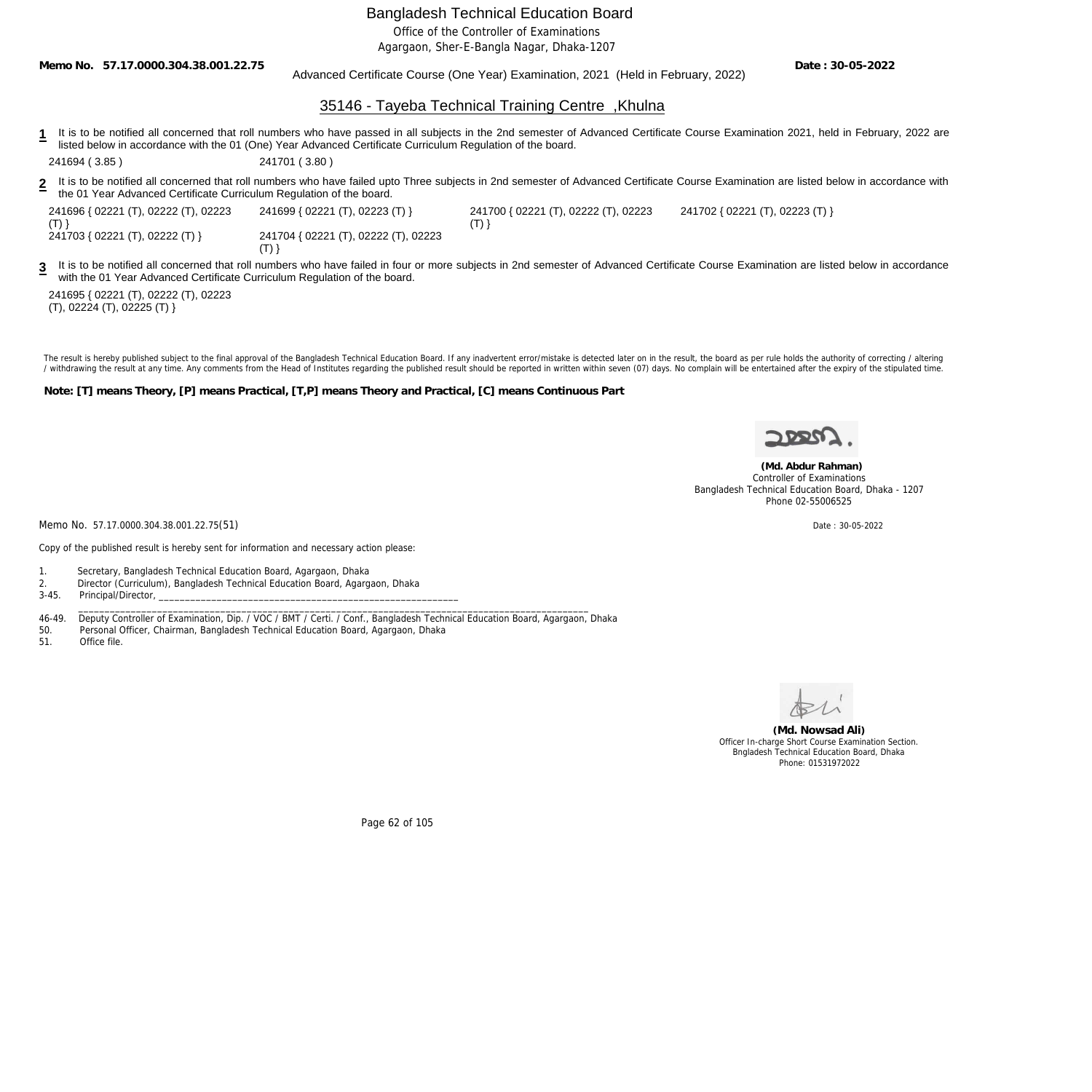Office of the Controller of Examinations

Agargaon, Sher-E-Bangla Nagar, Dhaka-1207

**Memo No. 57.17.0000.304.38.001.22.75**

### Advanced Certificate Course (One Year) Examination, 2021 (Held in February, 2022)

**Date : 30-05-2022**

### 35146 - Tayeba Technical Training Centre ,Khulna

**1** It is to be notified all concerned that roll numbers who have passed in all subjects in the 2nd semester of Advanced Certificate Course Examination 2021, held in February, 2022 are listed below in accordance with the 01 (One) Year Advanced Certificate Curriculum Regulation of the board.

241694 ( 3.85 ) 241701 ( 3.80 )

**2** It is to be notified all concerned that roll numbers who have failed upto Three subjects in 2nd semester of Advanced Certificate Course Examination are listed below in accordance with the 01 Year Advanced Certificate Curriculum Regulation of the board.

| 241696 { 02221 (T), 02222 (T), 02223   | 241699 { 02221 (T), 02223 (T) }      | 241700 |
|----------------------------------------|--------------------------------------|--------|
| (T)<br>241703 { 02221 (T), 02222 (T) } | 241704 { 02221 (T), 02222 (T), 02223 | (T)    |
|                                        |                                      |        |

0 { 02221 (T), 02222 (T), 02223 241702 { 02221 (T), 02223 (T) }

It is to be notified all concerned that roll numbers who have failed in four or more subjects in 2nd semester of Advanced Certificate Course Examination are listed below in accordance with the 01 Year Advanced Certificate Curriculum Regulation of the board.

241695 { 02221 (T), 02222 (T), 02223 (T), 02224 (T), 02225 (T) }

**3**

The result is hereby published subject to the final approval of the Bangladesh Technical Education Board. If any inadvertent error/mistake is detected later on in the result, the board as per rule holds the authority of co / withdrawing the result at any time. Any comments from the Head of Institutes regarding the published result should be reported in written within seven (07) days. No complain will be entertained after the expiry of the st

**Note: [T] means Theory, [P] means Practical, [T,P] means Theory and Practical, [C] means Continuous Part**



 **(Md. Abdur Rahman)** Controller of Examinations Bangladesh Technical Education Board, Dhaka - 1207 Phone 02-55006525

Memo No. 57.17.0000.304.38.001.22.75(51) Date : 30-05-2022

Copy of the published result is hereby sent for information and necessary action please:

- 1. Secretary, Bangladesh Technical Education Board, Agargaon, Dhaka
- 2. Director (Curriculum), Bangladesh Technical Education Board, Agargaon, Dhaka
- 3-45. Principal/Director,

46-49. Deputy Controller of Examination, Dip. / VOC / BMT / Certi. / Conf., Bangladesh Technical Education Board, Agargaon, Dhaka

\_\_\_\_\_\_\_\_\_\_\_\_\_\_\_\_\_\_\_\_\_\_\_\_\_\_\_\_\_\_\_\_\_\_\_\_\_\_\_\_\_\_\_\_\_\_\_\_\_\_\_\_\_\_\_\_\_\_\_\_\_\_\_\_\_\_\_\_\_\_\_\_\_\_\_\_\_\_\_\_\_\_\_\_\_\_\_\_\_\_\_\_\_\_\_\_\_

- 50. Personal Officer, Chairman, Bangladesh Technical Education Board, Agargaon, Dhaka
- 51. Office file.



**(Md. Nowsad Ali)** Officer In-charge Short Course Examination Section. Bngladesh Technical Education Board, Dhaka Phone: 01531972022

Page 62 of 105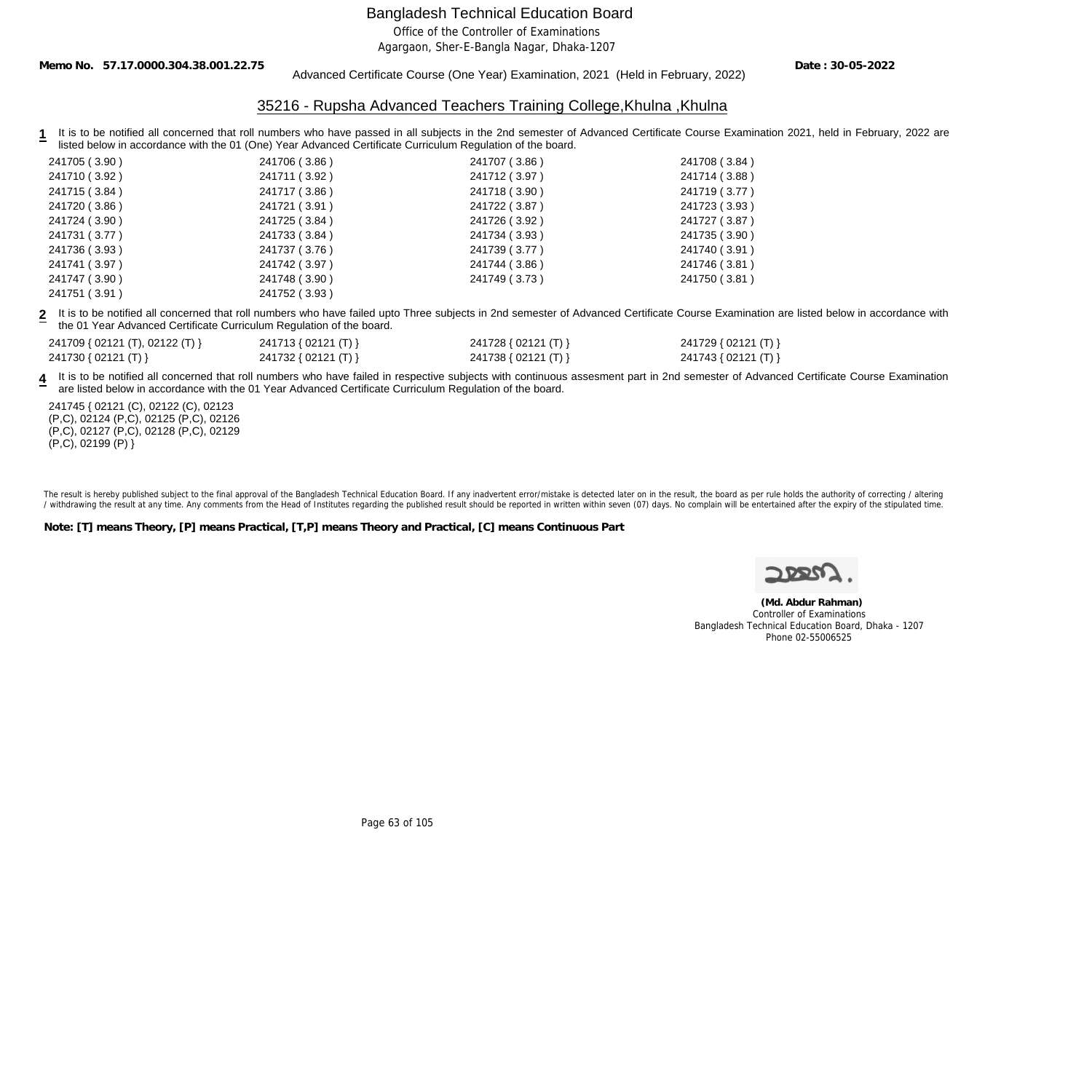Office of the Controller of Examinations

Agargaon, Sher-E-Bangla Nagar, Dhaka-1207

**Memo No. 57.17.0000.304.38.001.22.75**

Advanced Certificate Course (One Year) Examination, 2021 (Held in February, 2022)

**Date : 30-05-2022**

### 35216 - Rupsha Advanced Teachers Training College,Khulna ,Khulna

**1** It is to be notified all concerned that roll numbers who have passed in all subjects in the 2nd semester of Advanced Certificate Course Examination 2021, held in February, 2022 are listed below in accordance with the 01 (One) Year Advanced Certificate Curriculum Regulation of the board.

| 241705 (3.90) | 241706 (3.86) | 241707 (3.86) | 241708 (3.84) |
|---------------|---------------|---------------|---------------|
| 241710 (3.92) | 241711 (3.92) | 241712 (3.97) | 241714 (3.88) |
| 241715 (3.84) | 241717 (3.86) | 241718 (3.90) | 241719 (3.77) |
| 241720 (3.86) | 241721 (3.91) | 241722 (3.87) | 241723 (3.93) |
| 241724 (3.90) | 241725 (3.84) | 241726 (3.92) | 241727 (3.87) |
| 241731 (3.77) | 241733 (3.84) | 241734 (3.93) | 241735 (3.90) |
| 241736 (3.93) | 241737 (3.76) | 241739 (3.77) | 241740 (3.91) |
| 241741 (3.97) | 241742 (3.97) | 241744 (3.86) | 241746 (3.81) |
| 241747 (3.90) | 241748 (3.90) | 241749 (3.73) | 241750 (3.81) |
| 241751(3.91)  | 241752 (3.93) |               |               |

**2** It is to be notified all concerned that roll numbers who have failed upto Three subjects in 2nd semester of Advanced Certificate Course Examination are listed below in accordance with the 01 Year Advanced Certificate Curriculum Regulation of the board.

| 241709 { 02121 (T), 02122 (T) } | 241713 { 02121 (T) } | 241728 { 02121 (T) } | 241729 { 02121 (T) } |
|---------------------------------|----------------------|----------------------|----------------------|
| 241730 { 02121 (T) }            | 241732 { 02121 (T) } | 241738 { 02121 (T) } | 241743 { 02121 (T) } |

4 It is to be notified all concerned that roll numbers who have failed in respective subjects with continuous assesment part in 2nd semester of Advanced Certificate Course Examination are listed below in accordance with the 01 Year Advanced Certificate Curriculum Regulation of the board.

241745 { 02121 (C), 02122 (C), 02123 (P,C), 02124 (P,C), 02125 (P,C), 02126 (P,C), 02127 (P,C), 02128 (P,C), 02129  $(P, C)$ , 02199 $(P)$ }

The result is hereby published subject to the final approval of the Bangladesh Technical Education Board. If any inadvertent error/mistake is detected later on in the result, the board as per rule holds the authority of co / withdrawing the result at any time. Any comments from the Head of Institutes regarding the published result should be reported in written within seven (07) days. No complain will be entertained after the expiry of the st

**Note: [T] means Theory, [P] means Practical, [T,P] means Theory and Practical, [C] means Continuous Part**



 **(Md. Abdur Rahman)** Controller of Examinations Bangladesh Technical Education Board, Dhaka - 1207 Phone 02-55006525

Page 63 of 105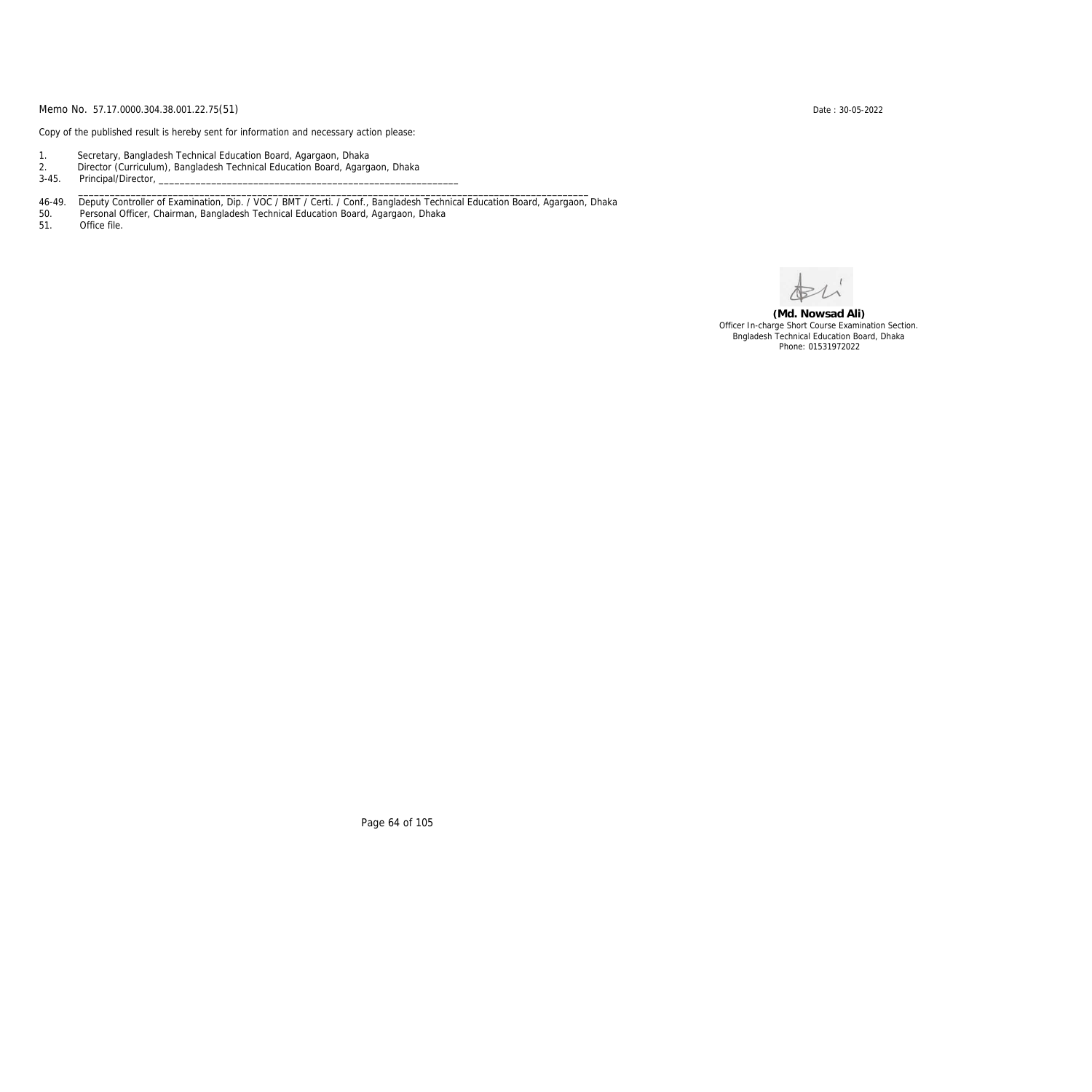Copy of the published result is hereby sent for information and necessary action please:

- 1. Secretary, Bangladesh Technical Education Board, Agargaon, Dhaka
- 2. Director (Curriculum), Bangladesh Technical Education Board, Agargaon, Dhaka

3-45. Principal/Director,

46-49. Deputy Controller of Examination, Dip. / VOC / BMT / Certi. / Conf., Bangladesh Technical Education Board, Agargaon, Dhaka

\_\_\_\_\_\_\_\_\_\_\_\_\_\_\_\_\_\_\_\_\_\_\_\_\_\_\_\_\_\_\_\_\_\_\_\_\_\_\_\_\_\_\_\_\_\_\_\_\_\_\_\_\_\_\_\_\_\_\_\_\_\_\_\_\_\_\_\_\_\_\_\_\_\_\_\_\_\_\_\_\_\_\_\_\_\_\_\_\_\_\_\_\_\_\_\_\_

50. Personal Officer, Chairman, Bangladesh Technical Education Board, Agargaon, Dhaka

Office file.

**(Md. Nowsad Ali)** Officer In-charge Short Course Examination Section. Bngladesh Technical Education Board, Dhaka Phone: 01531972022

Page 64 of 105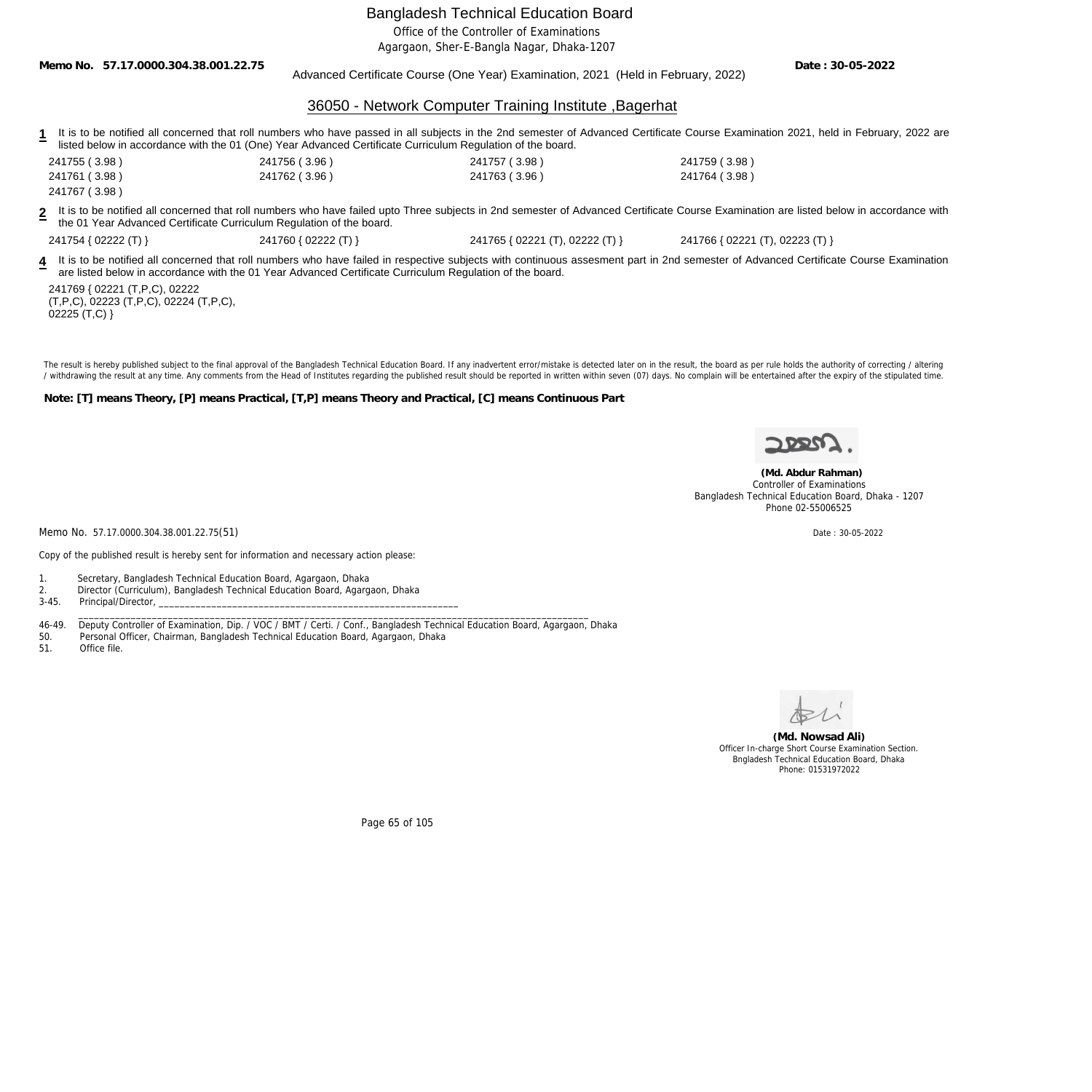Office of the Controller of Examinations

Agargaon, Sher-E-Bangla Nagar, Dhaka-1207

**Date : 30-05-2022**

|                                                                                                            |                      | Advanced Certificate Course (One Year) Examination, 2021 (Held in February, 2022) | DUIT DU UJ LULL                                                                                                                                                                           |
|------------------------------------------------------------------------------------------------------------|----------------------|-----------------------------------------------------------------------------------|-------------------------------------------------------------------------------------------------------------------------------------------------------------------------------------------|
|                                                                                                            |                      | 36050 - Network Computer Training Institute, Bagerhat                             |                                                                                                                                                                                           |
| listed below in accordance with the 01 (One) Year Advanced Certificate Curriculum Regulation of the board. |                      |                                                                                   | It is to be notified all concerned that roll numbers who have passed in all subjects in the 2nd semester of Advanced Certificate Course Examination 2021, held in February, 2022 are      |
| 241755 (3.98)                                                                                              | 241756 (3.96)        | 241757 (3.98)                                                                     | 241759 (3.98)                                                                                                                                                                             |
| 241761 (3.98)<br>241767 (3.98)                                                                             | 241762 (3.96)        | 241763 (3.96)                                                                     | 241764 (3.98)                                                                                                                                                                             |
| the 01 Year Advanced Certificate Curriculum Regulation of the board.                                       |                      |                                                                                   | 2 It is to be notified all concerned that roll numbers who have failed upto Three subjects in 2nd semester of Advanced Certificate Course Examination are listed below in accordance with |
| 241754 { 02222 (T) }                                                                                       | 241760 { 02222 (T) } | 241765 { 02221 (T), 02222 (T) }                                                   | 241766 { 02221 (T), 02223 (T) }                                                                                                                                                           |
| are listed below in accordance with the 01 Year Advanced Certificate Curriculum Regulation of the board.   |                      |                                                                                   | 4 It is to be notified all concerned that roll numbers who have failed in respective subjects with continuous assesment part in 2nd semester of Advanced Certificate Course Examination   |

241769 { 02221 (T,P,C), 02222 (T,P,C), 02223 (T,P,C), 02224 (T,P,C),  $02225$  (T,C) }

**Memo No. 57.17.0000.304.38.001.22.75**

The result is hereby published subject to the final approval of the Bangladesh Technical Education Board. If any inadvertent error/mistake is detected later on in the result, the board as per rule holds the authority of co / withdrawing the result at any time. Any comments from the Head of Institutes regarding the published result should be reported in written within seven (07) days. No complain will be entertained after the expiry of the st

**Note: [T] means Theory, [P] means Practical, [T,P] means Theory and Practical, [C] means Continuous Part**



 **(Md. Abdur Rahman)** Controller of Examinations Bangladesh Technical Education Board, Dhaka - 1207 Phone 02-55006525

Memo No. 57.17.0000.304.38.001.22.75(51) Date: 30-05-2022

Copy of the published result is hereby sent for information and necessary action please:

1. Secretary, Bangladesh Technical Education Board, Agargaon, Dhaka

- 2. Director (Curriculum), Bangladesh Technical Education Board, Agargaon, Dhaka
- Principal/Director, \_\_\_\_\_\_\_\_\_\_\_\_\_\_\_\_\_\_\_\_\_\_\_\_\_\_\_\_\_\_\_\_\_\_\_\_\_\_\_\_\_\_\_\_\_\_\_\_\_\_\_\_\_\_\_\_\_\_\_\_\_\_\_\_\_\_\_\_\_\_\_\_\_\_\_\_\_\_\_\_\_\_\_\_\_\_\_\_\_\_\_\_\_\_\_\_\_

46-49. Deputy Controller of Examination, Dip. / VOC / BMT / Certi. / Conf., Bangladesh Technical Education Board, Agargaon, Dhaka<br>50. Personal Officer, Chairman, Bangladesh Technical Education Board, Agargaon, Dhaka

50. Personal Officer, Chairman, Bangladesh Technical Education Board, Agargaon, Dhaka

Office file.



**(Md. Nowsad Ali)** Officer In-charge Short Course Examination Section. Bngladesh Technical Education Board, Dhaka Phone: 01531972022

Page 65 of 105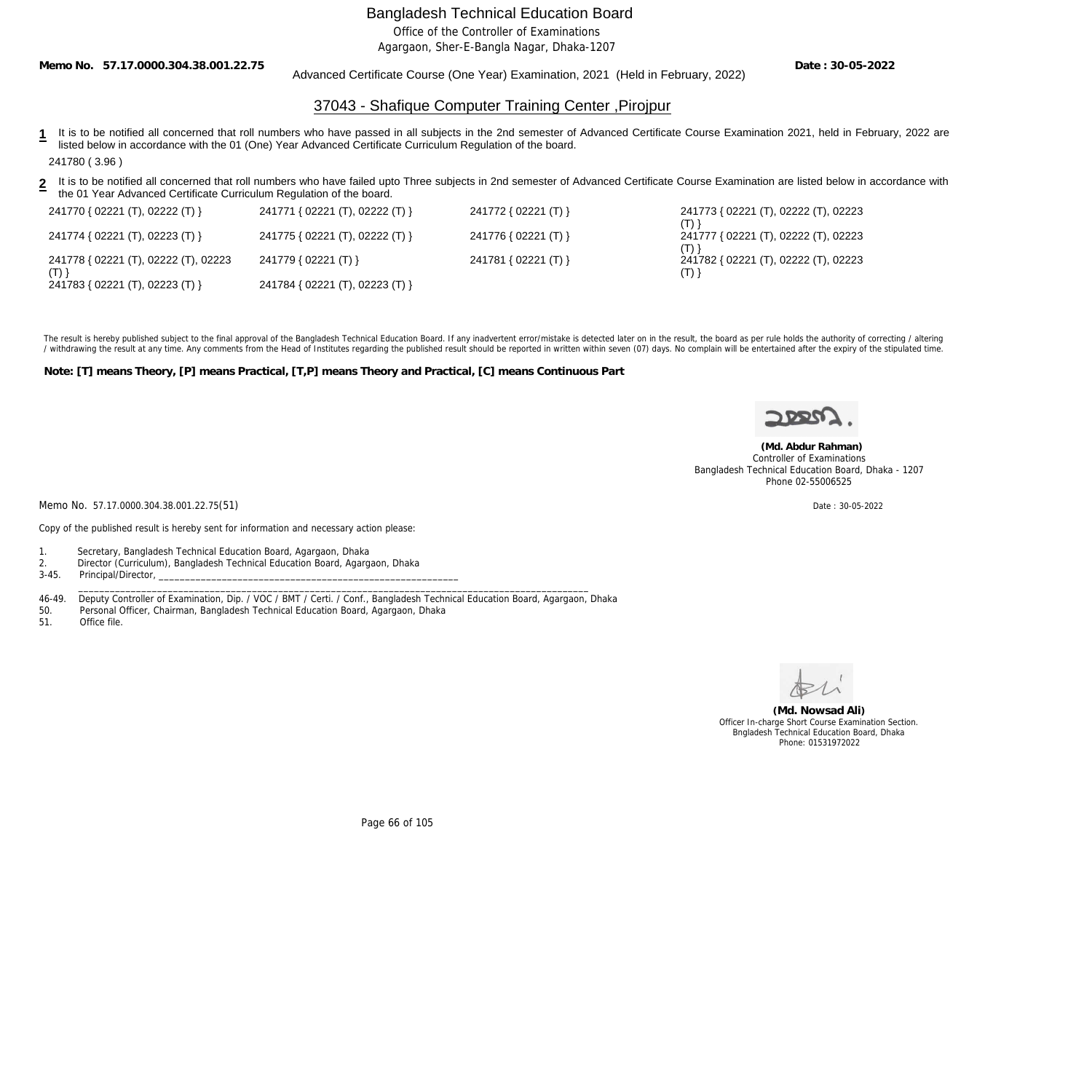Office of the Controller of Examinations

Agargaon, Sher-E-Bangla Nagar, Dhaka-1207

**Memo No. 57.17.0000.304.38.001.22.75**

Advanced Certificate Course (One Year) Examination, 2021 (Held in February, 2022)

**Date : 30-05-2022**

## 37043 - Shafique Computer Training Center ,Pirojpur

- 1 It is to be notified all concerned that roll numbers who have passed in all subjects in the 2nd semester of Advanced Certificate Course Examination 2021, held in February, 2022 are listed below in accordance with the 01 (One) Year Advanced Certificate Curriculum Regulation of the board. 241780 ( 3.96 )
- **2** It is to be notified all concerned that roll numbers who have failed upto Three subjects in 2nd semester of Advanced Certificate Course Examination are listed below in accordance with the 01 Year Advanced Certificate Curriculum Regulation of the board.

| 241770 { 02221 (T), 02222 (T) }      | 241771 { 02221 (T), 02222 (T) } | 241772 { 02221 (T) } | 241773 { 02221 (T), 02222 (T), 02223        |
|--------------------------------------|---------------------------------|----------------------|---------------------------------------------|
| 241774 { 02221 (T), 02223 (T) }      | 241775 { 02221 (T), 02222 (T) } | 241776 { 02221 (T) } | 241777 { 02221 (T), 02222 (T), 02223        |
| 241778 { 02221 (T), 02222 (T), 02223 | 241779 { 02221 (T) }            | 241781 { 02221 (T) } | 241782 { 02221 (T), 02222 (T), 02223<br>(T) |
| 241783 { 02221 (T), 02223 (T) }      | 241784 { 02221 (T), 02223 (T) } |                      |                                             |

The result is hereby published subject to the final approval of the Bangladesh Technical Education Board. If any inadvertent error/mistake is detected later on in the result, the board as per rule holds the authority of co / withdrawing the result at any time. Any comments from the Head of Institutes regarding the published result should be reported in written within seven (07) days. No complain will be entertained after the expiry of the st

**Note: [T] means Theory, [P] means Practical, [T,P] means Theory and Practical, [C] means Continuous Part**



 **(Md. Abdur Rahman)** Controller of Examinations Bangladesh Technical Education Board, Dhaka - 1207 Phone 02-55006525

Memo No. 57.17.0000.304.38.001.22.75(51) Date : 30-05-2022

Copy of the published result is hereby sent for information and necessary action please:

1. Secretary, Bangladesh Technical Education Board, Agargaon, Dhaka

2. Director (Curriculum), Bangladesh Technical Education Board, Agargaon, Dhaka

Principal/Director,

46-49. Deputy Controller of Examination, Dip. / VOC / BMT / Certi. / Conf., Bangladesh Technical Education Board, Agargaon, Dhaka

\_\_\_\_\_\_\_\_\_\_\_\_\_\_\_\_\_\_\_\_\_\_\_\_\_\_\_\_\_\_\_\_\_\_\_\_\_\_\_\_\_\_\_\_\_\_\_\_\_\_\_\_\_\_\_\_\_\_\_\_\_\_\_\_\_\_\_\_\_\_\_\_\_\_\_\_\_\_\_\_\_\_\_\_\_\_\_\_\_\_\_\_\_\_\_\_\_

50. Personal Officer, Chairman, Bangladesh Technical Education Board, Agargaon, Dhaka

Office file.

**(Md. Nowsad Ali)** Officer In-charge Short Course Examination Section. Bngladesh Technical Education Board, Dhaka Phone: 01531972022

Page 66 of 105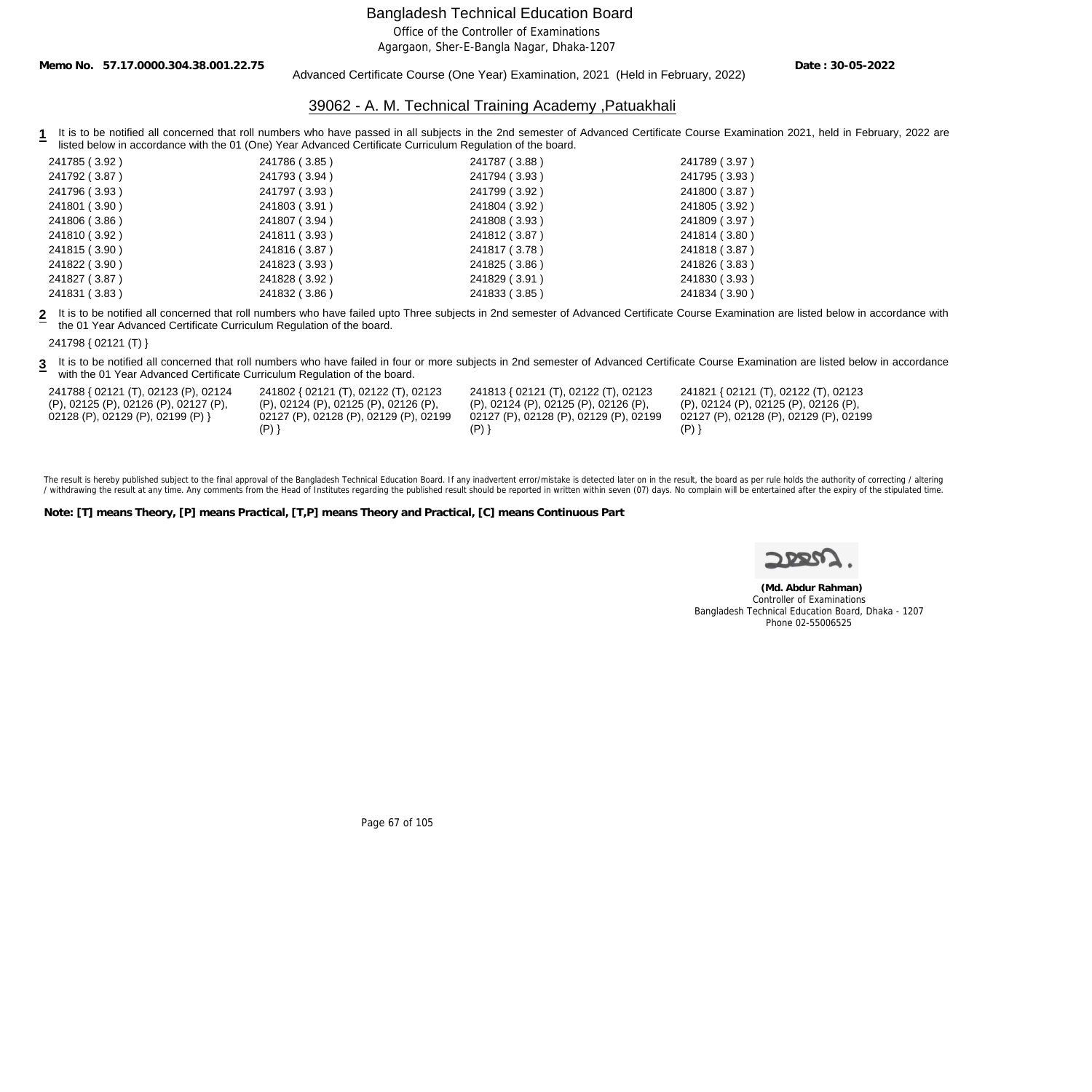Office of the Controller of Examinations

Agargaon, Sher-E-Bangla Nagar, Dhaka-1207

**Memo No. 57.17.0000.304.38.001.22.75**

#### Advanced Certificate Course (One Year) Examination, 2021 (Held in February, 2022)

**Date : 30-05-2022**

### 39062 - A. M. Technical Training Academy ,Patuakhali

1 It is to be notified all concerned that roll numbers who have passed in all subjects in the 2nd semester of Advanced Certificate Course Examination 2021, held in February, 2022 are listed below in accordance with the 01 (One) Year Advanced Certificate Curriculum Regulation of the board.

| 241785 (3.92) | 241786 (3.85) | 241787 (3.88) | 241789 (3.97) |
|---------------|---------------|---------------|---------------|
| 241792 (3.87) | 241793 (3.94) | 241794 (3.93) | 241795 (3.93) |
| 241796 (3.93) | 241797 (3.93) | 241799 (3.92) | 241800 (3.87) |
| 241801 (3.90) | 241803 (3.91) | 241804 (3.92) | 241805 (3.92) |
| 241806 (3.86) | 241807 (3.94) | 241808 (3.93) | 241809 (3.97) |
| 241810 (3.92) | 241811 (3.93) | 241812 (3.87) | 241814 (3.80) |
| 241815 (3.90) | 241816 (3.87) | 241817 (3.78) | 241818 (3.87) |
| 241822 (3.90) | 241823 (3.93) | 241825 (3.86) | 241826 (3.83) |
| 241827 (3.87) | 241828 (3.92) | 241829 (3.91) | 241830 (3.93) |
| 241831 (3.83) | 241832 (3.86) | 241833 (3.85) | 241834 (3.90) |

**2** It is to be notified all concerned that roll numbers who have failed upto Three subjects in 2nd semester of Advanced Certificate Course Examination are listed below in accordance with the 01 Year Advanced Certificate Curriculum Regulation of the board.

241798 { 02121 (T) }

3 It is to be notified all concerned that roll numbers who have failed in four or more subjects in 2nd semester of Advanced Certificate Course Examination are listed below in accordance with the 01 Year Advanced Certificate Curriculum Regulation of the board.

| 241788 { 02121 (T), 02123 (P), 02124  | 241802 { 02121 (T), 02122 (T), 02123     | 241813 { 02121 (T), 02122 (T), 02123   | 241821 { 02121 (T), 02122 (T), 02123   |
|---------------------------------------|------------------------------------------|----------------------------------------|----------------------------------------|
| (P), 02125 (P), 02126 (P), 02127 (P), | $(P)$ , 02124 (P), 02125 (P), 02126 (P), | (P), 02124 (P), 02125 (P), 02126 (P),  | (P), 02124 (P), 02125 (P), 02126 (P),  |
| 02128 (P), 02129 (P), 02199 (P) }     | 02127 (P), 02128 (P), 02129 (P), 02199   | 02127 (P), 02128 (P), 02129 (P), 02199 | 02127 (P), 02128 (P), 02129 (P), 02199 |
|                                       |                                          |                                        |                                        |

The result is hereby published subject to the final approval of the Bangladesh Technical Education Board. If any inadvertent error/mistake is detected later on in the result, the board as per rule holds the authority of co / withdrawing the result at any time. Any comments from the Head of Institutes regarding the published result should be reported in written within seven (07) days. No complain will be entertained after the expiry of the st

**Note: [T] means Theory, [P] means Practical, [T,P] means Theory and Practical, [C] means Continuous Part**

 **(Md. Abdur Rahman)** Controller of Examinations Bangladesh Technical Education Board, Dhaka - 1207 Phone 02-55006525

Page 67 of 105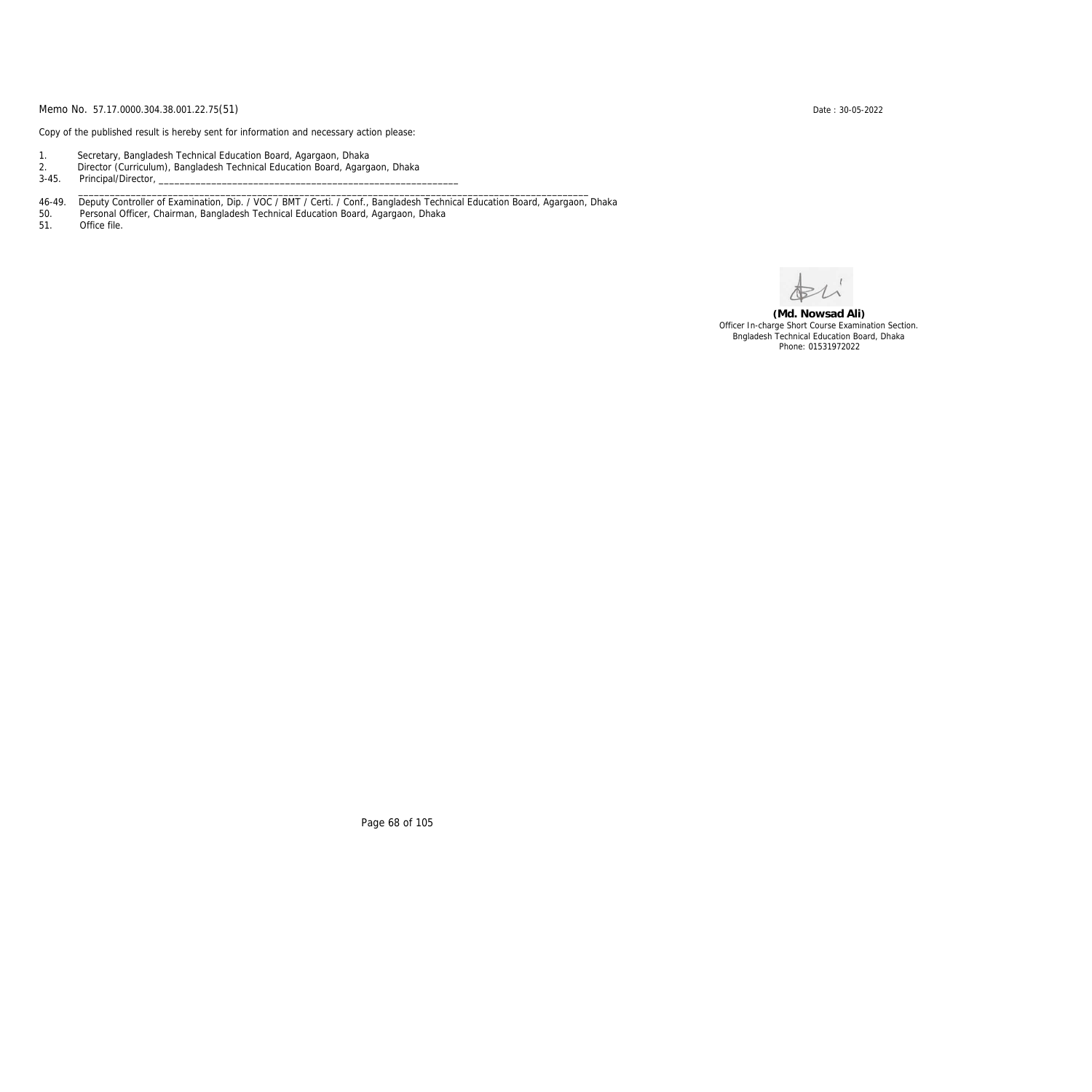Copy of the published result is hereby sent for information and necessary action please:

- 1. Secretary, Bangladesh Technical Education Board, Agargaon, Dhaka
- 2. Director (Curriculum), Bangladesh Technical Education Board, Agargaon, Dhaka

3-45. Principal/Director,

46-49. Deputy Controller of Examination, Dip. / VOC / BMT / Certi. / Conf., Bangladesh Technical Education Board, Agargaon, Dhaka

\_\_\_\_\_\_\_\_\_\_\_\_\_\_\_\_\_\_\_\_\_\_\_\_\_\_\_\_\_\_\_\_\_\_\_\_\_\_\_\_\_\_\_\_\_\_\_\_\_\_\_\_\_\_\_\_\_\_\_\_\_\_\_\_\_\_\_\_\_\_\_\_\_\_\_\_\_\_\_\_\_\_\_\_\_\_\_\_\_\_\_\_\_\_\_\_\_

50. Personal Officer, Chairman, Bangladesh Technical Education Board, Agargaon, Dhaka

Office file.

**(Md. Nowsad Ali)** Officer In-charge Short Course Examination Section. Bngladesh Technical Education Board, Dhaka Phone: 01531972022

Page 68 of 105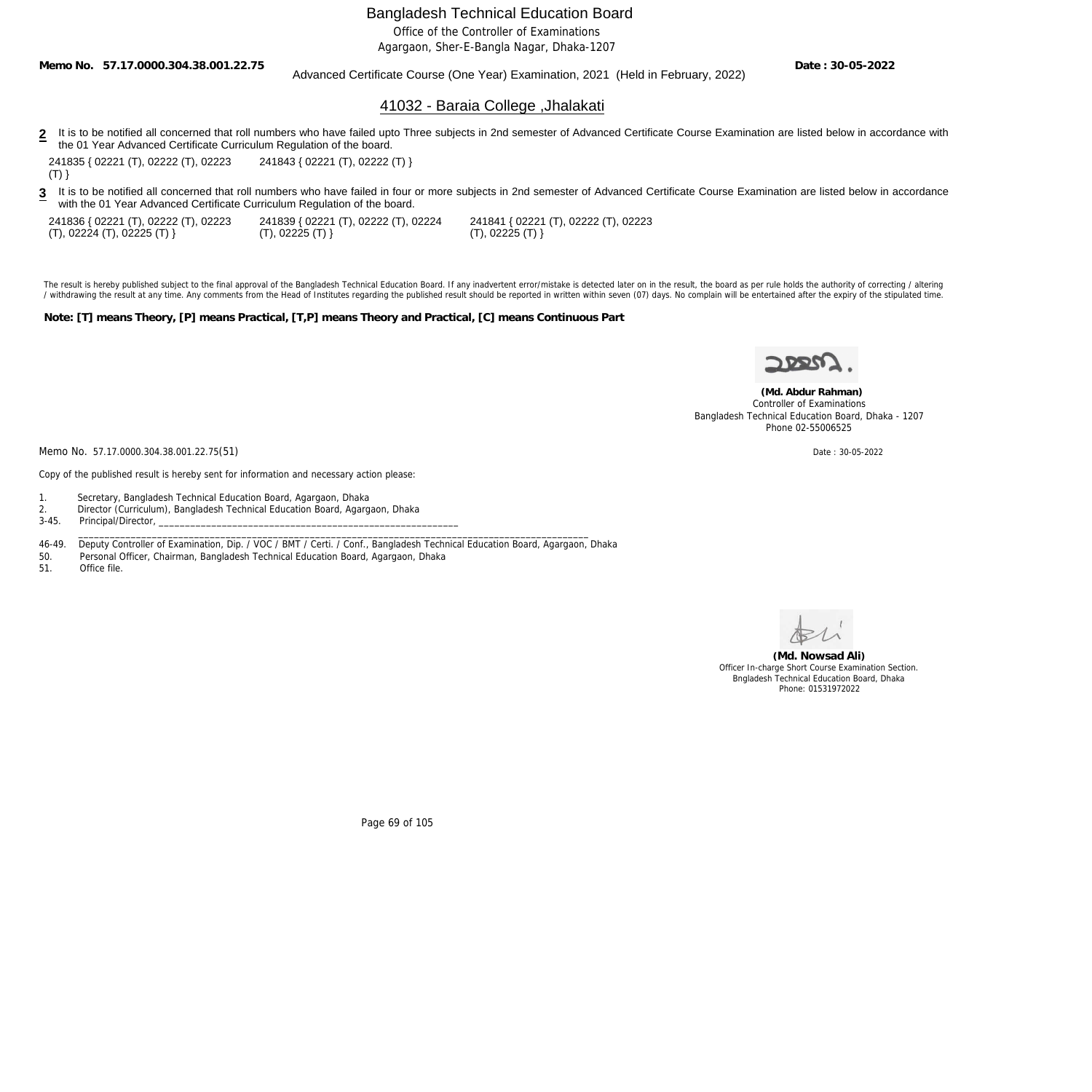Office of the Controller of Examinations

Agargaon, Sher-E-Bangla Nagar, Dhaka-1207

**Memo No. 57.17.0000.304.38.001.22.75**

### Advanced Certificate Course (One Year) Examination, 2021 (Held in February, 2022)

**Date : 30-05-2022**

### 41032 - Baraia College ,Jhalakati

2 It is to be notified all concerned that roll numbers who have failed upto Three subjects in 2nd semester of Advanced Certificate Course Examination are listed below in accordance with the 01 Year Advanced Certificate Curriculum Regulation of the board.

241835 { 02221 (T), 02222 (T), 02223  $(T)$ } 241843 { 02221 (T), 02222 (T) }

3 It is to be notified all concerned that roll numbers who have failed in four or more subjects in 2nd semester of Advanced Certificate Course Examination are listed below in accordance with the 01 Year Advanced Certificate Curriculum Regulation of the board.

241836 { 02221 (T), 02222 (T), 02223 (T), 02224 (T), 02225 (T) }

241839 { 02221 (T), 02222 (T), 02224  $(T), 02225 (T)$ 

241841 { 02221 (T), 02222 (T), 02223 (T), 02225 (T) }

The result is hereby published subject to the final approval of the Bangladesh Technical Education Board. If any inadvertent error/mistake is detected later on in the result, the board as per rule holds the authority of co / withdrawing the result at any time. Any comments from the Head of Institutes regarding the published result should be reported in written within seven (07) days. No complain will be entertained after the expiry of the st

**Note: [T] means Theory, [P] means Practical, [T,P] means Theory and Practical, [C] means Continuous Part**



 **(Md. Abdur Rahman)** Controller of Examinations Bangladesh Technical Education Board, Dhaka - 1207 Phone 02-55006525

Memo No. 57.17.0000.304.38.001.22.75(51) Date: 30-05-2022

Copy of the published result is hereby sent for information and necessary action please:

- 1. Secretary, Bangladesh Technical Education Board, Agargaon, Dhaka
- 2. Director (Curriculum), Bangladesh Technical Education Board, Agargaon, Dhaka<br>3-45. Principal/Director,
- Principal/Director,
- 46-49. Deputy Controller of Examination, Dip. / VOC / BMT / Certi. / Conf., Bangladesh Technical Education Board, Agargaon, Dhaka<br>50. Personal Officer, Chairman, Bangladesh Technical Education Board, Agargaon, Dhaka

 $\_$  ,  $\_$  ,  $\_$  ,  $\_$  ,  $\_$  ,  $\_$  ,  $\_$  ,  $\_$  ,  $\_$  ,  $\_$  ,  $\_$  ,  $\_$  ,  $\_$  ,  $\_$  ,  $\_$  ,  $\_$  ,  $\_$  ,  $\_$  ,  $\_$  ,  $\_$  ,  $\_$  ,  $\_$  ,  $\_$  ,  $\_$  ,  $\_$  ,  $\_$  ,  $\_$  ,  $\_$  ,  $\_$  ,  $\_$  ,  $\_$  ,  $\_$  ,  $\_$  ,  $\_$  ,  $\_$  ,  $\_$  ,  $\_$  ,

50. Personal Officer, Chairman, Bangladesh Technical Education Board, Agargaon, Dhaka

Office file.



**(Md. Nowsad Ali)** Officer In-charge Short Course Examination Section. Bngladesh Technical Education Board, Dhaka Phone: 01531972022

Page 69 of 105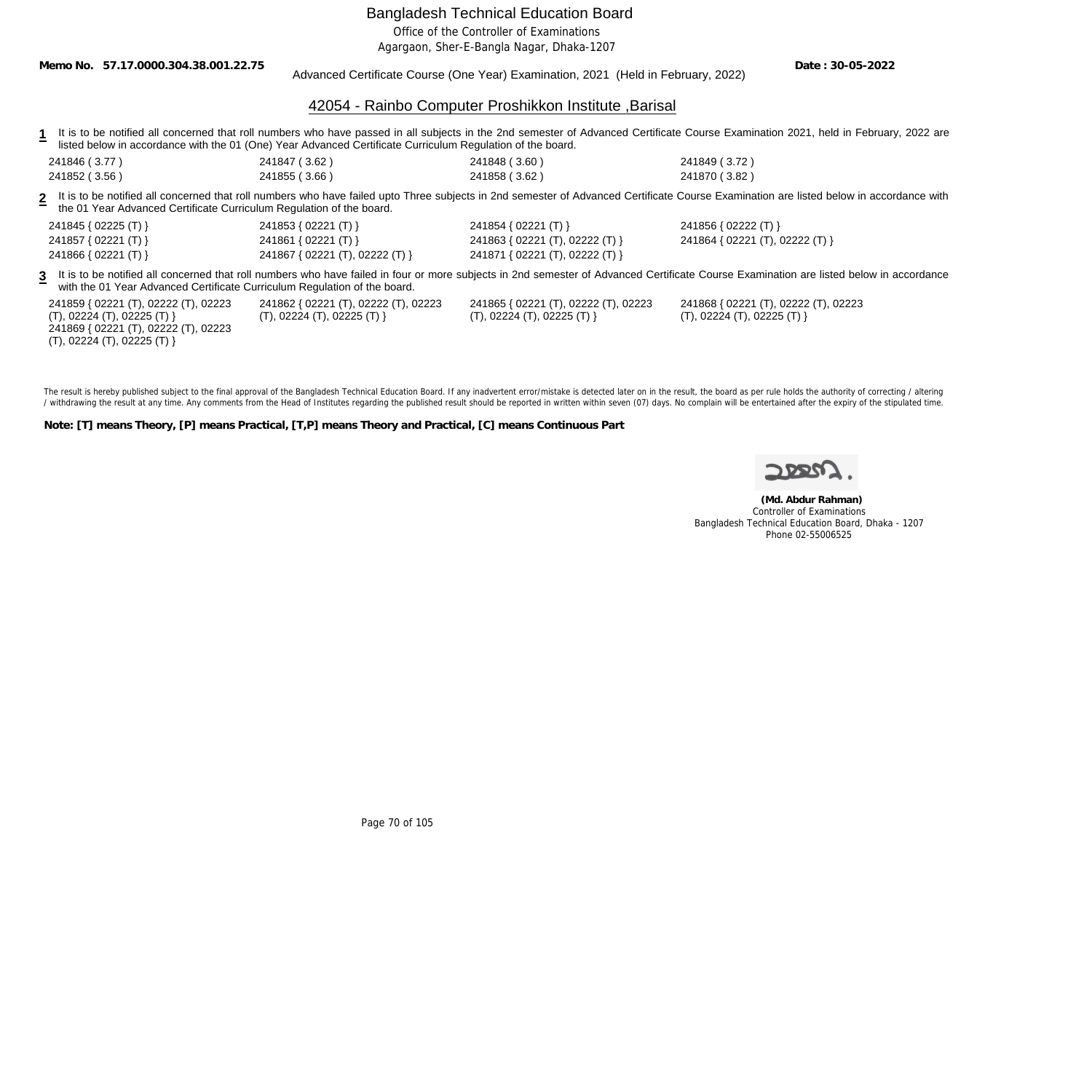Office of the Controller of Examinations

Agargaon, Sher-E-Bangla Nagar, Dhaka-1207

**Memo No. 57.17.0000.304.38.001.22.75**

Advanced Certificate Course (One Year) Examination, 2021 (Held in February, 2022)

**Date : 30-05-2022**

### 42054 - Rainbo Computer Proshikkon Institute ,Barisal

- 1 It is to be notified all concerned that roll numbers who have passed in all subjects in the 2nd semester of Advanced Certificate Course Examination 2021, held in February, 2022 are listed below in accordance with the 01 (One) Year Advanced Certificate Curriculum Regulation of the board.
- 241846 ( 3.77 ) 241847 ( 3.62 ) 241848 ( 3.60 ) 241849 ( 3.72 ) 241852 ( 3.56 ) 241855 ( 3.66 ) 241858 ( 3.62 ) 241870 ( 3.82 )

**2** It is to be notified all concerned that roll numbers who have failed upto Three subjects in 2nd semester of Advanced Certificate Course Examination are listed below in accordance with the 01 Year Advanced Certificate Curriculum Regulation of the board.

| 241845 { 02225 (T) }                                                                                                                                                                                                                                                   | 241853 { 02221 (T) }                                              | 241854 { 02221 (T) }                                              | 241856 { 02222 (T) }                                              |  |  |  |
|------------------------------------------------------------------------------------------------------------------------------------------------------------------------------------------------------------------------------------------------------------------------|-------------------------------------------------------------------|-------------------------------------------------------------------|-------------------------------------------------------------------|--|--|--|
| 241857 { 02221 (T) }                                                                                                                                                                                                                                                   | 241861 { 02221 (T) }                                              | 241863 { 02221 (T), 02222 (T) }                                   | 241864 { 02221 (T), 02222 (T) }                                   |  |  |  |
| 241866 { 02221 (T) }                                                                                                                                                                                                                                                   | 241867 { 02221 (T), 02222 (T) }                                   | 241871 { 02221 (T), 02222 (T) }                                   |                                                                   |  |  |  |
| 3 It is to be notified all concerned that roll numbers who have failed in four or more subjects in 2nd semester of Advanced Certificate Course Examination are listed below in accordance<br>with the 01 Year Advanced Certificate Curriculum Regulation of the board. |                                                                   |                                                                   |                                                                   |  |  |  |
| 241859 { 02221 (T), 02222 (T), 02223<br>(T), 02224 (T), 02225 (T)                                                                                                                                                                                                      | 241862 { 02221 (T), 02222 (T), 02223<br>(T), 02224 (T), 02225 (T) | 241865 { 02221 (T), 02222 (T), 02223<br>(T), 02224 (T), 02225 (T) | 241868 { 02221 (T), 02222 (T), 02223<br>(T), 02224 (T), 02225 (T) |  |  |  |

(T), 02224 (T), 02225 (T) } 241869 { 02221 (T), 02222 (T), 02223 (T), 02224 (T), 02225 (T) }

(T), 02224 (T), 02225 (T) }

(T), 02224 (T), 02225 (T) }

The result is hereby published subject to the final approval of the Bangladesh Technical Education Board. If any inadvertent error/mistake is detected later on in the result, the board as per rule holds the authority of co / withdrawing the result at any time. Any comments from the Head of Institutes regarding the published result should be reported in written within seven (07) days. No complain will be entertained after the expiry of the st

**Note: [T] means Theory, [P] means Practical, [T,P] means Theory and Practical, [C] means Continuous Part**

 **(Md. Abdur Rahman)** Controller of Examinations Bangladesh Technical Education Board, Dhaka - 1207 Phone 02-55006525

Page 70 of 105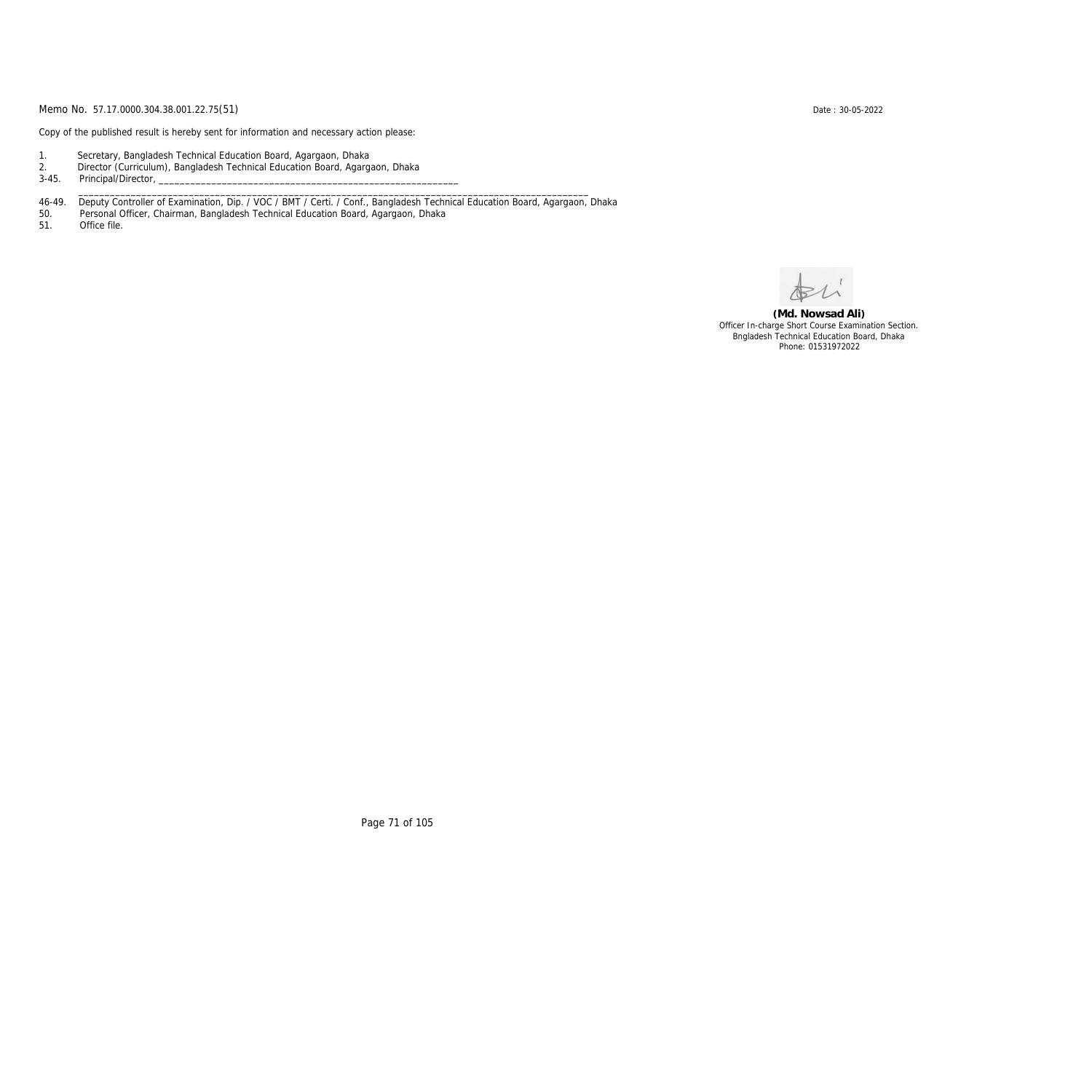Copy of the published result is hereby sent for information and necessary action please:

- 1. Secretary, Bangladesh Technical Education Board, Agargaon, Dhaka
- 2. Director (Curriculum), Bangladesh Technical Education Board, Agargaon, Dhaka

3-45. Principal/Director,

46-49. Deputy Controller of Examination, Dip. / VOC / BMT / Certi. / Conf., Bangladesh Technical Education Board, Agargaon, Dhaka

\_\_\_\_\_\_\_\_\_\_\_\_\_\_\_\_\_\_\_\_\_\_\_\_\_\_\_\_\_\_\_\_\_\_\_\_\_\_\_\_\_\_\_\_\_\_\_\_\_\_\_\_\_\_\_\_\_\_\_\_\_\_\_\_\_\_\_\_\_\_\_\_\_\_\_\_\_\_\_\_\_\_\_\_\_\_\_\_\_\_\_\_\_\_\_\_\_

50. Personal Officer, Chairman, Bangladesh Technical Education Board, Agargaon, Dhaka

Office file.

**(Md. Nowsad Ali)** Officer In-charge Short Course Examination Section. Bngladesh Technical Education Board, Dhaka Phone: 01531972022

Page 71 of 105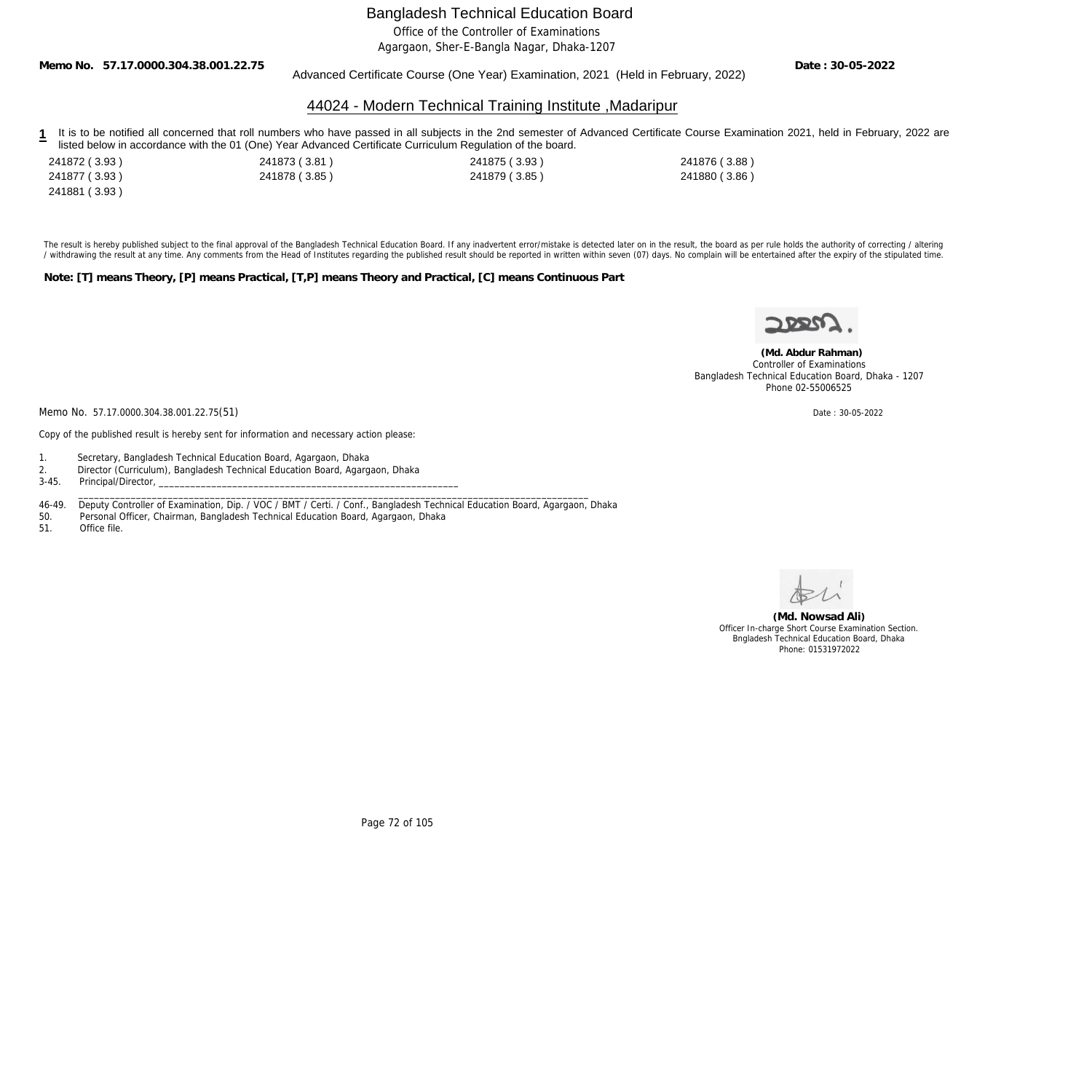Office of the Controller of Examinations

Agargaon, Sher-E-Bangla Nagar, Dhaka-1207

**Memo No. 57.17.0000.304.38.001.22.75**

Advanced Certificate Course (One Year) Examination, 2021 (Held in February, 2022)

**Date : 30-05-2022**

### 44024 - Modern Technical Training Institute ,Madaripur

- 1 It is to be notified all concerned that roll numbers who have passed in all subjects in the 2nd semester of Advanced Certificate Course Examination 2021, held in February, 2022 are listed below in accordance with the 01 (One) Year Advanced Certificate Curriculum Regulation of the board.
- 241881 ( 3.93 )

241872 ( 3.93 ) 241873 ( 3.81 ) 241875 ( 3.93 ) 241876 ( 3.88 ) 241877 ( 3.93 ) 241878 ( 3.85 ) 241879 ( 3.85 ) 241880 ( 3.86 )

The result is hereby published subject to the final approval of the Bangladesh Technical Education Board. If any inadvertent error/mistake is detected later on in the result, the board as per rule holds the authority of co / withdrawing the result at any time. Any comments from the Head of Institutes regarding the published result should be reported in written within seven (07) days. No complain will be entertained after the expiry of the st

**Note: [T] means Theory, [P] means Practical, [T,P] means Theory and Practical, [C] means Continuous Part**

 **(Md. Abdur Rahman)** Controller of Examinations Bangladesh Technical Education Board, Dhaka - 1207 Phone 02-55006525

Memo No. 57.17.0000.304.38.001.22.75(51) Date: 30-05-2022

Copy of the published result is hereby sent for information and necessary action please:

- 1. Secretary, Bangladesh Technical Education Board, Agargaon, Dhaka
- 2. Director (Curriculum), Bangladesh Technical Education Board, Agargaon, Dhaka<br>3-45. Principal/Director.
- Principal/Director,

46-49. Deputy Controller of Examination, Dip. / VOC / BMT / Certi. / Conf., Bangladesh Technical Education Board, Agargaon, Dhaka

\_\_\_\_\_\_\_\_\_\_\_\_\_\_\_\_\_\_\_\_\_\_\_\_\_\_\_\_\_\_\_\_\_\_\_\_\_\_\_\_\_\_\_\_\_\_\_\_\_\_\_\_\_\_\_\_\_\_\_\_\_\_\_\_\_\_\_\_\_\_\_\_\_\_\_\_\_\_\_\_\_\_\_\_\_\_\_\_\_\_\_\_\_\_\_\_\_

50. Personal Officer, Chairman, Bangladesh Technical Education Board, Agargaon, Dhaka

Office file.

**(Md. Nowsad Ali)** Officer In-charge Short Course Examination Section. Bngladesh Technical Education Board, Dhaka Phone: 01531972022

Page 72 of 105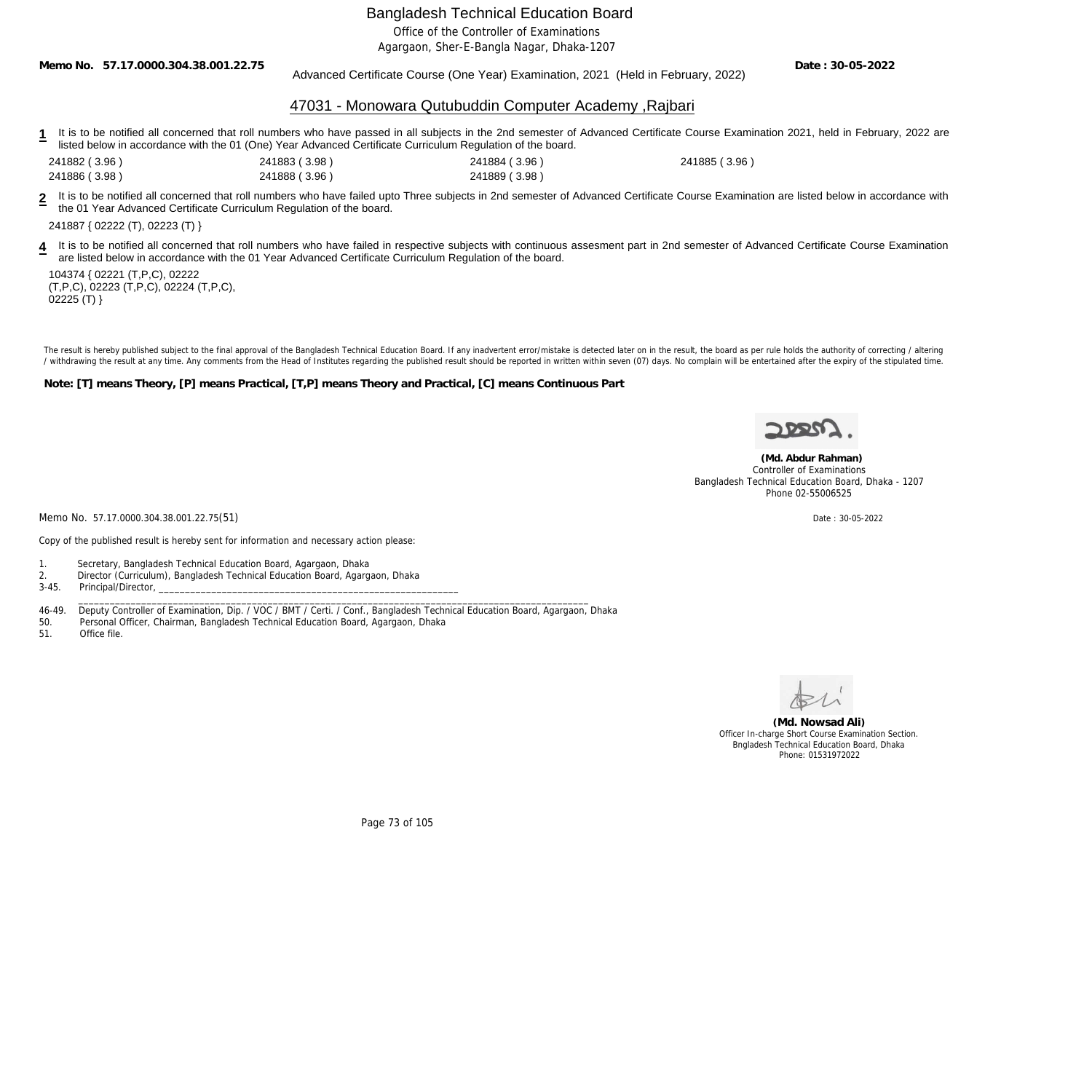Office of the Controller of Examinations

Agargaon, Sher-E-Bangla Nagar, Dhaka-1207

**Memo No. 57.17.0000.304.38.001.22.75**

Advanced Certificate Course (One Year) Examination, 2021 (Held in February, 2022)

**Date : 30-05-2022**

### 47031 - Monowara Qutubuddin Computer Academy ,Rajbari

- 1 It is to be notified all concerned that roll numbers who have passed in all subjects in the 2nd semester of Advanced Certificate Course Examination 2021, held in February, 2022 are listed below in accordance with the 01 (One) Year Advanced Certificate Curriculum Regulation of the board.
- 241882 ( 3.96 ) 241883 ( 3.98 ) 241884 ( 3.96 ) 241885 ( 3.96 )

241886 ( 3.98 ) 241888 ( 3.96 ) 241889 ( 3.98 )

**2** It is to be notified all concerned that roll numbers who have failed upto Three subjects in 2nd semester of Advanced Certificate Course Examination are listed below in accordance with the 01 Year Advanced Certificate Curriculum Regulation of the board.

241887 { 02222 (T), 02223 (T) }

4 It is to be notified all concerned that roll numbers who have failed in respective subjects with continuous assesment part in 2nd semester of Advanced Certificate Course Examination are listed below in accordance with the 01 Year Advanced Certificate Curriculum Regulation of the board.

104374 { 02221 (T,P,C), 02222 (T,P,C), 02223 (T,P,C), 02224 (T,P,C),  $02225$  (T) }

The result is hereby published subject to the final approval of the Bangladesh Technical Education Board. If any inadvertent error/mistake is detected later on in the result, the board as per rule holds the authority of co / withdrawing the result at any time. Any comments from the Head of Institutes regarding the published result should be reported in written within seven (07) days. No complain will be entertained after the expiry of the st

**Note: [T] means Theory, [P] means Practical, [T,P] means Theory and Practical, [C] means Continuous Part**



 **(Md. Abdur Rahman)** Controller of Examinations Bangladesh Technical Education Board, Dhaka - 1207 Phone 02-55006525

Memo No. 57.17.0000.304.38.001.22.75(51) Date: 30-05-2022

Copy of the published result is hereby sent for information and necessary action please:

1. Secretary, Bangladesh Technical Education Board, Agargaon, Dhaka

2. Director (Curriculum), Bangladesh Technical Education Board, Agargaon, Dhaka<br>3-45. Principal/Director.

Principal/Director,

46-49. Deputy Controller of Examination, Dip. / VOC / BMT / Certi. / Conf., Bangladesh Technical Education Board, Agargaon, Dhaka

\_\_\_\_\_\_\_\_\_\_\_\_\_\_\_\_\_\_\_\_\_\_\_\_\_\_\_\_\_\_\_\_\_\_\_\_\_\_\_\_\_\_\_\_\_\_\_\_\_\_\_\_\_\_\_\_\_\_\_\_\_\_\_\_\_\_\_\_\_\_\_\_\_\_\_\_\_\_\_\_\_\_\_\_\_\_\_\_\_\_\_\_\_\_\_\_\_

- 50. Personal Officer, Chairman, Bangladesh Technical Education Board, Agargaon, Dhaka
- 51. Office file.



**(Md. Nowsad Ali)** Officer In-charge Short Course Examination Section. Bngladesh Technical Education Board, Dhaka Phone: 01531972022

Page 73 of 105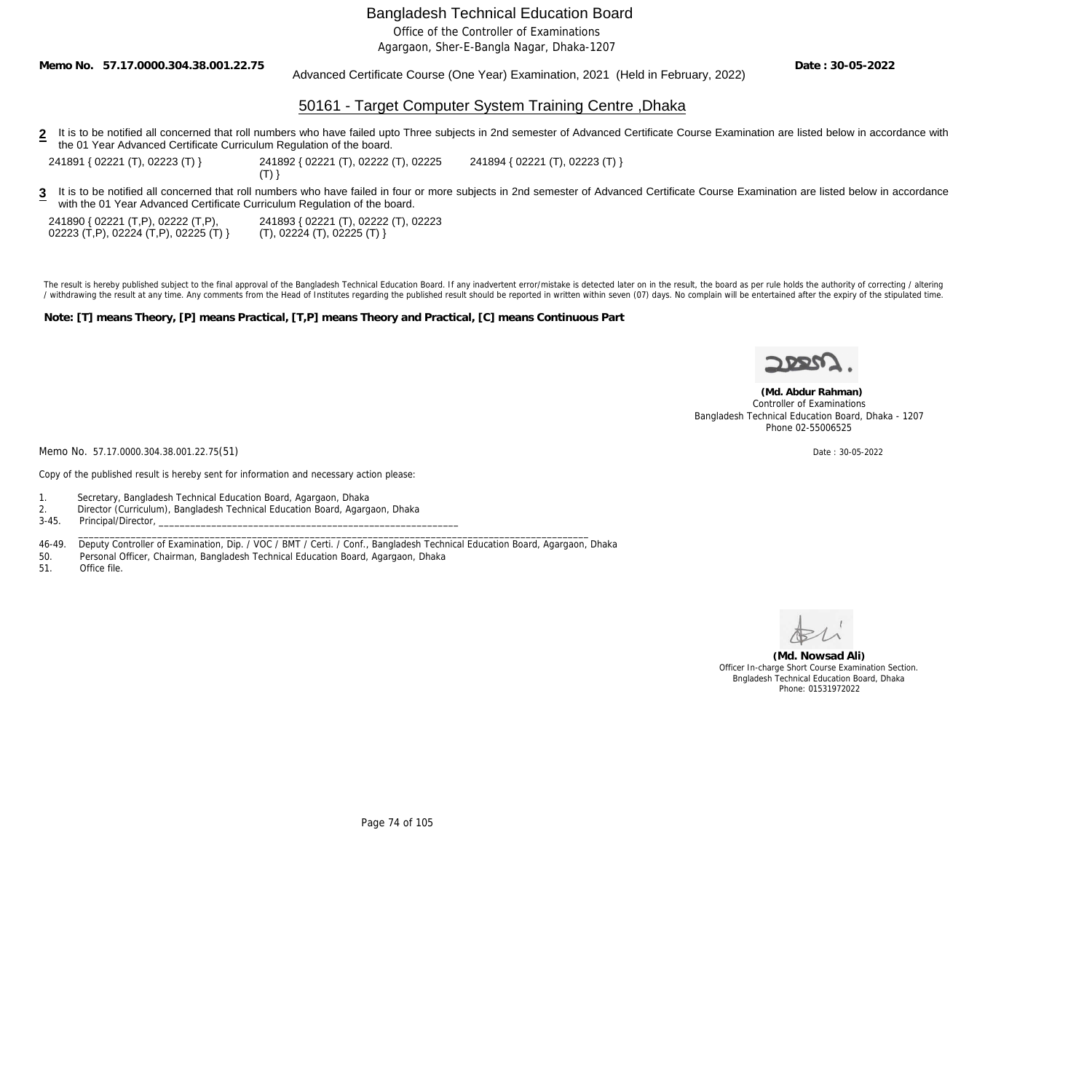Office of the Controller of Examinations

Agargaon, Sher-E-Bangla Nagar, Dhaka-1207

**Memo No. 57.17.0000.304.38.001.22.75**

Advanced Certificate Course (One Year) Examination, 2021 (Held in February, 2022)

**Date : 30-05-2022**

## 50161 - Target Computer System Training Centre ,Dhaka

2 It is to be notified all concerned that roll numbers who have failed upto Three subjects in 2nd semester of Advanced Certificate Course Examination are listed below in accordance with the 01 Year Advanced Certificate Curriculum Regulation of the board.

241891 { 02221 (T), 02223 (T) } 241892 { 02221 (T), 02222 (T), 02225

 $(T)$ }

241894 { 02221 (T), 02223 (T) }

3 It is to be notified all concerned that roll numbers who have failed in four or more subjects in 2nd semester of Advanced Certificate Course Examination are listed below in accordance with the 01 Year Advanced Certificate Curriculum Regulation of the board.

241890 { 02221 (T,P), 02222 (T,P), 02223 (T,P), 02224 (T,P), 02225 (T) } 241893 { 02221 (T), 02222 (T), 02223 (T), 02224 (T), 02225 (T) }

The result is hereby published subject to the final approval of the Bangladesh Technical Education Board. If any inadvertent error/mistake is detected later on in the result, the board as per rule holds the authority of co / withdrawing the result at any time. Any comments from the Head of Institutes regarding the published result should be reported in written within seven (07) days. No complain will be entertained after the expiry of the st

**Note: [T] means Theory, [P] means Practical, [T,P] means Theory and Practical, [C] means Continuous Part**



 **(Md. Abdur Rahman)** Controller of Examinations Bangladesh Technical Education Board, Dhaka - 1207 Phone 02-55006525

Memo No. 57.17.0000.304.38.001.22.75(51) Date: 30-05-2022

Copy of the published result is hereby sent for information and necessary action please:

- 1. Secretary, Bangladesh Technical Education Board, Agargaon, Dhaka
- 2. Director (Curriculum), Bangladesh Technical Education Board, Agargaon, Dhaka<br>3-45. Principal/Director,
- Principal/Director,
- 46-49. Deputy Controller of Examination, Dip. / VOC / BMT / Certi. / Conf., Bangladesh Technical Education Board, Agargaon, Dhaka<br>50. Personal Officer, Chairman, Bangladesh Technical Education Board, Agargaon, Dhaka

\_\_\_\_\_\_\_\_\_\_\_\_\_\_\_\_\_\_\_\_\_\_\_\_\_\_\_\_\_\_\_\_\_\_\_\_\_\_\_\_\_\_\_\_\_\_\_\_\_\_\_\_\_\_\_\_\_\_\_\_\_\_\_\_\_\_\_\_\_\_\_\_\_\_\_\_\_\_\_\_\_\_\_\_\_\_\_\_\_\_\_\_\_\_\_\_\_

- 50. Personal Officer, Chairman, Bangladesh Technical Education Board, Agargaon, Dhaka
- Office file



**(Md. Nowsad Ali)** Officer In-charge Short Course Examination Section. Bngladesh Technical Education Board, Dhaka Phone: 01531972022

Page 74 of 105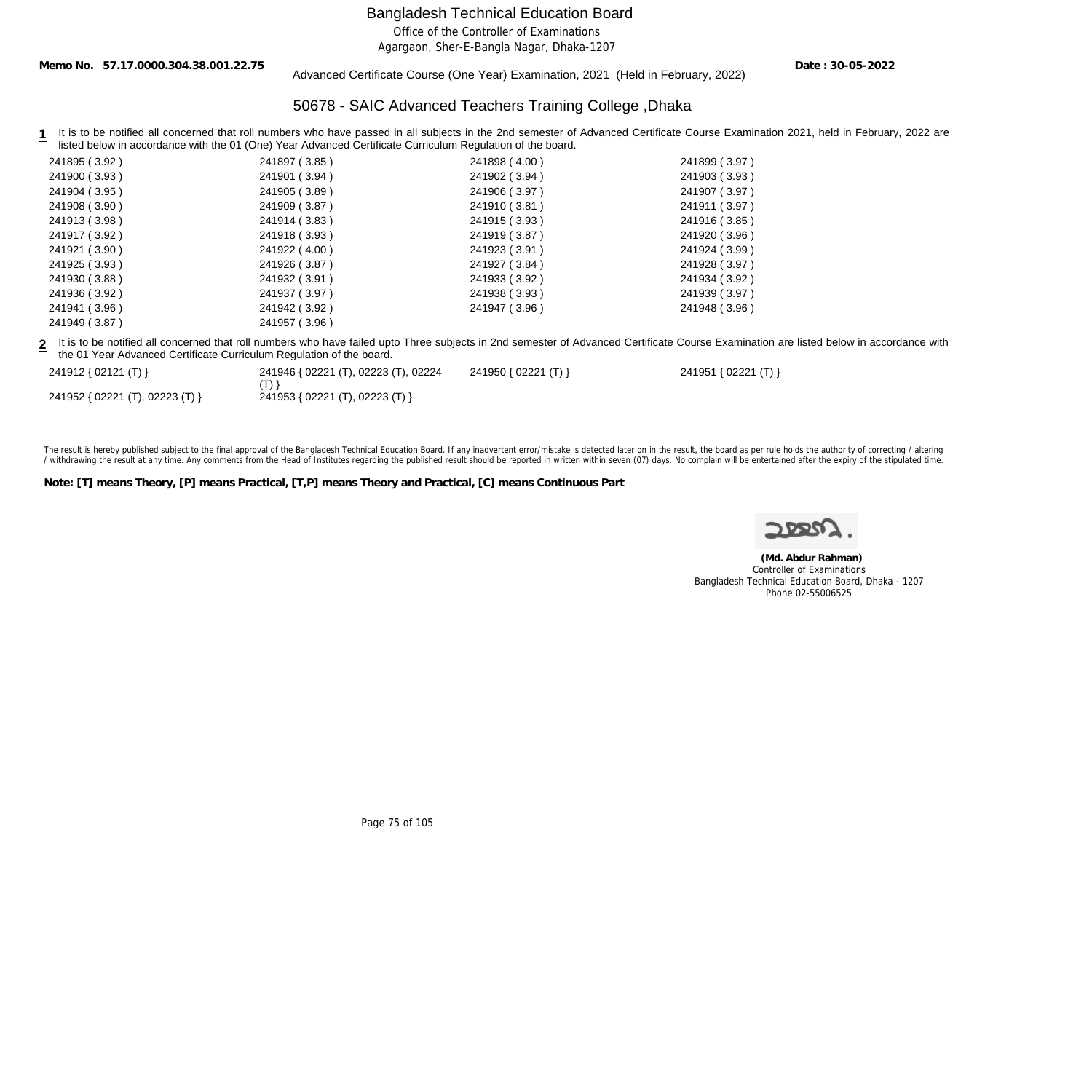Office of the Controller of Examinations

Agargaon, Sher-E-Bangla Nagar, Dhaka-1207

**Memo No. 57.17.0000.304.38.001.22.75**

Advanced Certificate Course (One Year) Examination, 2021 (Held in February, 2022)

**Date : 30-05-2022**

# 50678 - SAIC Advanced Teachers Training College ,Dhaka

1 It is to be notified all concerned that roll numbers who have passed in all subjects in the 2nd semester of Advanced Certificate Course Examination 2021, held in February, 2022 are listed below in accordance with the 01 (One) Year Advanced Certificate Curriculum Regulation of the board.

| 241895 (3.92)                                                        | 241897 (3.85)                                   | 241898 (4.00)        | 241899 (3.97)                                                                                                                                                                             |
|----------------------------------------------------------------------|-------------------------------------------------|----------------------|-------------------------------------------------------------------------------------------------------------------------------------------------------------------------------------------|
| 241900 (3.93)                                                        | 241901 (3.94)                                   | 241902 (3.94)        | 241903 (3.93)                                                                                                                                                                             |
| 241904 (3.95)                                                        | 241905 (3.89)                                   | 241906 (3.97)        | 241907 (3.97)                                                                                                                                                                             |
| 241908 (3.90)                                                        | 241909 (3.87)                                   | 241910 (3.81 )       | 241911 (3.97)                                                                                                                                                                             |
| 241913 (3.98)                                                        | 241914 (3.83)                                   | 241915 (3.93)        | 241916 (3.85)                                                                                                                                                                             |
| 241917 (3.92)                                                        | 241918 (3.93)                                   | 241919 (3.87)        | 241920 (3.96)                                                                                                                                                                             |
| 241921 (3.90)                                                        | 241922 (4.00)                                   | 241923 (3.91 )       | 241924 (3.99)                                                                                                                                                                             |
| 241925 (3.93)                                                        | 241926 (3.87)                                   | 241927 (3.84 )       | 241928 (3.97)                                                                                                                                                                             |
| 241930 (3.88)                                                        | 241932 (3.91)                                   | 241933 (3.92)        | 241934 (3.92)                                                                                                                                                                             |
| 241936 (3.92)                                                        | 241937 (3.97)                                   | 241938 (3.93)        | 241939 (3.97)                                                                                                                                                                             |
| 241941 (3.96)                                                        | 241942 (3.92)                                   | 241947 (3.96)        | 241948 (3.96)                                                                                                                                                                             |
| 241949 (3.87)                                                        | 241957 (3.96)                                   |                      |                                                                                                                                                                                           |
| the 01 Year Advanced Certificate Curriculum Regulation of the board. |                                                 |                      | 2 It is to be notified all concerned that roll numbers who have failed upto Three subjects in 2nd semester of Advanced Certificate Course Examination are listed below in accordance with |
| 241912 { 02121 (T) }                                                 | 241946 { 02221 (T), 02223 (T), 02224<br>$(T)$ } | 241950 { 02221 (T) } | 241951 { 02221 (T) }                                                                                                                                                                      |
| 241952 { 02221 (T), 02223 (T) }                                      | 241953 { 02221 (T), 02223 (T) }                 |                      |                                                                                                                                                                                           |
|                                                                      |                                                 |                      |                                                                                                                                                                                           |

The result is hereby published subject to the final approval of the Bangladesh Technical Education Board. If any inadvertent error/mistake is detected later on in the result, the board as per rule holds the authority of co / withdrawing the result at any time. Any comments from the Head of Institutes regarding the published result should be reported in written within seven (07) days. No complain will be entertained after the expiry of the st

**Note: [T] means Theory, [P] means Practical, [T,P] means Theory and Practical, [C] means Continuous Part**

 **(Md. Abdur Rahman)** Controller of Examinations Bangladesh Technical Education Board, Dhaka - 1207 Phone 02-55006525

Page 75 of 105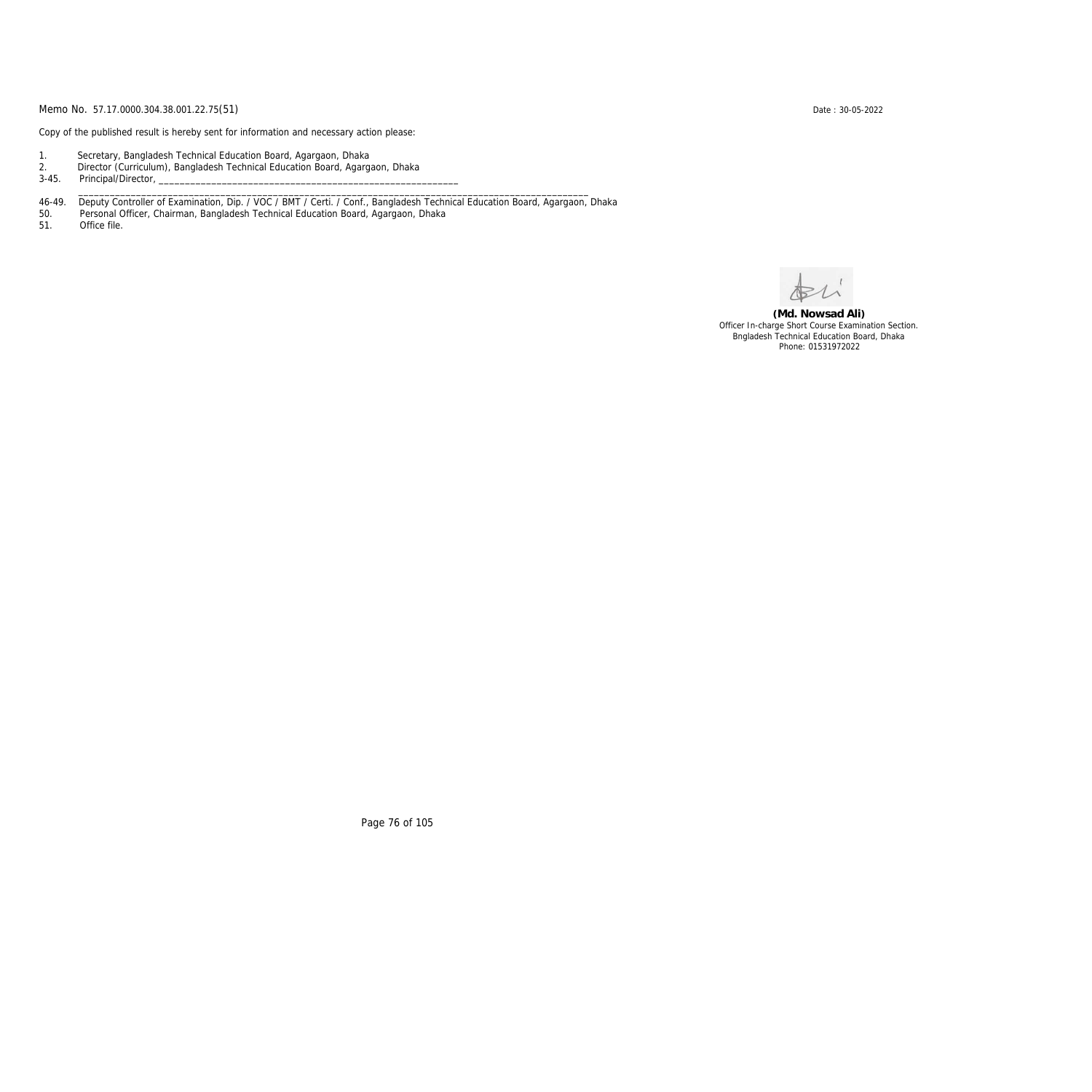Copy of the published result is hereby sent for information and necessary action please:

- 1. Secretary, Bangladesh Technical Education Board, Agargaon, Dhaka
- 2. Director (Curriculum), Bangladesh Technical Education Board, Agargaon, Dhaka

3-45. Principal/Director,

46-49. Deputy Controller of Examination, Dip. / VOC / BMT / Certi. / Conf., Bangladesh Technical Education Board, Agargaon, Dhaka

\_\_\_\_\_\_\_\_\_\_\_\_\_\_\_\_\_\_\_\_\_\_\_\_\_\_\_\_\_\_\_\_\_\_\_\_\_\_\_\_\_\_\_\_\_\_\_\_\_\_\_\_\_\_\_\_\_\_\_\_\_\_\_\_\_\_\_\_\_\_\_\_\_\_\_\_\_\_\_\_\_\_\_\_\_\_\_\_\_\_\_\_\_\_\_\_\_

50. Personal Officer, Chairman, Bangladesh Technical Education Board, Agargaon, Dhaka

Office file.

**(Md. Nowsad Ali)** Officer In-charge Short Course Examination Section. Bngladesh Technical Education Board, Dhaka Phone: 01531972022

Page 76 of 105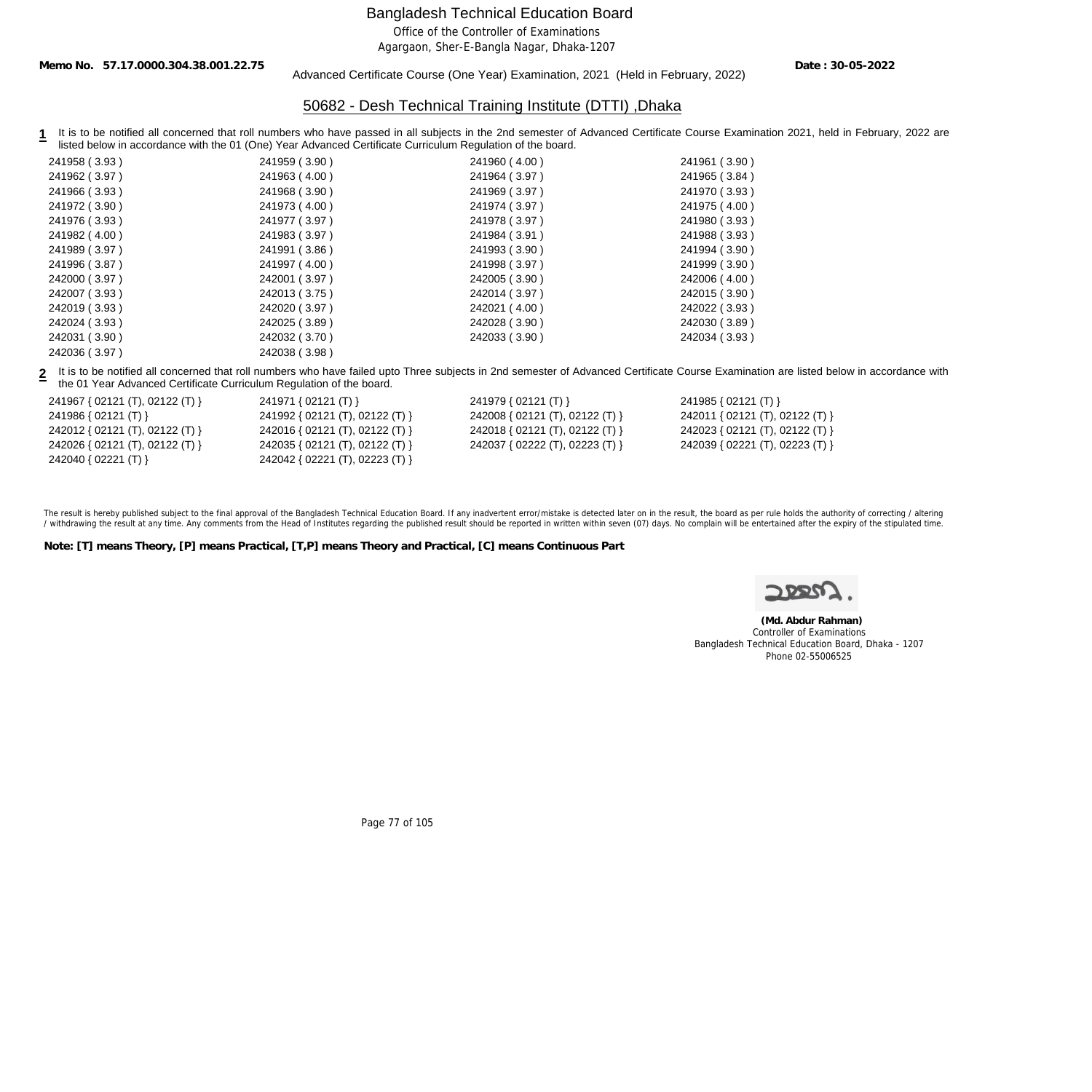Office of the Controller of Examinations

Agargaon, Sher-E-Bangla Nagar, Dhaka-1207

**Memo No. 57.17.0000.304.38.001.22.75**

#### Advanced Certificate Course (One Year) Examination, 2021 (Held in February, 2022)

**Date : 30-05-2022**

## 50682 - Desh Technical Training Institute (DTTI) ,Dhaka

1 It is to be notified all concerned that roll numbers who have passed in all subjects in the 2nd semester of Advanced Certificate Course Examination 2021, held in February, 2022 are listed below in accordance with the 01 (One) Year Advanced Certificate Curriculum Regulation of the board.

| 241958 (3.93) | 241959 (3.90) | 241960 (4.00) | 241961 (3.90) |
|---------------|---------------|---------------|---------------|
| 241962 (3.97) | 241963 (4.00) | 241964 (3.97) | 241965 (3.84) |
| 241966 (3.93) | 241968 (3.90) | 241969 (3.97) | 241970 (3.93) |
| 241972 (3.90) | 241973 (4.00) | 241974 (3.97) | 241975 (4.00) |
| 241976 (3.93) | 241977 (3.97) | 241978 (3.97) | 241980 (3.93) |
| 241982 (4.00) | 241983 (3.97) | 241984 (3.91) | 241988 (3.93) |
| 241989 (3.97) | 241991 (3.86) | 241993 (3.90) | 241994 (3.90) |
| 241996 (3.87) | 241997 (4.00) | 241998 (3.97) | 241999 (3.90) |
| 242000 (3.97) | 242001 (3.97) | 242005 (3.90) | 242006 (4.00) |
| 242007 (3.93) | 242013 (3.75) | 242014 (3.97) | 242015 (3.90) |
| 242019 (3.93) | 242020 (3.97) | 242021 (4.00) | 242022 (3.93) |
| 242024 (3.93) | 242025 (3.89) | 242028 (3.90) | 242030 (3.89) |
| 242031 (3.90) | 242032 (3.70) | 242033 (3.90) | 242034 (3.93) |
| 242036 (3.97) | 242038 (3.98) |               |               |

**2** It is to be notified all concerned that roll numbers who have failed upto Three subjects in 2nd semester of Advanced Certificate Course Examination are listed below in accordance with the 01 Year Advanced Certificate Curriculum Regulation of the board.

| 241967 { 02121 (T), 02122 (T) } | 241971 { $02121$ (T) }              | 241979 { $02121$ (T) }          | 241985 { $02121$ (T) }          |
|---------------------------------|-------------------------------------|---------------------------------|---------------------------------|
| 241986 { 02121 (T) }            | 241992 { 02121 (T), 02122 (T) }     | 242008 { 02121 (T), 02122 (T) } | 242011 { 02121 (T), 02122 (T) } |
| 242012 { 02121 (T), 02122 (T) } | 242016 { 02121 (T), 02122 (T) }     | 242018 { 02121 (T), 02122 (T) } | 242023 { 02121 (T), 02122 (T) } |
| 242026 { 02121 (T), 02122 (T) } | 242035 { $02121$ (T), $02122$ (T) } | 242037 { 02222 (T), 02223 (T) } | 242039 { 02221 (T), 02223 (T) } |
| 242040 { 02221 (T) }            | 242042 { $02221$ (T), $02223$ (T) } |                                 |                                 |

The result is hereby published subject to the final approval of the Bangladesh Technical Education Board. If any inadvertent error/mistake is detected later on in the result, the board as per rule holds the authority of co / withdrawing the result at any time. Any comments from the Head of Institutes regarding the published result should be reported in written within seven (07) days. No complain will be entertained after the expiry of the st

**Note: [T] means Theory, [P] means Practical, [T,P] means Theory and Practical, [C] means Continuous Part**



 **(Md. Abdur Rahman)** Controller of Examinations Bangladesh Technical Education Board, Dhaka - 1207 Phone 02-55006525

Page 77 of 105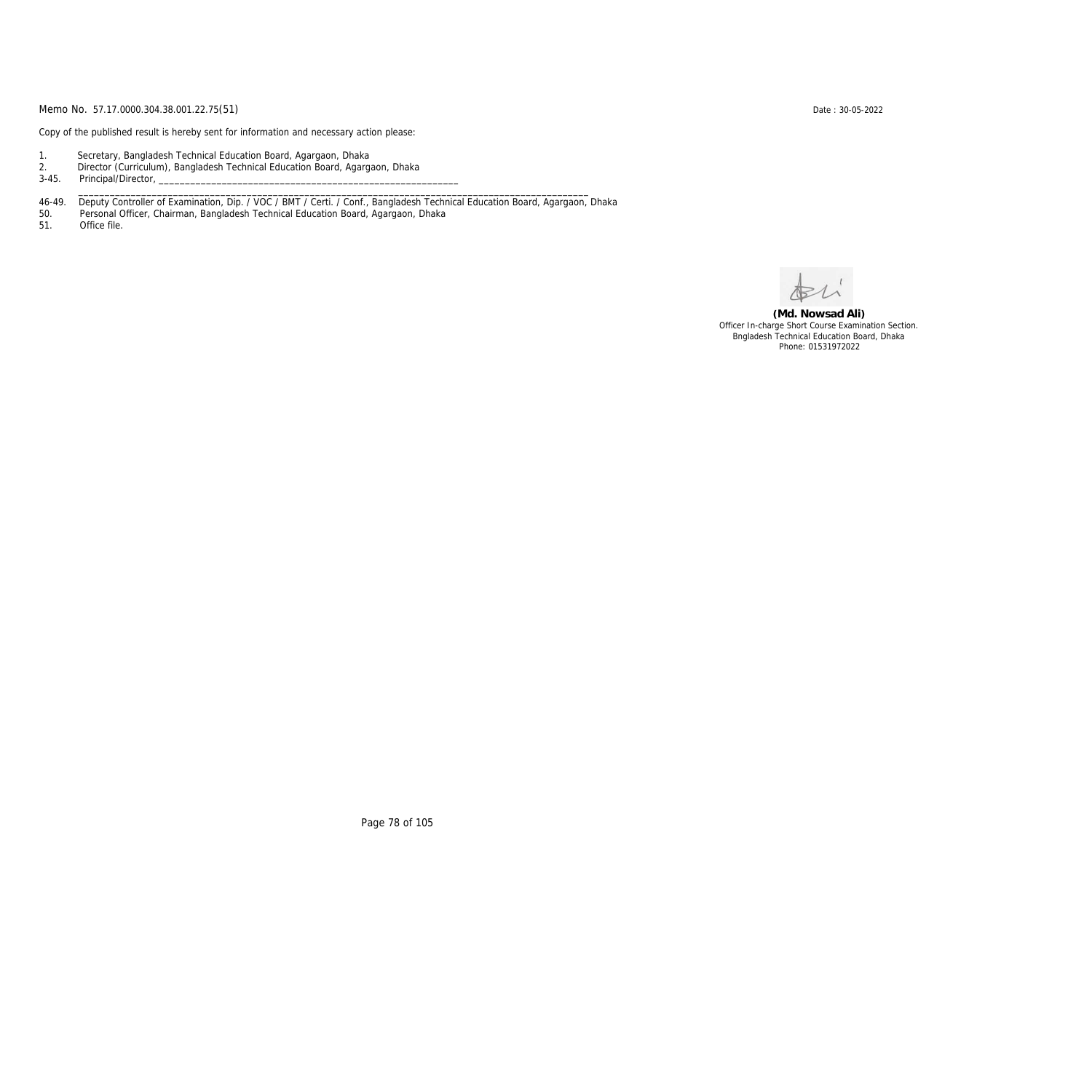Copy of the published result is hereby sent for information and necessary action please:

- 1. Secretary, Bangladesh Technical Education Board, Agargaon, Dhaka
- 2. Director (Curriculum), Bangladesh Technical Education Board, Agargaon, Dhaka

3-45. Principal/Director,

46-49. Deputy Controller of Examination, Dip. / VOC / BMT / Certi. / Conf., Bangladesh Technical Education Board, Agargaon, Dhaka

\_\_\_\_\_\_\_\_\_\_\_\_\_\_\_\_\_\_\_\_\_\_\_\_\_\_\_\_\_\_\_\_\_\_\_\_\_\_\_\_\_\_\_\_\_\_\_\_\_\_\_\_\_\_\_\_\_\_\_\_\_\_\_\_\_\_\_\_\_\_\_\_\_\_\_\_\_\_\_\_\_\_\_\_\_\_\_\_\_\_\_\_\_\_\_\_\_

50. Personal Officer, Chairman, Bangladesh Technical Education Board, Agargaon, Dhaka

Office file.

**(Md. Nowsad Ali)** Officer In-charge Short Course Examination Section. Bngladesh Technical Education Board, Dhaka Phone: 01531972022

Page 78 of 105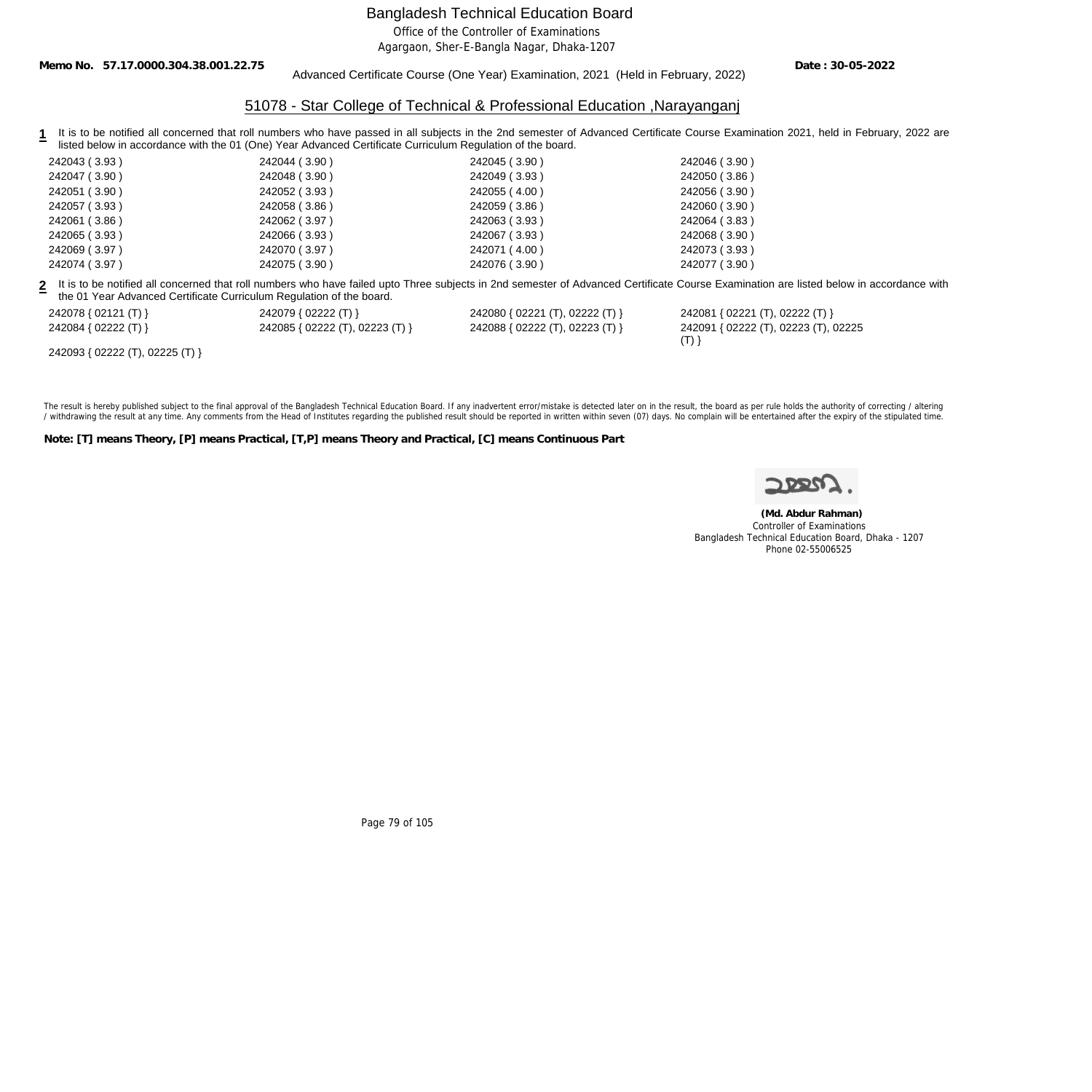Office of the Controller of Examinations

Agargaon, Sher-E-Bangla Nagar, Dhaka-1207

**Memo No. 57.17.0000.304.38.001.22.75**

Advanced Certificate Course (One Year) Examination, 2021 (Held in February, 2022)

**Date : 30-05-2022**

## 51078 - Star College of Technical & Professional Education ,Narayanganj

1 It is to be notified all concerned that roll numbers who have passed in all subjects in the 2nd semester of Advanced Certificate Course Examination 2021, held in February, 2022 are listed below in accordance with the 01 (One) Year Advanced Certificate Curriculum Regulation of the board.

| 242043 (3.93) | 242044 (3.90) | 242045 (3.90) | 242046 (3.90) |
|---------------|---------------|---------------|---------------|
| 242047 (3.90) | 242048 (3.90) | 242049 (3.93) | 242050 (3.86) |
| 242051 (3.90) | 242052 (3.93) | 242055 (4.00) | 242056 (3.90) |
| 242057 (3.93) | 242058 (3.86) | 242059 (3.86) | 242060 (3.90) |
| 242061 (3.86) | 242062 (3.97) | 242063 (3.93) | 242064 (3.83) |
| 242065 (3.93) | 242066 (3.93) | 242067 (3.93) | 242068 (3.90) |
| 242069 (3.97) | 242070 (3.97) | 242071 (4.00) | 242073 (3.93) |
| 242074 (3.97) | 242075 (3.90) | 242076 (3.90) | 242077 (3.90) |
|               |               |               |               |

**2** It is to be notified all concerned that roll numbers who have failed upto Three subjects in 2nd semester of Advanced Certificate Course Examination are listed below in accordance with the 01 Year Advanced Certificate Curriculum Regulation of the board.

242078 { 02121 (T) } 242079 { 02222 (T) } 242080 { 02221 (T), 02222 (T) } 242081 { 02221 (T), 02222 (T) }

| 242078 { 02121 (T) } | 242079 { 02222 (T) }            | 242080 { 02221 (T), 02222 (T) } | 242081 { 02221 (T), 02222 (T) }      |
|----------------------|---------------------------------|---------------------------------|--------------------------------------|
| 242084 { 02222 (T) } | 242085 { 02222 (T), 02223 (T) } | 242088 { 02222 (T), 02223 (T) } | 242091 { 02222 (T), 02223 (T), 02225 |

242093 { 02222 (T), 02225 (T) }

The result is hereby published subject to the final approval of the Bangladesh Technical Education Board. If any inadvertent error/mistake is detected later on in the result, the board as per rule holds the authority of co / withdrawing the result at any time. Any comments from the Head of Institutes regarding the published result should be reported in written within seven (07) days. No complain will be entertained after the expiry of the st

**Note: [T] means Theory, [P] means Practical, [T,P] means Theory and Practical, [C] means Continuous Part**

 $(T)$ }

 **(Md. Abdur Rahman)** Controller of Examinations Bangladesh Technical Education Board, Dhaka - 1207 Phone 02-55006525

Page 79 of 105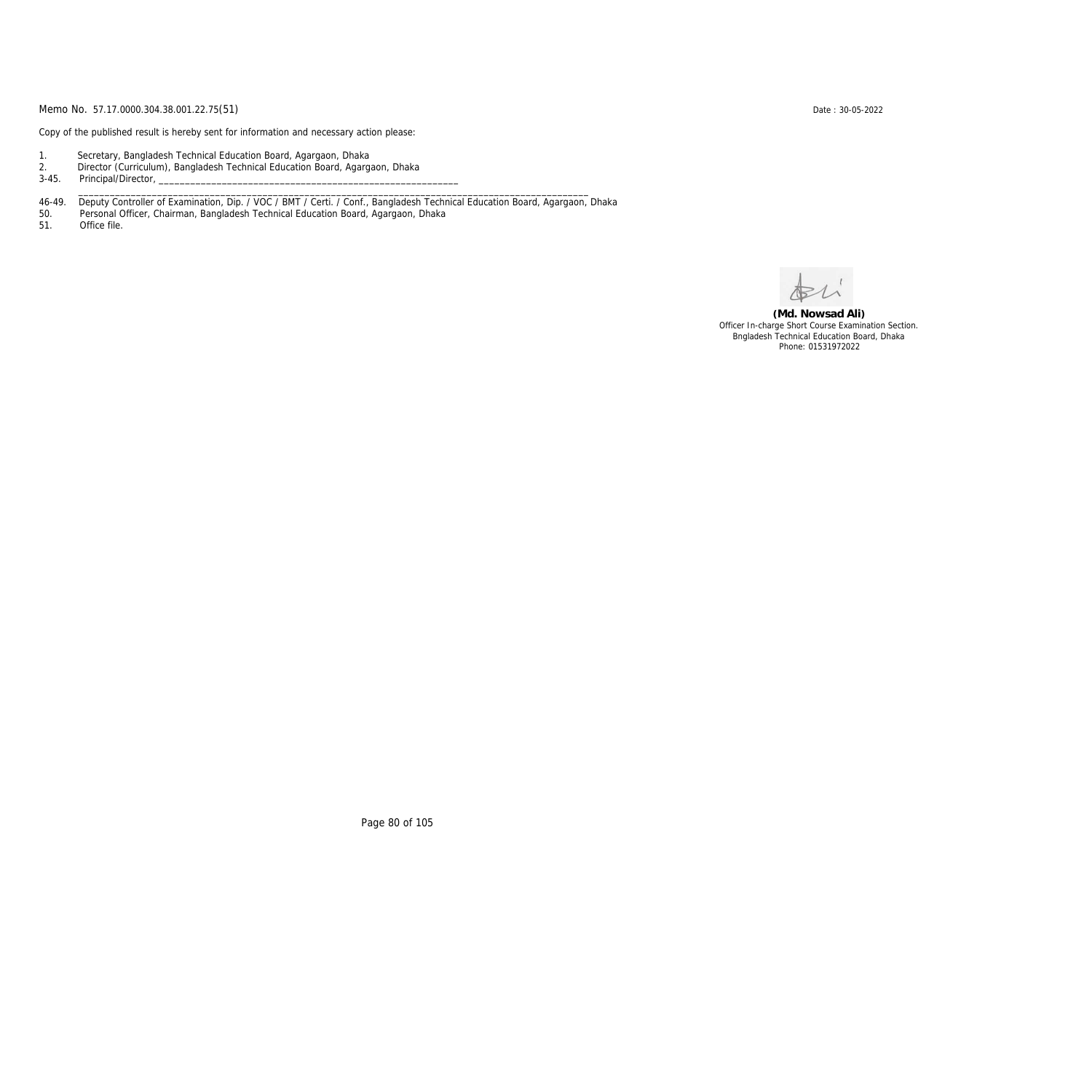Copy of the published result is hereby sent for information and necessary action please:

- 1. Secretary, Bangladesh Technical Education Board, Agargaon, Dhaka
- 2. Director (Curriculum), Bangladesh Technical Education Board, Agargaon, Dhaka

3-45. Principal/Director,

46-49. Deputy Controller of Examination, Dip. / VOC / BMT / Certi. / Conf., Bangladesh Technical Education Board, Agargaon, Dhaka

\_\_\_\_\_\_\_\_\_\_\_\_\_\_\_\_\_\_\_\_\_\_\_\_\_\_\_\_\_\_\_\_\_\_\_\_\_\_\_\_\_\_\_\_\_\_\_\_\_\_\_\_\_\_\_\_\_\_\_\_\_\_\_\_\_\_\_\_\_\_\_\_\_\_\_\_\_\_\_\_\_\_\_\_\_\_\_\_\_\_\_\_\_\_\_\_\_

50. Personal Officer, Chairman, Bangladesh Technical Education Board, Agargaon, Dhaka

Office file.

**(Md. Nowsad Ali)** Officer In-charge Short Course Examination Section. Bngladesh Technical Education Board, Dhaka Phone: 01531972022

Page 80 of 105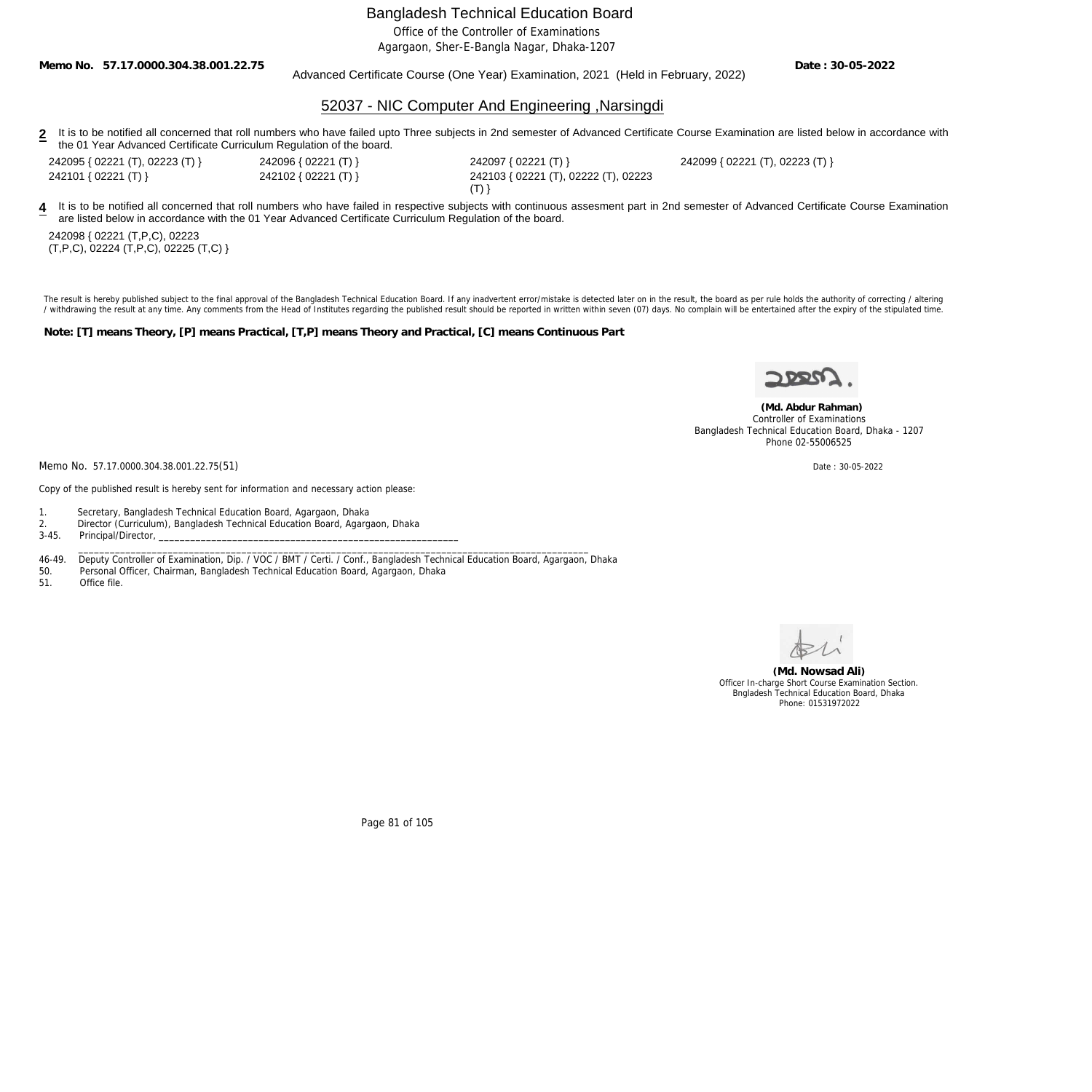Office of the Controller of Examinations

Agargaon, Sher-E-Bangla Nagar, Dhaka-1207

**Memo No. 57.17.0000.304.38.001.22.75**

#### Advanced Certificate Course (One Year) Examination, 2021 (Held in February, 2022)

**Date : 30-05-2022**

### 52037 - NIC Computer And Engineering ,Narsingdi

2 It is to be notified all concerned that roll numbers who have failed upto Three subjects in 2nd semester of Advanced Certificate Course Examination are listed below in accordance with the 01 Year Advanced Certificate Curriculum Regulation of the board.

242095 { 02221 (T), 02223 (T) } 242096 { 02221 (T) } 242097 { 02221 (T) } 242099 { 02221 (T), 02223 (T) }

242101 { 02221 (T) } 242102 { 02221 (T) } 242103 { 02221 (T), 02222 (T), 02223  $(T)$ }

4 It is to be notified all concerned that roll numbers who have failed in respective subjects with continuous assesment part in 2nd semester of Advanced Certificate Course Examination are listed below in accordance with the 01 Year Advanced Certificate Curriculum Regulation of the board.

242098 { 02221 (T,P,C), 02223  $(T, P, C)$ , 02224  $(T, P, C)$ , 02225  $(T, C)$  }

The result is hereby published subject to the final approval of the Bangladesh Technical Education Board. If any inadvertent error/mistake is detected later on in the result, the board as per rule holds the authority of co / withdrawing the result at any time. Any comments from the Head of Institutes regarding the published result should be reported in written within seven (07) days. No complain will be entertained after the expiry of the st

**Note: [T] means Theory, [P] means Practical, [T,P] means Theory and Practical, [C] means Continuous Part**



 **(Md. Abdur Rahman)** Controller of Examinations Bangladesh Technical Education Board, Dhaka - 1207 Phone 02-55006525

Memo No. 57.17.0000.304.38.001.22.75(51) Date: 30-05-2022

Copy of the published result is hereby sent for information and necessary action please:

1. Secretary, Bangladesh Technical Education Board, Agargaon, Dhaka

2. Director (Curriculum), Bangladesh Technical Education Board, Agargaon, Dhaka

3-45. Principal/Director,

46-49. Deputy Controller of Examination, Dip. / VOC / BMT / Certi. / Conf., Bangladesh Technical Education Board, Agargaon, Dhaka

\_\_\_\_\_\_\_\_\_\_\_\_\_\_\_\_\_\_\_\_\_\_\_\_\_\_\_\_\_\_\_\_\_\_\_\_\_\_\_\_\_\_\_\_\_\_\_\_\_\_\_\_\_\_\_\_\_\_\_\_\_\_\_\_\_\_\_\_\_\_\_\_\_\_\_\_\_\_\_\_\_\_\_\_\_\_\_\_\_\_\_\_\_\_\_\_\_

50. Personal Officer, Chairman, Bangladesh Technical Education Board, Agargaon, Dhaka

Office file



**(Md. Nowsad Ali)** Officer In-charge Short Course Examination Section. Bngladesh Technical Education Board, Dhaka Phone: 01531972022

Page 81 of 105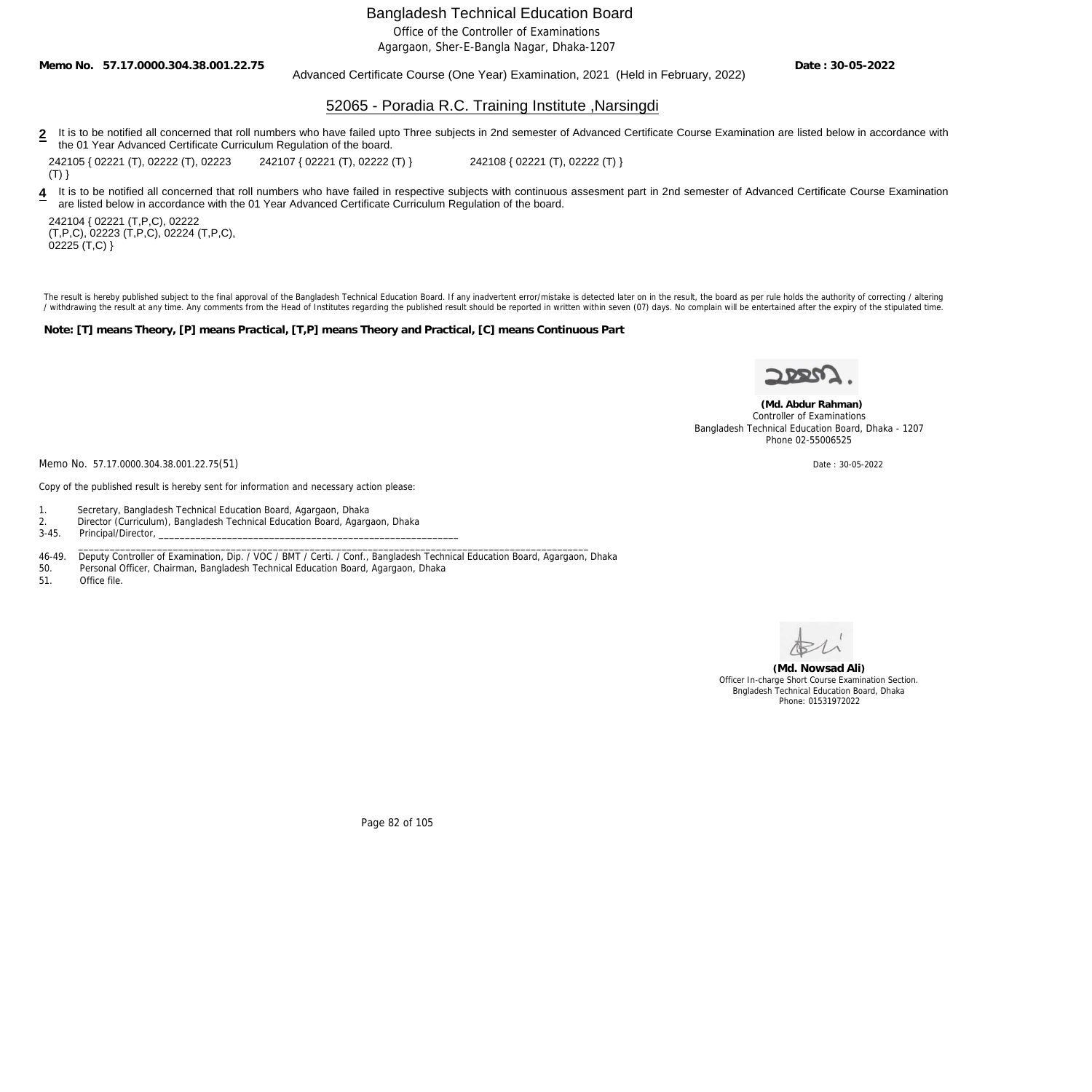Office of the Controller of Examinations

Agargaon, Sher-E-Bangla Nagar, Dhaka-1207

**Memo No. 57.17.0000.304.38.001.22.75**

Advanced Certificate Course (One Year) Examination, 2021 (Held in February, 2022)

**Date : 30-05-2022**

## 52065 - Poradia R.C. Training Institute ,Narsingdi

2 It is to be notified all concerned that roll numbers who have failed upto Three subjects in 2nd semester of Advanced Certificate Course Examination are listed below in accordance with the 01 Year Advanced Certificate Curriculum Regulation of the board.

242105 { 02221 (T), 02222 (T), 02223

 $(T)$ }

242107 { 02221 (T), 02222 (T) } 242108 { 02221 (T), 02222 (T) }

4 It is to be notified all concerned that roll numbers who have failed in respective subjects with continuous assesment part in 2nd semester of Advanced Certificate Course Examination are listed below in accordance with the 01 Year Advanced Certificate Curriculum Regulation of the board.

242104 { 02221 (T,P,C), 02222 (T,P,C), 02223 (T,P,C), 02224 (T,P,C), 02225 (T,C) }

The result is hereby published subject to the final approval of the Bangladesh Technical Education Board. If any inadvertent error/mistake is detected later on in the result, the board as per rule holds the authority of co / withdrawing the result at any time. Any comments from the Head of Institutes regarding the published result should be reported in written within seven (07) days. No complain will be entertained after the expiry of the st

**Note: [T] means Theory, [P] means Practical, [T,P] means Theory and Practical, [C] means Continuous Part**



 **(Md. Abdur Rahman)** Controller of Examinations Bangladesh Technical Education Board, Dhaka - 1207 Phone 02-55006525

Memo No. 57.17.0000.304.38.001.22.75(51) Date: 30-05-2022

Copy of the published result is hereby sent for information and necessary action please:

1. Secretary, Bangladesh Technical Education Board, Agargaon, Dhaka

2. Director (Curriculum), Bangladesh Technical Education Board, Agargaon, Dhaka

3-45. Principal/Director, \_\_\_\_\_\_\_\_\_\_\_\_\_\_\_\_\_\_\_\_\_\_\_\_\_\_\_\_\_\_\_\_\_\_\_\_\_\_\_\_\_\_\_\_\_\_\_\_\_\_\_\_\_\_\_\_\_\_\_\_\_\_\_\_\_\_\_\_\_\_\_\_\_\_\_\_\_\_\_\_\_\_\_\_\_\_\_\_\_\_\_\_\_\_\_\_\_

46-49. Deputy Controller of Examination, Dip. / VOC / BMT / Certi. / Conf., Bangladesh Technical Education Board, Agargaon, Dhaka<br>50. Personal Officer, Chairman, Bangladesh Technical Education Board, Agargaon, Dhaka

Personal Officer, Chairman, Bangladesh Technical Education Board, Agargaon, Dhaka

51. Office file.



**(Md. Nowsad Ali)** Officer In-charge Short Course Examination Section. Bngladesh Technical Education Board, Dhaka Phone: 01531972022

Page 82 of 105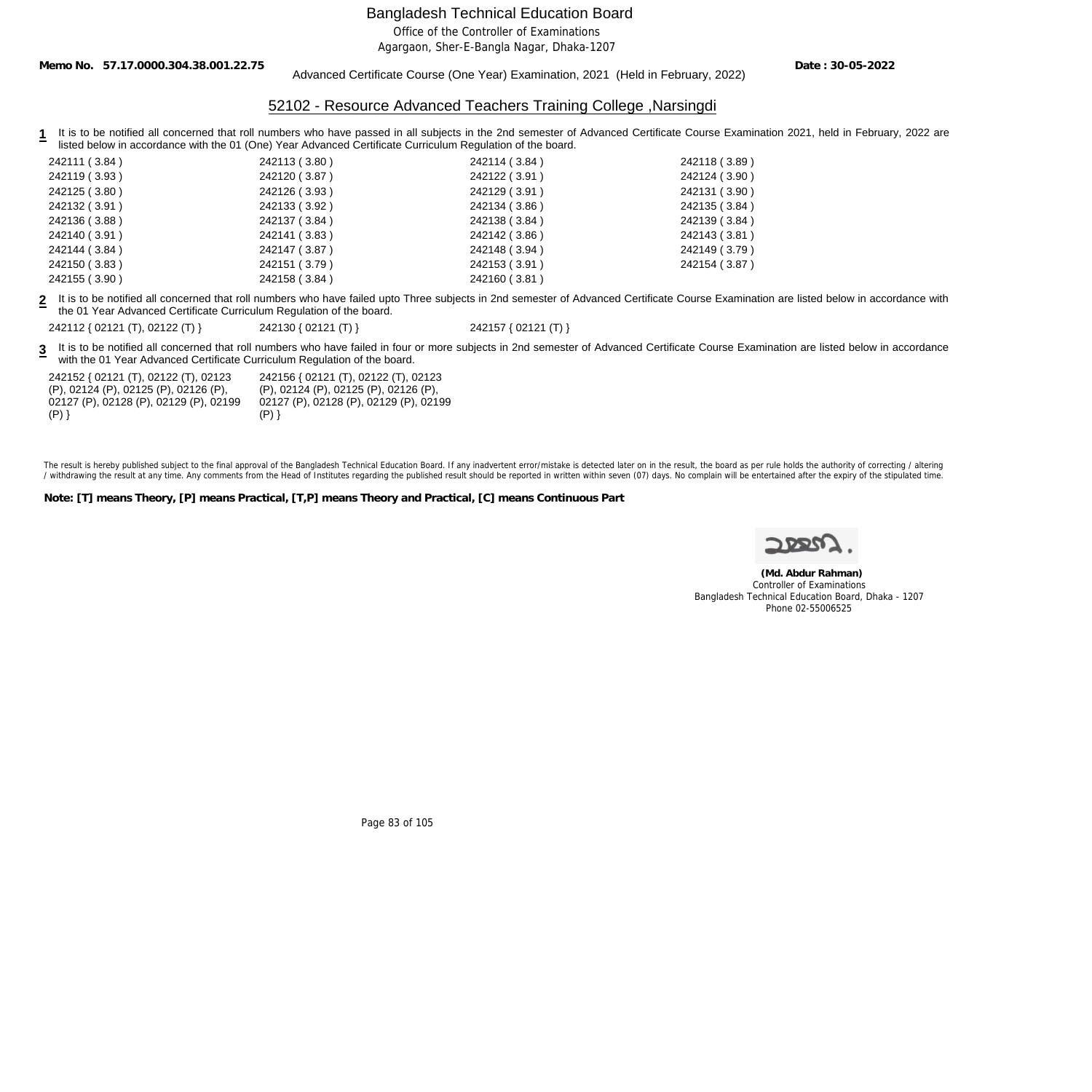Office of the Controller of Examinations

Agargaon, Sher-E-Bangla Nagar, Dhaka-1207

**Memo No. 57.17.0000.304.38.001.22.75**

#### Advanced Certificate Course (One Year) Examination, 2021 (Held in February, 2022)

**Date : 30-05-2022**

### 52102 - Resource Advanced Teachers Training College ,Narsingdi

**1** It is to be notified all concerned that roll numbers who have passed in all subjects in the 2nd semester of Advanced Certificate Course Examination 2021, held in February, 2022 are listed below in accordance with the 01 (One) Year Advanced Certificate Curriculum Regulation of the board.

| 242111 (3.84) | 242113 (3.80) | 242114 (3.84) | 242118 (3.89) |
|---------------|---------------|---------------|---------------|
| 242119 (3.93) | 242120 (3.87) | 242122 (3.91) | 242124 (3.90) |
| 242125 (3.80) | 242126 (3.93) | 242129 (3.91) | 242131 (3.90) |
| 242132 (3.91) | 242133 (3.92) | 242134 (3.86) | 242135 (3.84) |
| 242136 (3.88) | 242137 (3.84) | 242138 (3.84) | 242139 (3.84) |
| 242140 (3.91) | 242141 (3.83) | 242142 (3.86) | 242143 (3.81) |
| 242144 (3.84) | 242147 (3.87) | 242148 (3.94) | 242149 (3.79) |
| 242150 (3.83) | 242151 (3.79) | 242153 (3.91) | 242154 (3.87) |
| 242155 (3.90) | 242158 (3.84) | 242160 (3.81) |               |

**2** It is to be notified all concerned that roll numbers who have failed upto Three subjects in 2nd semester of Advanced Certificate Course Examination are listed below in accordance with the 01 Year Advanced Certificate Curriculum Regulation of the board.

242112 { 02121 (T), 02122 (T) } 242130 { 02121 (T) } 242157 { 02121 (T) }

**3** It is to be notified all concerned that roll numbers who have failed in four or more subjects in 2nd semester of Advanced Certificate Course Examination are listed below in accordance with the 01 Year Advanced Certificate Curriculum Regulation of the board.

| 242152 { 02121 (T), 02122 (T), 02123   |
|----------------------------------------|
| (P), 02124 (P), 02125 (P), 02126 (P),  |
| 02127 (P), 02128 (P), 02129 (P), 02199 |
| (P)                                    |

242156 { 02121 (T), 02122 (T), 02123 (P), 02124 (P), 02125 (P), 02126 (P), 02127 (P), 02128 (P), 02129 (P), 02199  $(P)$ }

The result is hereby published subject to the final approval of the Bangladesh Technical Education Board. If any inadvertent error/mistake is detected later on in the result, the board as per rule holds the authority of co / withdrawing the result at any time. Any comments from the Head of Institutes regarding the published result should be reported in written within seven (07) days. No complain will be entertained after the expiry of the st

**Note: [T] means Theory, [P] means Practical, [T,P] means Theory and Practical, [C] means Continuous Part**



 **(Md. Abdur Rahman)** Controller of Examinations Bangladesh Technical Education Board, Dhaka - 1207 Phone 02-55006525

Page 83 of 105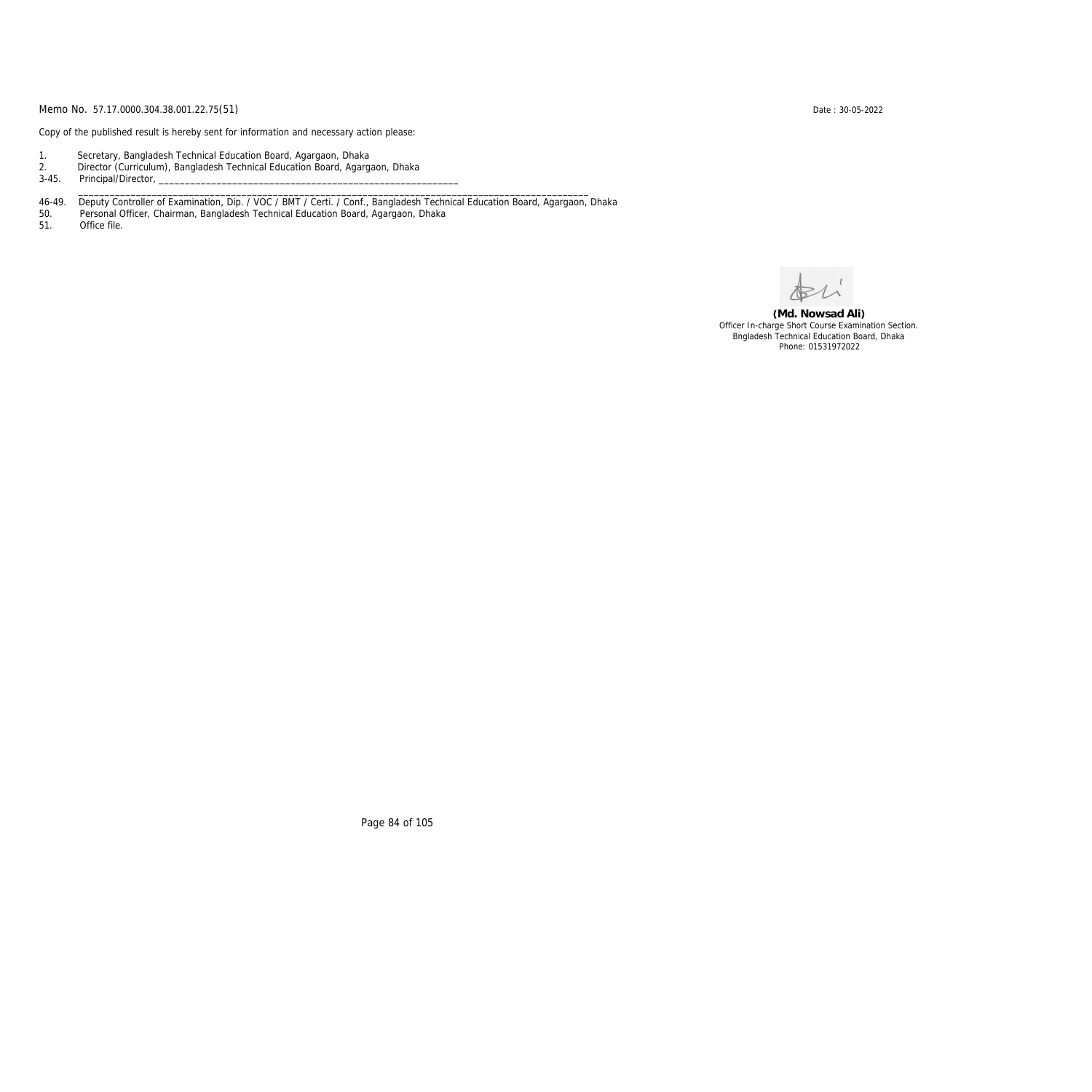Copy of the published result is hereby sent for information and necessary action please:

- 1. Secretary, Bangladesh Technical Education Board, Agargaon, Dhaka
- 2. Director (Curriculum), Bangladesh Technical Education Board, Agargaon, Dhaka

3-45. Principal/Director,

46-49. Deputy Controller of Examination, Dip. / VOC / BMT / Certi. / Conf., Bangladesh Technical Education Board, Agargaon, Dhaka

\_\_\_\_\_\_\_\_\_\_\_\_\_\_\_\_\_\_\_\_\_\_\_\_\_\_\_\_\_\_\_\_\_\_\_\_\_\_\_\_\_\_\_\_\_\_\_\_\_\_\_\_\_\_\_\_\_\_\_\_\_\_\_\_\_\_\_\_\_\_\_\_\_\_\_\_\_\_\_\_\_\_\_\_\_\_\_\_\_\_\_\_\_\_\_\_\_

50. Personal Officer, Chairman, Bangladesh Technical Education Board, Agargaon, Dhaka

Office file.

**(Md. Nowsad Ali)** Officer In-charge Short Course Examination Section. Bngladesh Technical Education Board, Dhaka Phone: 01531972022

Page 84 of 105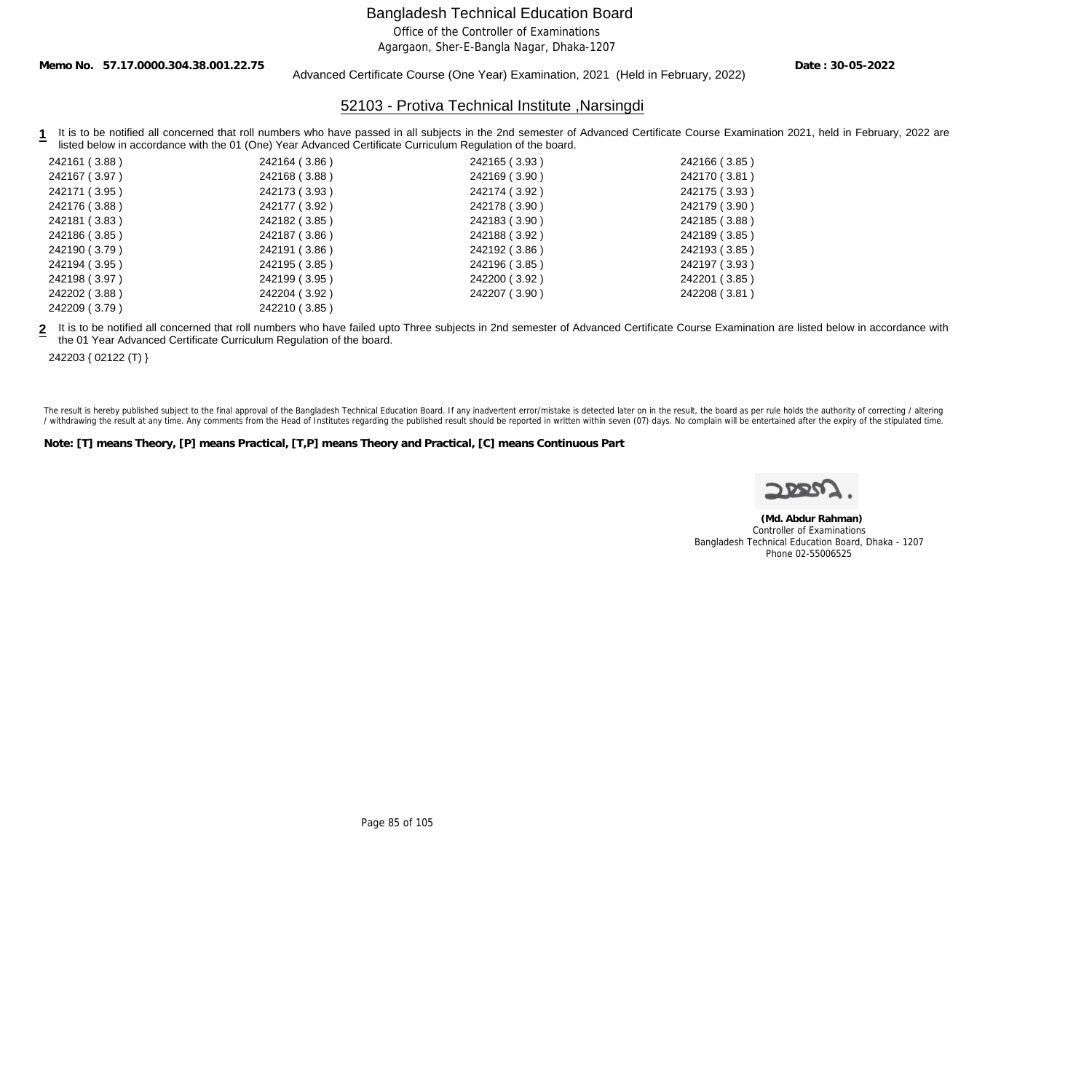Office of the Controller of Examinations

Agargaon, Sher-E-Bangla Nagar, Dhaka-1207

**Memo No. 57.17.0000.304.38.001.22.75**

#### Advanced Certificate Course (One Year) Examination, 2021 (Held in February, 2022)

**Date : 30-05-2022**

### 52103 - Protiva Technical Institute ,Narsingdi

1 It is to be notified all concerned that roll numbers who have passed in all subjects in the 2nd semester of Advanced Certificate Course Examination 2021, held in February, 2022 are listed below in accordance with the 01 (One) Year Advanced Certificate Curriculum Regulation of the board.

| 242161 (3.88) | 242164 (3.86) | 242165 (3.93) | 242166 (3.85) |
|---------------|---------------|---------------|---------------|
| 242167 (3.97) | 242168 (3.88) | 242169 (3.90) | 242170 (3.81) |
| 242171 (3.95) | 242173 (3.93) | 242174 (3.92) | 242175 (3.93) |
| 242176 (3.88) | 242177 (3.92) | 242178 (3.90) | 242179 (3.90) |
| 242181 (3.83) | 242182 (3.85) | 242183 (3.90) | 242185 (3.88) |
| 242186 (3.85) | 242187 (3.86) | 242188 (3.92) | 242189 (3.85) |
| 242190 (3.79) | 242191 (3.86) | 242192 (3.86) | 242193 (3.85) |
| 242194 (3.95) | 242195 (3.85) | 242196 (3.85) | 242197 (3.93) |
| 242198 (3.97) | 242199 (3.95) | 242200 (3.92) | 242201 (3.85) |
| 242202 (3.88) | 242204 (3.92) | 242207 (3.90) | 242208 (3.81) |
| 242209 (3.79) | 242210 (3.85) |               |               |

**2** It is to be notified all concerned that roll numbers who have failed upto Three subjects in 2nd semester of Advanced Certificate Course Examination are listed below in accordance with the 01 Year Advanced Certificate Curriculum Regulation of the board.

242203 { 02122 (T) }

The result is hereby published subject to the final approval of the Bangladesh Technical Education Board. If any inadvertent error/mistake is detected later on in the result, the board as per rule holds the authority of co / withdrawing the result at any time. Any comments from the Head of Institutes regarding the published result should be reported in written within seven (07) days. No complain will be entertained after the expiry of the st

**Note: [T] means Theory, [P] means Practical, [T,P] means Theory and Practical, [C] means Continuous Part**

 **(Md. Abdur Rahman)** Controller of Examinations Bangladesh Technical Education Board, Dhaka - 1207 Phone 02-55006525

Page 85 of 105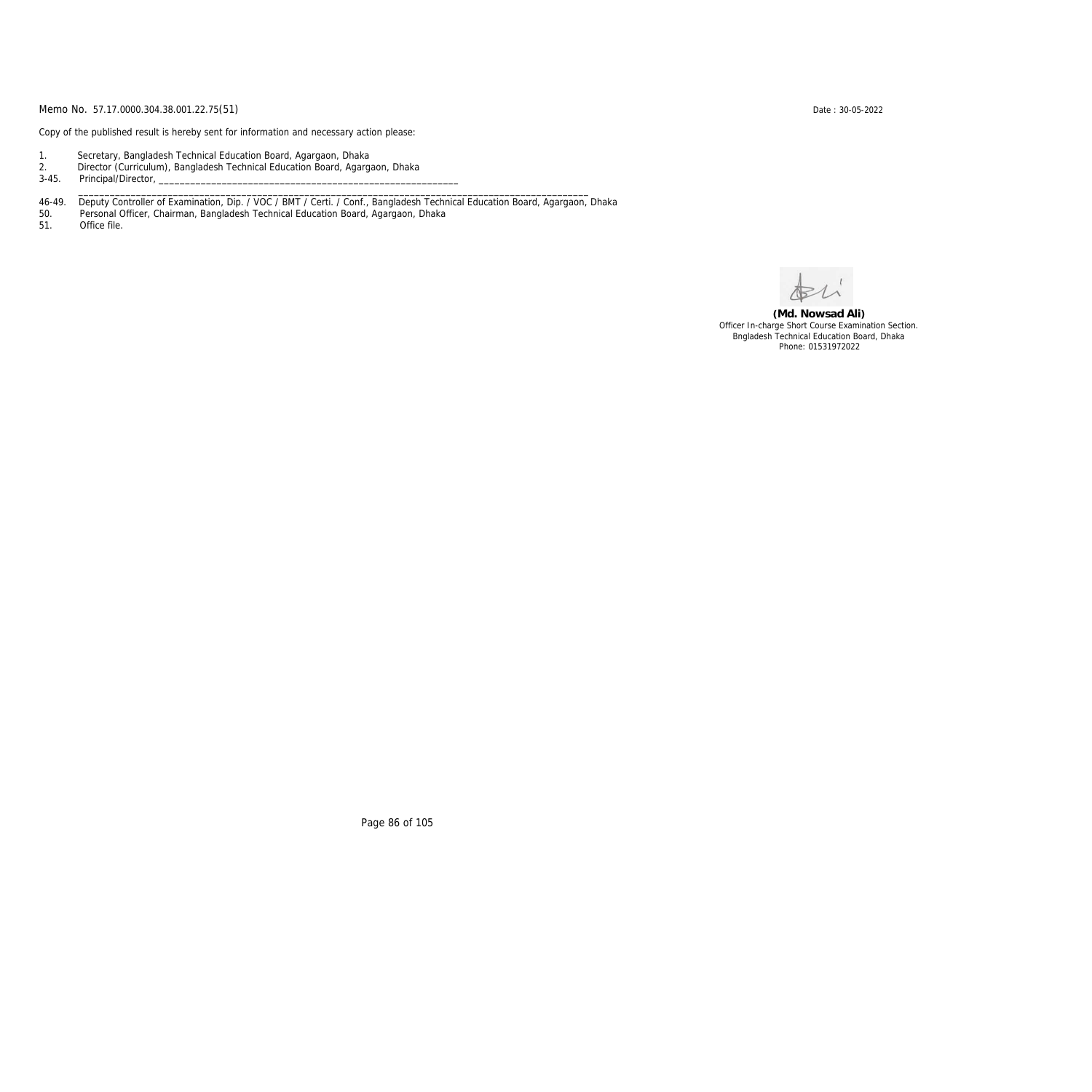Copy of the published result is hereby sent for information and necessary action please:

- 1. Secretary, Bangladesh Technical Education Board, Agargaon, Dhaka
- 2. Director (Curriculum), Bangladesh Technical Education Board, Agargaon, Dhaka

3-45. Principal/Director,

46-49. Deputy Controller of Examination, Dip. / VOC / BMT / Certi. / Conf., Bangladesh Technical Education Board, Agargaon, Dhaka

\_\_\_\_\_\_\_\_\_\_\_\_\_\_\_\_\_\_\_\_\_\_\_\_\_\_\_\_\_\_\_\_\_\_\_\_\_\_\_\_\_\_\_\_\_\_\_\_\_\_\_\_\_\_\_\_\_\_\_\_\_\_\_\_\_\_\_\_\_\_\_\_\_\_\_\_\_\_\_\_\_\_\_\_\_\_\_\_\_\_\_\_\_\_\_\_\_

50. Personal Officer, Chairman, Bangladesh Technical Education Board, Agargaon, Dhaka

Office file.

**(Md. Nowsad Ali)** Officer In-charge Short Course Examination Section. Bngladesh Technical Education Board, Dhaka Phone: 01531972022

Page 86 of 105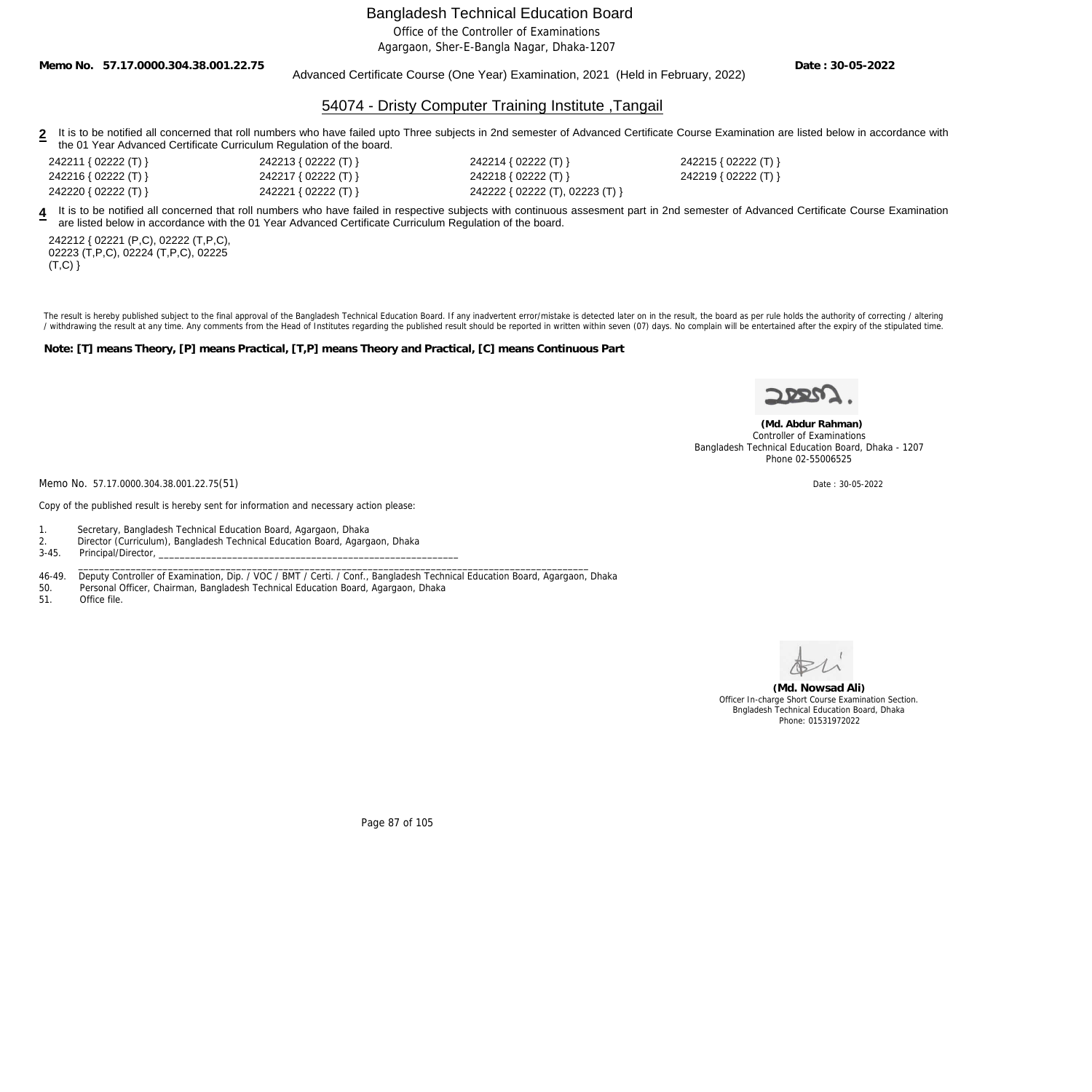Office of the Controller of Examinations

Agargaon, Sher-E-Bangla Nagar, Dhaka-1207

**Memo No. 57.17.0000.304.38.001.22.75**

#### Advanced Certificate Course (One Year) Examination, 2021 (Held in February, 2022)

**Date : 30-05-2022**

## 54074 - Dristy Computer Training Institute ,Tangail

- 2 It is to be notified all concerned that roll numbers who have failed upto Three subjects in 2nd semester of Advanced Certificate Course Examination are listed below in accordance with the 01 Year Advanced Certificate Curriculum Regulation of the board.
- 242211 { 02222 (T) } 242213 { 02222 (T) } 242214 { 02222 (T) } 242215 { 02222 (T) } 242216 { 02222 (T) } 242217 { 02222 (T) } 242218 { 02222 (T) } 242219 { 02222 (T) } 242220 { 02222 (T) } 242221 { 02222 (T) } 242222 { 02222 (T), 02223 (T) }

**4** It is to be notified all concerned that roll numbers who have failed in respective subjects with continuous assesment part in 2nd semester of Advanced Certificate Course Examination are listed below in accordance with the 01 Year Advanced Certificate Curriculum Regulation of the board.

242212 { 02221 (P,C), 02222 (T,P,C), 02223 (T,P,C), 02224 (T,P,C), 02225  $(T,C)$ }

The result is hereby published subject to the final approval of the Bangladesh Technical Education Board. If any inadvertent error/mistake is detected later on in the result, the board as per rule holds the authority of co / withdrawing the result at any time. Any comments from the Head of Institutes regarding the published result should be reported in written within seven (07) days. No complain will be entertained after the expiry of the st

**Note: [T] means Theory, [P] means Practical, [T,P] means Theory and Practical, [C] means Continuous Part**

 **(Md. Abdur Rahman)** Controller of Examinations Bangladesh Technical Education Board, Dhaka - 1207 Phone 02-55006525

Memo No. 57.17.0000.304.38.001.22.75(51) Date : 30-05-2022

Copy of the published result is hereby sent for information and necessary action please:

1. Secretary, Bangladesh Technical Education Board, Agargaon, Dhaka

2. Director (Curriculum), Bangladesh Technical Education Board, Agargaon, Dhaka

Principal/Director,

 \_\_\_\_\_\_\_\_\_\_\_\_\_\_\_\_\_\_\_\_\_\_\_\_\_\_\_\_\_\_\_\_\_\_\_\_\_\_\_\_\_\_\_\_\_\_\_\_\_\_\_\_\_\_\_\_\_\_\_\_\_\_\_\_\_\_\_\_\_\_\_\_\_\_\_\_\_\_\_\_\_\_\_\_\_\_\_\_\_\_\_\_\_\_\_\_\_ 46-49. Deputy Controller of Examination, Dip. / VOC / BMT / Certi. / Conf., Bangladesh Technical Education Board, Agargaon, Dhaka

50. Personal Officer, Chairman, Bangladesh Technical Education Board, Agargaon, Dhaka

51. Office file.

**(Md. Nowsad Ali)** Officer In-charge Short Course Examination Section. Bngladesh Technical Education Board, Dhaka Phone: 01531972022

Page 87 of 105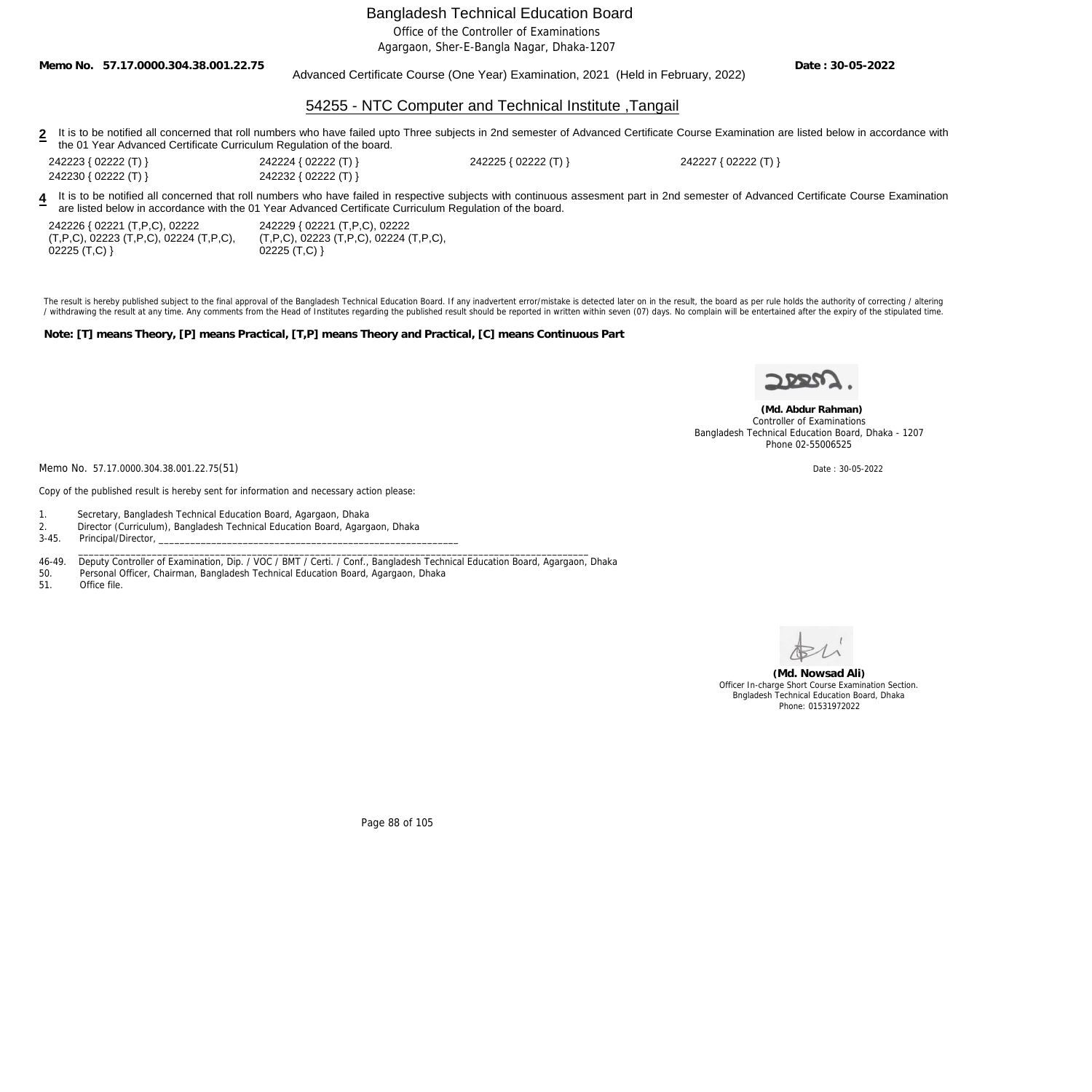Office of the Controller of Examinations

Agargaon, Sher-E-Bangla Nagar, Dhaka-1207

**Memo No. 57.17.0000.304.38.001.22.75**

#### Advanced Certificate Course (One Year) Examination, 2021 (Held in February, 2022)

**Date : 30-05-2022**

### 54255 - NTC Computer and Technical Institute ,Tangail

2 It is to be notified all concerned that roll numbers who have failed upto Three subjects in 2nd semester of Advanced Certificate Course Examination are listed below in accordance with the 01 Year Advanced Certificate Curriculum Regulation of the board.

242223 { 02222 (T) } 242224 { 02222 (T) } 242225 { 02222 (T) } 242227 { 02222 (T) }

242230 { 02222 (T) } 242232 { 02222 (T) }

**4** It is to be notified all concerned that roll numbers who have failed in respective subjects with continuous assesment part in 2nd semester of Advanced Certificate Course Examination are listed below in accordance with the 01 Year Advanced Certificate Curriculum Regulation of the board.

| 242226 { 02221 (T,P,C), 02222                         | 242229 { 02221 (T, P, C), 02222                       |
|-------------------------------------------------------|-------------------------------------------------------|
| $(T, P, C)$ , 02223 $(T, P, C)$ , 02224 $(T, P, C)$ , | $(T, P, C)$ , 02223 $(T, P, C)$ , 02224 $(T, P, C)$ , |
| $02225$ (T,C) }                                       | $02225$ (T,C) }                                       |

The result is hereby published subject to the final approval of the Bangladesh Technical Education Board. If any inadvertent error/mistake is detected later on in the result, the board as per rule holds the authority of co / withdrawing the result at any time. Any comments from the Head of Institutes regarding the published result should be reported in written within seven (07) days. No complain will be entertained after the expiry of the st

**Note: [T] means Theory, [P] means Practical, [T,P] means Theory and Practical, [C] means Continuous Part**



 **(Md. Abdur Rahman)** Controller of Examinations Bangladesh Technical Education Board, Dhaka - 1207 Phone 02-55006525

Memo No. 57.17.0000.304.38.001.22.75(51) Date : 30-05-2022

Copy of the published result is hereby sent for information and necessary action please:

1. Secretary, Bangladesh Technical Education Board, Agargaon, Dhaka

2. Director (Curriculum), Bangladesh Technical Education Board, Agargaon, Dhaka

Principal/Director,

46-49. Deputy Controller of Examination, Dip. / VOC / BMT / Certi. / Conf., Bangladesh Technical Education Board, Agargaon, Dhaka

\_\_\_\_\_\_\_\_\_\_\_\_\_\_\_\_\_\_\_\_\_\_\_\_\_\_\_\_\_\_\_\_\_\_\_\_\_\_\_\_\_\_\_\_\_\_\_\_\_\_\_\_\_\_\_\_\_\_\_\_\_\_\_\_\_\_\_\_\_\_\_\_\_\_\_\_\_\_\_\_\_\_\_\_\_\_\_\_\_\_\_\_\_\_\_\_\_

50. Personal Officer, Chairman, Bangladesh Technical Education Board, Agargaon, Dhaka

51. Office file.



**(Md. Nowsad Ali)** Officer In-charge Short Course Examination Section. Bngladesh Technical Education Board, Dhaka Phone: 01531972022

Page 88 of 105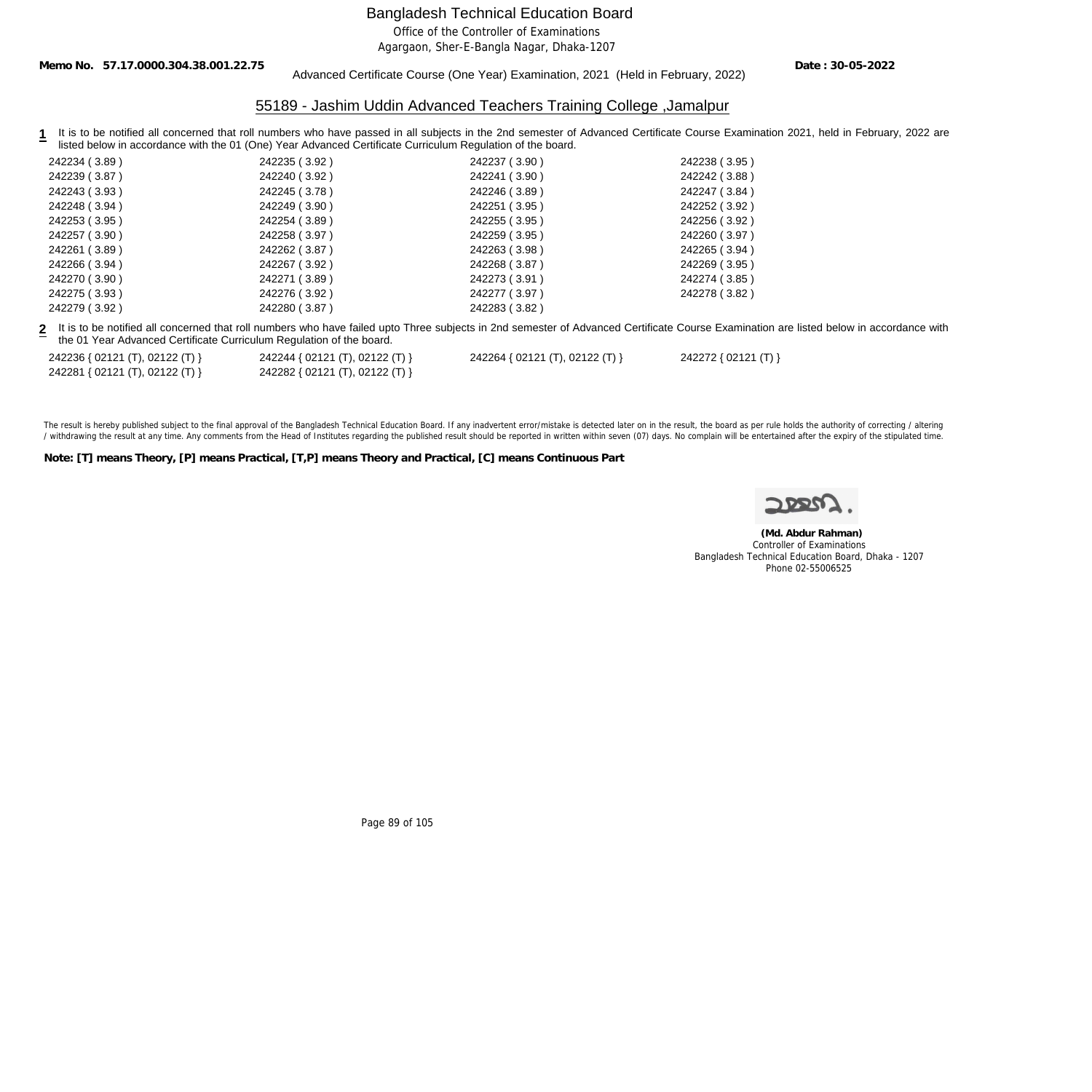Office of the Controller of Examinations

Agargaon, Sher-E-Bangla Nagar, Dhaka-1207

**Memo No. 57.17.0000.304.38.001.22.75**

Advanced Certificate Course (One Year) Examination, 2021 (Held in February, 2022)

**Date : 30-05-2022**

## 55189 - Jashim Uddin Advanced Teachers Training College ,Jamalpur

1 It is to be notified all concerned that roll numbers who have passed in all subjects in the 2nd semester of Advanced Certificate Course Examination 2021, held in February, 2022 are listed below in accordance with the 01 (One) Year Advanced Certificate Curriculum Regulation of the board.

| 242234 (3.89)                                                        | 242235 (3.92)                   | 242237 (3.90)                   | 242238 (3.95)                                                                                                                                                                             |
|----------------------------------------------------------------------|---------------------------------|---------------------------------|-------------------------------------------------------------------------------------------------------------------------------------------------------------------------------------------|
| 242239 (3.87)                                                        | 242240 (3.92)                   | 242241 (3.90)                   | 242242 (3.88)                                                                                                                                                                             |
| 242243 (3.93)                                                        | 242245 (3.78)                   | 242246 (3.89)                   | 242247 (3.84)                                                                                                                                                                             |
| 242248 (3.94)                                                        | 242249 (3.90)                   | 242251 (3.95)                   | 242252 (3.92)                                                                                                                                                                             |
| 242253 (3.95)                                                        | 242254 (3.89)                   | 242255 (3.95)                   | 242256 (3.92)                                                                                                                                                                             |
| 242257 (3.90)                                                        | 242258 (3.97)                   | 242259 (3.95)                   | 242260 (3.97)                                                                                                                                                                             |
| 242261 (3.89)                                                        | 242262 (3.87)                   | 242263 (3.98)                   | 242265 (3.94)                                                                                                                                                                             |
| 242266 (3.94)                                                        | 242267 (3.92)                   | 242268 (3.87)                   | 242269 (3.95)                                                                                                                                                                             |
| 242270 (3.90)                                                        | 242271 (3.89)                   | 242273 (3.91)                   | 242274 (3.85)                                                                                                                                                                             |
| 242275 (3.93)                                                        | 242276 (3.92)                   | 242277 (3.97)                   | 242278 (3.82)                                                                                                                                                                             |
| 242279 (3.92)                                                        | 242280 (3.87)                   | 242283 (3.82)                   |                                                                                                                                                                                           |
| the 01 Year Advanced Certificate Curriculum Regulation of the board. |                                 |                                 | 2 It is to be notified all concerned that roll numbers who have failed upto Three subjects in 2nd semester of Advanced Certificate Course Examination are listed below in accordance with |
| 242236 { 02121 (T), 02122 (T) }                                      | 242244 { 02121 (T), 02122 (T) } | 242264 { 02121 (T), 02122 (T) } | 242272 { 02121 (T) }                                                                                                                                                                      |
| 242281 { 02121 (T), 02122 (T) }                                      | 242282 { 02121 (T), 02122 (T) } |                                 |                                                                                                                                                                                           |
|                                                                      |                                 |                                 |                                                                                                                                                                                           |

The result is hereby published subject to the final approval of the Bangladesh Technical Education Board. If any inadvertent error/mistake is detected later on in the result, the board as per rule holds the authority of co / withdrawing the result at any time. Any comments from the Head of Institutes regarding the published result should be reported in written within seven (07) days. No complain will be entertained after the expiry of the st

**Note: [T] means Theory, [P] means Practical, [T,P] means Theory and Practical, [C] means Continuous Part**

 **(Md. Abdur Rahman)** Controller of Examinations Bangladesh Technical Education Board, Dhaka - 1207 Phone 02-55006525

Page 89 of 105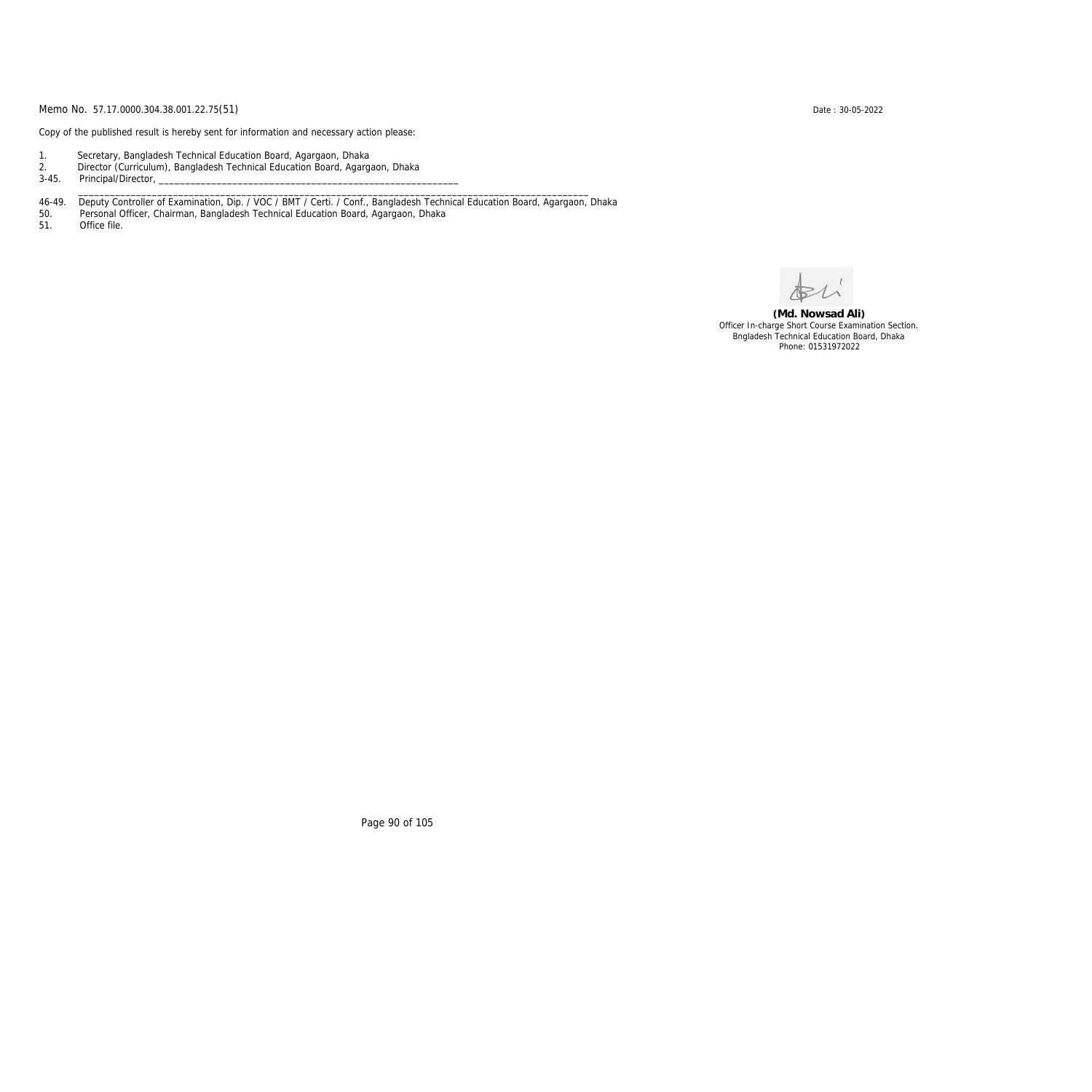Copy of the published result is hereby sent for information and necessary action please:

- 1. Secretary, Bangladesh Technical Education Board, Agargaon, Dhaka
- 2. Director (Curriculum), Bangladesh Technical Education Board, Agargaon, Dhaka

3-45. Principal/Director,

46-49. Deputy Controller of Examination, Dip. / VOC / BMT / Certi. / Conf., Bangladesh Technical Education Board, Agargaon, Dhaka

\_\_\_\_\_\_\_\_\_\_\_\_\_\_\_\_\_\_\_\_\_\_\_\_\_\_\_\_\_\_\_\_\_\_\_\_\_\_\_\_\_\_\_\_\_\_\_\_\_\_\_\_\_\_\_\_\_\_\_\_\_\_\_\_\_\_\_\_\_\_\_\_\_\_\_\_\_\_\_\_\_\_\_\_\_\_\_\_\_\_\_\_\_\_\_\_\_

50. Personal Officer, Chairman, Bangladesh Technical Education Board, Agargaon, Dhaka

Office file.

**(Md. Nowsad Ali)** Officer In-charge Short Course Examination Section. Bngladesh Technical Education Board, Dhaka Phone: 01531972022

Page 90 of 105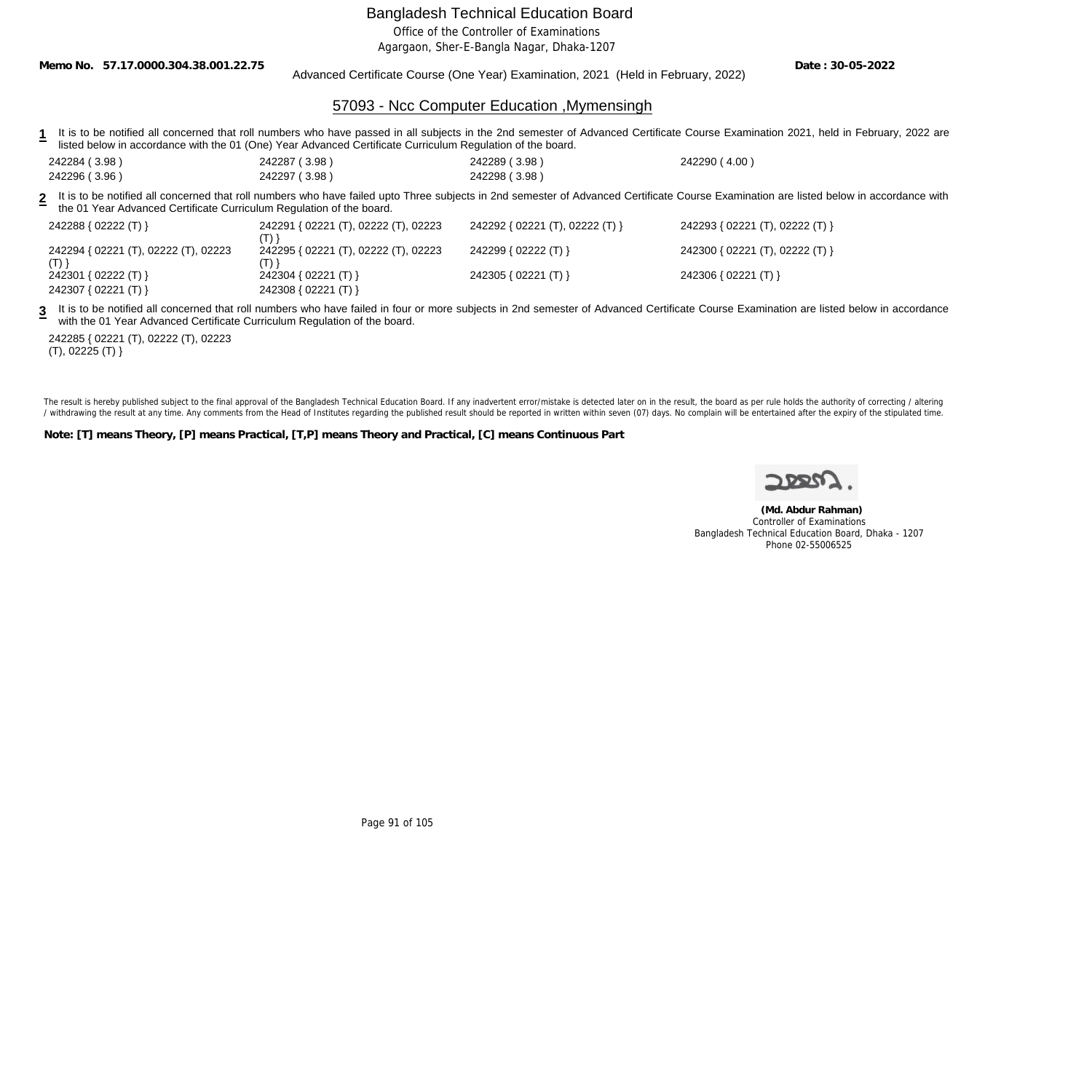Office of the Controller of Examinations

Agargaon, Sher-E-Bangla Nagar, Dhaka-1207

**Memo No. 57.17.0000.304.38.001.22.75**

Advanced Certificate Course (One Year) Examination, 2021 (Held in February, 2022)

**Date : 30-05-2022**

## 57093 - Ncc Computer Education ,Mymensingh

- 1 It is to be notified all concerned that roll numbers who have passed in all subjects in the 2nd semester of Advanced Certificate Course Examination 2021, held in February, 2022 are listed below in accordance with the 01 (One) Year Advanced Certificate Curriculum Regulation of the board.
- 242284 ( 3.98 ) 242287 ( 3.98 ) 242289 ( 3.98 ) 242290 ( 4.00 ) 242296 ( 3.96 ) 242297 ( 3.98 ) 242298 ( 3.98 )

**2** It is to be notified all concerned that roll numbers who have failed upto Three subjects in 2nd semester of Advanced Certificate Course Examination are listed below in accordance with the 01 Year Advanced Certificate Curriculum Regulation of the board.

| 242288 { 02222 (T) }                 | 242291 { 02221 (T), 02222 (T), 02223 | 242292 { 02221 (T), 02222 (T) } | 242293 { 02221 (T), 02222 (T) } |
|--------------------------------------|--------------------------------------|---------------------------------|---------------------------------|
| 242294 { 02221 (T), 02222 (T), 02223 | 242295 { 02221 (T), 02222 (T), 02223 | 242299 { 02222 (T) }            | 242300 { 02221 (T), 02222 (T) } |
| (T)<br>242301 { 02222 (T) }          | 242304 { 02221 (T) }                 | 242305 { $02221$ (T) }          | 242306 { 02221 (T) }            |
| 242307 { 02221 (T) }                 | 242308 { 02221 (T) }                 |                                 |                                 |

3 It is to be notified all concerned that roll numbers who have failed in four or more subjects in 2nd semester of Advanced Certificate Course Examination are listed below in accordance with the 01 Year Advanced Certificate Curriculum Regulation of the board.

242285 { 02221 (T), 02222 (T), 02223 (T), 02225 (T) }

The result is hereby published subject to the final approval of the Bangladesh Technical Education Board. If any inadvertent error/mistake is detected later on in the result, the board as per rule holds the authority of co / withdrawing the result at any time. Any comments from the Head of Institutes regarding the published result should be reported in written within seven (07) days. No complain will be entertained after the expiry of the st

**Note: [T] means Theory, [P] means Practical, [T,P] means Theory and Practical, [C] means Continuous Part**

 **(Md. Abdur Rahman)** Controller of Examinations Bangladesh Technical Education Board, Dhaka - 1207 Phone 02-55006525

Page 91 of 105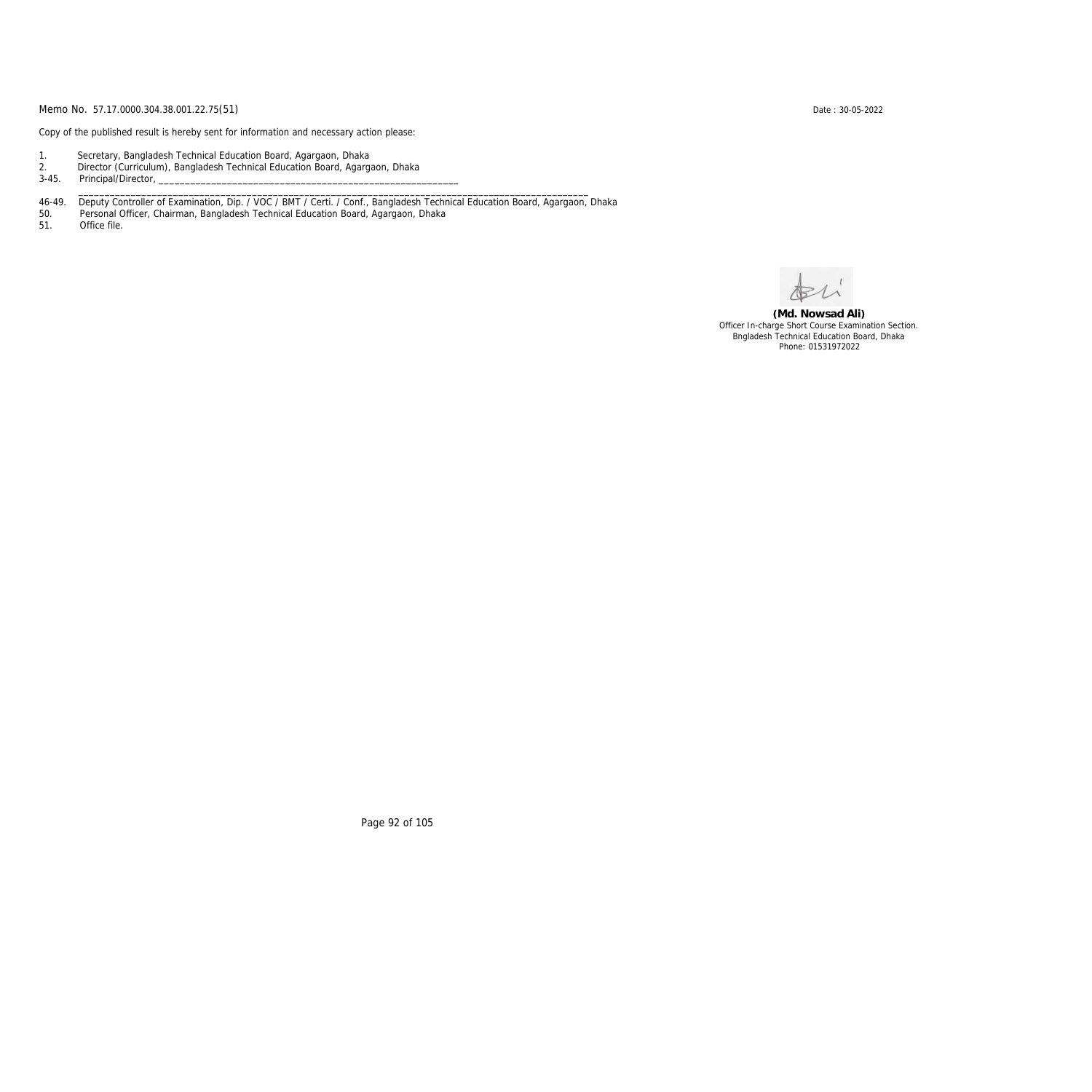Copy of the published result is hereby sent for information and necessary action please:

- 1. Secretary, Bangladesh Technical Education Board, Agargaon, Dhaka
- 2. Director (Curriculum), Bangladesh Technical Education Board, Agargaon, Dhaka
- 3-45. Principal/Director,
- 46-49. Deputy Controller of Examination, Dip. / VOC / BMT / Certi. / Conf., Bangladesh Technical Education Board, Agargaon, Dhaka

\_\_\_\_\_\_\_\_\_\_\_\_\_\_\_\_\_\_\_\_\_\_\_\_\_\_\_\_\_\_\_\_\_\_\_\_\_\_\_\_\_\_\_\_\_\_\_\_\_\_\_\_\_\_\_\_\_\_\_\_\_\_\_\_\_\_\_\_\_\_\_\_\_\_\_\_\_\_\_\_\_\_\_\_\_\_\_\_\_\_\_\_\_\_\_\_\_

50. Personal Officer, Chairman, Bangladesh Technical Education Board, Agargaon, Dhaka

Office file.

**(Md. Nowsad Ali)** Officer In-charge Short Course Examination Section. Bngladesh Technical Education Board, Dhaka Phone: 01531972022

Page 92 of 105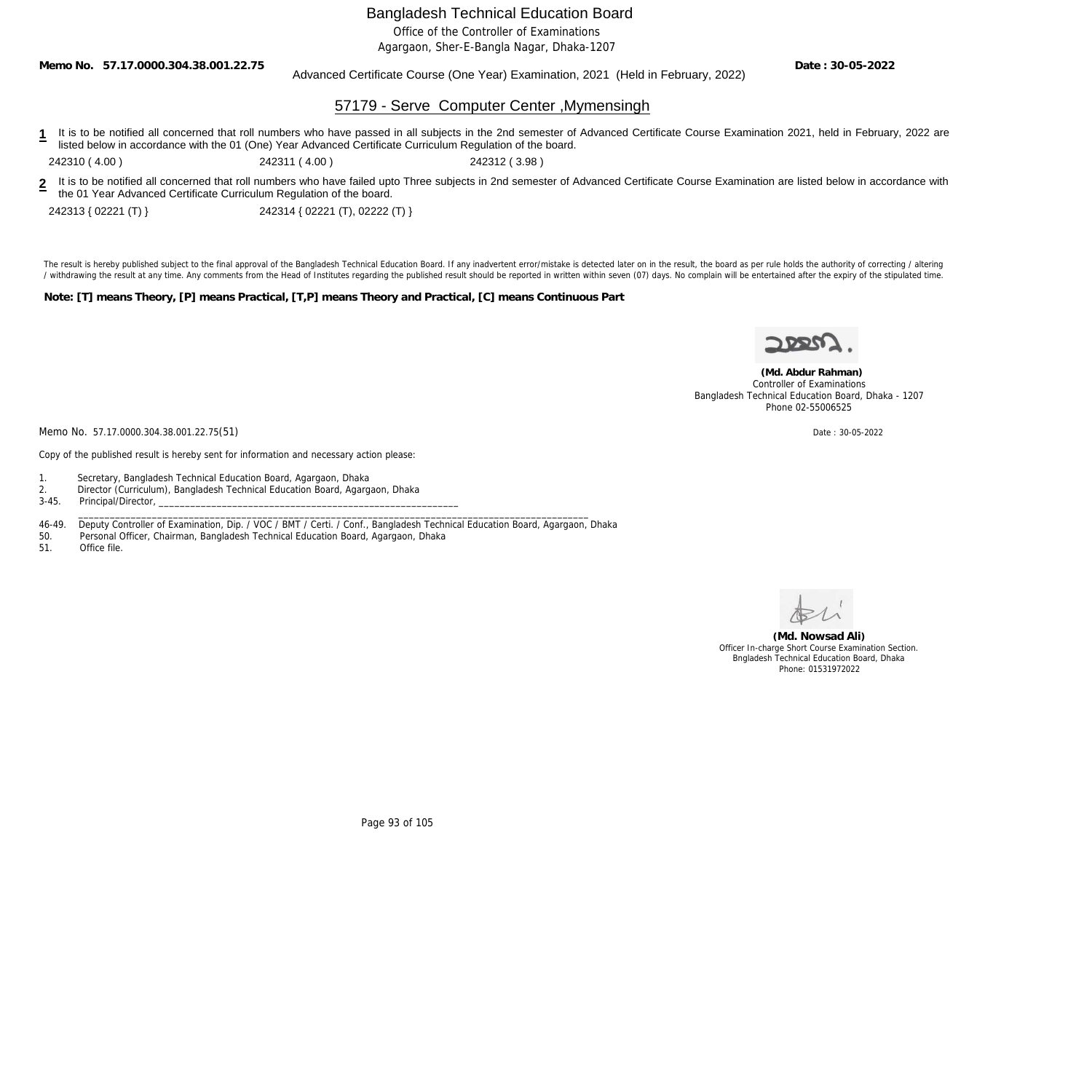Office of the Controller of Examinations

Agargaon, Sher-E-Bangla Nagar, Dhaka-1207

**Memo No. 57.17.0000.304.38.001.22.75**

Advanced Certificate Course (One Year) Examination, 2021 (Held in February, 2022)

**Date : 30-05-2022**

### 57179 - Serve Computer Center ,Mymensingh

1 It is to be notified all concerned that roll numbers who have passed in all subjects in the 2nd semester of Advanced Certificate Course Examination 2021, held in February, 2022 are listed below in accordance with the 01 (One) Year Advanced Certificate Curriculum Regulation of the board.

242310 ( 4.00 ) 242311 ( 4.00 ) 242312 ( 3.98 )

**2** It is to be notified all concerned that roll numbers who have failed upto Three subjects in 2nd semester of Advanced Certificate Course Examination are listed below in accordance with the 01 Year Advanced Certificate Curriculum Regulation of the board.

242313 { 02221 (T) } 242314 { 02221 (T), 02222 (T) }

The result is hereby published subject to the final approval of the Bangladesh Technical Education Board. If any inadvertent error/mistake is detected later on in the result, the board as per rule holds the authority of co / withdrawing the result at any time. Any comments from the Head of Institutes regarding the published result should be reported in written within seven (07) days. No complain will be entertained after the expiry of the st

**Note: [T] means Theory, [P] means Practical, [T,P] means Theory and Practical, [C] means Continuous Part**



 **(Md. Abdur Rahman)** Controller of Examinations Bangladesh Technical Education Board, Dhaka - 1207 Phone 02-55006525

Memo No. 57.17.0000.304.38.001.22.75(51) Date : 30-05-2022

Copy of the published result is hereby sent for information and necessary action please:

- 1. Secretary, Bangladesh Technical Education Board, Agargaon, Dhaka
- 2. Director (Curriculum), Bangladesh Technical Education Board, Agargaon, Dhaka

3-45. Principal/Director,

46-49. Deputy Controller of Examination, Dip. / VOC / BMT / Certi. / Conf., Bangladesh Technical Education Board, Agargaon, Dhaka

\_\_\_\_\_\_\_\_\_\_\_\_\_\_\_\_\_\_\_\_\_\_\_\_\_\_\_\_\_\_\_\_\_\_\_\_\_\_\_\_\_\_\_\_\_\_\_\_\_\_\_\_\_\_\_\_\_\_\_\_\_\_\_\_\_\_\_\_\_\_\_\_\_\_\_\_\_\_\_\_\_\_\_\_\_\_\_\_\_\_\_\_\_\_\_\_\_

50. Personal Officer, Chairman, Bangladesh Technical Education Board, Agargaon, Dhaka

51. Office file.



**(Md. Nowsad Ali)** Officer In-charge Short Course Examination Section. Bngladesh Technical Education Board, Dhaka Phone: 01531972022

Page 93 of 105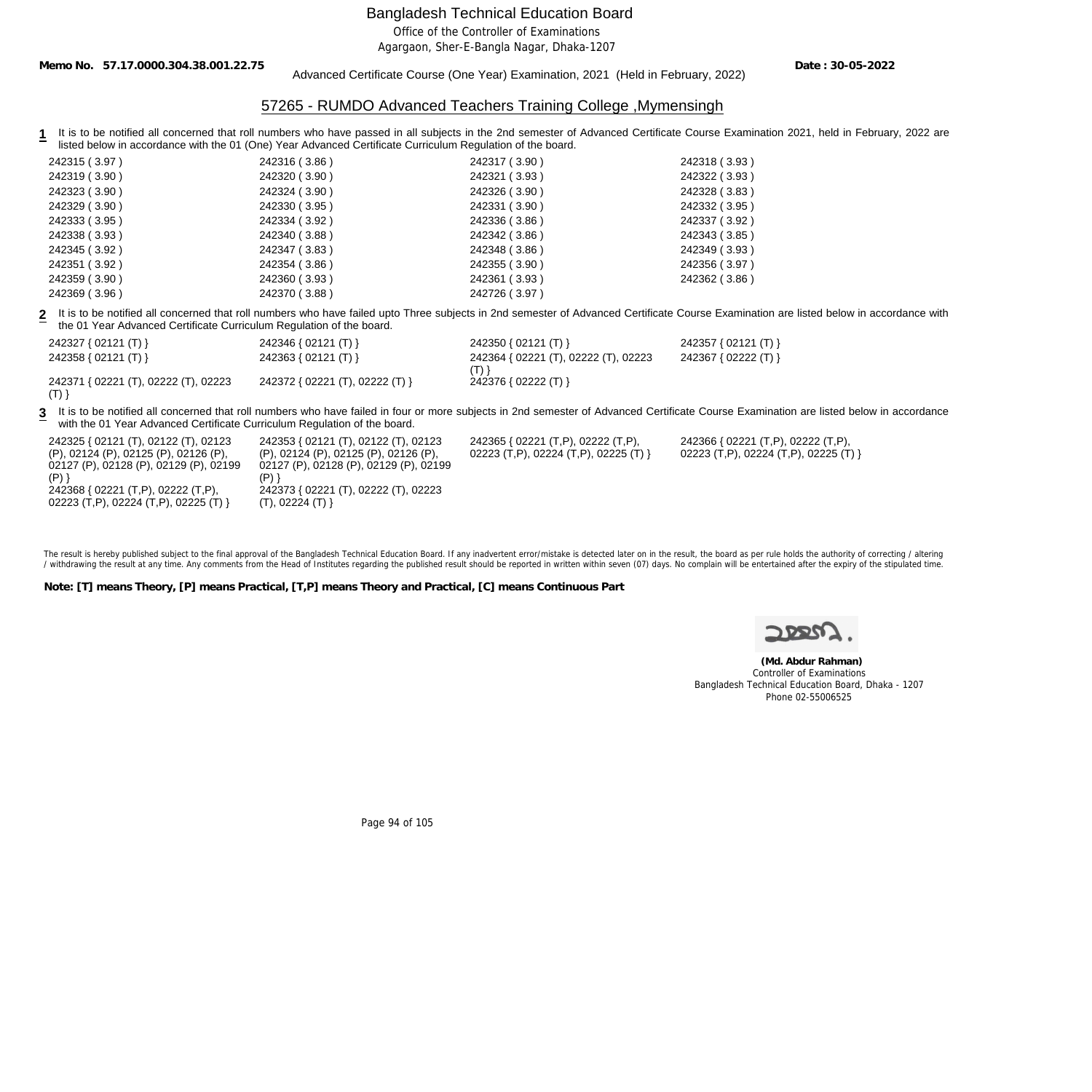Office of the Controller of Examinations

Agargaon, Sher-E-Bangla Nagar, Dhaka-1207

**Memo No. 57.17.0000.304.38.001.22.75**

#### Advanced Certificate Course (One Year) Examination, 2021 (Held in February, 2022)

**Date : 30-05-2022**

## 57265 - RUMDO Advanced Teachers Training College ,Mymensingh

**1** It is to be notified all concerned that roll numbers who have passed in all subjects in the 2nd semester of Advanced Certificate Course Examination 2021, held in February, 2022 are listed below in accordance with the 01 (One) Year Advanced Certificate Curriculum Regulation of the board.

| 242315 (3.97) | 242316 (3.86) | 242317 (3.90) | 242318 (3.93) |
|---------------|---------------|---------------|---------------|
| 242319 (3.90) | 242320 (3.90) | 242321 (3.93) | 242322 (3.93) |
| 242323 (3.90) | 242324 (3.90) | 242326 (3.90) | 242328 (3.83) |
| 242329 (3.90) | 242330 (3.95) | 242331 (3.90) | 242332 (3.95) |
| 242333 (3.95) | 242334 (3.92) | 242336 (3.86) | 242337 (3.92) |
| 242338 (3.93) | 242340 (3.88) | 242342 (3.86) | 242343 (3.85) |
| 242345 (3.92) | 242347 (3.83) | 242348 (3.86) | 242349 (3.93) |
| 242351 (3.92) | 242354 (3.86) | 242355 (3.90) | 242356 (3.97) |
| 242359 (3.90) | 242360 (3.93) | 242361 (3.93) | 242362 (3.86) |
| 242369 (3.96) | 242370 (3.88) | 242726 (3.97) |               |

**2** It is to be notified all concerned that roll numbers who have failed upto Three subjects in 2nd semester of Advanced Certificate Course Examination are listed below in accordance with the 01 Year Advanced Certificate Curriculum Regulation of the board.

| 242327 { 02121 (T) }                 | 242346 { 02121 (T) }            | 242350 { $02121$ (T) }               | 242357 { 02121 (T) } |
|--------------------------------------|---------------------------------|--------------------------------------|----------------------|
| 242358 { 02121 (T) }                 | 242363 { 02121 (T) }            | 242364 { 02221 (T), 02222 (T), 02223 | 242367 { 02222 (T) } |
| 242371 { 02221 (T), 02222 (T), 02223 | 242372 { 02221 (T), 02222 (T) } | 242376 { 02222 (T) }                 |                      |
|                                      |                                 |                                      |                      |

**3** It is to be notified all concerned that roll numbers who have failed in four or more subjects in 2nd semester of Advanced Certificate Course Examination are listed below in accordance with the 01 Year Advanced Certificate Curriculum Regulation of the board.

> 242365 { 02221 (T,P), 02222 (T,P), 02223 (T,P), 02224 (T,P), 02225 (T) }

| 242325 { 02121 (T), 02122 (T), 02123   | 242353 { 02121 (T), 02122 (T), 02123  |
|----------------------------------------|---------------------------------------|
| (P), 02124 (P), 02125 (P), 02126 (P),  | (P), 02124 (P), 02125 (P), 02126 (P), |
| 02127 (P), 02128 (P), 02129 (P), 02199 | 02127 (P), 02128 (P), 02129 (P), 0219 |
| (P) }                                  | (P) }                                 |
| 242368 { 02221 (T,P), 02222 (T,P),     | 242373 { 02221 (T), 02222 (T), 02223  |
| 02223 (T,P), 02224 (T,P), 02225 (T) }  | (T), 02224 (T)                        |

02127 (P), 02128 (P), 02129 (P), 02199 02221 (T), 02222 (T), 02223 (T), 02224 (T) }

The result is hereby published subject to the final approval of the Bangladesh Technical Education Board. If any inadvertent error/mistake is detected later on in the result, the board as per rule holds the authority of co / withdrawing the result at any time. Any comments from the Head of Institutes regarding the published result should be reported in written within seven (07) days. No complain will be entertained after the expiry of the st

**Note: [T] means Theory, [P] means Practical, [T,P] means Theory and Practical, [C] means Continuous Part**



242366 { 02221 (T,P), 02222 (T,P), 02223 (T,P), 02224 (T,P), 02225 (T) }

 **(Md. Abdur Rahman)** Controller of Examinations Bangladesh Technical Education Board, Dhaka - 1207 Phone 02-55006525

Page 94 of 105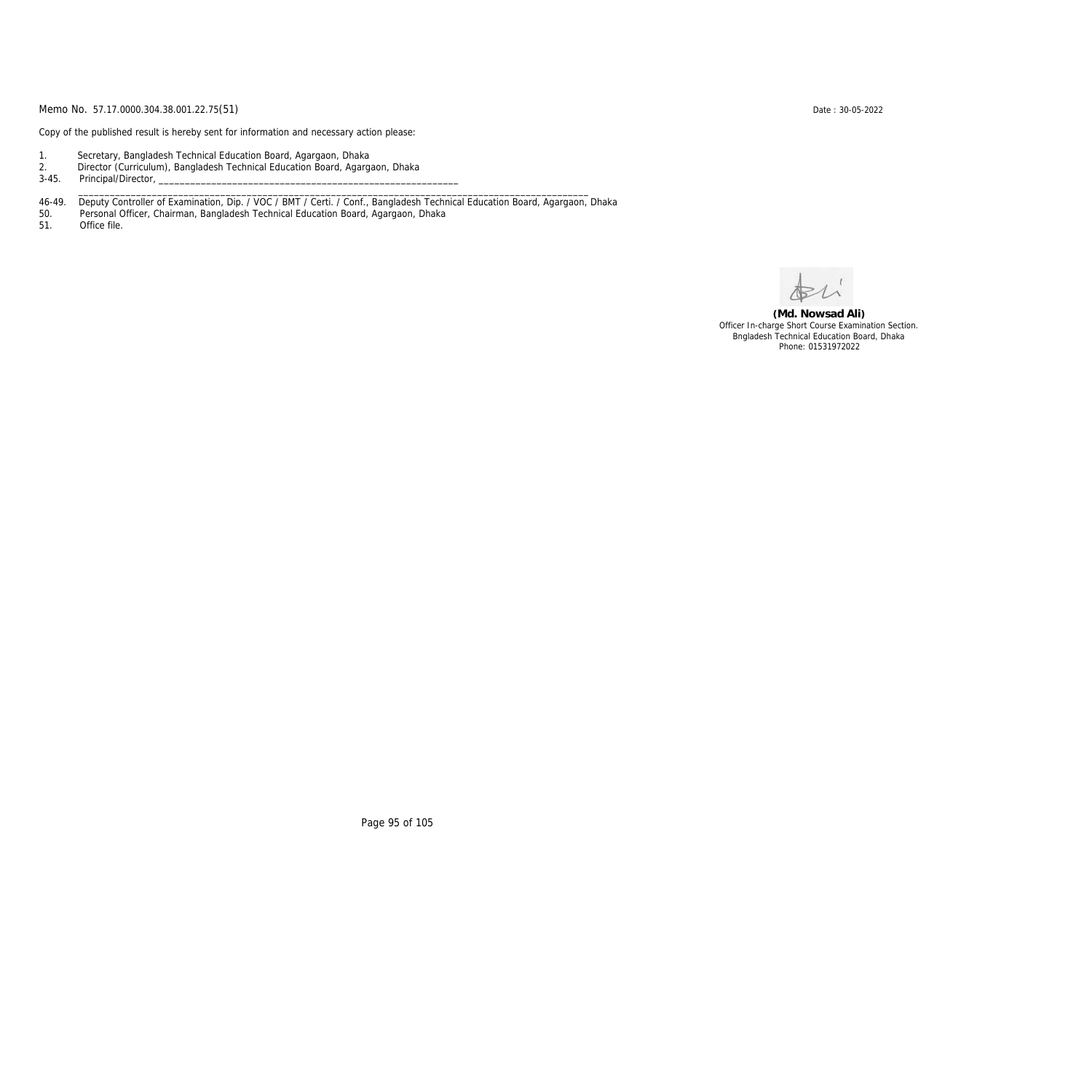Copy of the published result is hereby sent for information and necessary action please:

- 1. Secretary, Bangladesh Technical Education Board, Agargaon, Dhaka
- 2. Director (Curriculum), Bangladesh Technical Education Board, Agargaon, Dhaka
- 3-45. Principal/Director,
- 46-49. Deputy Controller of Examination, Dip. / VOC / BMT / Certi. / Conf., Bangladesh Technical Education Board, Agargaon, Dhaka

\_\_\_\_\_\_\_\_\_\_\_\_\_\_\_\_\_\_\_\_\_\_\_\_\_\_\_\_\_\_\_\_\_\_\_\_\_\_\_\_\_\_\_\_\_\_\_\_\_\_\_\_\_\_\_\_\_\_\_\_\_\_\_\_\_\_\_\_\_\_\_\_\_\_\_\_\_\_\_\_\_\_\_\_\_\_\_\_\_\_\_\_\_\_\_\_\_

50. Personal Officer, Chairman, Bangladesh Technical Education Board, Agargaon, Dhaka

Office file.

**(Md. Nowsad Ali)** Officer In-charge Short Course Examination Section. Bngladesh Technical Education Board, Dhaka Phone: 01531972022

Page 95 of 105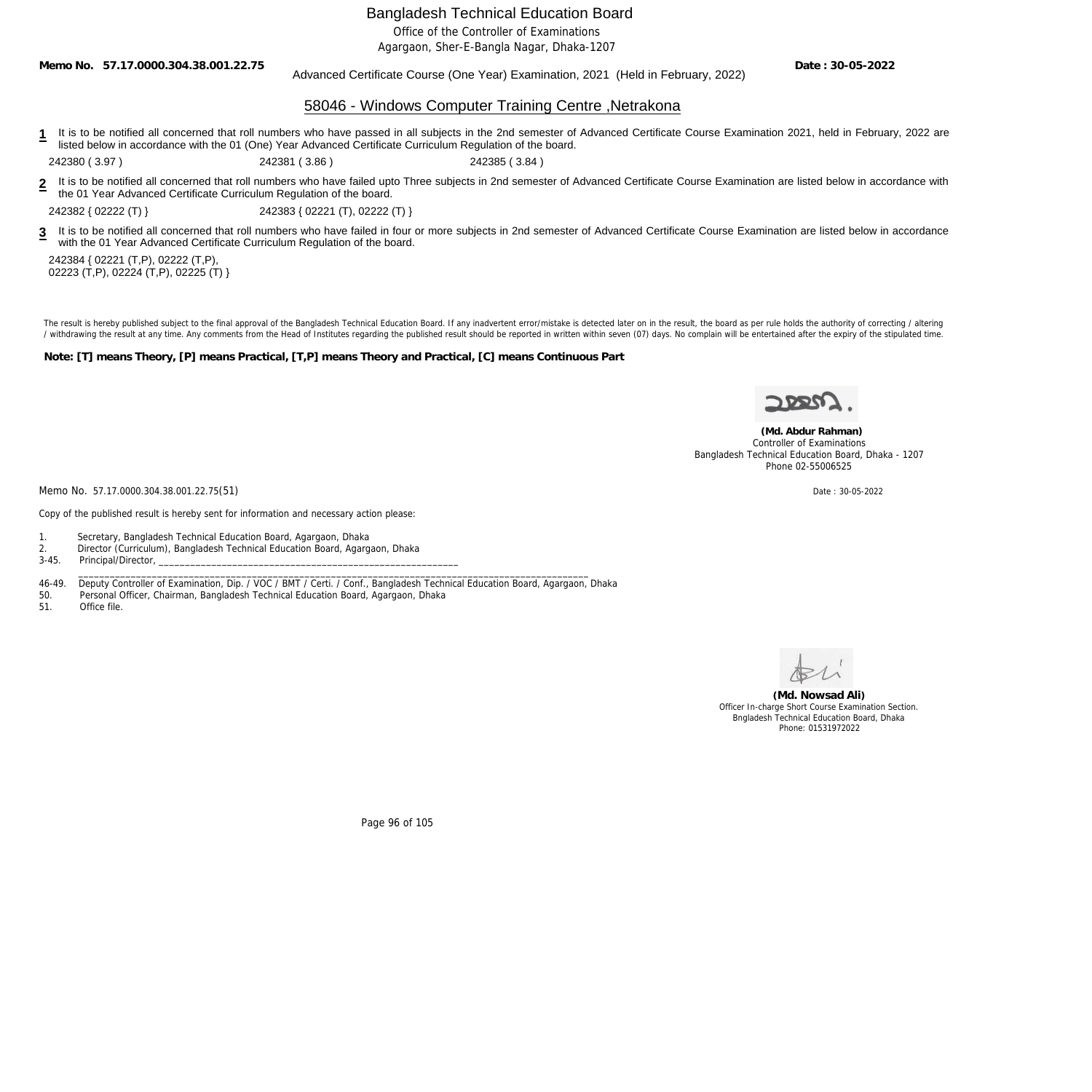Office of the Controller of Examinations

Agargaon, Sher-E-Bangla Nagar, Dhaka-1207

**Memo No. 57.17.0000.304.38.001.22.75**

Advanced Certificate Course (One Year) Examination, 2021 (Held in February, 2022)

**Date : 30-05-2022**

### 58046 - Windows Computer Training Centre ,Netrakona

**1** It is to be notified all concerned that roll numbers who have passed in all subjects in the 2nd semester of Advanced Certificate Course Examination 2021, held in February, 2022 are listed below in accordance with the 01 (One) Year Advanced Certificate Curriculum Regulation of the board.

242380 ( 3.97 ) 242381 ( 3.86 ) 242385 ( 3.84 )

**2** It is to be notified all concerned that roll numbers who have failed upto Three subjects in 2nd semester of Advanced Certificate Course Examination are listed below in accordance with the 01 Year Advanced Certificate Curriculum Regulation of the board.

242382 { 02222 (T) } 242383 { 02221 (T), 02222 (T) }

**3** It is to be notified all concerned that roll numbers who have failed in four or more subjects in 2nd semester of Advanced Certificate Course Examination are listed below in accordance with the 01 Year Advanced Certificate Curriculum Regulation of the board.

242384 { 02221 (T,P), 02222 (T,P), 02223 (T,P), 02224 (T,P), 02225 (T) }

The result is hereby published subject to the final approval of the Bangladesh Technical Education Board. If any inadvertent error/mistake is detected later on in the result, the board as per rule holds the authority of co / withdrawing the result at any time. Any comments from the Head of Institutes regarding the published result should be reported in written within seven (07) days. No complain will be entertained after the expiry of the st

**Note: [T] means Theory, [P] means Practical, [T,P] means Theory and Practical, [C] means Continuous Part**



 **(Md. Abdur Rahman)** Controller of Examinations Bangladesh Technical Education Board, Dhaka - 1207

Memo No. 57.17.0000.304.38.001.22.75(51) Date : 30-05-2022

Copy of the published result is hereby sent for information and necessary action please:

1. Secretary, Bangladesh Technical Education Board, Agargaon, Dhaka

2. Director (Curriculum), Bangladesh Technical Education Board, Agargaon, Dhaka

3-45. Principal/Director,

46-49. Deputy Controller of Examination, Dip. / VOC / BMT / Certi. / Conf., Bangladesh Technical Education Board, Agargaon, Dhaka

\_\_\_\_\_\_\_\_\_\_\_\_\_\_\_\_\_\_\_\_\_\_\_\_\_\_\_\_\_\_\_\_\_\_\_\_\_\_\_\_\_\_\_\_\_\_\_\_\_\_\_\_\_\_\_\_\_\_\_\_\_\_\_\_\_\_\_\_\_\_\_\_\_\_\_\_\_\_\_\_\_\_\_\_\_\_\_\_\_\_\_\_\_\_\_\_\_

50. Personal Officer, Chairman, Bangladesh Technical Education Board, Agargaon, Dhaka

51. Office file.

**(Md. Nowsad Ali)** Officer In-charge Short Course Examination Section. Bngladesh Technical Education Board, Dhaka Phone: 01531972022

Page 96 of 105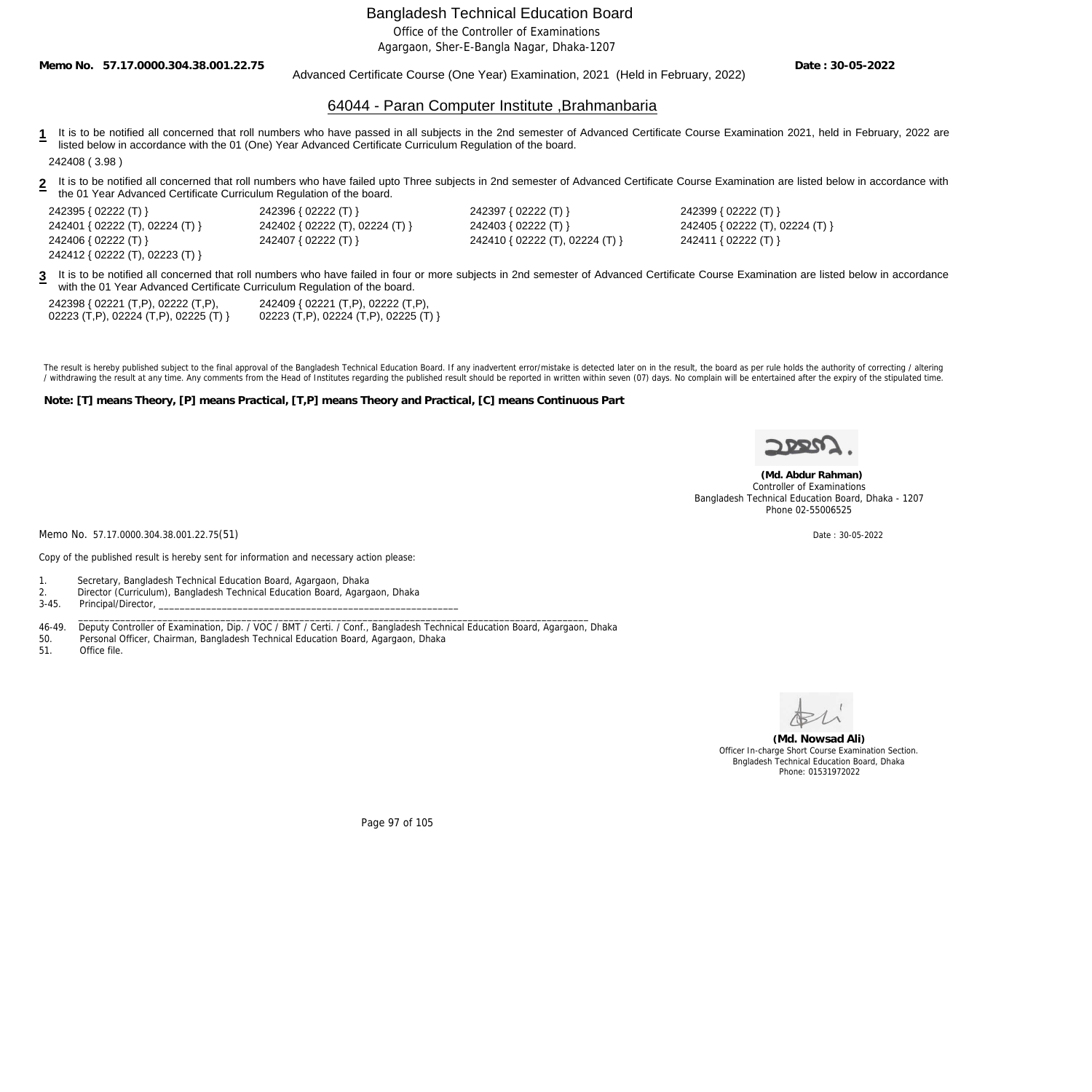Office of the Controller of Examinations

Agargaon, Sher-E-Bangla Nagar, Dhaka-1207

**Memo No. 57.17.0000.304.38.001.22.75**

#### Advanced Certificate Course (One Year) Examination, 2021 (Held in February, 2022)

**Date : 30-05-2022**

### 64044 - Paran Computer Institute ,Brahmanbaria

- **1** It is to be notified all concerned that roll numbers who have passed in all subjects in the 2nd semester of Advanced Certificate Course Examination 2021, held in February, 2022 are listed below in accordance with the 01 (One) Year Advanced Certificate Curriculum Regulation of the board. 242408 ( 3.98 )
- **2** It is to be notified all concerned that roll numbers who have failed upto Three subjects in 2nd semester of Advanced Certificate Course Examination are listed below in accordance with the 01 Year Advanced Certificate Curriculum Regulation of the board.

| 242395 { 02222 (T) }            | 242396 { 02222 (T) }            | 242397 { 02222 (T) }            | 242399 { 02222 (T) }          |
|---------------------------------|---------------------------------|---------------------------------|-------------------------------|
| 242401 { 02222 (T), 02224 (T) } | 242402 { 02222 (T), 02224 (T) } | 242403 { 02222 (T) }            | 242405 { 02222 (T), 02224 (T) |
| 242406 { 02222 (T) }            | 242407 { 02222 (T) }            | 242410 { 02222 (T), 02224 (T) } | 242411 { 02222 (T) }          |
| 242412 { 02222 (T), 02223 (T) } |                                 |                                 |                               |

**3** It is to be notified all concerned that roll numbers who have failed in four or more subjects in 2nd semester of Advanced Certificate Course Examination are listed below in accordance with the 01 Year Advanced Certificate Curriculum Regulation of the board.

| 242398 { 02221 (T,P), 02222 (T,P),    | 242409 { 02221 (T,P), 02222 (T,P),    |
|---------------------------------------|---------------------------------------|
| 02223 (T,P), 02224 (T,P), 02225 (T) } | 02223 (T,P), 02224 (T,P), 02225 (T) } |

The result is hereby published subject to the final approval of the Bangladesh Technical Education Board. If any inadvertent error/mistake is detected later on in the result, the board as per rule holds the authority of co / withdrawing the result at any time. Any comments from the Head of Institutes regarding the published result should be reported in written within seven (07) days. No complain will be entertained after the expiry of the st

**Note: [T] means Theory, [P] means Practical, [T,P] means Theory and Practical, [C] means Continuous Part**



 **(Md. Abdur Rahman)** Controller of Examinations Bangladesh Technical Education Board, Dhaka - 1207 Phone 02-55006525

Memo No. 57.17.0000.304.38.001.22.75(51) Date: 30-05-2022

Copy of the published result is hereby sent for information and necessary action please:

1. Secretary, Bangladesh Technical Education Board, Agargaon, Dhaka

- 2. Director (Curriculum), Bangladesh Technical Education Board, Agargaon, Dhaka
- 3-45. Principal/Director, \_\_\_\_\_\_\_\_\_\_\_\_\_\_\_\_\_\_\_\_\_\_\_\_\_\_\_\_\_\_\_\_\_\_\_\_\_\_\_\_\_\_\_\_\_\_\_\_\_\_\_\_\_\_\_\_\_\_\_\_\_\_\_\_\_\_\_\_\_\_\_\_\_\_\_\_\_\_\_\_\_\_\_\_\_\_\_\_\_\_\_\_\_\_\_\_\_

46-49. Deputy Controller of Examination, Dip. / VOC / BMT / Certi. / Conf., Bangladesh Technical Education Board, Agargaon, Dhaka

50. Personal Officer, Chairman, Bangladesh Technical Education Board, Agargaon, Dhaka

51. Office file.



**(Md. Nowsad Ali)** Officer In-charge Short Course Examination Section. Bngladesh Technical Education Board, Dhaka Phone: 01531972022

Page 97 of 105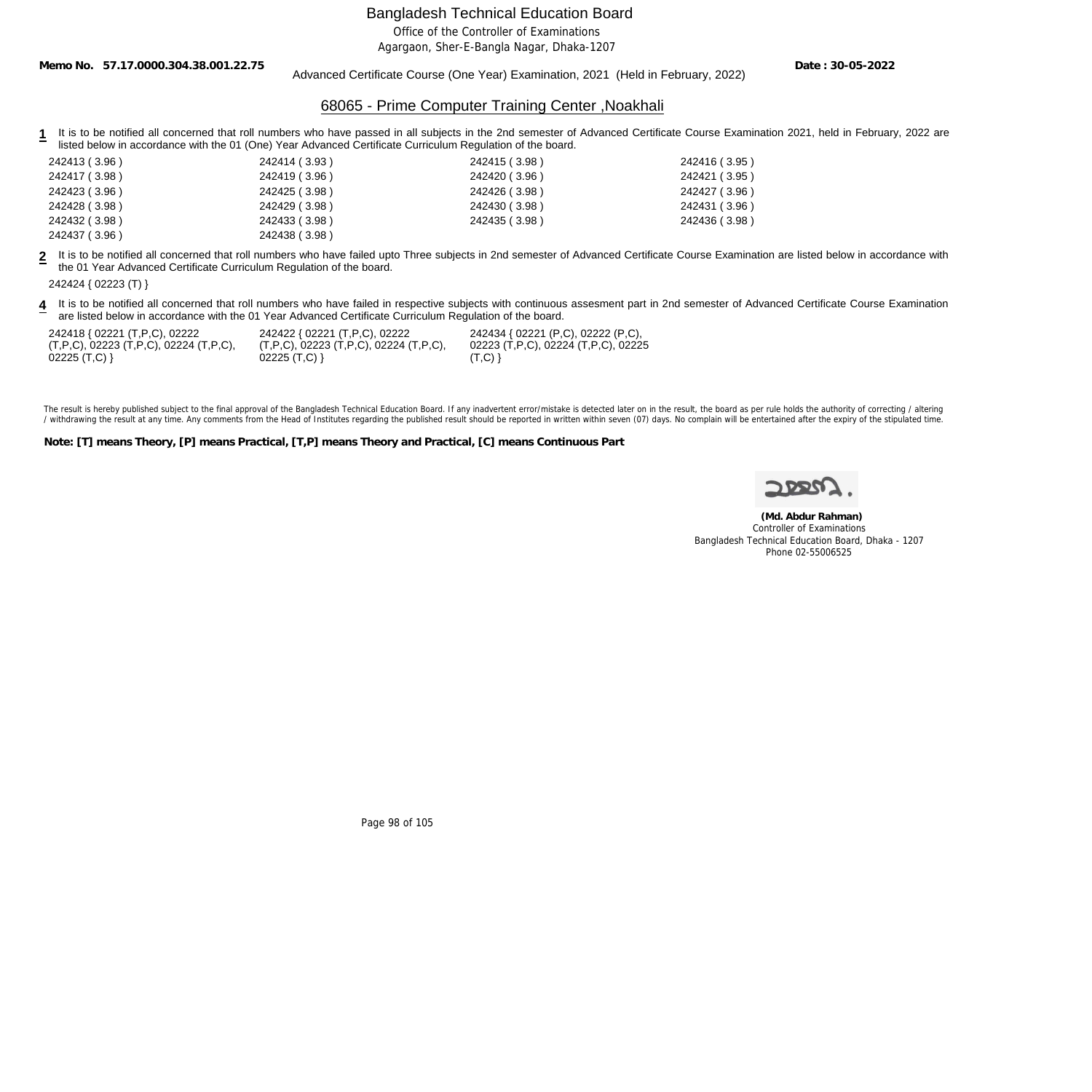Office of the Controller of Examinations

Agargaon, Sher-E-Bangla Nagar, Dhaka-1207

**Memo No. 57.17.0000.304.38.001.22.75**

Advanced Certificate Course (One Year) Examination, 2021 (Held in February, 2022)

**Date : 30-05-2022**

## 68065 - Prime Computer Training Center ,Noakhali

1 It is to be notified all concerned that roll numbers who have passed in all subjects in the 2nd semester of Advanced Certificate Course Examination 2021, held in February, 2022 are listed below in accordance with the 01 (One) Year Advanced Certificate Curriculum Regulation of the board.

| 242413 (3.96) | 242414 (3.93) | 242415 (3.98) | 242416 (3.95) |
|---------------|---------------|---------------|---------------|
| 242417 (3.98) | 242419 (3.96) | 242420 (3.96) | 242421 (3.95) |
| 242423 (3.96) | 242425 (3.98) | 242426 (3.98) | 242427 (3.96) |
| 242428 (3.98) | 242429 (3.98) | 242430 (3.98) | 242431 (3.96) |
| 242432 (3.98) | 242433 (3.98) | 242435 (3.98) | 242436 (3.98) |
| 242437 (3.96) | 242438 (3.98) |               |               |

**2** It is to be notified all concerned that roll numbers who have failed upto Three subjects in 2nd semester of Advanced Certificate Course Examination are listed below in accordance with the 01 Year Advanced Certificate Curriculum Regulation of the board.

**4** It is to be notified all concerned that roll numbers who have failed in respective subjects with continuous assesment part in 2nd semester of Advanced Certificate Course Examination are listed below in accordance with the 01 Year Advanced Certificate Curriculum Regulation of the board.

| 242418 { 02221 (T,P,C), 02222               | 242422 { 02221 (T,P,C), 02222                         | 242434 { 02221 (P,C), 02222 (P,C),  |
|---------------------------------------------|-------------------------------------------------------|-------------------------------------|
| $(T, P, C)$ , 02223 (T,P,C), 02224 (T,P,C), | $(T, P, C)$ , 02223 $(T, P, C)$ , 02224 $(T, P, C)$ , | 02223 (T,P,C), 02224 (T,P,C), 02225 |
|                                             | $02225$ (T,C) }                                       | (T,C)                               |

The result is hereby published subject to the final approval of the Bangladesh Technical Education Board. If any inadvertent error/mistake is detected later on in the result, the board as per rule holds the authority of co / withdrawing the result at any time. Any comments from the Head of Institutes regarding the published result should be reported in written within seven (07) days. No complain will be entertained after the expiry of the st

**Note: [T] means Theory, [P] means Practical, [T,P] means Theory and Practical, [C] means Continuous Part**

 **(Md. Abdur Rahman)** Controller of Examinations Bangladesh Technical Education Board, Dhaka - 1207 Phone 02-55006525

Page 98 of 105

<sup>242424 { 02223 (</sup>T) }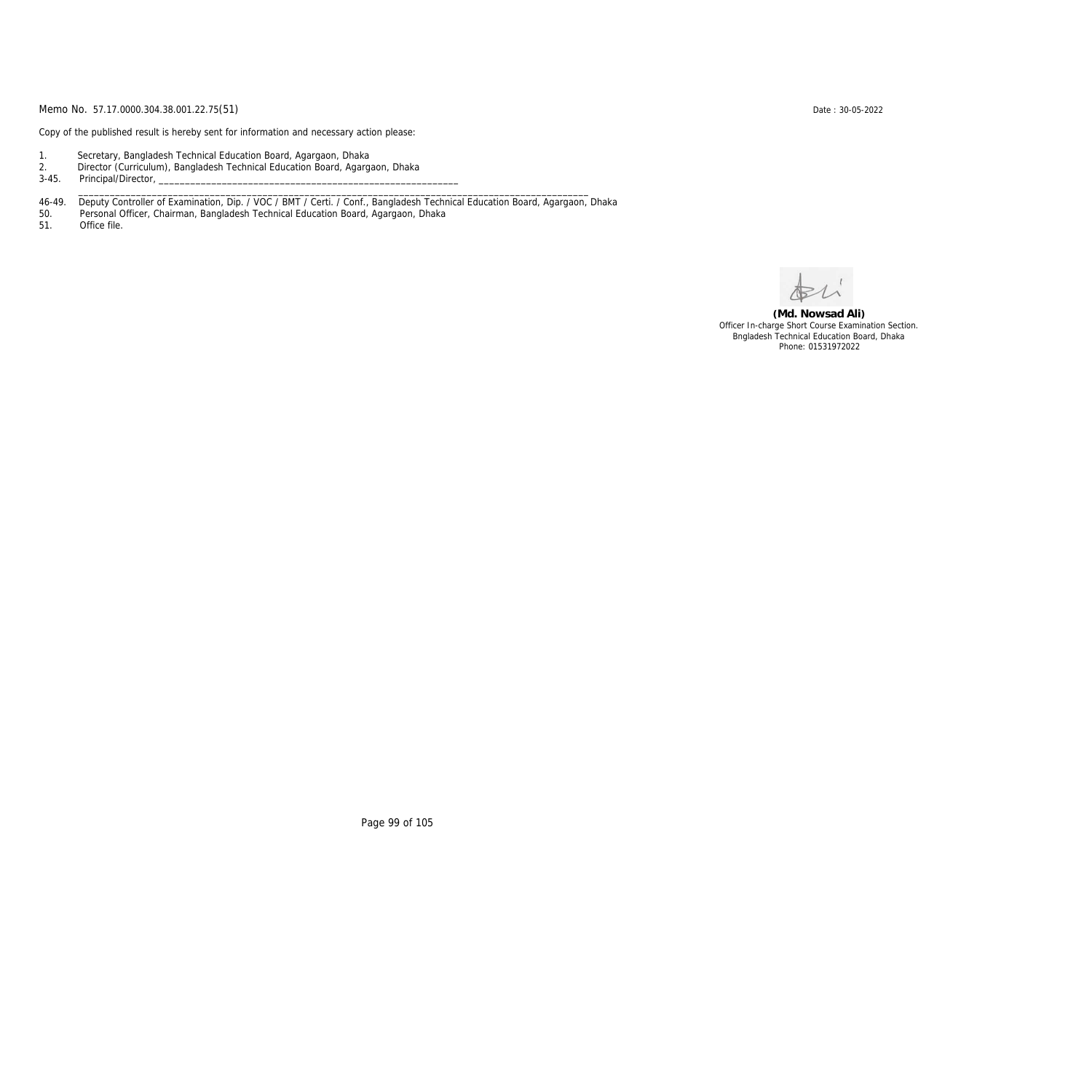Copy of the published result is hereby sent for information and necessary action please:

- 1. Secretary, Bangladesh Technical Education Board, Agargaon, Dhaka
- 2. Director (Curriculum), Bangladesh Technical Education Board, Agargaon, Dhaka

3-45. Principal/Director,

46-49. Deputy Controller of Examination, Dip. / VOC / BMT / Certi. / Conf., Bangladesh Technical Education Board, Agargaon, Dhaka

\_\_\_\_\_\_\_\_\_\_\_\_\_\_\_\_\_\_\_\_\_\_\_\_\_\_\_\_\_\_\_\_\_\_\_\_\_\_\_\_\_\_\_\_\_\_\_\_\_\_\_\_\_\_\_\_\_\_\_\_\_\_\_\_\_\_\_\_\_\_\_\_\_\_\_\_\_\_\_\_\_\_\_\_\_\_\_\_\_\_\_\_\_\_\_\_\_

50. Personal Officer, Chairman, Bangladesh Technical Education Board, Agargaon, Dhaka

Office file.

**(Md. Nowsad Ali)** Officer In-charge Short Course Examination Section. Bngladesh Technical Education Board, Dhaka Phone: 01531972022

Page 99 of 105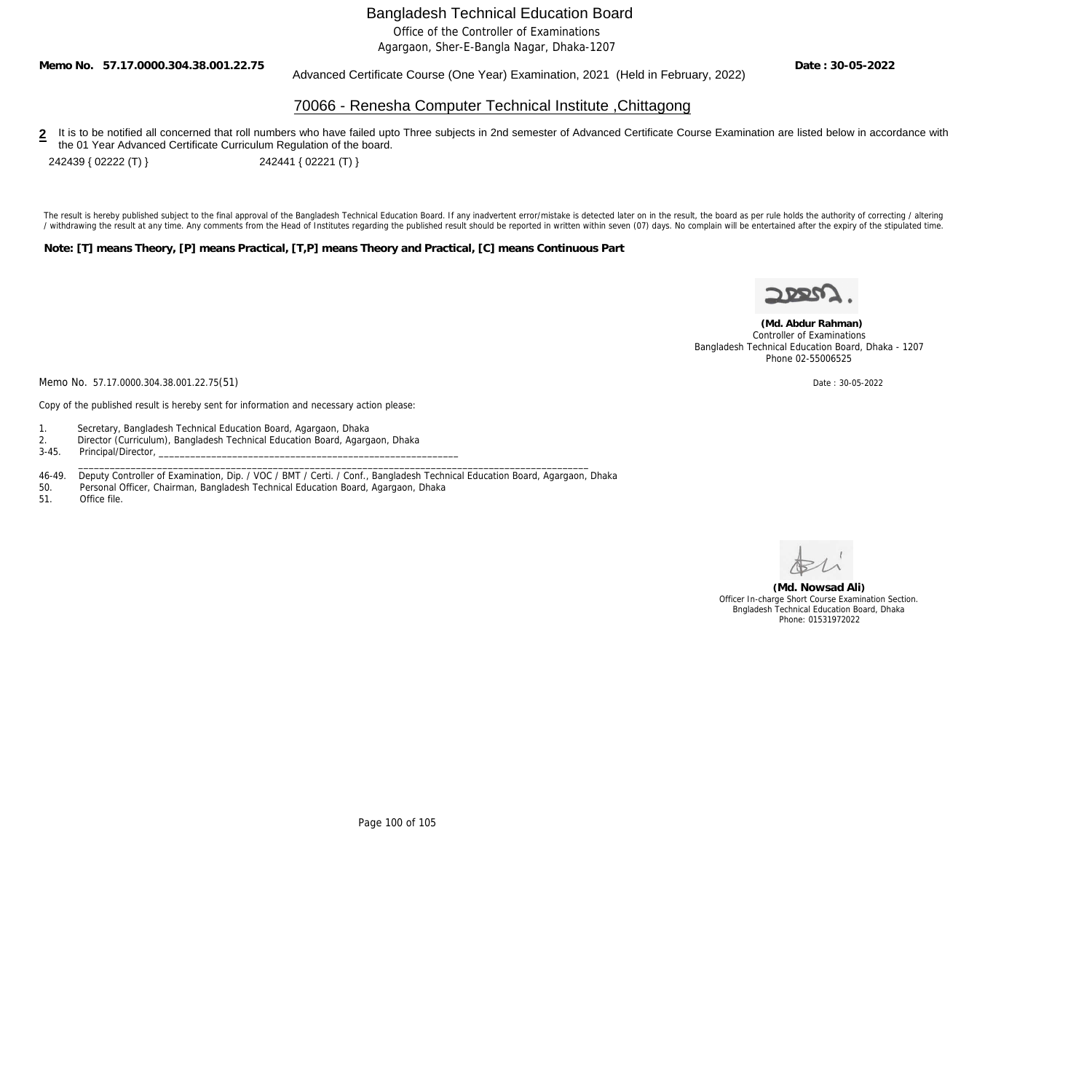Office of the Controller of Examinations

Agargaon, Sher-E-Bangla Nagar, Dhaka-1207

**Memo No. 57.17.0000.304.38.001.22.75**

## Advanced Certificate Course (One Year) Examination, 2021 (Held in February, 2022)

**Date : 30-05-2022**

### 70066 - Renesha Computer Technical Institute ,Chittagong

2 It is to be notified all concerned that roll numbers who have failed upto Three subjects in 2nd semester of Advanced Certificate Course Examination are listed below in accordance with the 01 Year Advanced Certificate Curriculum Regulation of the board.

242439 { 02222 (T) } 242441 { 02221 (T) }

The result is hereby published subject to the final approval of the Bangladesh Technical Education Board. If any inadvertent error/mistake is detected later on in the result, the board as per rule holds the authority of co / withdrawing the result at any time. Any comments from the Head of Institutes regarding the published result should be reported in written within seven (07) days. No complain will be entertained after the expiry of the st

**Note: [T] means Theory, [P] means Practical, [T,P] means Theory and Practical, [C] means Continuous Part**



 **(Md. Abdur Rahman)** Controller of Examinations Bangladesh Technical Education Board, Dhaka - 1207 Phone 02-55006525

Memo No. 57.17.0000.304.38.001.22.75(51) Date: 30-05-2022

Copy of the published result is hereby sent for information and necessary action please:

- 1. Secretary, Bangladesh Technical Education Board, Agargaon, Dhaka
- 2. Director (Curriculum), Bangladesh Technical Education Board, Agargaon, Dhaka<br>3-45. Principal/Director,
- Principal/Director,
- 46-49. Deputy Controller of Examination, Dip. / VOC / BMT / Certi. / Conf., Bangladesh Technical Education Board, Agargaon, Dhaka<br>50. Personal Officer, Chairman, Bangladesh Technical Education Board, Agargaon, Dhaka

\_\_\_\_\_\_\_\_\_\_\_\_\_\_\_\_\_\_\_\_\_\_\_\_\_\_\_\_\_\_\_\_\_\_\_\_\_\_\_\_\_\_\_\_\_\_\_\_\_\_\_\_\_\_\_\_\_\_\_\_\_\_\_\_\_\_\_\_\_\_\_\_\_\_\_\_\_\_\_\_\_\_\_\_\_\_\_\_\_\_\_\_\_\_\_\_\_

- 50. Personal Officer, Chairman, Bangladesh Technical Education Board, Agargaon, Dhaka
- Office file.

**(Md. Nowsad Ali)** Officer In-charge Short Course Examination Section. Bngladesh Technical Education Board, Dhaka Phone: 01531972022

Page 100 of 105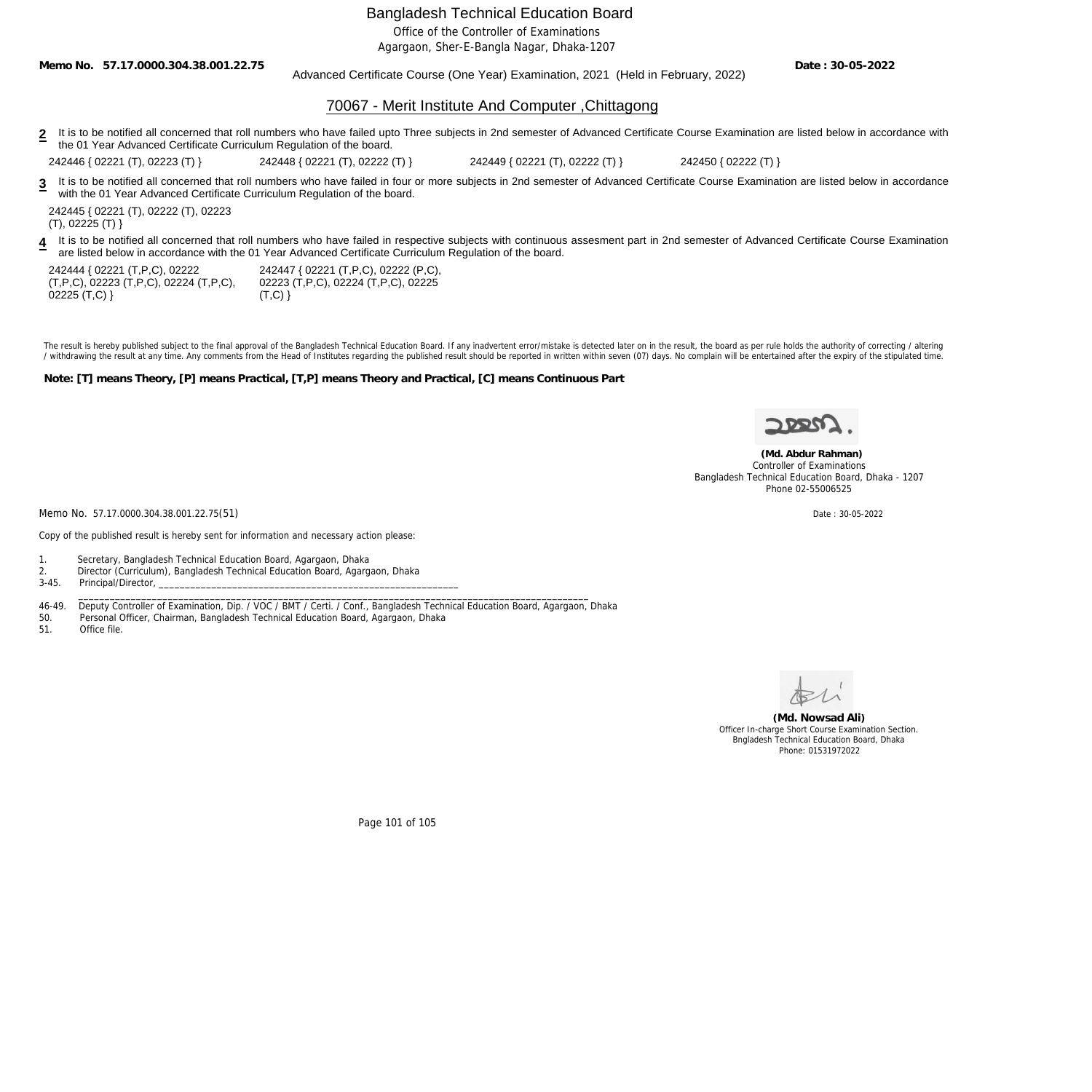Office of the Controller of Examinations

Agargaon, Sher-E-Bangla Nagar, Dhaka-1207

**Memo No. 57.17.0000.304.38.001.22.75**

Advanced Certificate Course (One Year) Examination, 2021 (Held in February, 2022)

**Date : 30-05-2022**

## 70067 - Merit Institute And Computer ,Chittagong

2 It is to be notified all concerned that roll numbers who have failed upto Three subjects in 2nd semester of Advanced Certificate Course Examination are listed below in accordance with the 01 Year Advanced Certificate Curriculum Regulation of the board.

242446 { 02221 (T), 02223 (T) } 242448 { 02221 (T), 02222 (T) } 242449 { 02221 (T), 02222 (T) } 242450 { 02222 (T) }

**3** It is to be notified all concerned that roll numbers who have failed in four or more subjects in 2nd semester of Advanced Certificate Course Examination are listed below in accordance with the 01 Year Advanced Certificate Curriculum Regulation of the board.

242445 { 02221 (T), 02222 (T), 02223  $(T), 02225 (T)$ 

**4** It is to be notified all concerned that roll numbers who have failed in respective subjects with continuous assesment part in 2nd semester of Advanced Certificate Course Examination are listed below in accordance with the 01 Year Advanced Certificate Curriculum Regulation of the board.

242444 { 02221 (T,P,C), 02222 (T,P,C), 02223 (T,P,C), 02224 (T,P,C),  $02225$  (T,C) }

242447 { 02221 (T,P,C), 02222 (P,C), 02223 (T,P,C), 02224 (T,P,C), 02225  $(T,C)$ }

The result is hereby published subject to the final approval of the Bangladesh Technical Education Board. If any inadvertent error/mistake is detected later on in the result, the board as per rule holds the authority of co / withdrawing the result at any time. Any comments from the Head of Institutes regarding the published result should be reported in written within seven (07) days. No complain will be entertained after the expiry of the st

**Note: [T] means Theory, [P] means Practical, [T,P] means Theory and Practical, [C] means Continuous Part**

 **(Md. Abdur Rahman)** Controller of Examinations Bangladesh Technical Education Board, Dhaka - 1207 Phone 02-55006525

Memo No. 57.17.0000.304.38.001.22.75(51) Date: 30-05-2022

Copy of the published result is hereby sent for information and necessary action please:

1. Secretary, Bangladesh Technical Education Board, Agargaon, Dhaka

- 2. Director (Curriculum), Bangladesh Technical Education Board, Agargaon, Dhaka
- 3-45. Principal/Director,

 \_\_\_\_\_\_\_\_\_\_\_\_\_\_\_\_\_\_\_\_\_\_\_\_\_\_\_\_\_\_\_\_\_\_\_\_\_\_\_\_\_\_\_\_\_\_\_\_\_\_\_\_\_\_\_\_\_\_\_\_\_\_\_\_\_\_\_\_\_\_\_\_\_\_\_\_\_\_\_\_\_\_\_\_\_\_\_\_\_\_\_\_\_\_\_\_\_ 46-49. Deputy Controller of Examination, Dip. / VOC / BMT / Certi. / Conf., Bangladesh Technical Education Board, Agargaon, Dhaka

50. Personal Officer, Chairman, Bangladesh Technical Education Board, Agargaon, Dhaka

51. Office file.

**(Md. Nowsad Ali)** Officer In-charge Short Course Examination Section. Bngladesh Technical Education Board, Dhaka Phone: 01531972022

Page 101 of 105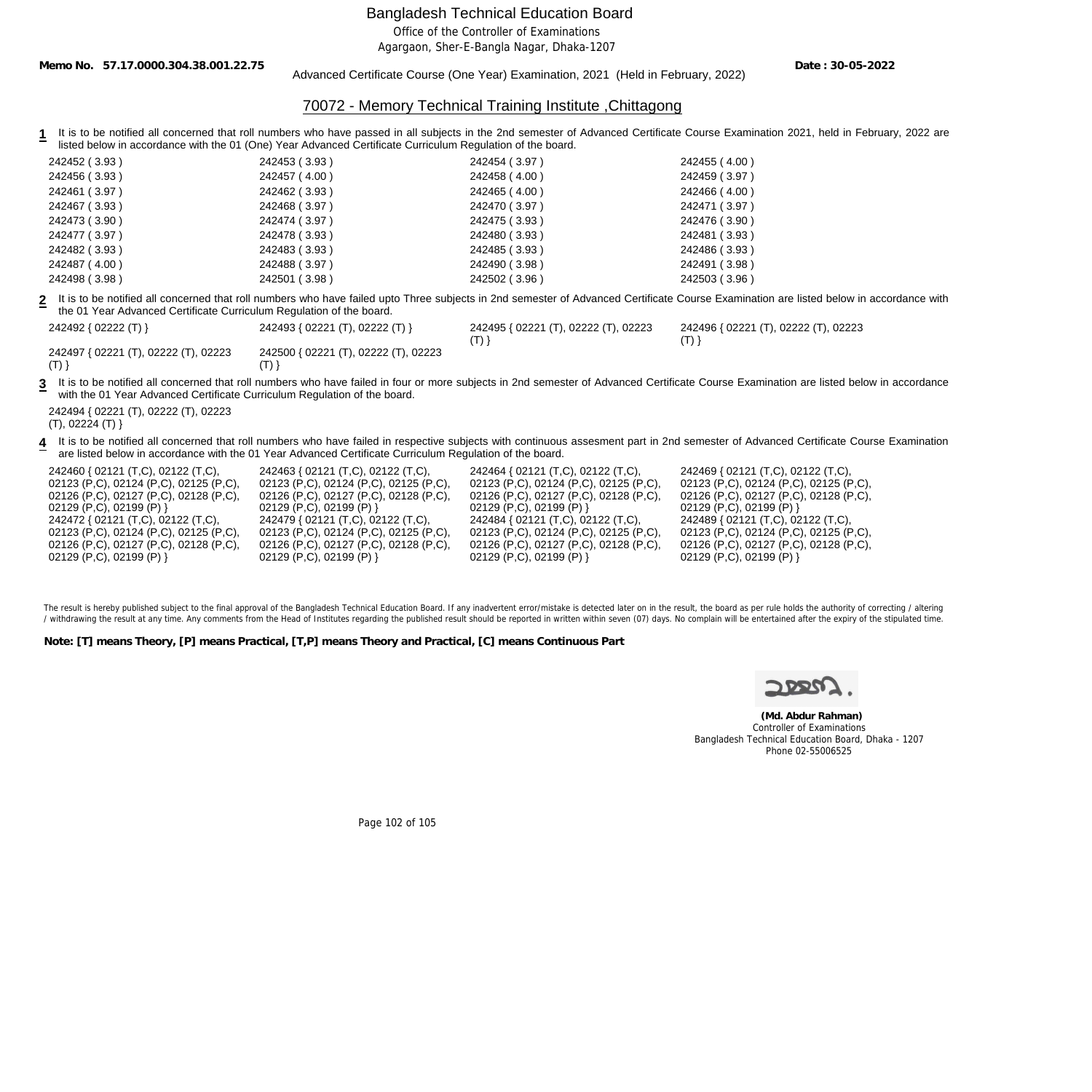Office of the Controller of Examinations

Agargaon, Sher-E-Bangla Nagar, Dhaka-1207

**Memo No. 57.17.0000.304.38.001.22.75**

Advanced Certificate Course (One Year) Examination, 2021 (Held in February, 2022)

**Date : 30-05-2022**

## 70072 - Memory Technical Training Institute ,Chittagong

**1** It is to be notified all concerned that roll numbers who have passed in all subjects in the 2nd semester of Advanced Certificate Course Examination 2021, held in February, 2022 are listed below in accordance with the 01 (One) Year Advanced Certificate Curriculum Regulation of the board.

| 242452 (3.93) | 242453 (3.93) | 242454 (3.97) | 242455 (4.00) |
|---------------|---------------|---------------|---------------|
| 242456 (3.93) | 242457 (4.00) | 242458 (4.00) | 242459 (3.97) |
| 242461 (3.97) | 242462 (3.93) | 242465 (4.00) | 242466 (4.00) |
| 242467 (3.93) | 242468 (3.97) | 242470 (3.97) | 242471 (3.97) |
| 242473 (3.90) | 242474 (3.97) | 242475 (3.93) | 242476 (3.90) |
| 242477 (3.97) | 242478 (3.93) | 242480 (3.93) | 242481 (3.93) |
| 242482 (3.93) | 242483 (3.93) | 242485 (3.93) | 242486 (3.93) |
| 242487 (4.00) | 242488 (3.97) | 242490 (3.98) | 242491 (3.98) |
| 242498 (3.98) | 242501 (3.98) | 242502 (3.96) | 242503 (3.96) |

**2** It is to be notified all concerned that roll numbers who have failed upto Three subjects in 2nd semester of Advanced Certificate Course Examination are listed below in accordance with the 01 Year Advanced Certificate Curriculum Regulation of the board.

| 242492 { 02222 (T) }                 | 242493 { 02221 (T), 02222 (T) }      | 242495 { 02221 (T), 02222 (T), 02223 | 242496 { 02221 (T), 02222 (T), 02223 |
|--------------------------------------|--------------------------------------|--------------------------------------|--------------------------------------|
|                                      |                                      |                                      |                                      |
| 242497 { 02221 (T), 02222 (T), 02223 | 242500 { 02221 (T), 02222 (T), 02223 |                                      |                                      |

 $(T)$ }

3 It is to be notified all concerned that roll numbers who have failed in four or more subjects in 2nd semester of Advanced Certificate Course Examination are listed below in accordance with the 01 Year Advanced Certificate Curriculum Regulation of the board.

242494 { 02221 (T), 02222 (T), 02223 (T), 02224 (T) }

**4** It is to be notified all concerned that roll numbers who have failed in respective subjects with continuous assesment part in 2nd semester of Advanced Certificate Course Examination are listed below in accordance with the 01 Year Advanced Certificate Curriculum Regulation of the board.

| 242460 { 02121 (T,C), 02122 (T,C),     | 242463 { 02121 (T,C), 02122 (T,C),     | 242464 { 02121 (T,C), 02122 (T,C),     | 242469 { 02121 (T,C), 02122 (T,C),     |
|----------------------------------------|----------------------------------------|----------------------------------------|----------------------------------------|
| 02123 (P,C), 02124 (P,C), 02125 (P,C), | 02123 (P,C), 02124 (P,C), 02125 (P,C), | 02123 (P,C), 02124 (P,C), 02125 (P,C), | 02123 (P,C), 02124 (P,C), 02125 (P,C), |
| 02126 (P,C), 02127 (P,C), 02128 (P,C), | 02126 (P,C), 02127 (P,C), 02128 (P,C), | 02126 (P,C), 02127 (P,C), 02128 (P,C), | 02126 (P,C), 02127 (P,C), 02128 (P,C), |
| $02129$ (P,C), 02199 (P) }             | $02129$ (P,C), 02199 (P) }             | $02129$ (P,C), 02199 (P) }             | $02129$ (P,C), 02199 (P) }             |
| 242472 { 02121 (T,C), 02122 (T,C),     | 242479 { 02121 (T,C), 02122 (T,C),     | 242484 { 02121 (T,C), 02122 (T,C),     | 242489 { 02121 (T,C), 02122 (T,C),     |
| 02123 (P,C), 02124 (P,C), 02125 (P,C), | 02123 (P,C), 02124 (P,C), 02125 (P,C), | 02123 (P,C), 02124 (P,C), 02125 (P,C), | 02123 (P,C), 02124 (P,C), 02125 (P,C), |
| 02126 (P,C), 02127 (P,C), 02128 (P,C), | 02126 (P,C), 02127 (P,C), 02128 (P,C), | 02126 (P,C), 02127 (P,C), 02128 (P,C), | 02126 (P,C), 02127 (P,C), 02128 (P,C), |
| $02129$ (P,C), 02199 (P) }             | 02129 (P,C), 02199 (P) }               | 02129 (P,C), 02199 (P) }               | $02129$ (P,C), 02199 (P) }             |

The result is hereby published subject to the final approval of the Bangladesh Technical Education Board. If any inadvertent error/mistake is detected later on in the result, the board as per rule holds the authority of co / withdrawing the result at any time. Any comments from the Head of Institutes regarding the published result should be reported in written within seven (07) days. No complain will be entertained after the expiry of the st

**Note: [T] means Theory, [P] means Practical, [T,P] means Theory and Practical, [C] means Continuous Part**

 $(T)$ }

 **(Md. Abdur Rahman)** Controller of Examinations Bangladesh Technical Education Board, Dhaka - 1207 Phone 02-55006525

Page 102 of 105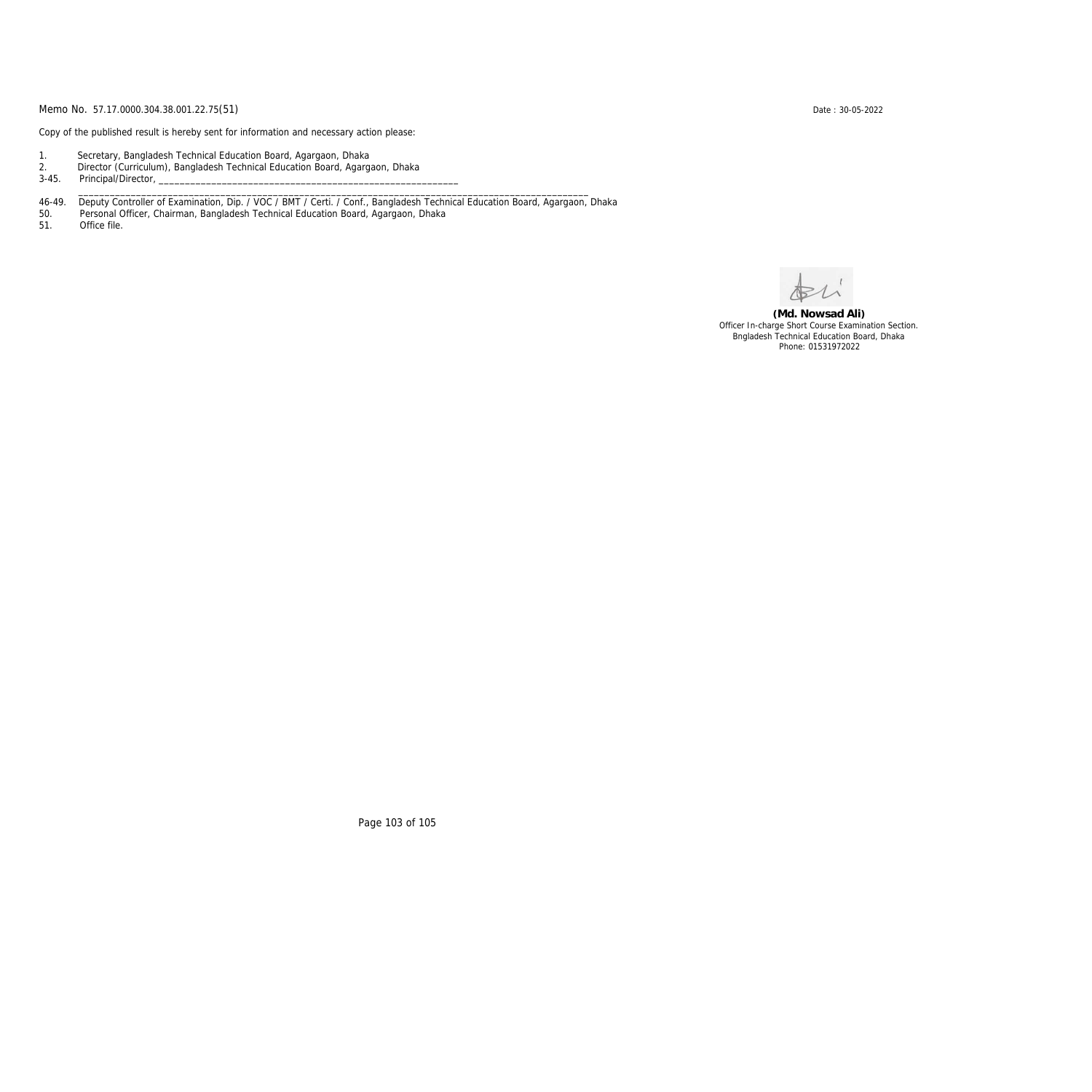Copy of the published result is hereby sent for information and necessary action please:

- 1. Secretary, Bangladesh Technical Education Board, Agargaon, Dhaka
- 2. Director (Curriculum), Bangladesh Technical Education Board, Agargaon, Dhaka

3-45. Principal/Director,

46-49. Deputy Controller of Examination, Dip. / VOC / BMT / Certi. / Conf., Bangladesh Technical Education Board, Agargaon, Dhaka

\_\_\_\_\_\_\_\_\_\_\_\_\_\_\_\_\_\_\_\_\_\_\_\_\_\_\_\_\_\_\_\_\_\_\_\_\_\_\_\_\_\_\_\_\_\_\_\_\_\_\_\_\_\_\_\_\_\_\_\_\_\_\_\_\_\_\_\_\_\_\_\_\_\_\_\_\_\_\_\_\_\_\_\_\_\_\_\_\_\_\_\_\_\_\_\_\_

50. Personal Officer, Chairman, Bangladesh Technical Education Board, Agargaon, Dhaka

Office file.

**(Md. Nowsad Ali)** Officer In-charge Short Course Examination Section. Bngladesh Technical Education Board, Dhaka Phone: 01531972022

Page 103 of 105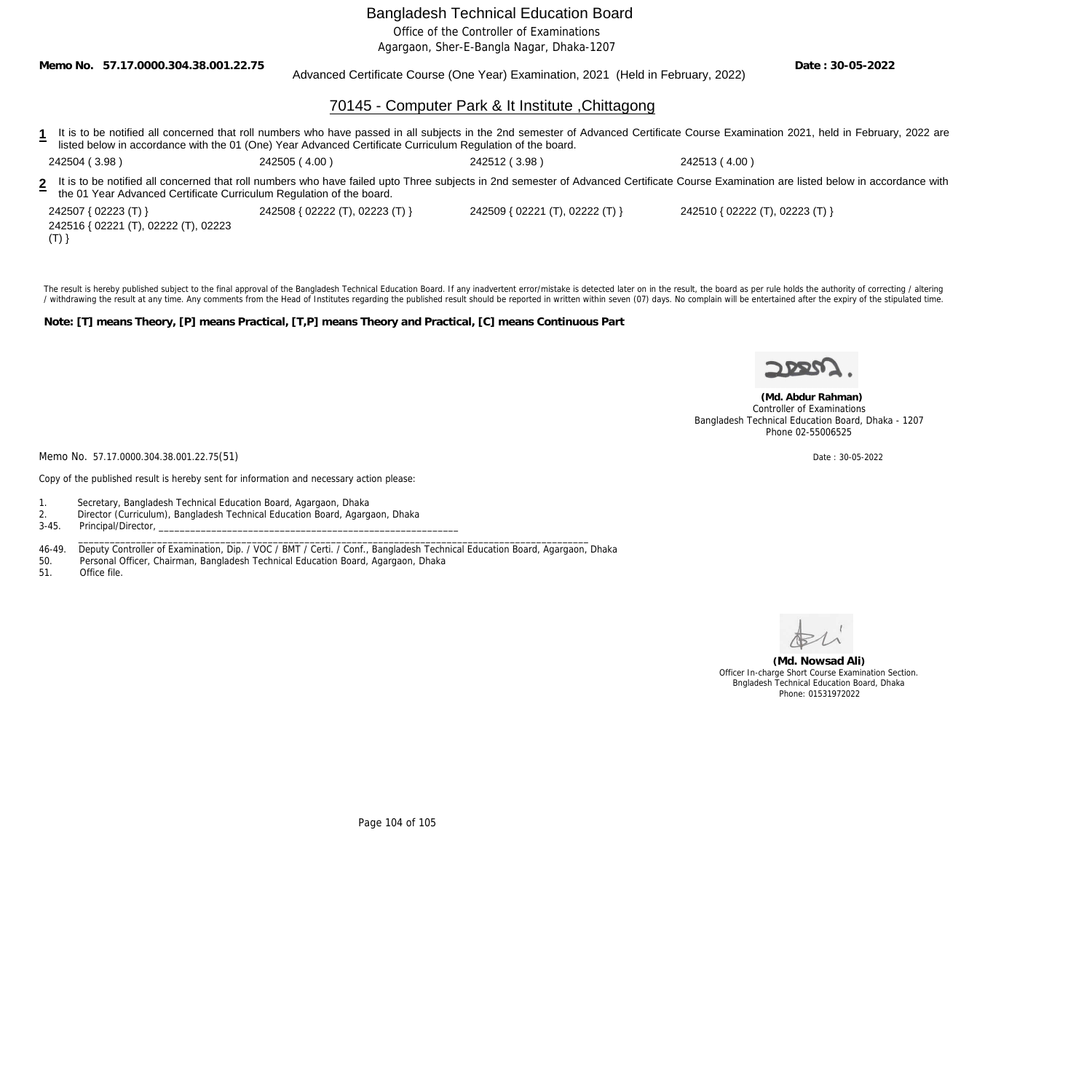Office of the Controller of Examinations

Agargaon, Sher-E-Bangla Nagar, Dhaka-1207

**Memo No. 57.17.0000.304.38.001.22.75**

#### Advanced Certificate Course (One Year) Examination, 2021 (Held in February, 2022)

**Date : 30-05-2022**

## 70145 - Computer Park & It Institute ,Chittagong

| It is to be notified all concerned that roll numbers who have passed in all subjects in the 2nd semester of Advanced Certificate Course Examination 2021, held in February, 2022 are<br>listed below in accordance with the 01 (One) Year Advanced Certificate Curriculum Regulation of the board. |               |               |                                                                                                                                                                                           |  |
|----------------------------------------------------------------------------------------------------------------------------------------------------------------------------------------------------------------------------------------------------------------------------------------------------|---------------|---------------|-------------------------------------------------------------------------------------------------------------------------------------------------------------------------------------------|--|
| 242504(3.98)                                                                                                                                                                                                                                                                                       | 242505 (4.00) | 242512 (3.98) | 242513 (4.00)                                                                                                                                                                             |  |
| the 01 Year Advanced Certificate Curriculum Regulation of the board.                                                                                                                                                                                                                               |               |               | 2 It is to be notified all concerned that roll numbers who have failed upto Three subjects in 2nd semester of Advanced Certificate Course Examination are listed below in accordance with |  |

242507 { 02223 (T) } 242508 { 02222 (T), 02223 (T) } 242509 { 02221 (T), 02222 (T) } 242510 { 02222 (T), 02223 (T) } 242516 { 02221 (T), 02222 (T), 02223  $(T)$ }

The result is hereby published subject to the final approval of the Bangladesh Technical Education Board. If any inadvertent error/mistake is detected later on in the result, the board as per rule holds the authority of co / withdrawing the result at any time. Any comments from the Head of Institutes regarding the published result should be reported in written within seven (07) days. No complain will be entertained after the expiry of the st

**Note: [T] means Theory, [P] means Practical, [T,P] means Theory and Practical, [C] means Continuous Part**



 **(Md. Abdur Rahman)** Controller of Examinations Bangladesh Technical Education Board, Dhaka - 1207 Phone 02-55006525

Memo No. 57.17.0000.304.38.001.22.75(51) Date: 30-05-2022

Copy of the published result is hereby sent for information and necessary action please:

1. Secretary, Bangladesh Technical Education Board, Agargaon, Dhaka

2. Director (Curriculum), Bangladesh Technical Education Board, Agargaon, Dhaka

3-45. Principal/Director, \_\_\_\_\_\_\_\_\_\_\_\_\_\_\_\_\_\_\_\_\_\_\_\_\_\_\_\_\_\_\_\_\_\_\_\_\_\_\_\_\_\_\_\_\_\_\_\_\_\_\_\_\_\_\_\_\_\_\_\_\_\_\_\_\_\_\_\_\_\_\_\_\_\_\_\_\_\_\_\_\_\_\_\_\_\_\_\_\_\_\_\_\_\_\_\_\_

46-49. Deputy Controller of Examination, Dip. / VOC / BMT / Certi. / Conf., Bangladesh Technical Education Board, Agargaon, Dhaka

50. Personal Officer, Chairman, Bangladesh Technical Education Board, Agargaon, Dhaka

Office file.



**(Md. Nowsad Ali)** Officer In-charge Short Course Examination Section. Bngladesh Technical Education Board, Dhaka Phone: 01531972022

Page 104 of 105